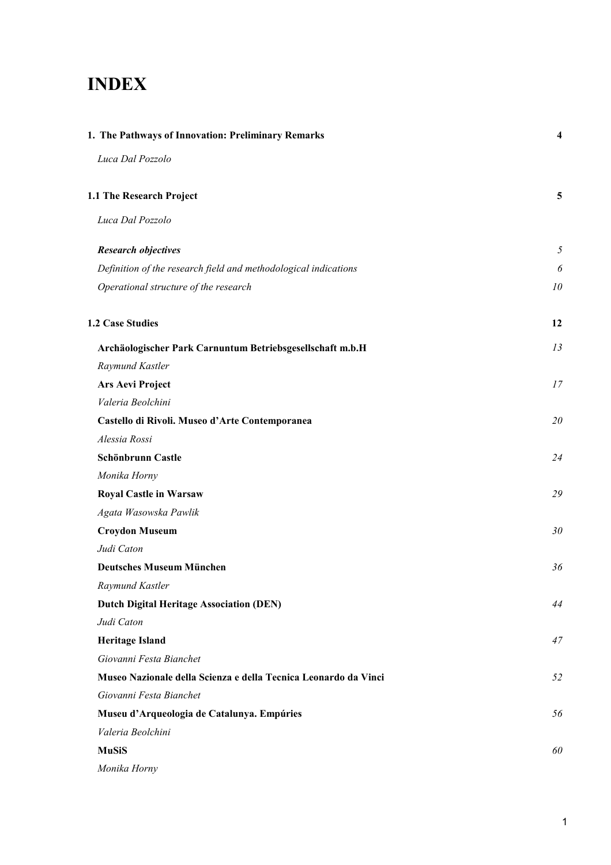# **INDEX**

| 1. The Pathways of Innovation: Preliminary Remarks              |    |
|-----------------------------------------------------------------|----|
| Luca Dal Pozzolo                                                |    |
| 1.1 The Research Project                                        | 5  |
| Luca Dal Pozzolo                                                |    |
| <b>Research objectives</b>                                      | 5  |
| Definition of the research field and methodological indications | 6  |
| Operational structure of the research                           | 10 |
| <b>1.2 Case Studies</b>                                         | 12 |
| Archäologischer Park Carnuntum Betriebsgesellschaft m.b.H       | 13 |
| Raymund Kastler                                                 |    |
| Ars Aevi Project                                                | 17 |
| Valeria Beolchini                                               |    |
| Castello di Rivoli. Museo d'Arte Contemporanea                  | 20 |
| Alessia Rossi                                                   |    |
| Schönbrunn Castle                                               | 24 |
| Monika Horny                                                    |    |
| <b>Royal Castle in Warsaw</b>                                   | 29 |
| Agata Wasowska Pawlik                                           |    |
| <b>Croydon Museum</b>                                           | 30 |
| Judi Caton                                                      |    |
| <b>Deutsches Museum München</b>                                 | 36 |
| Raymund Kastler                                                 |    |
| <b>Dutch Digital Heritage Association (DEN)</b>                 | 44 |
| Judi Caton                                                      |    |
| <b>Heritage Island</b>                                          | 47 |
| Giovanni Festa Bianchet                                         |    |
| Museo Nazionale della Scienza e della Tecnica Leonardo da Vinci | 52 |
| Giovanni Festa Bianchet                                         |    |
| Museu d'Arqueologia de Catalunya. Empúries                      | 56 |
| Valeria Beolchini                                               |    |
| <b>MuSiS</b>                                                    | 60 |
| Monika Horny                                                    |    |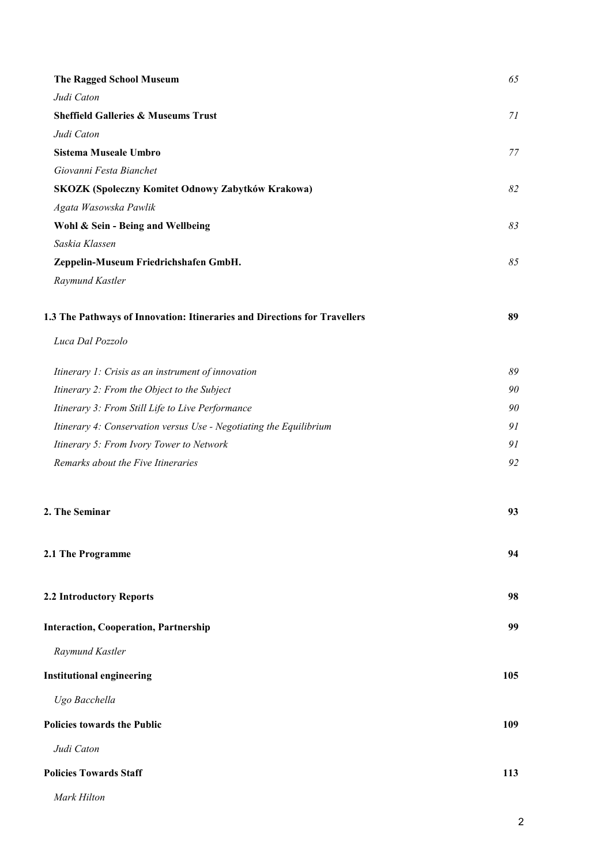| <b>The Ragged School Museum</b>                                           | 65  |
|---------------------------------------------------------------------------|-----|
| Judi Caton                                                                |     |
| <b>Sheffield Galleries &amp; Museums Trust</b>                            | 71  |
| Judi Caton                                                                |     |
| Sistema Museale Umbro                                                     | 77  |
| Giovanni Festa Bianchet                                                   |     |
| SKOZK (Spoleczny Komitet Odnowy Zabytków Krakowa)                         | 82  |
| Agata Wasowska Pawlik                                                     |     |
| Wohl & Sein - Being and Wellbeing                                         | 83  |
| Saskia Klassen                                                            |     |
| Zeppelin-Museum Friedrichshafen GmbH.                                     | 85  |
| Raymund Kastler                                                           |     |
| 1.3 The Pathways of Innovation: Itineraries and Directions for Travellers | 89  |
| Luca Dal Pozzolo                                                          |     |
| Itinerary 1: Crisis as an instrument of innovation                        | 89  |
| Itinerary 2: From the Object to the Subject                               | 90  |
| Itinerary 3: From Still Life to Live Performance                          | 90  |
| Itinerary 4: Conservation versus Use - Negotiating the Equilibrium        | 91  |
| Itinerary 5: From Ivory Tower to Network                                  | 91  |
| Remarks about the Five Itineraries                                        | 92  |
| 2. The Seminar                                                            | 93  |
| 2.1 The Programme                                                         | 94  |
| 2.2 Introductory Reports                                                  | 98  |
| <b>Interaction, Cooperation, Partnership</b>                              | 99  |
| Raymund Kastler                                                           |     |
| <b>Institutional engineering</b>                                          | 105 |
| Ugo Bacchella                                                             |     |
| <b>Policies towards the Public</b>                                        | 109 |
| Judi Caton                                                                |     |
| <b>Policies Towards Staff</b>                                             | 113 |
| Mark Hilton                                                               |     |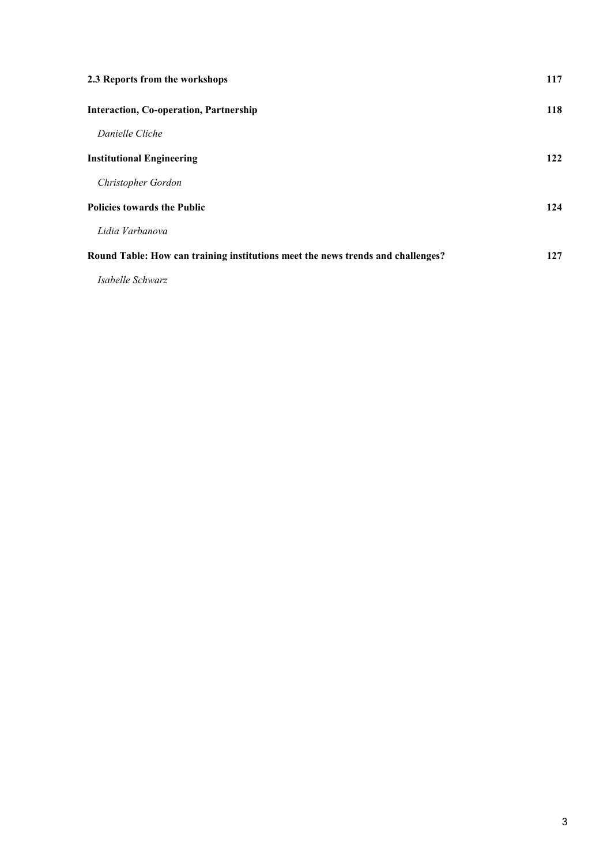| 2.3 Reports from the workshops                                                  | 117 |
|---------------------------------------------------------------------------------|-----|
| <b>Interaction, Co-operation, Partnership</b>                                   | 118 |
| Danielle Cliche                                                                 |     |
| <b>Institutional Engineering</b>                                                | 122 |
| Christopher Gordon                                                              |     |
| <b>Policies towards the Public</b>                                              | 124 |
| Lidia Varbanova                                                                 |     |
| Round Table: How can training institutions meet the news trends and challenges? | 127 |
| Isabelle Schwarz                                                                |     |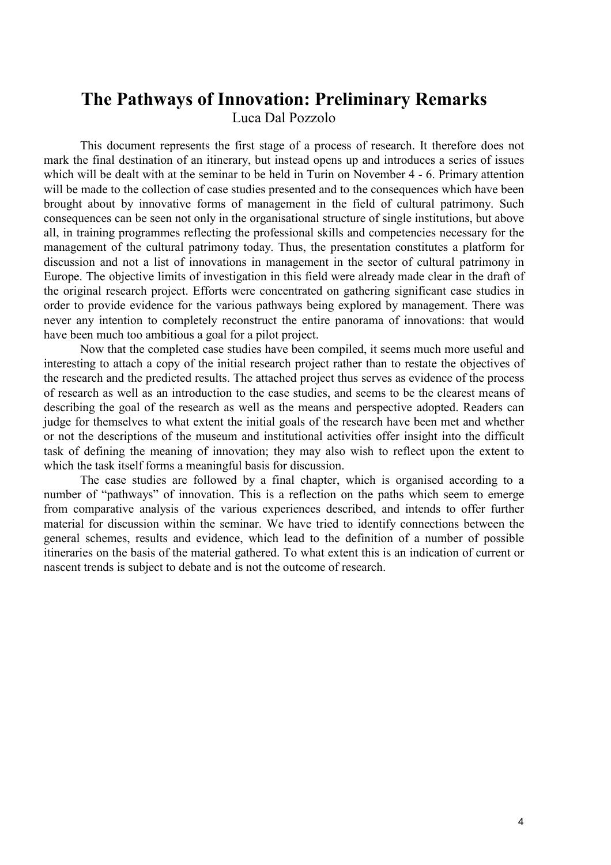## **The Pathways of Innovation: Preliminary Remarks**  Luca Dal Pozzolo

This document represents the first stage of a process of research. It therefore does not mark the final destination of an itinerary, but instead opens up and introduces a series of issues which will be dealt with at the seminar to be held in Turin on November 4 - 6. Primary attention will be made to the collection of case studies presented and to the consequences which have been brought about by innovative forms of management in the field of cultural patrimony. Such consequences can be seen not only in the organisational structure of single institutions, but above all, in training programmes reflecting the professional skills and competencies necessary for the management of the cultural patrimony today. Thus, the presentation constitutes a platform for discussion and not a list of innovations in management in the sector of cultural patrimony in Europe. The objective limits of investigation in this field were already made clear in the draft of the original research project. Efforts were concentrated on gathering significant case studies in order to provide evidence for the various pathways being explored by management. There was never any intention to completely reconstruct the entire panorama of innovations: that would have been much too ambitious a goal for a pilot project.

 Now that the completed case studies have been compiled, it seems much more useful and interesting to attach a copy of the initial research project rather than to restate the objectives of the research and the predicted results. The attached project thus serves as evidence of the process of research as well as an introduction to the case studies, and seems to be the clearest means of describing the goal of the research as well as the means and perspective adopted. Readers can judge for themselves to what extent the initial goals of the research have been met and whether or not the descriptions of the museum and institutional activities offer insight into the difficult task of defining the meaning of innovation; they may also wish to reflect upon the extent to which the task itself forms a meaningful basis for discussion.

 The case studies are followed by a final chapter, which is organised according to a number of "pathways" of innovation. This is a reflection on the paths which seem to emerge from comparative analysis of the various experiences described, and intends to offer further material for discussion within the seminar. We have tried to identify connections between the general schemes, results and evidence, which lead to the definition of a number of possible itineraries on the basis of the material gathered. To what extent this is an indication of current or nascent trends is subject to debate and is not the outcome of research.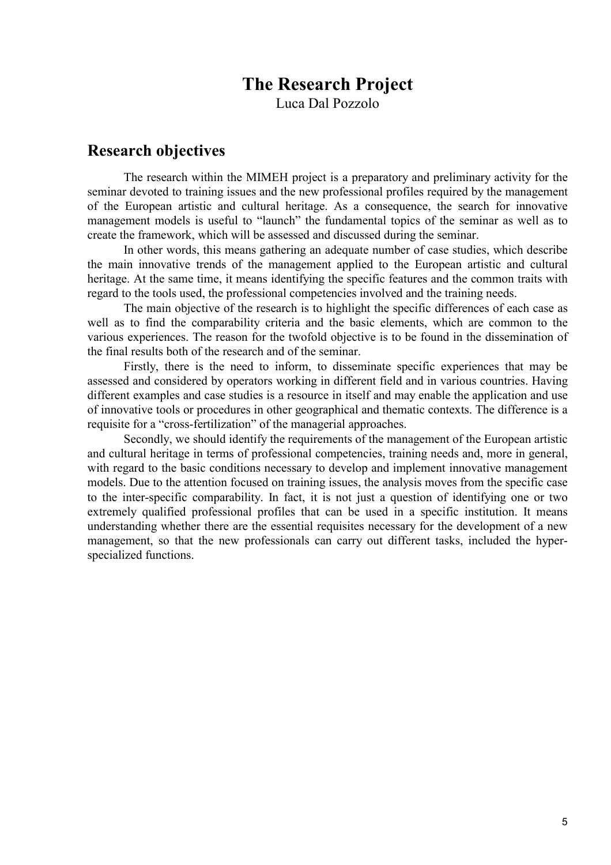## **The Research Project**

Luca Dal Pozzolo

## **Research objectives**

The research within the MIMEH project is a preparatory and preliminary activity for the seminar devoted to training issues and the new professional profiles required by the management of the European artistic and cultural heritage. As a consequence, the search for innovative management models is useful to "launch" the fundamental topics of the seminar as well as to create the framework, which will be assessed and discussed during the seminar.

In other words, this means gathering an adequate number of case studies, which describe the main innovative trends of the management applied to the European artistic and cultural heritage. At the same time, it means identifying the specific features and the common traits with regard to the tools used, the professional competencies involved and the training needs.

The main objective of the research is to highlight the specific differences of each case as well as to find the comparability criteria and the basic elements, which are common to the various experiences. The reason for the twofold objective is to be found in the dissemination of the final results both of the research and of the seminar.

Firstly, there is the need to inform, to disseminate specific experiences that may be assessed and considered by operators working in different field and in various countries. Having different examples and case studies is a resource in itself and may enable the application and use of innovative tools or procedures in other geographical and thematic contexts. The difference is a requisite for a "cross-fertilization" of the managerial approaches.

Secondly, we should identify the requirements of the management of the European artistic and cultural heritage in terms of professional competencies, training needs and, more in general, with regard to the basic conditions necessary to develop and implement innovative management models. Due to the attention focused on training issues, the analysis moves from the specific case to the inter-specific comparability. In fact, it is not just a question of identifying one or two extremely qualified professional profiles that can be used in a specific institution. It means understanding whether there are the essential requisites necessary for the development of a new management, so that the new professionals can carry out different tasks, included the hyperspecialized functions.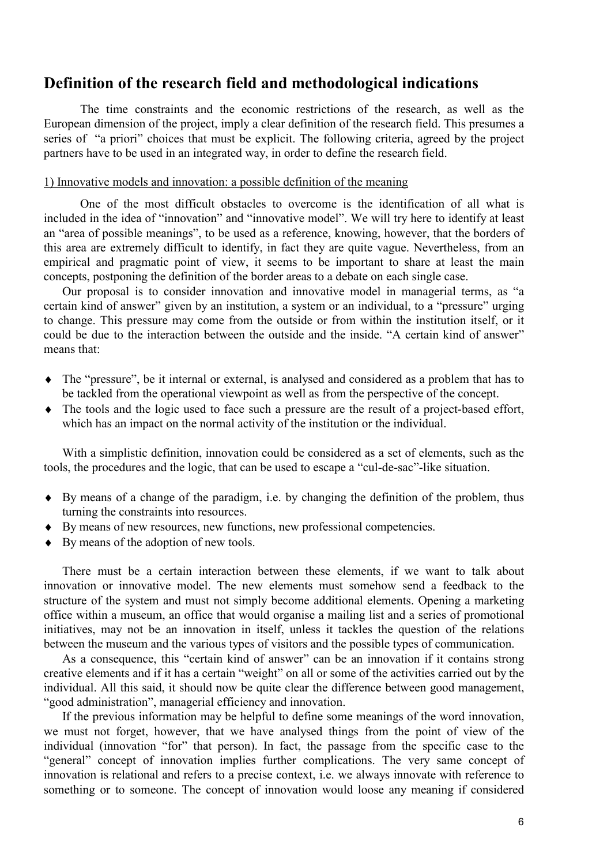## **Definition of the research field and methodological indications**

The time constraints and the economic restrictions of the research, as well as the European dimension of the project, imply a clear definition of the research field. This presumes a series of "a priori" choices that must be explicit. The following criteria, agreed by the project partners have to be used in an integrated way, in order to define the research field.

#### 1) Innovative models and innovation: a possible definition of the meaning

One of the most difficult obstacles to overcome is the identification of all what is included in the idea of "innovation" and "innovative model". We will try here to identify at least an "area of possible meanings", to be used as a reference, knowing, however, that the borders of this area are extremely difficult to identify, in fact they are quite vague. Nevertheless, from an empirical and pragmatic point of view, it seems to be important to share at least the main concepts, postponing the definition of the border areas to a debate on each single case.

Our proposal is to consider innovation and innovative model in managerial terms, as "a certain kind of answer" given by an institution, a system or an individual, to a "pressure" urging to change. This pressure may come from the outside or from within the institution itself, or it could be due to the interaction between the outside and the inside. "A certain kind of answer" means that:

- ♦ The "pressure", be it internal or external, is analysed and considered as a problem that has to be tackled from the operational viewpoint as well as from the perspective of the concept.
- ♦ The tools and the logic used to face such a pressure are the result of a project-based effort, which has an impact on the normal activity of the institution or the individual.

With a simplistic definition, innovation could be considered as a set of elements, such as the tools, the procedures and the logic, that can be used to escape a "cul-de-sac"-like situation.

- ♦ By means of a change of the paradigm, i.e. by changing the definition of the problem, thus turning the constraints into resources.
- ♦ By means of new resources, new functions, new professional competencies.
- ♦ By means of the adoption of new tools.

There must be a certain interaction between these elements, if we want to talk about innovation or innovative model. The new elements must somehow send a feedback to the structure of the system and must not simply become additional elements. Opening a marketing office within a museum, an office that would organise a mailing list and a series of promotional initiatives, may not be an innovation in itself, unless it tackles the question of the relations between the museum and the various types of visitors and the possible types of communication.

As a consequence, this "certain kind of answer" can be an innovation if it contains strong creative elements and if it has a certain "weight" on all or some of the activities carried out by the individual. All this said, it should now be quite clear the difference between good management, "good administration", managerial efficiency and innovation.

If the previous information may be helpful to define some meanings of the word innovation, we must not forget, however, that we have analysed things from the point of view of the individual (innovation "for" that person). In fact, the passage from the specific case to the "general" concept of innovation implies further complications. The very same concept of innovation is relational and refers to a precise context, i.e. we always innovate with reference to something or to someone. The concept of innovation would loose any meaning if considered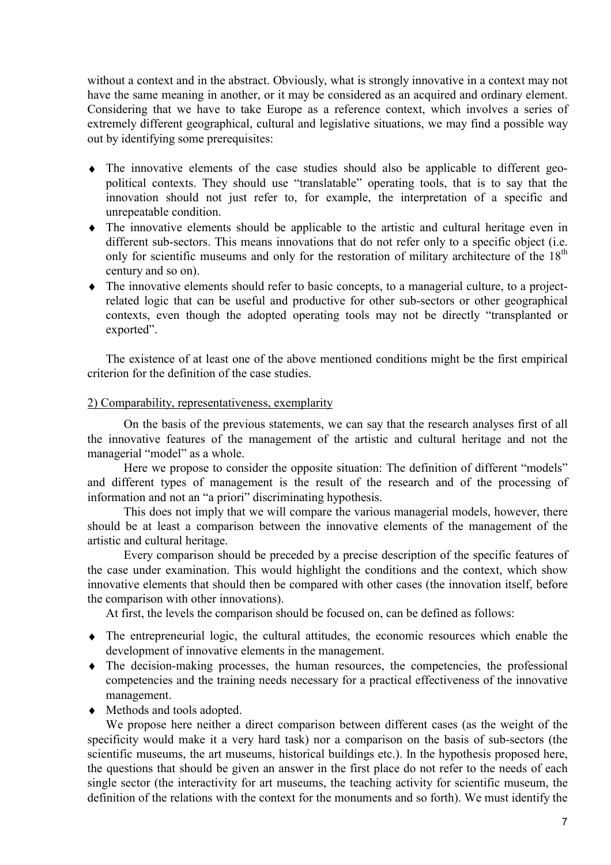without a context and in the abstract. Obviously, what is strongly innovative in a context may not have the same meaning in another, or it may be considered as an acquired and ordinary element. Considering that we have to take Europe as a reference context, which involves a series of extremely different geographical, cultural and legislative situations, we may find a possible way out by identifying some prerequisites:

- ♦ The innovative elements of the case studies should also be applicable to different geopolitical contexts. They should use "translatable" operating tools, that is to say that the innovation should not just refer to, for example, the interpretation of a specific and unrepeatable condition.
- ♦ The innovative elements should be applicable to the artistic and cultural heritage even in different sub-sectors. This means innovations that do not refer only to a specific object (i.e. only for scientific museums and only for the restoration of military architecture of the  $18<sup>th</sup>$ century and so on).
- ♦ The innovative elements should refer to basic concepts, to a managerial culture, to a projectrelated logic that can be useful and productive for other sub-sectors or other geographical contexts, even though the adopted operating tools may not be directly "transplanted or exported".

The existence of at least one of the above mentioned conditions might be the first empirical criterion for the definition of the case studies.

#### 2) Comparability, representativeness, exemplarity

On the basis of the previous statements, we can say that the research analyses first of all the innovative features of the management of the artistic and cultural heritage and not the managerial "model" as a whole.

Here we propose to consider the opposite situation: The definition of different "models" and different types of management is the result of the research and of the processing of information and not an "a priori" discriminating hypothesis.

This does not imply that we will compare the various managerial models, however, there should be at least a comparison between the innovative elements of the management of the artistic and cultural heritage.

Every comparison should be preceded by a precise description of the specific features of the case under examination. This would highlight the conditions and the context, which show innovative elements that should then be compared with other cases (the innovation itself, before the comparison with other innovations).

At first, the levels the comparison should be focused on, can be defined as follows:

- ♦ The entrepreneurial logic, the cultural attitudes, the economic resources which enable the development of innovative elements in the management.
- ♦ The decision-making processes, the human resources, the competencies, the professional competencies and the training needs necessary for a practical effectiveness of the innovative management.
- ♦ Methods and tools adopted.

We propose here neither a direct comparison between different cases (as the weight of the specificity would make it a very hard task) nor a comparison on the basis of sub-sectors (the scientific museums, the art museums, historical buildings etc.). In the hypothesis proposed here, the questions that should be given an answer in the first place do not refer to the needs of each single sector (the interactivity for art museums, the teaching activity for scientific museum, the definition of the relations with the context for the monuments and so forth). We must identify the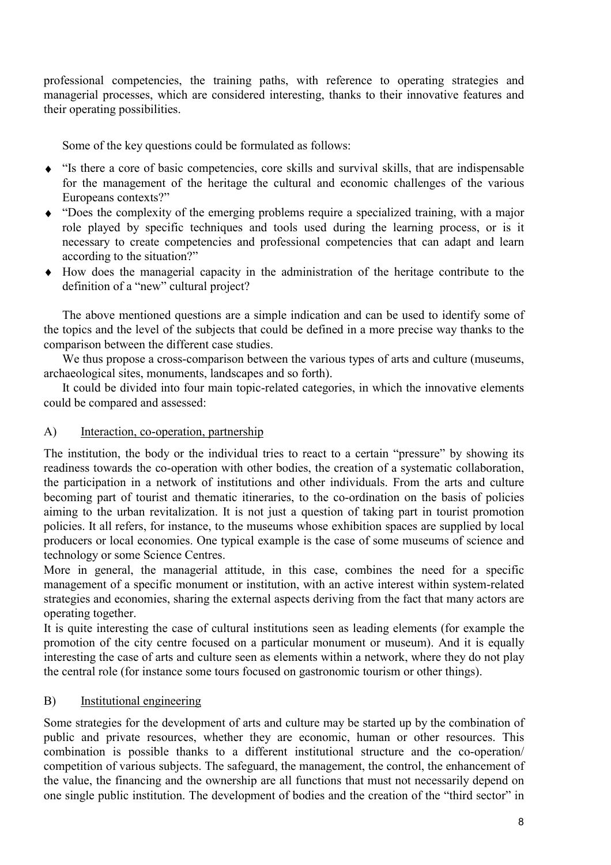professional competencies, the training paths, with reference to operating strategies and managerial processes, which are considered interesting, thanks to their innovative features and their operating possibilities.

Some of the key questions could be formulated as follows:

- ♦ "Is there a core of basic competencies, core skills and survival skills, that are indispensable for the management of the heritage the cultural and economic challenges of the various Europeans contexts?"
- ♦ "Does the complexity of the emerging problems require a specialized training, with a major role played by specific techniques and tools used during the learning process, or is it necessary to create competencies and professional competencies that can adapt and learn according to the situation?"
- ♦ How does the managerial capacity in the administration of the heritage contribute to the definition of a "new" cultural project?

The above mentioned questions are a simple indication and can be used to identify some of the topics and the level of the subjects that could be defined in a more precise way thanks to the comparison between the different case studies.

We thus propose a cross-comparison between the various types of arts and culture (museums, archaeological sites, monuments, landscapes and so forth).

It could be divided into four main topic-related categories, in which the innovative elements could be compared and assessed:

### A) Interaction, co-operation, partnership

The institution, the body or the individual tries to react to a certain "pressure" by showing its readiness towards the co-operation with other bodies, the creation of a systematic collaboration, the participation in a network of institutions and other individuals. From the arts and culture becoming part of tourist and thematic itineraries, to the co-ordination on the basis of policies aiming to the urban revitalization. It is not just a question of taking part in tourist promotion policies. It all refers, for instance, to the museums whose exhibition spaces are supplied by local producers or local economies. One typical example is the case of some museums of science and technology or some Science Centres.

More in general, the managerial attitude, in this case, combines the need for a specific management of a specific monument or institution, with an active interest within system-related strategies and economies, sharing the external aspects deriving from the fact that many actors are operating together.

It is quite interesting the case of cultural institutions seen as leading elements (for example the promotion of the city centre focused on a particular monument or museum). And it is equally interesting the case of arts and culture seen as elements within a network, where they do not play the central role (for instance some tours focused on gastronomic tourism or other things).

### B) Institutional engineering

Some strategies for the development of arts and culture may be started up by the combination of public and private resources, whether they are economic, human or other resources. This combination is possible thanks to a different institutional structure and the co-operation/ competition of various subjects. The safeguard, the management, the control, the enhancement of the value, the financing and the ownership are all functions that must not necessarily depend on one single public institution. The development of bodies and the creation of the "third sector" in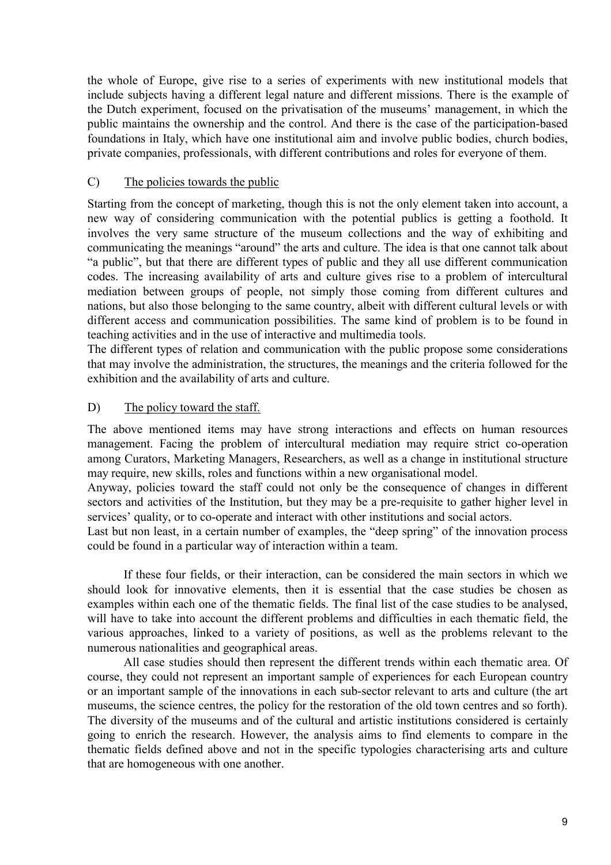the whole of Europe, give rise to a series of experiments with new institutional models that include subjects having a different legal nature and different missions. There is the example of the Dutch experiment, focused on the privatisation of the museums' management, in which the public maintains the ownership and the control. And there is the case of the participation-based foundations in Italy, which have one institutional aim and involve public bodies, church bodies, private companies, professionals, with different contributions and roles for everyone of them.

#### C) The policies towards the public

Starting from the concept of marketing, though this is not the only element taken into account, a new way of considering communication with the potential publics is getting a foothold. It involves the very same structure of the museum collections and the way of exhibiting and communicating the meanings "around" the arts and culture. The idea is that one cannot talk about "a public", but that there are different types of public and they all use different communication codes. The increasing availability of arts and culture gives rise to a problem of intercultural mediation between groups of people, not simply those coming from different cultures and nations, but also those belonging to the same country, albeit with different cultural levels or with different access and communication possibilities. The same kind of problem is to be found in teaching activities and in the use of interactive and multimedia tools.

The different types of relation and communication with the public propose some considerations that may involve the administration, the structures, the meanings and the criteria followed for the exhibition and the availability of arts and culture.

#### D) The policy toward the staff.

The above mentioned items may have strong interactions and effects on human resources management. Facing the problem of intercultural mediation may require strict co-operation among Curators, Marketing Managers, Researchers, as well as a change in institutional structure may require, new skills, roles and functions within a new organisational model.

Anyway, policies toward the staff could not only be the consequence of changes in different sectors and activities of the Institution, but they may be a pre-requisite to gather higher level in services' quality, or to co-operate and interact with other institutions and social actors.

Last but non least, in a certain number of examples, the "deep spring" of the innovation process could be found in a particular way of interaction within a team.

If these four fields, or their interaction, can be considered the main sectors in which we should look for innovative elements, then it is essential that the case studies be chosen as examples within each one of the thematic fields. The final list of the case studies to be analysed, will have to take into account the different problems and difficulties in each thematic field, the various approaches, linked to a variety of positions, as well as the problems relevant to the numerous nationalities and geographical areas.

All case studies should then represent the different trends within each thematic area. Of course, they could not represent an important sample of experiences for each European country or an important sample of the innovations in each sub-sector relevant to arts and culture (the art museums, the science centres, the policy for the restoration of the old town centres and so forth). The diversity of the museums and of the cultural and artistic institutions considered is certainly going to enrich the research. However, the analysis aims to find elements to compare in the thematic fields defined above and not in the specific typologies characterising arts and culture that are homogeneous with one another.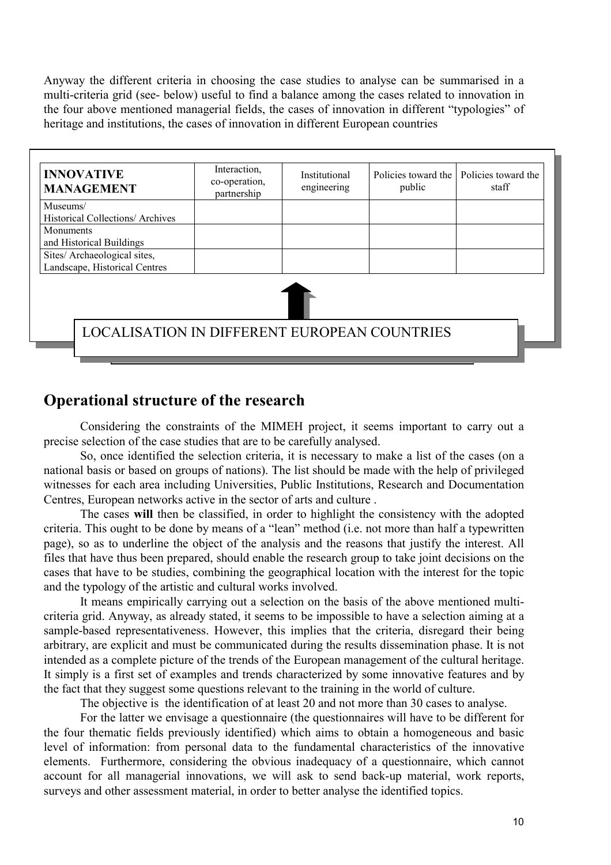Anyway the different criteria in choosing the case studies to analyse can be summarised in a multi-criteria grid (see- below) useful to find a balance among the cases related to innovation in the four above mentioned managerial fields, the cases of innovation in different "typologies" of heritage and institutions, the cases of innovation in different European countries

| <b>INNOVATIVE</b><br><b>MANAGEMENT</b>                        | Interaction.<br>co-operation,<br>partnership | Institutional<br>engineering | public | Policies toward the   Policies toward the<br>staff |
|---------------------------------------------------------------|----------------------------------------------|------------------------------|--------|----------------------------------------------------|
| Museums/<br>Historical Collections/ Archives                  |                                              |                              |        |                                                    |
| <b>Monuments</b><br>and Historical Buildings                  |                                              |                              |        |                                                    |
| Sites/ Archaeological sites,<br>Landscape, Historical Centres |                                              |                              |        |                                                    |
|                                                               |                                              |                              |        |                                                    |
| <b>LOCALISATION IN DIFFERENT EUROPEAN COUNTRIES</b>           |                                              |                              |        |                                                    |
|                                                               |                                              |                              |        |                                                    |

## **Operational structure of the research**

Considering the constraints of the MIMEH project, it seems important to carry out a precise selection of the case studies that are to be carefully analysed.

So, once identified the selection criteria, it is necessary to make a list of the cases (on a national basis or based on groups of nations). The list should be made with the help of privileged witnesses for each area including Universities, Public Institutions, Research and Documentation Centres, European networks active in the sector of arts and culture .

The cases **will** then be classified, in order to highlight the consistency with the adopted criteria. This ought to be done by means of a "lean" method (i.e. not more than half a typewritten page), so as to underline the object of the analysis and the reasons that justify the interest. All files that have thus been prepared, should enable the research group to take joint decisions on the cases that have to be studies, combining the geographical location with the interest for the topic and the typology of the artistic and cultural works involved.

It means empirically carrying out a selection on the basis of the above mentioned multicriteria grid. Anyway, as already stated, it seems to be impossible to have a selection aiming at a sample-based representativeness. However, this implies that the criteria, disregard their being arbitrary, are explicit and must be communicated during the results dissemination phase. It is not intended as a complete picture of the trends of the European management of the cultural heritage. It simply is a first set of examples and trends characterized by some innovative features and by the fact that they suggest some questions relevant to the training in the world of culture.

The objective is the identification of at least 20 and not more than 30 cases to analyse.

For the latter we envisage a questionnaire (the questionnaires will have to be different for the four thematic fields previously identified) which aims to obtain a homogeneous and basic level of information: from personal data to the fundamental characteristics of the innovative elements. Furthermore, considering the obvious inadequacy of a questionnaire, which cannot account for all managerial innovations, we will ask to send back-up material, work reports, surveys and other assessment material, in order to better analyse the identified topics.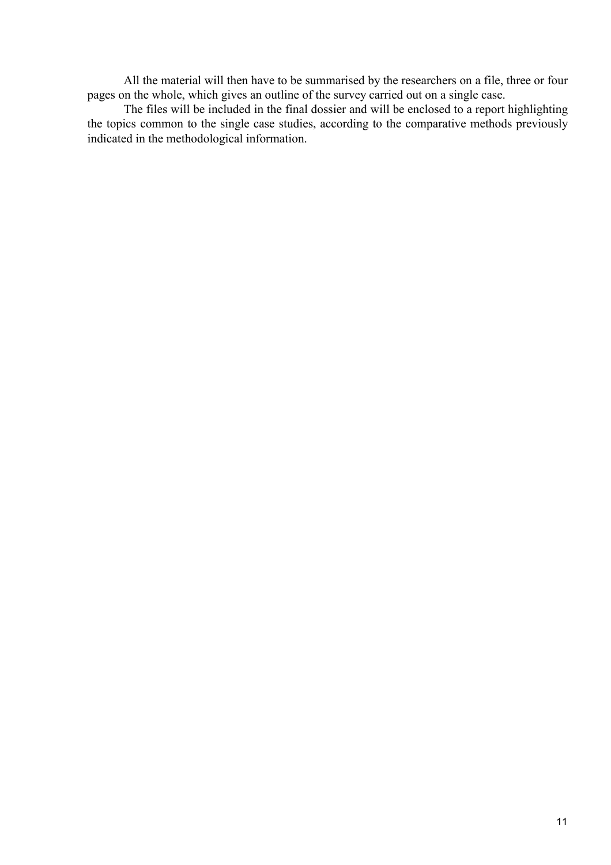All the material will then have to be summarised by the researchers on a file, three or four pages on the whole, which gives an outline of the survey carried out on a single case.

The files will be included in the final dossier and will be enclosed to a report highlighting the topics common to the single case studies, according to the comparative methods previously indicated in the methodological information.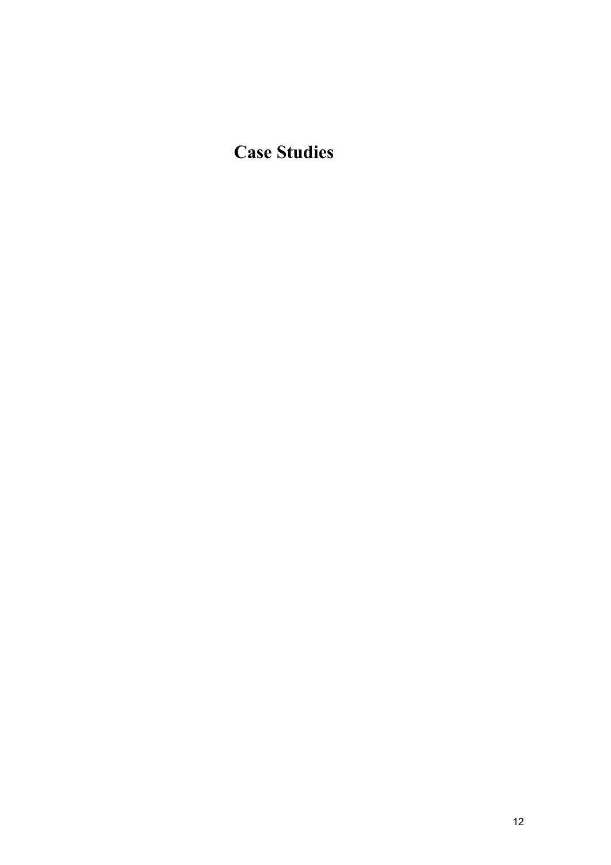**Case Studies**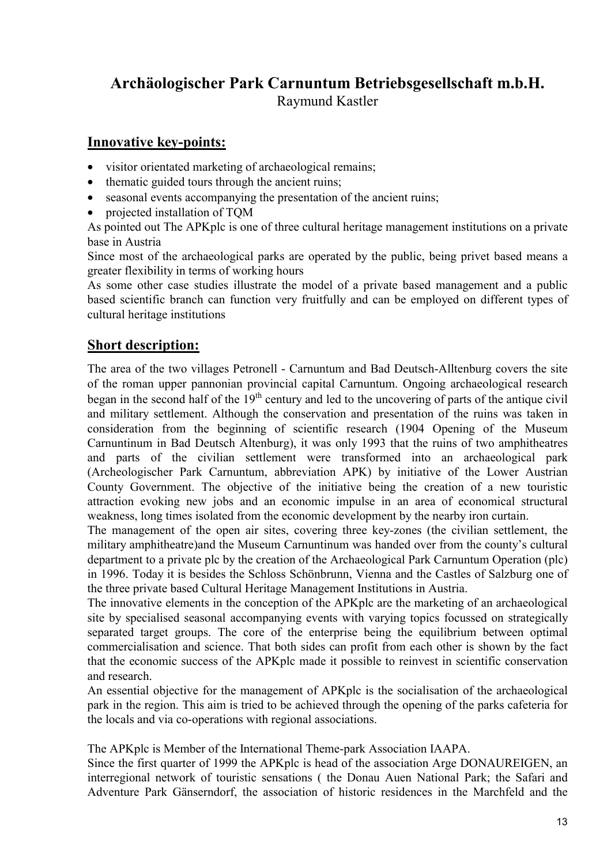## **Archäologischer Park Carnuntum Betriebsgesellschaft m.b.H.**  Raymund Kastler

## **Innovative key-points:**

- visitor orientated marketing of archaeological remains;
- thematic guided tours through the ancient ruins;
- seasonal events accompanying the presentation of the ancient ruins;
- projected installation of TOM

As pointed out The APKplc is one of three cultural heritage management institutions on a private base in Austria

Since most of the archaeological parks are operated by the public, being privet based means a greater flexibility in terms of working hours

As some other case studies illustrate the model of a private based management and a public based scientific branch can function very fruitfully and can be employed on different types of cultural heritage institutions

## **Short description:**

The area of the two villages Petronell - Carnuntum and Bad Deutsch-Alltenburg covers the site of the roman upper pannonian provincial capital Carnuntum. Ongoing archaeological research began in the second half of the  $19<sup>th</sup>$  century and led to the uncovering of parts of the antique civil and military settlement. Although the conservation and presentation of the ruins was taken in consideration from the beginning of scientific research (1904 Opening of the Museum Carnuntinum in Bad Deutsch Altenburg), it was only 1993 that the ruins of two amphitheatres and parts of the civilian settlement were transformed into an archaeological park (Archeologischer Park Carnuntum, abbreviation APK) by initiative of the Lower Austrian County Government. The objective of the initiative being the creation of a new touristic attraction evoking new jobs and an economic impulse in an area of economical structural weakness, long times isolated from the economic development by the nearby iron curtain.

The management of the open air sites, covering three key-zones (the civilian settlement, the military amphitheatre)and the Museum Carnuntinum was handed over from the county's cultural department to a private plc by the creation of the Archaeological Park Carnuntum Operation (plc) in 1996. Today it is besides the Schloss Schönbrunn, Vienna and the Castles of Salzburg one of the three private based Cultural Heritage Management Institutions in Austria.

The innovative elements in the conception of the APK plc are the marketing of an archaeological site by specialised seasonal accompanying events with varying topics focussed on strategically separated target groups. The core of the enterprise being the equilibrium between optimal commercialisation and science. That both sides can profit from each other is shown by the fact that the economic success of the APKplc made it possible to reinvest in scientific conservation and research.

An essential objective for the management of APKplc is the socialisation of the archaeological park in the region. This aim is tried to be achieved through the opening of the parks cafeteria for the locals and via co-operations with regional associations.

The APKplc is Member of the International Theme-park Association IAAPA.

Since the first quarter of 1999 the APKplc is head of the association Arge DONAUREIGEN, an interregional network of touristic sensations ( the Donau Auen National Park; the Safari and Adventure Park Gänserndorf, the association of historic residences in the Marchfeld and the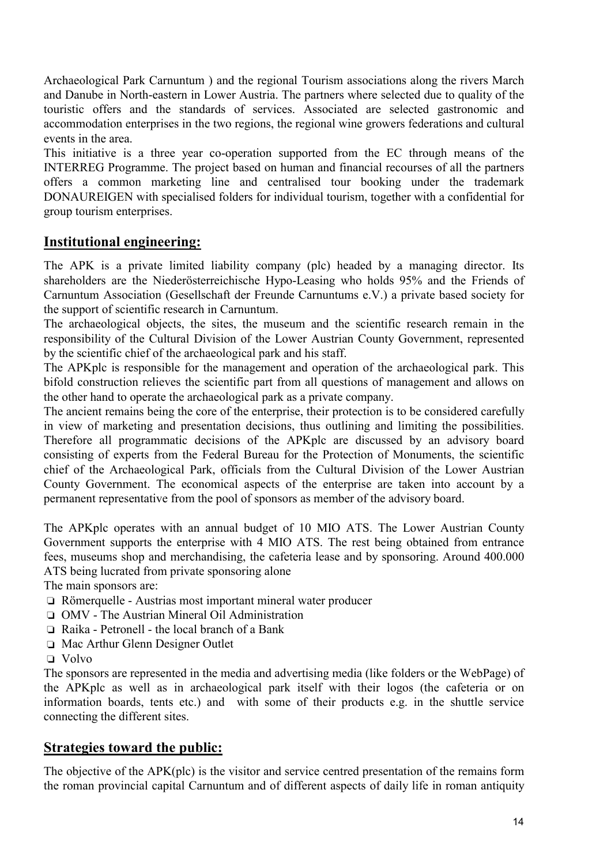Archaeological Park Carnuntum ) and the regional Tourism associations along the rivers March and Danube in North-eastern in Lower Austria. The partners where selected due to quality of the touristic offers and the standards of services. Associated are selected gastronomic and accommodation enterprises in the two regions, the regional wine growers federations and cultural events in the area.

This initiative is a three year co-operation supported from the EC through means of the INTERREG Programme. The project based on human and financial recourses of all the partners offers a common marketing line and centralised tour booking under the trademark DONAUREIGEN with specialised folders for individual tourism, together with a confidential for group tourism enterprises.

## **Institutional engineering:**

The APK is a private limited liability company (plc) headed by a managing director. Its shareholders are the Niederösterreichische Hypo-Leasing who holds 95% and the Friends of Carnuntum Association (Gesellschaft der Freunde Carnuntums e.V.) a private based society for the support of scientific research in Carnuntum.

The archaeological objects, the sites, the museum and the scientific research remain in the responsibility of the Cultural Division of the Lower Austrian County Government, represented by the scientific chief of the archaeological park and his staff.

The APKplc is responsible for the management and operation of the archaeological park. This bifold construction relieves the scientific part from all questions of management and allows on the other hand to operate the archaeological park as a private company.

The ancient remains being the core of the enterprise, their protection is to be considered carefully in view of marketing and presentation decisions, thus outlining and limiting the possibilities. Therefore all programmatic decisions of the APKplc are discussed by an advisory board consisting of experts from the Federal Bureau for the Protection of Monuments, the scientific chief of the Archaeological Park, officials from the Cultural Division of the Lower Austrian County Government. The economical aspects of the enterprise are taken into account by a permanent representative from the pool of sponsors as member of the advisory board.

The APKplc operates with an annual budget of 10 MIO ATS. The Lower Austrian County Government supports the enterprise with 4 MIO ATS. The rest being obtained from entrance fees, museums shop and merchandising, the cafeteria lease and by sponsoring. Around 400.000 ATS being lucrated from private sponsoring alone

The main sponsors are:

- ❏ Römerquelle Austrias most important mineral water producer
- ❏ OMV The Austrian Mineral Oil Administration
- ❏ Raika Petronell the local branch of a Bank
- ❏ Mac Arthur Glenn Designer Outlet
- ❏ Volvo

The sponsors are represented in the media and advertising media (like folders or the WebPage) of the APKplc as well as in archaeological park itself with their logos (the cafeteria or on information boards, tents etc.) and with some of their products e.g. in the shuttle service connecting the different sites.

### **Strategies toward the public:**

The objective of the APK(plc) is the visitor and service centred presentation of the remains form the roman provincial capital Carnuntum and of different aspects of daily life in roman antiquity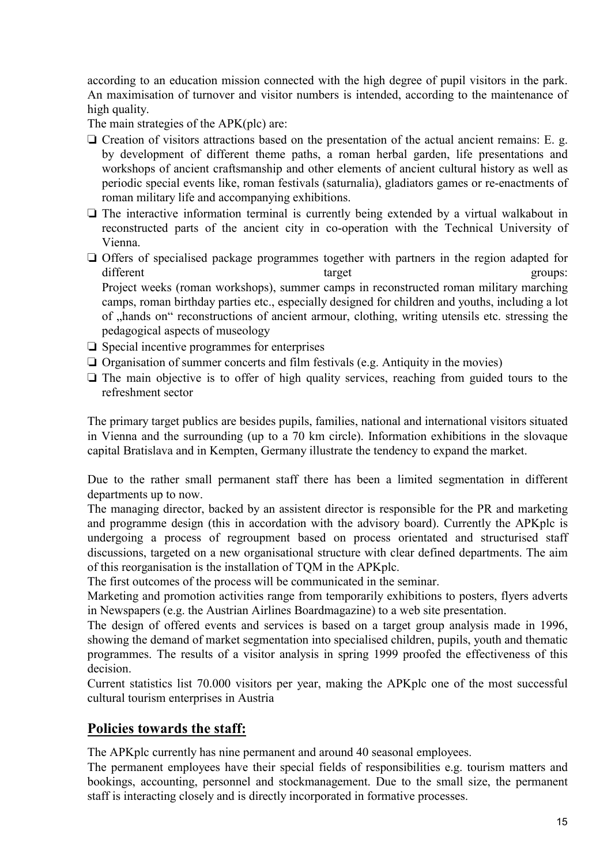according to an education mission connected with the high degree of pupil visitors in the park. An maximisation of turnover and visitor numbers is intended, according to the maintenance of high quality.

The main strategies of the APK(plc) are:

- ❏ Creation of visitors attractions based on the presentation of the actual ancient remains: E. g. by development of different theme paths, a roman herbal garden, life presentations and workshops of ancient craftsmanship and other elements of ancient cultural history as well as periodic special events like, roman festivals (saturnalia), gladiators games or re-enactments of roman military life and accompanying exhibitions.
- ❏ The interactive information terminal is currently being extended by a virtual walkabout in reconstructed parts of the ancient city in co-operation with the Technical University of Vienna.
- ❏ Offers of specialised package programmes together with partners in the region adapted for different target groups: Project weeks (roman workshops), summer camps in reconstructed roman military marching camps, roman birthday parties etc., especially designed for children and youths, including a lot of "hands on" reconstructions of ancient armour, clothing, writing utensils etc. stressing the pedagogical aspects of museology
- ❏ Special incentive programmes for enterprises
- ❏ Organisation of summer concerts and film festivals (e.g. Antiquity in the movies)
- ❏ The main objective is to offer of high quality services, reaching from guided tours to the refreshment sector

The primary target publics are besides pupils, families, national and international visitors situated in Vienna and the surrounding (up to a 70 km circle). Information exhibitions in the slovaque capital Bratislava and in Kempten, Germany illustrate the tendency to expand the market.

Due to the rather small permanent staff there has been a limited segmentation in different departments up to now.

The managing director, backed by an assistent director is responsible for the PR and marketing and programme design (this in accordation with the advisory board). Currently the APKplc is undergoing a process of regroupment based on process orientated and structurised staff discussions, targeted on a new organisational structure with clear defined departments. The aim of this reorganisation is the installation of TQM in the APKplc.

The first outcomes of the process will be communicated in the seminar.

Marketing and promotion activities range from temporarily exhibitions to posters, flyers adverts in Newspapers (e.g. the Austrian Airlines Boardmagazine) to a web site presentation.

The design of offered events and services is based on a target group analysis made in 1996, showing the demand of market segmentation into specialised children, pupils, youth and thematic programmes. The results of a visitor analysis in spring 1999 proofed the effectiveness of this decision.

Current statistics list 70.000 visitors per year, making the APKplc one of the most successful cultural tourism enterprises in Austria

## **Policies towards the staff:**

The APKplc currently has nine permanent and around 40 seasonal employees.

The permanent employees have their special fields of responsibilities e.g. tourism matters and bookings, accounting, personnel and stockmanagement. Due to the small size, the permanent staff is interacting closely and is directly incorporated in formative processes.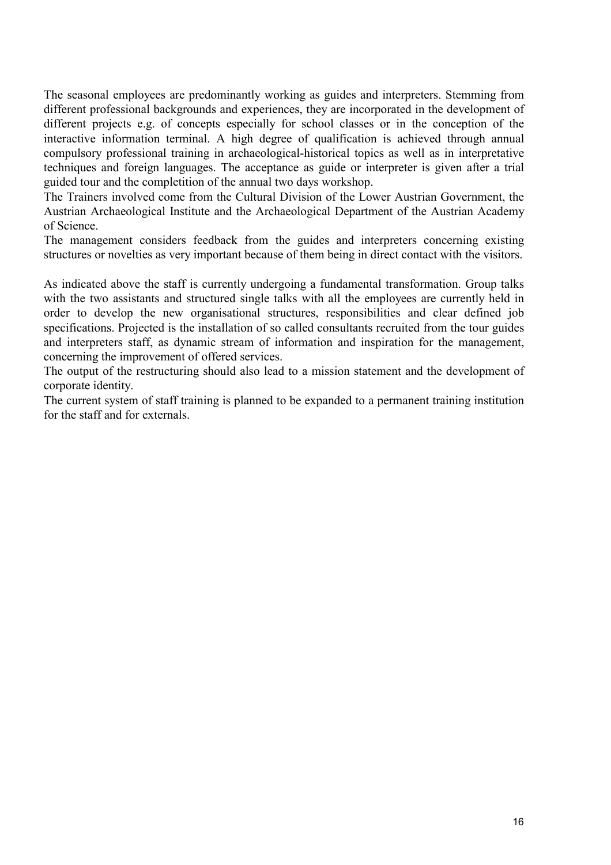The seasonal employees are predominantly working as guides and interpreters. Stemming from different professional backgrounds and experiences, they are incorporated in the development of different projects e.g. of concepts especially for school classes or in the conception of the interactive information terminal. A high degree of qualification is achieved through annual compulsory professional training in archaeological-historical topics as well as in interpretative techniques and foreign languages. The acceptance as guide or interpreter is given after a trial guided tour and the completition of the annual two days workshop.

The Trainers involved come from the Cultural Division of the Lower Austrian Government, the Austrian Archaeological Institute and the Archaeological Department of the Austrian Academy of Science.

The management considers feedback from the guides and interpreters concerning existing structures or novelties as very important because of them being in direct contact with the visitors.

As indicated above the staff is currently undergoing a fundamental transformation. Group talks with the two assistants and structured single talks with all the employees are currently held in order to develop the new organisational structures, responsibilities and clear defined job specifications. Projected is the installation of so called consultants recruited from the tour guides and interpreters staff, as dynamic stream of information and inspiration for the management, concerning the improvement of offered services.

The output of the restructuring should also lead to a mission statement and the development of corporate identity.

The current system of staff training is planned to be expanded to a permanent training institution for the staff and for externals.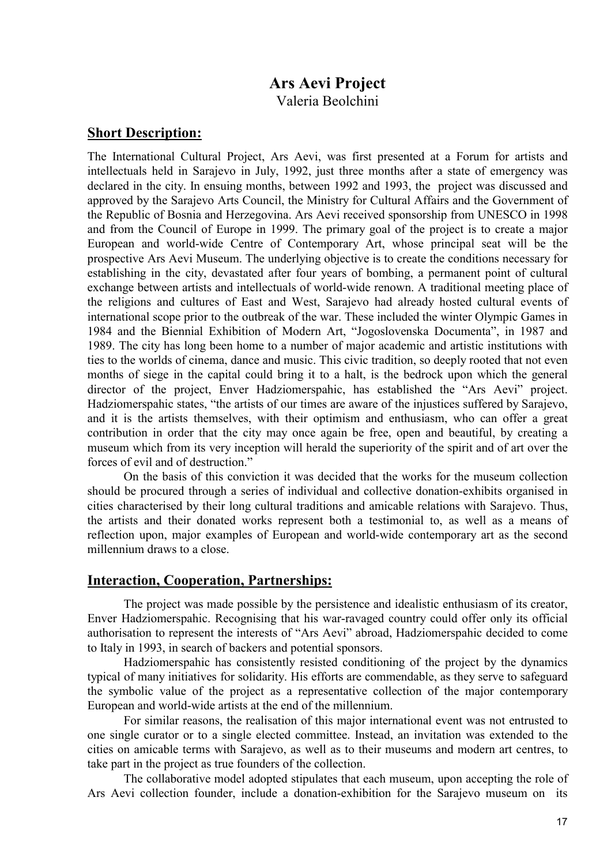# **Ars Aevi Project**

Valeria Beolchini

### **Short Description:**

The International Cultural Project, Ars Aevi, was first presented at a Forum for artists and intellectuals held in Sarajevo in July, 1992, just three months after a state of emergency was declared in the city. In ensuing months, between 1992 and 1993, the project was discussed and approved by the Sarajevo Arts Council, the Ministry for Cultural Affairs and the Government of the Republic of Bosnia and Herzegovina. Ars Aevi received sponsorship from UNESCO in 1998 and from the Council of Europe in 1999. The primary goal of the project is to create a major European and world-wide Centre of Contemporary Art, whose principal seat will be the prospective Ars Aevi Museum. The underlying objective is to create the conditions necessary for establishing in the city, devastated after four years of bombing, a permanent point of cultural exchange between artists and intellectuals of world-wide renown. A traditional meeting place of the religions and cultures of East and West, Sarajevo had already hosted cultural events of international scope prior to the outbreak of the war. These included the winter Olympic Games in 1984 and the Biennial Exhibition of Modern Art, "Jogoslovenska Documenta", in 1987 and 1989. The city has long been home to a number of major academic and artistic institutions with ties to the worlds of cinema, dance and music. This civic tradition, so deeply rooted that not even months of siege in the capital could bring it to a halt, is the bedrock upon which the general director of the project, Enver Hadziomerspahic, has established the "Ars Aevi" project. Hadziomerspahic states, "the artists of our times are aware of the injustices suffered by Sarajevo, and it is the artists themselves, with their optimism and enthusiasm, who can offer a great contribution in order that the city may once again be free, open and beautiful, by creating a museum which from its very inception will herald the superiority of the spirit and of art over the forces of evil and of destruction."

 On the basis of this conviction it was decided that the works for the museum collection should be procured through a series of individual and collective donation-exhibits organised in cities characterised by their long cultural traditions and amicable relations with Sarajevo. Thus, the artists and their donated works represent both a testimonial to, as well as a means of reflection upon, major examples of European and world-wide contemporary art as the second millennium draws to a close.

### **Interaction, Cooperation, Partnerships:**

 The project was made possible by the persistence and idealistic enthusiasm of its creator, Enver Hadziomerspahic. Recognising that his war-ravaged country could offer only its official authorisation to represent the interests of "Ars Aevi" abroad, Hadziomerspahic decided to come to Italy in 1993, in search of backers and potential sponsors.

 Hadziomerspahic has consistently resisted conditioning of the project by the dynamics typical of many initiatives for solidarity. His efforts are commendable, as they serve to safeguard the symbolic value of the project as a representative collection of the major contemporary European and world-wide artists at the end of the millennium.

 For similar reasons, the realisation of this major international event was not entrusted to one single curator or to a single elected committee. Instead, an invitation was extended to the cities on amicable terms with Sarajevo, as well as to their museums and modern art centres, to take part in the project as true founders of the collection.

 The collaborative model adopted stipulates that each museum, upon accepting the role of Ars Aevi collection founder, include a donation-exhibition for the Sarajevo museum on its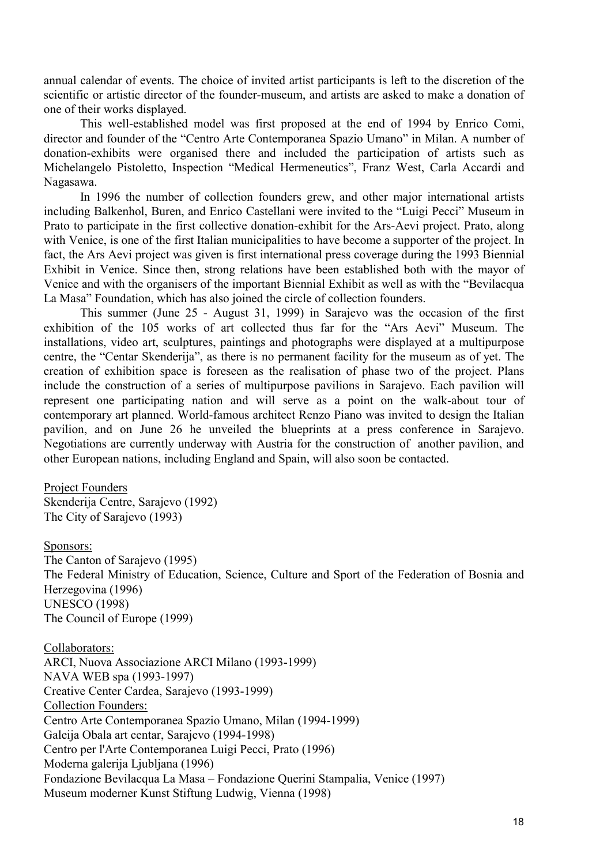annual calendar of events. The choice of invited artist participants is left to the discretion of the scientific or artistic director of the founder-museum, and artists are asked to make a donation of one of their works displayed.

 This well-established model was first proposed at the end of 1994 by Enrico Comi, director and founder of the "Centro Arte Contemporanea Spazio Umano" in Milan. A number of donation-exhibits were organised there and included the participation of artists such as Michelangelo Pistoletto, Inspection "Medical Hermeneutics", Franz West, Carla Accardi and Nagasawa.

 In 1996 the number of collection founders grew, and other major international artists including Balkenhol, Buren, and Enrico Castellani were invited to the "Luigi Pecci" Museum in Prato to participate in the first collective donation-exhibit for the Ars-Aevi project. Prato, along with Venice, is one of the first Italian municipalities to have become a supporter of the project. In fact, the Ars Aevi project was given is first international press coverage during the 1993 Biennial Exhibit in Venice. Since then, strong relations have been established both with the mayor of Venice and with the organisers of the important Biennial Exhibit as well as with the "Bevilacqua La Masa" Foundation, which has also joined the circle of collection founders.

 This summer (June 25 - August 31, 1999) in Sarajevo was the occasion of the first exhibition of the 105 works of art collected thus far for the "Ars Aevi" Museum. The installations, video art, sculptures, paintings and photographs were displayed at a multipurpose centre, the "Centar Skenderija", as there is no permanent facility for the museum as of yet. The creation of exhibition space is foreseen as the realisation of phase two of the project. Plans include the construction of a series of multipurpose pavilions in Sarajevo. Each pavilion will represent one participating nation and will serve as a point on the walk-about tour of contemporary art planned. World-famous architect Renzo Piano was invited to design the Italian pavilion, and on June 26 he unveiled the blueprints at a press conference in Sarajevo. Negotiations are currently underway with Austria for the construction of another pavilion, and other European nations, including England and Spain, will also soon be contacted.

#### Project Founders

Skenderija Centre, Sarajevo (1992) The City of Sarajevo (1993)

#### Sponsors:

The Canton of Sarajevo (1995) The Federal Ministry of Education, Science, Culture and Sport of the Federation of Bosnia and Herzegovina (1996) UNESCO (1998) The Council of Europe (1999)

#### Collaborators:

ARCI, Nuova Associazione ARCI Milano (1993-1999) NAVA WEB spa (1993-1997) Creative Center Cardea, Sarajevo (1993-1999) Collection Founders: Centro Arte Contemporanea Spazio Umano, Milan (1994-1999) Galeija Obala art centar, Sarajevo (1994-1998) Centro per l'Arte Contemporanea Luigi Pecci, Prato (1996) Moderna galerija Ljubljana (1996) Fondazione Bevilacqua La Masa – Fondazione Querini Stampalia, Venice (1997) Museum moderner Kunst Stiftung Ludwig, Vienna (1998)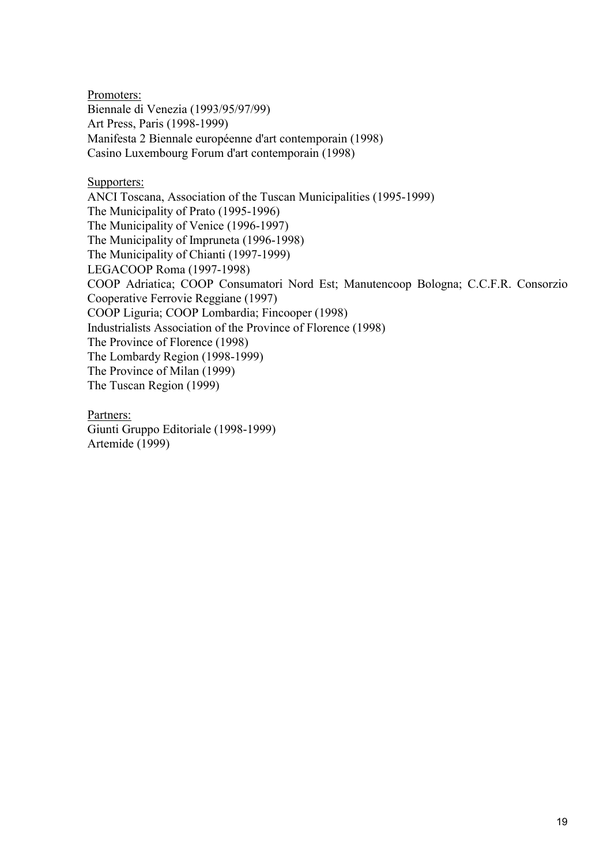Promoters: Biennale di Venezia (1993/95/97/99) Art Press, Paris (1998-1999) Manifesta 2 Biennale européenne d'art contemporain (1998) Casino Luxembourg Forum d'art contemporain (1998)

Supporters:

ANCI Toscana, Association of the Tuscan Municipalities (1995-1999) The Municipality of Prato (1995-1996) The Municipality of Venice (1996-1997) The Municipality of Impruneta (1996-1998) The Municipality of Chianti (1997-1999) LEGACOOP Roma (1997-1998) COOP Adriatica; COOP Consumatori Nord Est; Manutencoop Bologna; C.C.F.R. Consorzio Cooperative Ferrovie Reggiane (1997) COOP Liguria; COOP Lombardia; Fincooper (1998) Industrialists Association of the Province of Florence (1998) The Province of Florence (1998) The Lombardy Region (1998-1999) The Province of Milan (1999) The Tuscan Region (1999)

Partners: Giunti Gruppo Editoriale (1998-1999) Artemide (1999)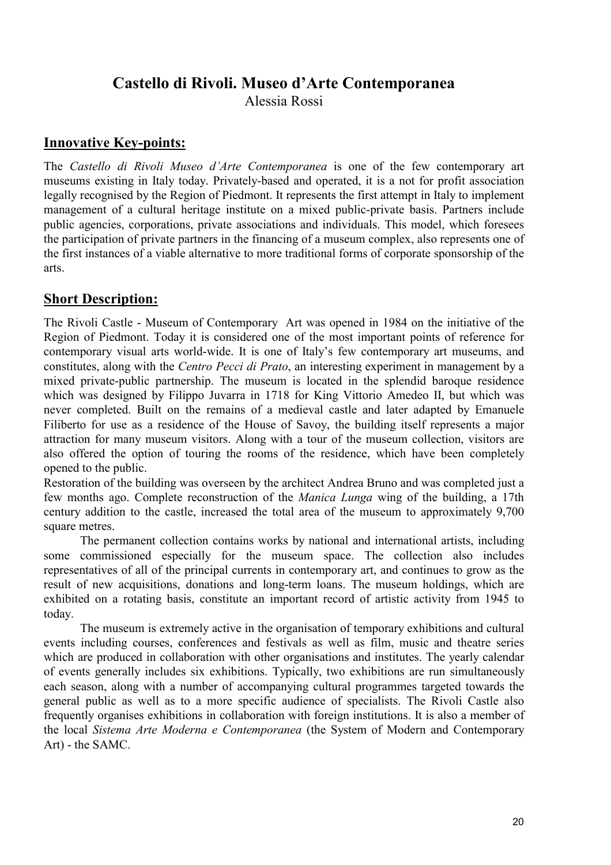## **Castello di Rivoli. Museo d'Arte Contemporanea**

Alessia Rossi

## **Innovative Key-points:**

The *Castello di Rivoli Museo d'Arte Contemporanea* is one of the few contemporary art museums existing in Italy today. Privately-based and operated, it is a not for profit association legally recognised by the Region of Piedmont. It represents the first attempt in Italy to implement management of a cultural heritage institute on a mixed public-private basis. Partners include public agencies, corporations, private associations and individuals. This model, which foresees the participation of private partners in the financing of a museum complex, also represents one of the first instances of a viable alternative to more traditional forms of corporate sponsorship of the arts.

## **Short Description:**

The Rivoli Castle - Museum of Contemporary Art was opened in 1984 on the initiative of the Region of Piedmont. Today it is considered one of the most important points of reference for contemporary visual arts world-wide. It is one of Italy's few contemporary art museums, and constitutes, along with the *Centro Pecci di Prato*, an interesting experiment in management by a mixed private-public partnership. The museum is located in the splendid baroque residence which was designed by Filippo Juvarra in 1718 for King Vittorio Amedeo II, but which was never completed. Built on the remains of a medieval castle and later adapted by Emanuele Filiberto for use as a residence of the House of Savoy, the building itself represents a major attraction for many museum visitors. Along with a tour of the museum collection, visitors are also offered the option of touring the rooms of the residence, which have been completely opened to the public.

Restoration of the building was overseen by the architect Andrea Bruno and was completed just a few months ago. Complete reconstruction of the *Manica Lunga* wing of the building, a 17th century addition to the castle, increased the total area of the museum to approximately 9,700 square metres.

 The permanent collection contains works by national and international artists, including some commissioned especially for the museum space. The collection also includes representatives of all of the principal currents in contemporary art, and continues to grow as the result of new acquisitions, donations and long-term loans. The museum holdings, which are exhibited on a rotating basis, constitute an important record of artistic activity from 1945 to today.

 The museum is extremely active in the organisation of temporary exhibitions and cultural events including courses, conferences and festivals as well as film, music and theatre series which are produced in collaboration with other organisations and institutes. The yearly calendar of events generally includes six exhibitions. Typically, two exhibitions are run simultaneously each season, along with a number of accompanying cultural programmes targeted towards the general public as well as to a more specific audience of specialists. The Rivoli Castle also frequently organises exhibitions in collaboration with foreign institutions. It is also a member of the local *Sistema Arte Moderna e Contemporanea* (the System of Modern and Contemporary Art) - the SAMC.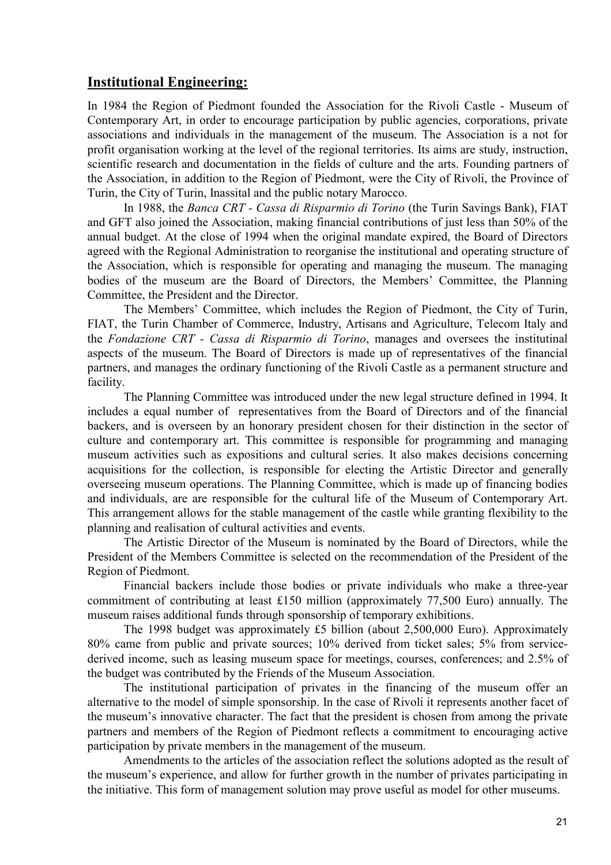## **Institutional Engineering:**

In 1984 the Region of Piedmont founded the Association for the Rivoli Castle - Museum of Contemporary Art, in order to encourage participation by public agencies, corporations, private associations and individuals in the management of the museum. The Association is a not for profit organisation working at the level of the regional territories. Its aims are study, instruction, scientific research and documentation in the fields of culture and the arts. Founding partners of the Association, in addition to the Region of Piedmont, were the City of Rivoli, the Province of Turin, the City of Turin, Inassital and the public notary Marocco.

 In 1988, the *Banca CRT - Cassa di Risparmio di Torino* (the Turin Savings Bank), FIAT and GFT also joined the Association, making financial contributions of just less than 50% of the annual budget. At the close of 1994 when the original mandate expired, the Board of Directors agreed with the Regional Administration to reorganise the institutional and operating structure of the Association, which is responsible for operating and managing the museum. The managing bodies of the museum are the Board of Directors, the Members' Committee, the Planning Committee, the President and the Director.

 The Members' Committee, which includes the Region of Piedmont, the City of Turin, FIAT, the Turin Chamber of Commerce, Industry, Artisans and Agriculture, Telecom Italy and the *Fondazione CRT - Cassa di Risparmio di Torino*, manages and oversees the institutinal aspects of the museum. The Board of Directors is made up of representatives of the financial partners, and manages the ordinary functioning of the Rivoli Castle as a permanent structure and facility.

 The Planning Committee was introduced under the new legal structure defined in 1994. It includes a equal number of representatives from the Board of Directors and of the financial backers, and is overseen by an honorary president chosen for their distinction in the sector of culture and contemporary art. This committee is responsible for programming and managing museum activities such as expositions and cultural series. It also makes decisions concerning acquisitions for the collection, is responsible for electing the Artistic Director and generally overseeing museum operations. The Planning Committee, which is made up of financing bodies and individuals, are are responsible for the cultural life of the Museum of Contemporary Art. This arrangement allows for the stable management of the castle while granting flexibility to the planning and realisation of cultural activities and events.

 The Artistic Director of the Museum is nominated by the Board of Directors, while the President of the Members Committee is selected on the recommendation of the President of the Region of Piedmont.

 Financial backers include those bodies or private individuals who make a three-year commitment of contributing at least £150 million (approximately 77,500 Euro) annually. The museum raises additional funds through sponsorship of temporary exhibitions.

 The 1998 budget was approximately £5 billion (about 2,500,000 Euro). Approximately 80% came from public and private sources; 10% derived from ticket sales; 5% from servicederived income, such as leasing museum space for meetings, courses, conferences; and 2.5% of the budget was contributed by the Friends of the Museum Association.

 The institutional participation of privates in the financing of the museum offer an alternative to the model of simple sponsorship. In the case of Rivoli it represents another facet of the museum's innovative character. The fact that the president is chosen from among the private partners and members of the Region of Piedmont reflects a commitment to encouraging active participation by private members in the management of the museum.

 Amendments to the articles of the association reflect the solutions adopted as the result of the museum's experience, and allow for further growth in the number of privates participating in the initiative. This form of management solution may prove useful as model for other museums.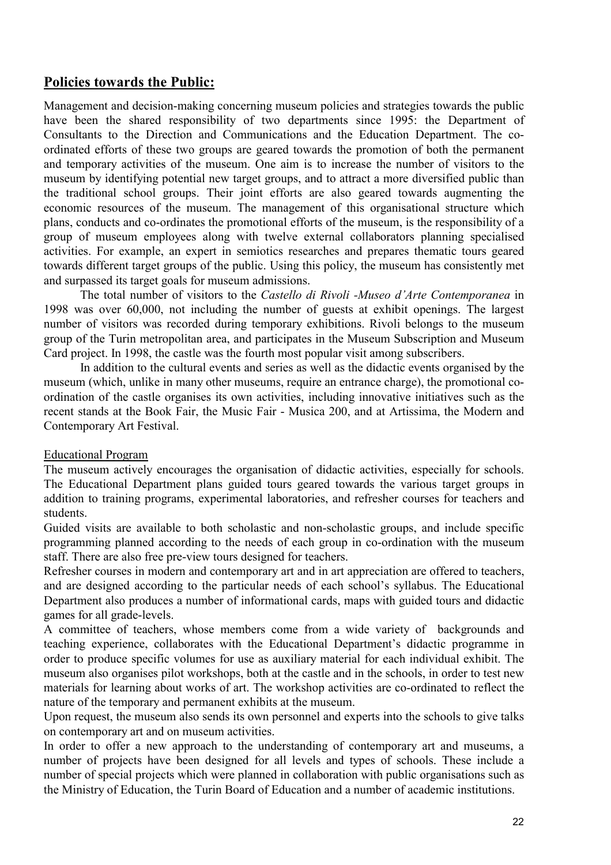## **Policies towards the Public:**

Management and decision-making concerning museum policies and strategies towards the public have been the shared responsibility of two departments since 1995; the Department of Consultants to the Direction and Communications and the Education Department. The coordinated efforts of these two groups are geared towards the promotion of both the permanent and temporary activities of the museum. One aim is to increase the number of visitors to the museum by identifying potential new target groups, and to attract a more diversified public than the traditional school groups. Their joint efforts are also geared towards augmenting the economic resources of the museum. The management of this organisational structure which plans, conducts and co-ordinates the promotional efforts of the museum, is the responsibility of a group of museum employees along with twelve external collaborators planning specialised activities. For example, an expert in semiotics researches and prepares thematic tours geared towards different target groups of the public. Using this policy, the museum has consistently met and surpassed its target goals for museum admissions.

 The total number of visitors to the *Castello di Rivoli -Museo d'Arte Contemporanea* in 1998 was over 60,000, not including the number of guests at exhibit openings. The largest number of visitors was recorded during temporary exhibitions. Rivoli belongs to the museum group of the Turin metropolitan area, and participates in the Museum Subscription and Museum Card project. In 1998, the castle was the fourth most popular visit among subscribers.

 In addition to the cultural events and series as well as the didactic events organised by the museum (which, unlike in many other museums, require an entrance charge), the promotional coordination of the castle organises its own activities, including innovative initiatives such as the recent stands at the Book Fair, the Music Fair - Musica 200, and at Artissima, the Modern and Contemporary Art Festival.

#### Educational Program

The museum actively encourages the organisation of didactic activities, especially for schools. The Educational Department plans guided tours geared towards the various target groups in addition to training programs, experimental laboratories, and refresher courses for teachers and students.

Guided visits are available to both scholastic and non-scholastic groups, and include specific programming planned according to the needs of each group in co-ordination with the museum staff. There are also free pre-view tours designed for teachers.

Refresher courses in modern and contemporary art and in art appreciation are offered to teachers, and are designed according to the particular needs of each school's syllabus. The Educational Department also produces a number of informational cards, maps with guided tours and didactic games for all grade-levels.

A committee of teachers, whose members come from a wide variety of backgrounds and teaching experience, collaborates with the Educational Department's didactic programme in order to produce specific volumes for use as auxiliary material for each individual exhibit. The museum also organises pilot workshops, both at the castle and in the schools, in order to test new materials for learning about works of art. The workshop activities are co-ordinated to reflect the nature of the temporary and permanent exhibits at the museum.

Upon request, the museum also sends its own personnel and experts into the schools to give talks on contemporary art and on museum activities.

In order to offer a new approach to the understanding of contemporary art and museums, a number of projects have been designed for all levels and types of schools. These include a number of special projects which were planned in collaboration with public organisations such as the Ministry of Education, the Turin Board of Education and a number of academic institutions.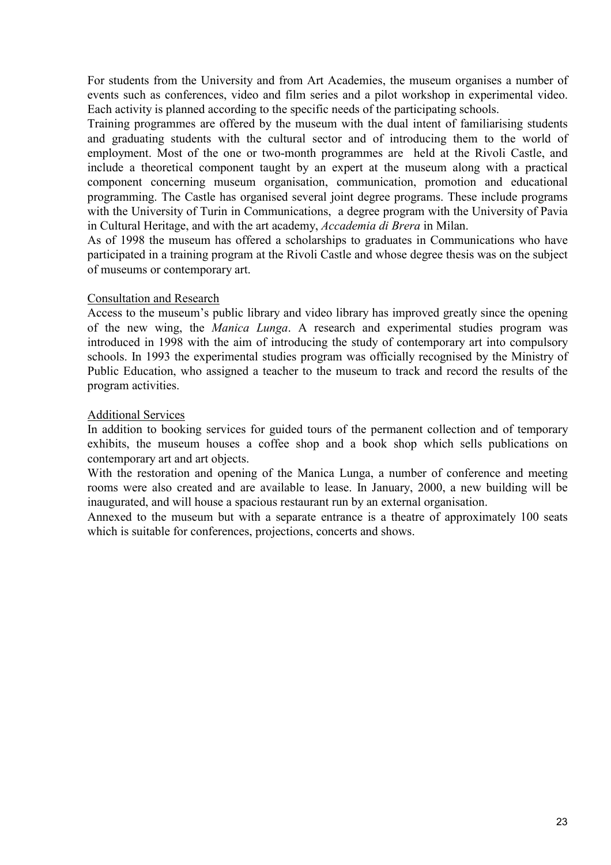For students from the University and from Art Academies, the museum organises a number of events such as conferences, video and film series and a pilot workshop in experimental video. Each activity is planned according to the specific needs of the participating schools.

Training programmes are offered by the museum with the dual intent of familiarising students and graduating students with the cultural sector and of introducing them to the world of employment. Most of the one or two-month programmes are held at the Rivoli Castle, and include a theoretical component taught by an expert at the museum along with a practical component concerning museum organisation, communication, promotion and educational programming. The Castle has organised several joint degree programs. These include programs with the University of Turin in Communications, a degree program with the University of Pavia in Cultural Heritage, and with the art academy, *Accademia di Brera* in Milan.

As of 1998 the museum has offered a scholarships to graduates in Communications who have participated in a training program at the Rivoli Castle and whose degree thesis was on the subject of museums or contemporary art.

#### Consultation and Research

Access to the museum's public library and video library has improved greatly since the opening of the new wing, the *Manica Lunga*. A research and experimental studies program was introduced in 1998 with the aim of introducing the study of contemporary art into compulsory schools. In 1993 the experimental studies program was officially recognised by the Ministry of Public Education, who assigned a teacher to the museum to track and record the results of the program activities.

#### Additional Services

In addition to booking services for guided tours of the permanent collection and of temporary exhibits, the museum houses a coffee shop and a book shop which sells publications on contemporary art and art objects.

With the restoration and opening of the Manica Lunga, a number of conference and meeting rooms were also created and are available to lease. In January, 2000, a new building will be inaugurated, and will house a spacious restaurant run by an external organisation.

Annexed to the museum but with a separate entrance is a theatre of approximately 100 seats which is suitable for conferences, projections, concerts and shows.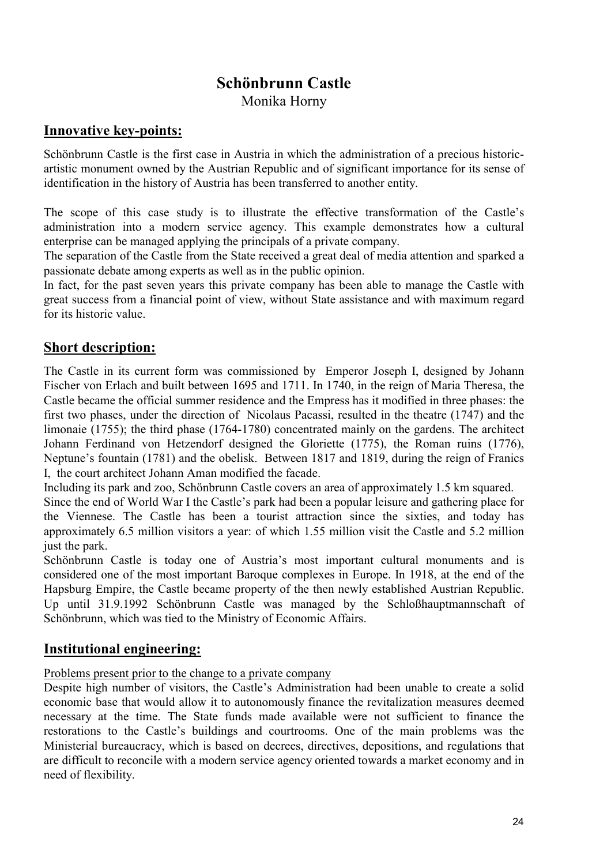## **Schönbrunn Castle**  Monika Horny

## **Innovative key-points:**

Schönbrunn Castle is the first case in Austria in which the administration of a precious historicartistic monument owned by the Austrian Republic and of significant importance for its sense of identification in the history of Austria has been transferred to another entity.

The scope of this case study is to illustrate the effective transformation of the Castle's administration into a modern service agency. This example demonstrates how a cultural enterprise can be managed applying the principals of a private company.

The separation of the Castle from the State received a great deal of media attention and sparked a passionate debate among experts as well as in the public opinion.

In fact, for the past seven years this private company has been able to manage the Castle with great success from a financial point of view, without State assistance and with maximum regard for its historic value.

## **Short description:**

The Castle in its current form was commissioned by Emperor Joseph I, designed by Johann Fischer von Erlach and built between 1695 and 1711. In 1740, in the reign of Maria Theresa, the Castle became the official summer residence and the Empress has it modified in three phases: the first two phases, under the direction of Nicolaus Pacassi, resulted in the theatre (1747) and the limonaie (1755); the third phase (1764-1780) concentrated mainly on the gardens. The architect Johann Ferdinand von Hetzendorf designed the Gloriette (1775), the Roman ruins (1776), Neptune's fountain (1781) and the obelisk. Between 1817 and 1819, during the reign of Franics I, the court architect Johann Aman modified the facade.

Including its park and zoo, Schönbrunn Castle covers an area of approximately 1.5 km squared.

Since the end of World War I the Castle's park had been a popular leisure and gathering place for the Viennese. The Castle has been a tourist attraction since the sixties, and today has approximately 6.5 million visitors a year: of which 1.55 million visit the Castle and 5.2 million just the park.

Schönbrunn Castle is today one of Austria's most important cultural monuments and is considered one of the most important Baroque complexes in Europe. In 1918, at the end of the Hapsburg Empire, the Castle became property of the then newly established Austrian Republic. Up until 31.9.1992 Schönbrunn Castle was managed by the Schloßhauptmannschaft of Schönbrunn, which was tied to the Ministry of Economic Affairs.

## **Institutional engineering:**

#### Problems present prior to the change to a private company

Despite high number of visitors, the Castle's Administration had been unable to create a solid economic base that would allow it to autonomously finance the revitalization measures deemed necessary at the time. The State funds made available were not sufficient to finance the restorations to the Castle's buildings and courtrooms. One of the main problems was the Ministerial bureaucracy, which is based on decrees, directives, depositions, and regulations that are difficult to reconcile with a modern service agency oriented towards a market economy and in need of flexibility.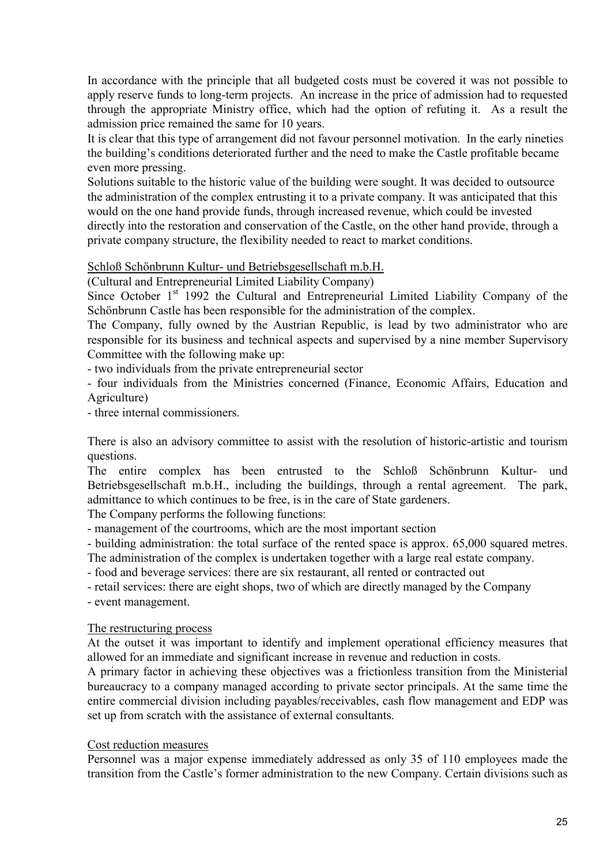In accordance with the principle that all budgeted costs must be covered it was not possible to apply reserve funds to long-term projects. An increase in the price of admission had to requested through the appropriate Ministry office, which had the option of refuting it. As a result the admission price remained the same for 10 years.

It is clear that this type of arrangement did not favour personnel motivation. In the early nineties the building's conditions deteriorated further and the need to make the Castle profitable became even more pressing.

Solutions suitable to the historic value of the building were sought. It was decided to outsource the administration of the complex entrusting it to a private company. It was anticipated that this would on the one hand provide funds, through increased revenue, which could be invested directly into the restoration and conservation of the Castle, on the other hand provide, through a private company structure, the flexibility needed to react to market conditions.

#### Schloß Schönbrunn Kultur- und Betriebsgesellschaft m.b.H.

(Cultural and Entrepreneurial Limited Liability Company)

Since October  $1<sup>st</sup>$  1992 the Cultural and Entrepreneurial Limited Liability Company of the Schönbrunn Castle has been responsible for the administration of the complex.

The Company, fully owned by the Austrian Republic, is lead by two administrator who are responsible for its business and technical aspects and supervised by a nine member Supervisory Committee with the following make up:

- two individuals from the private entrepreneurial sector

- four individuals from the Ministries concerned (Finance, Economic Affairs, Education and Agriculture)

- three internal commissioners.

There is also an advisory committee to assist with the resolution of historic-artistic and tourism questions.

The entire complex has been entrusted to the Schloß Schönbrunn Kultur- und Betriebsgesellschaft m.b.H., including the buildings, through a rental agreement. The park, admittance to which continues to be free, is in the care of State gardeners.

The Company performs the following functions:

- management of the courtrooms, which are the most important section

- building administration: the total surface of the rented space is approx. 65,000 squared metres.

The administration of the complex is undertaken together with a large real estate company.

- food and beverage services: there are six restaurant, all rented or contracted out

- retail services: there are eight shops, two of which are directly managed by the Company

- event management.

#### The restructuring process

At the outset it was important to identify and implement operational efficiency measures that allowed for an immediate and significant increase in revenue and reduction in costs.

A primary factor in achieving these objectives was a frictionless transition from the Ministerial bureaucracy to a company managed according to private sector principals. At the same time the entire commercial division including payables/receivables, cash flow management and EDP was set up from scratch with the assistance of external consultants.

#### Cost reduction measures

Personnel was a major expense immediately addressed as only 35 of 110 employees made the transition from the Castle's former administration to the new Company. Certain divisions such as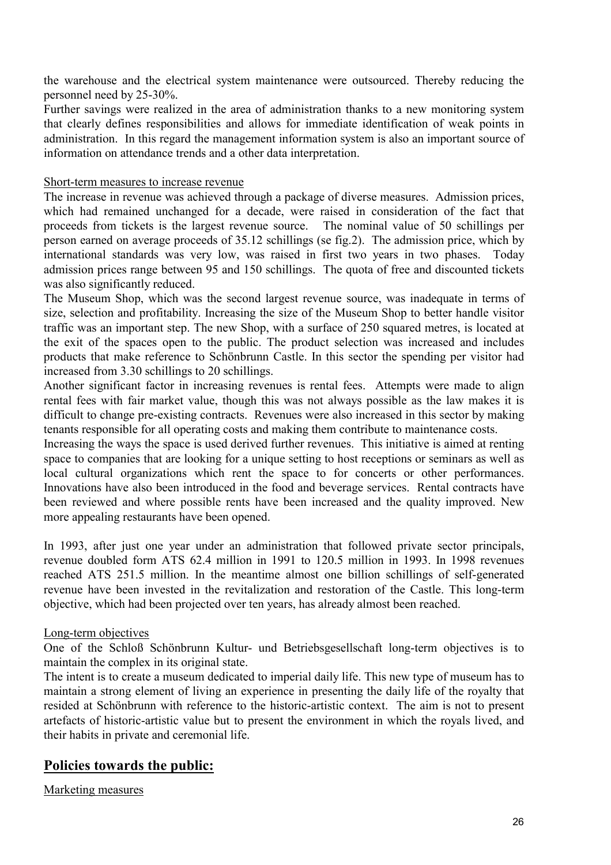the warehouse and the electrical system maintenance were outsourced. Thereby reducing the personnel need by 25-30%.

Further savings were realized in the area of administration thanks to a new monitoring system that clearly defines responsibilities and allows for immediate identification of weak points in administration. In this regard the management information system is also an important source of information on attendance trends and a other data interpretation.

#### Short-term measures to increase revenue

The increase in revenue was achieved through a package of diverse measures. Admission prices, which had remained unchanged for a decade, were raised in consideration of the fact that proceeds from tickets is the largest revenue source. The nominal value of 50 schillings per person earned on average proceeds of 35.12 schillings (se fig.2). The admission price, which by international standards was very low, was raised in first two years in two phases. Today admission prices range between 95 and 150 schillings. The quota of free and discounted tickets was also significantly reduced.

The Museum Shop, which was the second largest revenue source, was inadequate in terms of size, selection and profitability. Increasing the size of the Museum Shop to better handle visitor traffic was an important step. The new Shop, with a surface of 250 squared metres, is located at the exit of the spaces open to the public. The product selection was increased and includes products that make reference to Schönbrunn Castle. In this sector the spending per visitor had increased from 3.30 schillings to 20 schillings.

Another significant factor in increasing revenues is rental fees. Attempts were made to align rental fees with fair market value, though this was not always possible as the law makes it is difficult to change pre-existing contracts. Revenues were also increased in this sector by making tenants responsible for all operating costs and making them contribute to maintenance costs.

Increasing the ways the space is used derived further revenues. This initiative is aimed at renting space to companies that are looking for a unique setting to host receptions or seminars as well as local cultural organizations which rent the space to for concerts or other performances. Innovations have also been introduced in the food and beverage services. Rental contracts have been reviewed and where possible rents have been increased and the quality improved. New more appealing restaurants have been opened.

In 1993, after just one year under an administration that followed private sector principals, revenue doubled form ATS 62.4 million in 1991 to 120.5 million in 1993. In 1998 revenues reached ATS 251.5 million. In the meantime almost one billion schillings of self-generated revenue have been invested in the revitalization and restoration of the Castle. This long-term objective, which had been projected over ten years, has already almost been reached.

#### Long-term objectives

One of the Schloß Schönbrunn Kultur- und Betriebsgesellschaft long-term objectives is to maintain the complex in its original state.

The intent is to create a museum dedicated to imperial daily life. This new type of museum has to maintain a strong element of living an experience in presenting the daily life of the royalty that resided at Schönbrunn with reference to the historic-artistic context. The aim is not to present artefacts of historic-artistic value but to present the environment in which the royals lived, and their habits in private and ceremonial life.

## **Policies towards the public:**

Marketing measures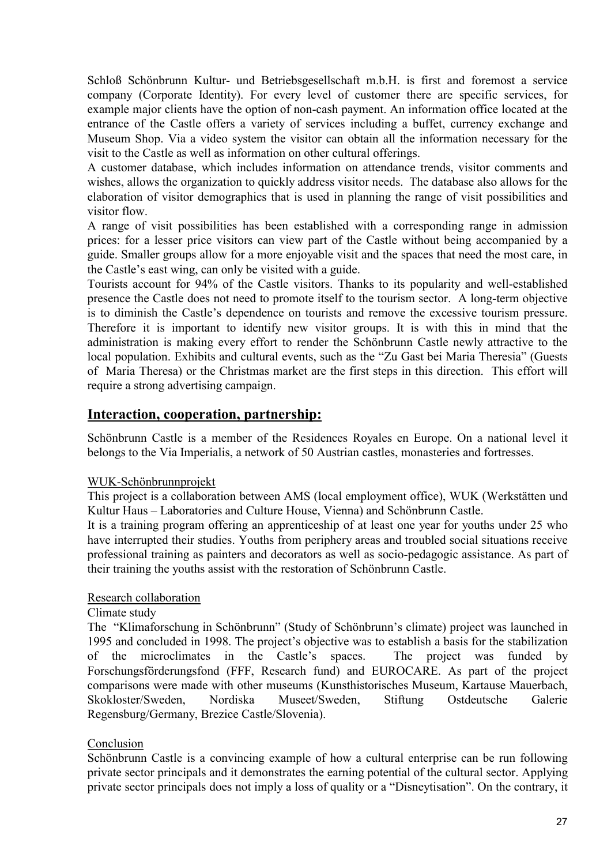Schloß Schönbrunn Kultur- und Betriebsgesellschaft m.b.H. is first and foremost a service company (Corporate Identity). For every level of customer there are specific services, for example major clients have the option of non-cash payment. An information office located at the entrance of the Castle offers a variety of services including a buffet, currency exchange and Museum Shop. Via a video system the visitor can obtain all the information necessary for the visit to the Castle as well as information on other cultural offerings.

A customer database, which includes information on attendance trends, visitor comments and wishes, allows the organization to quickly address visitor needs. The database also allows for the elaboration of visitor demographics that is used in planning the range of visit possibilities and visitor flow.

A range of visit possibilities has been established with a corresponding range in admission prices: for a lesser price visitors can view part of the Castle without being accompanied by a guide. Smaller groups allow for a more enjoyable visit and the spaces that need the most care, in the Castle's east wing, can only be visited with a guide.

Tourists account for 94% of the Castle visitors. Thanks to its popularity and well-established presence the Castle does not need to promote itself to the tourism sector. A long-term objective is to diminish the Castle's dependence on tourists and remove the excessive tourism pressure. Therefore it is important to identify new visitor groups. It is with this in mind that the administration is making every effort to render the Schönbrunn Castle newly attractive to the local population. Exhibits and cultural events, such as the "Zu Gast bei Maria Theresia" (Guests of Maria Theresa) or the Christmas market are the first steps in this direction. This effort will require a strong advertising campaign.

## **Interaction, cooperation, partnership:**

Schönbrunn Castle is a member of the Residences Royales en Europe. On a national level it belongs to the Via Imperialis, a network of 50 Austrian castles, monasteries and fortresses.

#### WUK-Schönbrunnprojekt

This project is a collaboration between AMS (local employment office), WUK (Werkstätten und Kultur Haus – Laboratories and Culture House, Vienna) and Schönbrunn Castle.

It is a training program offering an apprenticeship of at least one year for youths under 25 who have interrupted their studies. Youths from periphery areas and troubled social situations receive professional training as painters and decorators as well as socio-pedagogic assistance. As part of their training the youths assist with the restoration of Schönbrunn Castle.

### Research collaboration

#### Climate study

The "Klimaforschung in Schönbrunn" (Study of Schönbrunn's climate) project was launched in 1995 and concluded in 1998. The project's objective was to establish a basis for the stabilization of the microclimates in the Castle's spaces. The project was funded by Forschungsförderungsfond (FFF, Research fund) and EUROCARE. As part of the project comparisons were made with other museums (Kunsthistorisches Museum, Kartause Mauerbach, Skokloster/Sweden, Nordiska Museet/Sweden, Stiftung Ostdeutsche Galerie Regensburg/Germany, Brezice Castle/Slovenia).

#### Conclusion

Schönbrunn Castle is a convincing example of how a cultural enterprise can be run following private sector principals and it demonstrates the earning potential of the cultural sector. Applying private sector principals does not imply a loss of quality or a "Disneytisation". On the contrary, it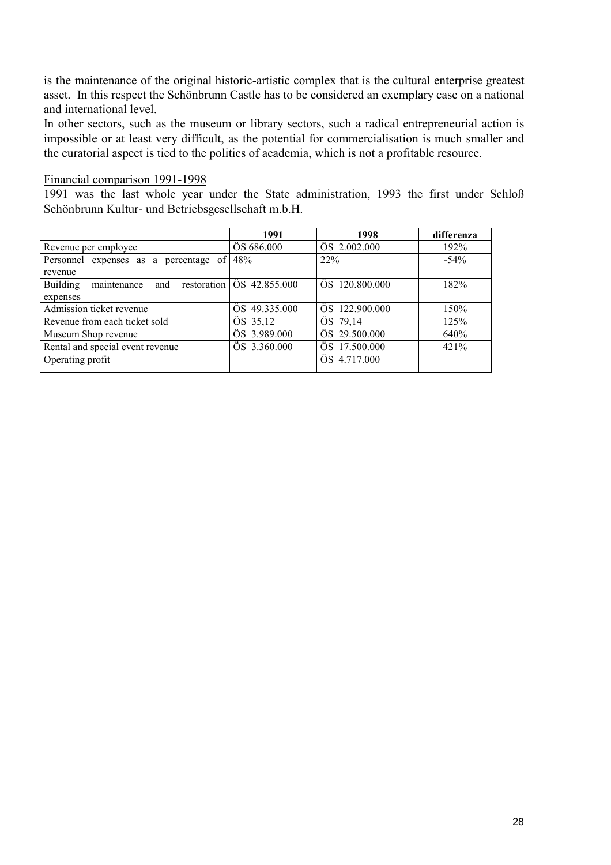is the maintenance of the original historic-artistic complex that is the cultural enterprise greatest asset. In this respect the Schönbrunn Castle has to be considered an exemplary case on a national and international level.

In other sectors, such as the museum or library sectors, such a radical entrepreneurial action is impossible or at least very difficult, as the potential for commercialisation is much smaller and the curatorial aspect is tied to the politics of academia, which is not a profitable resource.

#### Financial comparison 1991-1998

1991 was the last whole year under the State administration, 1993 the first under Schloß Schönbrunn Kultur- und Betriebsgesellschaft m.b.H.

|                                          | 1991                                   | 1998           | differenza |
|------------------------------------------|----------------------------------------|----------------|------------|
| Revenue per employee                     | ÖS 686.000                             | ÖS 2.002.000   | 192%       |
| Personnel<br>expenses as a percentage of | 48%                                    | 22%            | $-54\%$    |
| revenue                                  |                                        |                |            |
| maintenance<br><b>Building</b><br>and    | restoration $\overline{OS}$ 42.855.000 | ÖS 120.800.000 | 182%       |
| expenses                                 |                                        |                |            |
| Admission ticket revenue                 | ÖS 49.335.000                          | OS 122,900,000 | 150%       |
| Revenue from each ticket sold            | ÖS 35,12                               | ÖS 79,14       | 125%       |
| Museum Shop revenue                      | ÖS 3.989.000                           | ÖS 29.500.000  | 640%       |
| Rental and special event revenue         | ÖS 3.360.000                           | ÖS 17.500.000  | 421%       |
| Operating profit                         |                                        | ÖS 4.717.000   |            |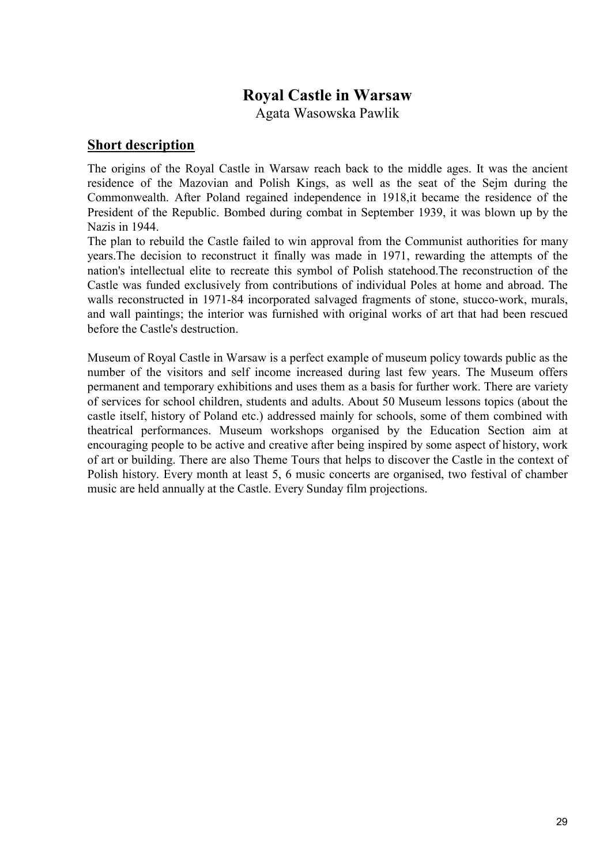## **Royal Castle in Warsaw**

Agata Wasowska Pawlik

#### **Short description**

The origins of the Royal Castle in Warsaw reach back to the middle ages. It was the ancient residence of the Mazovian and Polish Kings, as well as the seat of the Sejm during the Commonwealth. After Poland regained independence in 1918,it became the residence of the President of the Republic. Bombed during combat in September 1939, it was blown up by the Nazis in 1944.

The plan to rebuild the Castle failed to win approval from the Communist authorities for many years.The decision to reconstruct it finally was made in 1971, rewarding the attempts of the nation's intellectual elite to recreate this symbol of Polish statehood.The reconstruction of the Castle was funded exclusively from contributions of individual Poles at home and abroad. The walls reconstructed in 1971-84 incorporated salvaged fragments of stone, stucco-work, murals, and wall paintings; the interior was furnished with original works of art that had been rescued before the Castle's destruction.

Museum of Royal Castle in Warsaw is a perfect example of museum policy towards public as the number of the visitors and self income increased during last few years. The Museum offers permanent and temporary exhibitions and uses them as a basis for further work. There are variety of services for school children, students and adults. About 50 Museum lessons topics (about the castle itself, history of Poland etc.) addressed mainly for schools, some of them combined with theatrical performances. Museum workshops organised by the Education Section aim at encouraging people to be active and creative after being inspired by some aspect of history, work of art or building. There are also Theme Tours that helps to discover the Castle in the context of Polish history. Every month at least 5, 6 music concerts are organised, two festival of chamber music are held annually at the Castle. Every Sunday film projections.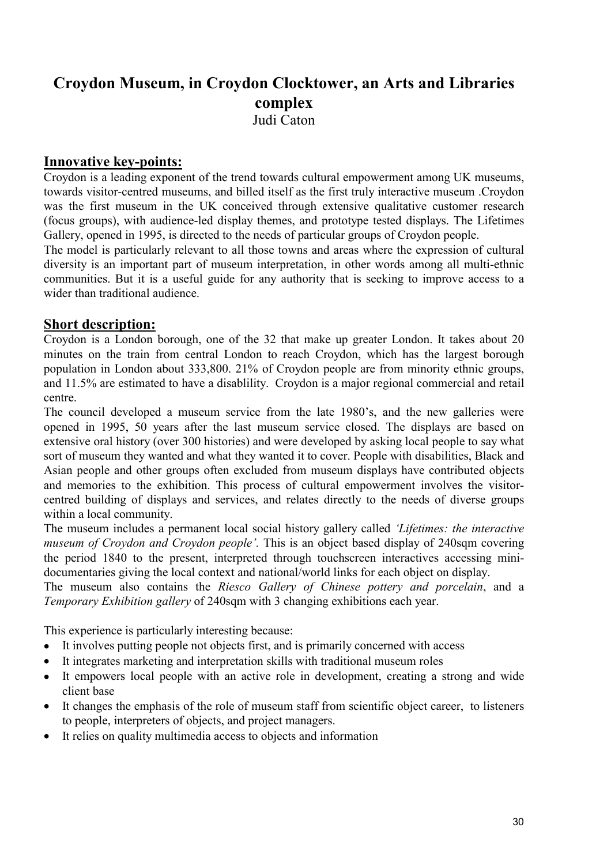## **Croydon Museum, in Croydon Clocktower, an Arts and Libraries complex**  Judi Caton

### **Innovative key-points:**

Croydon is a leading exponent of the trend towards cultural empowerment among UK museums, towards visitor-centred museums, and billed itself as the first truly interactive museum .Croydon was the first museum in the UK conceived through extensive qualitative customer research (focus groups), with audience-led display themes, and prototype tested displays. The Lifetimes Gallery, opened in 1995, is directed to the needs of particular groups of Croydon people.

The model is particularly relevant to all those towns and areas where the expression of cultural diversity is an important part of museum interpretation, in other words among all multi-ethnic communities. But it is a useful guide for any authority that is seeking to improve access to a wider than traditional audience.

### **Short description:**

Croydon is a London borough, one of the 32 that make up greater London. It takes about 20 minutes on the train from central London to reach Croydon, which has the largest borough population in London about 333,800. 21% of Croydon people are from minority ethnic groups, and 11.5% are estimated to have a disablility. Croydon is a major regional commercial and retail centre.

The council developed a museum service from the late 1980's, and the new galleries were opened in 1995, 50 years after the last museum service closed. The displays are based on extensive oral history (over 300 histories) and were developed by asking local people to say what sort of museum they wanted and what they wanted it to cover. People with disabilities, Black and Asian people and other groups often excluded from museum displays have contributed objects and memories to the exhibition. This process of cultural empowerment involves the visitorcentred building of displays and services, and relates directly to the needs of diverse groups within a local community.

The museum includes a permanent local social history gallery called *'Lifetimes: the interactive museum of Croydon and Croydon people'.* This is an object based display of 240sqm covering the period 1840 to the present, interpreted through touchscreen interactives accessing minidocumentaries giving the local context and national/world links for each object on display.

The museum also contains the *Riesco Gallery of Chinese pottery and porcelain*, and a *Temporary Exhibition gallery* of 240sqm with 3 changing exhibitions each year.

This experience is particularly interesting because:

- It involves putting people not objects first, and is primarily concerned with access
- It integrates marketing and interpretation skills with traditional museum roles
- It empowers local people with an active role in development, creating a strong and wide client base
- It changes the emphasis of the role of museum staff from scientific object career, to listeners to people, interpreters of objects, and project managers.
- It relies on quality multimedia access to objects and information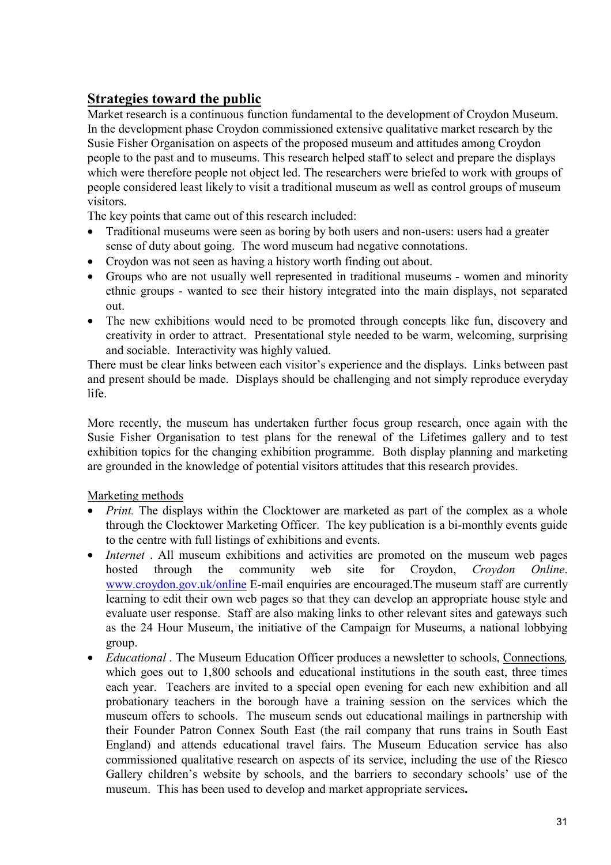## **Strategies toward the public**

Market research is a continuous function fundamental to the development of Croydon Museum. In the development phase Croydon commissioned extensive qualitative market research by the Susie Fisher Organisation on aspects of the proposed museum and attitudes among Croydon people to the past and to museums. This research helped staff to select and prepare the displays which were therefore people not object led. The researchers were briefed to work with groups of people considered least likely to visit a traditional museum as well as control groups of museum visitors.

The key points that came out of this research included:

- Traditional museums were seen as boring by both users and non-users: users had a greater sense of duty about going. The word museum had negative connotations.
- Croydon was not seen as having a history worth finding out about.
- Groups who are not usually well represented in traditional museums women and minority ethnic groups - wanted to see their history integrated into the main displays, not separated out.
- The new exhibitions would need to be promoted through concepts like fun, discovery and creativity in order to attract. Presentational style needed to be warm, welcoming, surprising and sociable. Interactivity was highly valued.

There must be clear links between each visitor's experience and the displays. Links between past and present should be made. Displays should be challenging and not simply reproduce everyday life.

More recently, the museum has undertaken further focus group research, once again with the Susie Fisher Organisation to test plans for the renewal of the Lifetimes gallery and to test exhibition topics for the changing exhibition programme. Both display planning and marketing are grounded in the knowledge of potential visitors attitudes that this research provides.

Marketing methods

- *Print.* The displays within the Clocktower are marketed as part of the complex as a whole through the Clocktower Marketing Officer. The key publication is a bi-monthly events guide to the centre with full listings of exhibitions and events.
- *Internet* . All museum exhibitions and activities are promoted on the museum web pages hosted through the community web site for Croydon, *Croydon Online*. www.croydon.gov.uk/online E-mail enquiries are encouraged.The museum staff are currently learning to edit their own web pages so that they can develop an appropriate house style and evaluate user response. Staff are also making links to other relevant sites and gateways such as the 24 Hour Museum, the initiative of the Campaign for Museums, a national lobbying group.
- *Educational .* The Museum Education Officer produces a newsletter to schools, Connections*,*  which goes out to 1,800 schools and educational institutions in the south east, three times each year. Teachers are invited to a special open evening for each new exhibition and all probationary teachers in the borough have a training session on the services which the museum offers to schools. The museum sends out educational mailings in partnership with their Founder Patron Connex South East (the rail company that runs trains in South East England) and attends educational travel fairs. The Museum Education service has also commissioned qualitative research on aspects of its service, including the use of the Riesco Gallery children's website by schools, and the barriers to secondary schools' use of the museum. This has been used to develop and market appropriate services**.**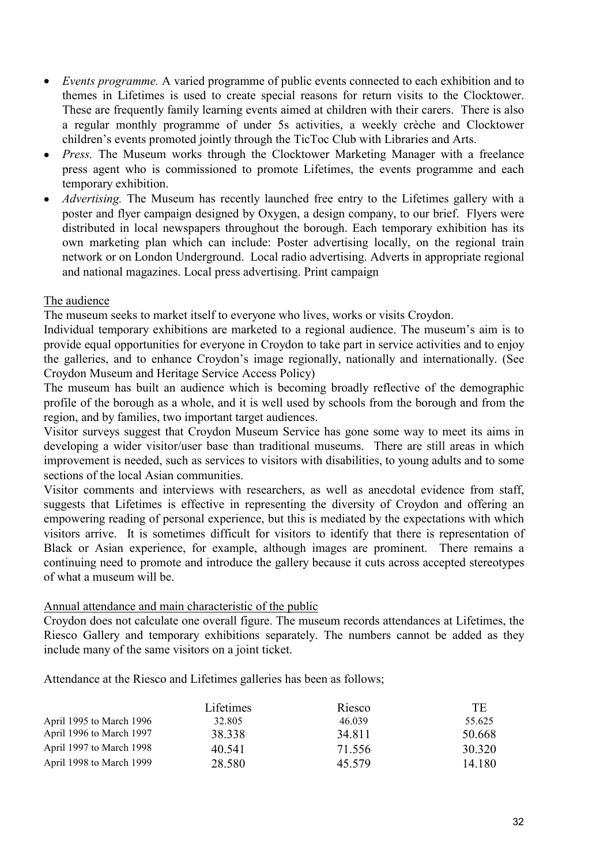- *Events programme.* A varied programme of public events connected to each exhibition and to themes in Lifetimes is used to create special reasons for return visits to the Clocktower. These are frequently family learning events aimed at children with their carers. There is also a regular monthly programme of under 5s activities, a weekly crèche and Clocktower children's events promoted jointly through the TicToc Club with Libraries and Arts.
- *Press.* The Museum works through the Clocktower Marketing Manager with a freelance press agent who is commissioned to promote Lifetimes, the events programme and each temporary exhibition.
- *Advertising*. The Museum has recently launched free entry to the Lifetimes gallery with a poster and flyer campaign designed by Oxygen, a design company, to our brief. Flyers were distributed in local newspapers throughout the borough. Each temporary exhibition has its own marketing plan which can include: Poster advertising locally, on the regional train network or on London Underground. Local radio advertising. Adverts in appropriate regional and national magazines. Local press advertising. Print campaign

#### The audience

The museum seeks to market itself to everyone who lives, works or visits Croydon.

Individual temporary exhibitions are marketed to a regional audience. The museum's aim is to provide equal opportunities for everyone in Croydon to take part in service activities and to enjoy the galleries, and to enhance Croydon's image regionally, nationally and internationally. (See Croydon Museum and Heritage Service Access Policy)

The museum has built an audience which is becoming broadly reflective of the demographic profile of the borough as a whole, and it is well used by schools from the borough and from the region, and by families, two important target audiences.

Visitor surveys suggest that Croydon Museum Service has gone some way to meet its aims in developing a wider visitor/user base than traditional museums. There are still areas in which improvement is needed, such as services to visitors with disabilities, to young adults and to some sections of the local Asian communities.

Visitor comments and interviews with researchers, as well as anecdotal evidence from staff, suggests that Lifetimes is effective in representing the diversity of Croydon and offering an empowering reading of personal experience, but this is mediated by the expectations with which visitors arrive. It is sometimes difficult for visitors to identify that there is representation of Black or Asian experience, for example, although images are prominent. There remains a continuing need to promote and introduce the gallery because it cuts across accepted stereotypes of what a museum will be.

#### Annual attendance and main characteristic of the public

Croydon does not calculate one overall figure. The museum records attendances at Lifetimes, the Riesco Gallery and temporary exhibitions separately. The numbers cannot be added as they include many of the same visitors on a joint ticket.

Attendance at the Riesco and Lifetimes galleries has been as follows;

|                          | Lifetimes | Riesco | <b>TE</b> |
|--------------------------|-----------|--------|-----------|
| April 1995 to March 1996 | 32.805    | 46.039 | 55.625    |
| April 1996 to March 1997 | 38.338    | 34 811 | 50.668    |
| April 1997 to March 1998 | 40.541    | 71.556 | 30 320    |
| April 1998 to March 1999 | 28.580    | 45 579 | 14 180    |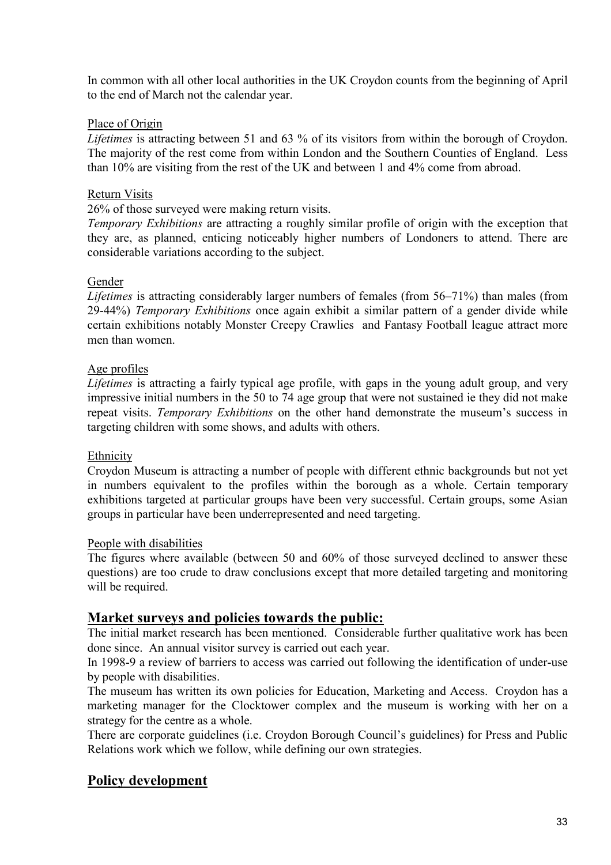In common with all other local authorities in the UK Croydon counts from the beginning of April to the end of March not the calendar year.

### Place of Origin

*Lifetimes* is attracting between 51 and 63 % of its visitors from within the borough of Croydon. The majority of the rest come from within London and the Southern Counties of England. Less than 10% are visiting from the rest of the UK and between 1 and 4% come from abroad.

### Return Visits

26% of those surveyed were making return visits.

*Temporary Exhibitions* are attracting a roughly similar profile of origin with the exception that they are, as planned, enticing noticeably higher numbers of Londoners to attend. There are considerable variations according to the subject.

#### Gender

*Lifetimes* is attracting considerably larger numbers of females (from 56–71%) than males (from 29-44%) *Temporary Exhibitions* once again exhibit a similar pattern of a gender divide while certain exhibitions notably Monster Creepy Crawlies and Fantasy Football league attract more men than women.

#### Age profiles

*Lifetimes* is attracting a fairly typical age profile, with gaps in the young adult group, and very impressive initial numbers in the 50 to 74 age group that were not sustained ie they did not make repeat visits. *Temporary Exhibitions* on the other hand demonstrate the museum's success in targeting children with some shows, and adults with others.

#### Ethnicity

Croydon Museum is attracting a number of people with different ethnic backgrounds but not yet in numbers equivalent to the profiles within the borough as a whole. Certain temporary exhibitions targeted at particular groups have been very successful. Certain groups, some Asian groups in particular have been underrepresented and need targeting.

#### People with disabilities

The figures where available (between 50 and 60% of those surveyed declined to answer these questions) are too crude to draw conclusions except that more detailed targeting and monitoring will be required.

### **Market surveys and policies towards the public:**

The initial market research has been mentioned. Considerable further qualitative work has been done since. An annual visitor survey is carried out each year.

In 1998-9 a review of barriers to access was carried out following the identification of under-use by people with disabilities.

The museum has written its own policies for Education, Marketing and Access. Croydon has a marketing manager for the Clocktower complex and the museum is working with her on a strategy for the centre as a whole.

There are corporate guidelines (i.e. Croydon Borough Council's guidelines) for Press and Public Relations work which we follow, while defining our own strategies.

### **Policy development**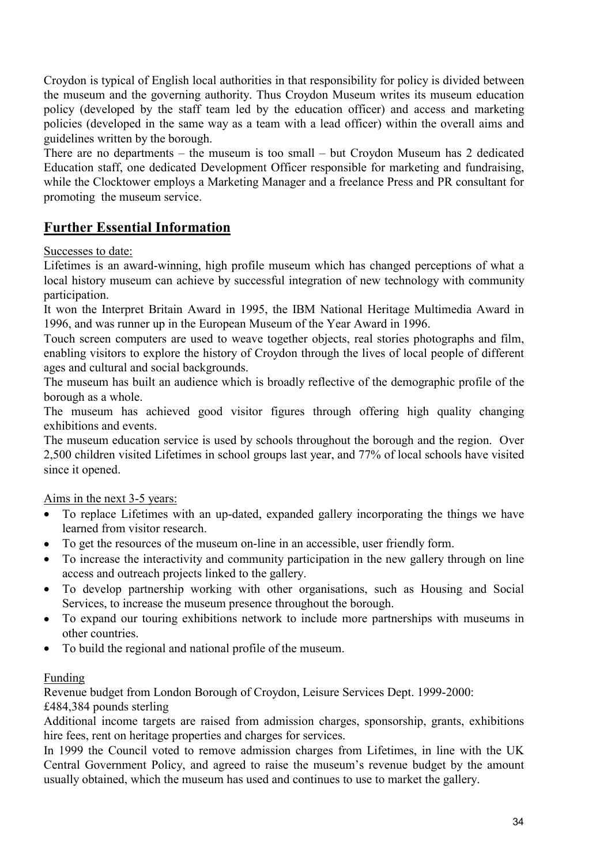Croydon is typical of English local authorities in that responsibility for policy is divided between the museum and the governing authority. Thus Croydon Museum writes its museum education policy (developed by the staff team led by the education officer) and access and marketing policies (developed in the same way as a team with a lead officer) within the overall aims and guidelines written by the borough.

There are no departments – the museum is too small – but Croydon Museum has 2 dedicated Education staff, one dedicated Development Officer responsible for marketing and fundraising, while the Clocktower employs a Marketing Manager and a freelance Press and PR consultant for promoting the museum service.

## **Further Essential Information**

Successes to date:

Lifetimes is an award-winning, high profile museum which has changed perceptions of what a local history museum can achieve by successful integration of new technology with community participation.

It won the Interpret Britain Award in 1995, the IBM National Heritage Multimedia Award in 1996, and was runner up in the European Museum of the Year Award in 1996.

Touch screen computers are used to weave together objects, real stories photographs and film, enabling visitors to explore the history of Croydon through the lives of local people of different ages and cultural and social backgrounds.

The museum has built an audience which is broadly reflective of the demographic profile of the borough as a whole.

The museum has achieved good visitor figures through offering high quality changing exhibitions and events.

The museum education service is used by schools throughout the borough and the region. Over 2,500 children visited Lifetimes in school groups last year, and 77% of local schools have visited since it opened.

Aims in the next 3-5 years:

- To replace Lifetimes with an up-dated, expanded gallery incorporating the things we have learned from visitor research.
- To get the resources of the museum on-line in an accessible, user friendly form.
- To increase the interactivity and community participation in the new gallery through on line access and outreach projects linked to the gallery.
- To develop partnership working with other organisations, such as Housing and Social Services, to increase the museum presence throughout the borough.
- To expand our touring exhibitions network to include more partnerships with museums in other countries.
- To build the regional and national profile of the museum.

#### Funding

Revenue budget from London Borough of Croydon, Leisure Services Dept. 1999-2000:

### £484,384 pounds sterling

Additional income targets are raised from admission charges, sponsorship, grants, exhibitions hire fees, rent on heritage properties and charges for services.

In 1999 the Council voted to remove admission charges from Lifetimes, in line with the UK Central Government Policy, and agreed to raise the museum's revenue budget by the amount usually obtained, which the museum has used and continues to use to market the gallery.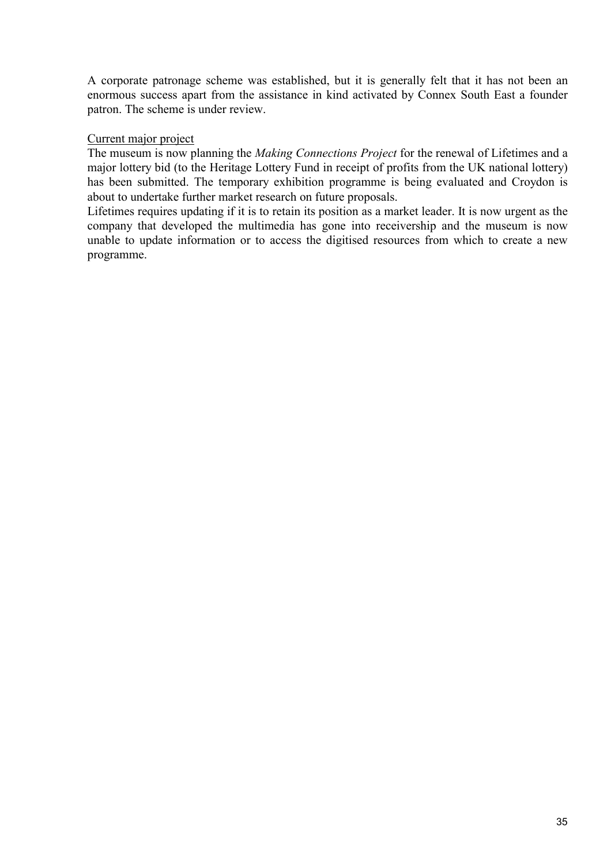A corporate patronage scheme was established, but it is generally felt that it has not been an enormous success apart from the assistance in kind activated by Connex South East a founder patron. The scheme is under review.

### Current major project

The museum is now planning the *Making Connections Project* for the renewal of Lifetimes and a major lottery bid (to the Heritage Lottery Fund in receipt of profits from the UK national lottery) has been submitted. The temporary exhibition programme is being evaluated and Croydon is about to undertake further market research on future proposals.

Lifetimes requires updating if it is to retain its position as a market leader. It is now urgent as the company that developed the multimedia has gone into receivership and the museum is now unable to update information or to access the digitised resources from which to create a new programme.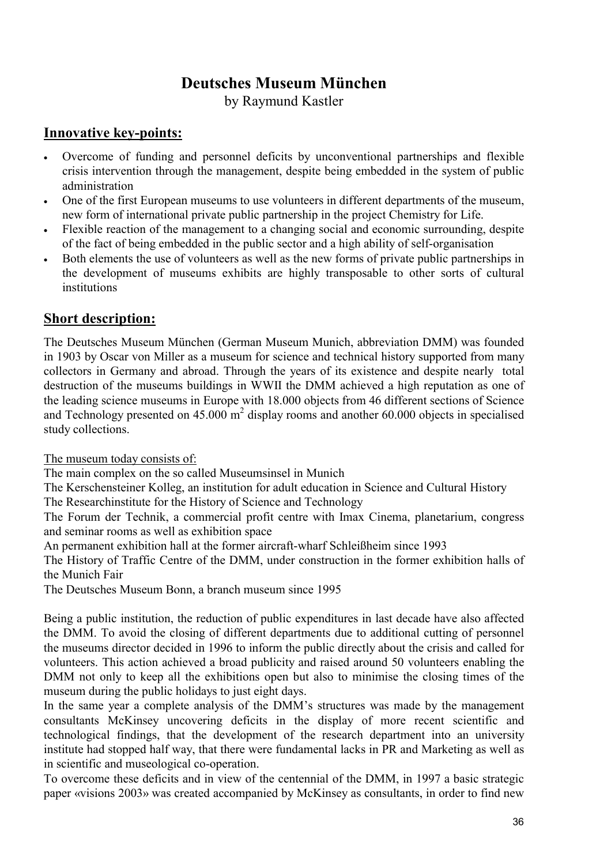# **Deutsches Museum München**

by Raymund Kastler

## **Innovative key-points:**

- Overcome of funding and personnel deficits by unconventional partnerships and flexible crisis intervention through the management, despite being embedded in the system of public administration
- One of the first European museums to use volunteers in different departments of the museum, new form of international private public partnership in the project Chemistry for Life.
- Flexible reaction of the management to a changing social and economic surrounding, despite of the fact of being embedded in the public sector and a high ability of self-organisation
- Both elements the use of volunteers as well as the new forms of private public partnerships in the development of museums exhibits are highly transposable to other sorts of cultural institutions

## **Short description:**

The Deutsches Museum München (German Museum Munich, abbreviation DMM) was founded in 1903 by Oscar von Miller as a museum for science and technical history supported from many collectors in Germany and abroad. Through the years of its existence and despite nearly total destruction of the museums buildings in WWII the DMM achieved a high reputation as one of the leading science museums in Europe with 18.000 objects from 46 different sections of Science and Technology presented on  $45.000 \text{ m}^2$  display rooms and another 60.000 objects in specialised study collections.

The museum today consists of:

The main complex on the so called Museumsinsel in Munich

The Kerschensteiner Kolleg, an institution for adult education in Science and Cultural History

The Researchinstitute for the History of Science and Technology

The Forum der Technik, a commercial profit centre with Imax Cinema, planetarium, congress and seminar rooms as well as exhibition space

An permanent exhibition hall at the former aircraft-wharf Schleißheim since 1993

The History of Traffic Centre of the DMM, under construction in the former exhibition halls of the Munich Fair

The Deutsches Museum Bonn, a branch museum since 1995

Being a public institution, the reduction of public expenditures in last decade have also affected the DMM. To avoid the closing of different departments due to additional cutting of personnel the museums director decided in 1996 to inform the public directly about the crisis and called for volunteers. This action achieved a broad publicity and raised around 50 volunteers enabling the DMM not only to keep all the exhibitions open but also to minimise the closing times of the museum during the public holidays to just eight days.

In the same year a complete analysis of the DMM's structures was made by the management consultants McKinsey uncovering deficits in the display of more recent scientific and technological findings, that the development of the research department into an university institute had stopped half way, that there were fundamental lacks in PR and Marketing as well as in scientific and museological co-operation.

To overcome these deficits and in view of the centennial of the DMM, in 1997 a basic strategic paper «visions 2003» was created accompanied by McKinsey as consultants, in order to find new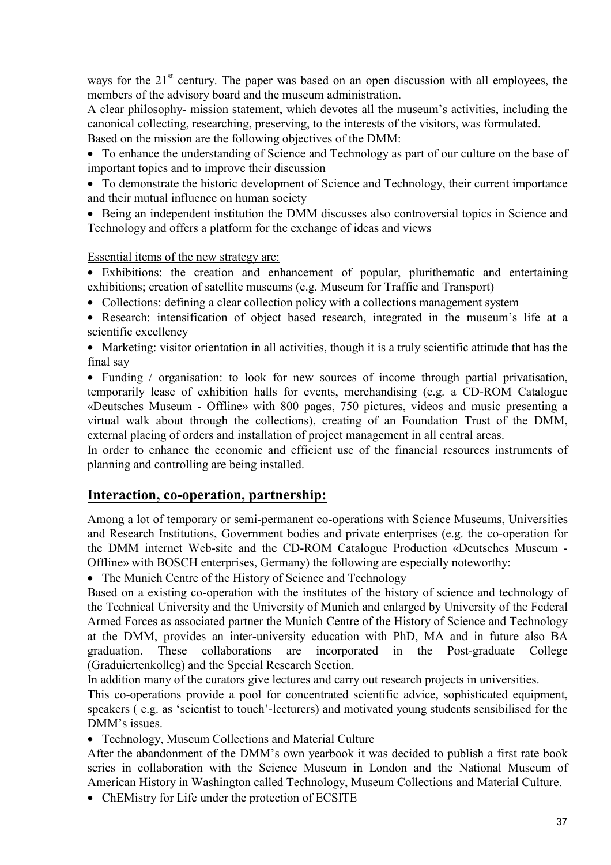ways for the  $21<sup>st</sup>$  century. The paper was based on an open discussion with all employees, the members of the advisory board and the museum administration.

A clear philosophy- mission statement, which devotes all the museum's activities, including the canonical collecting, researching, preserving, to the interests of the visitors, was formulated. Based on the mission are the following objectives of the DMM:

• To enhance the understanding of Science and Technology as part of our culture on the base of important topics and to improve their discussion

• To demonstrate the historic development of Science and Technology, their current importance and their mutual influence on human society

• Being an independent institution the DMM discusses also controversial topics in Science and Technology and offers a platform for the exchange of ideas and views

Essential items of the new strategy are:

• Exhibitions: the creation and enhancement of popular, plurithematic and entertaining exhibitions; creation of satellite museums (e.g. Museum for Traffic and Transport)

• Collections: defining a clear collection policy with a collections management system

• Research: intensification of object based research, integrated in the museum's life at a scientific excellency

• Marketing: visitor orientation in all activities, though it is a truly scientific attitude that has the final say

• Funding / organisation: to look for new sources of income through partial privatisation, temporarily lease of exhibition halls for events, merchandising (e.g. a CD-ROM Catalogue «Deutsches Museum - Offline» with 800 pages, 750 pictures, videos and music presenting a virtual walk about through the collections), creating of an Foundation Trust of the DMM, external placing of orders and installation of project management in all central areas.

In order to enhance the economic and efficient use of the financial resources instruments of planning and controlling are being installed.

## **Interaction, co-operation, partnership:**

Among a lot of temporary or semi-permanent co-operations with Science Museums, Universities and Research Institutions, Government bodies and private enterprises (e.g. the co-operation for the DMM internet Web-site and the CD-ROM Catalogue Production «Deutsches Museum - Offline» with BOSCH enterprises, Germany) the following are especially noteworthy:

• The Munich Centre of the History of Science and Technology

Based on a existing co-operation with the institutes of the history of science and technology of the Technical University and the University of Munich and enlarged by University of the Federal Armed Forces as associated partner the Munich Centre of the History of Science and Technology at the DMM, provides an inter-university education with PhD, MA and in future also BA graduation. These collaborations are incorporated in the Post-graduate College (Graduiertenkolleg) and the Special Research Section.

In addition many of the curators give lectures and carry out research projects in universities.

This co-operations provide a pool for concentrated scientific advice, sophisticated equipment, speakers ( e.g. as 'scientist to touch'-lecturers) and motivated young students sensibilised for the DMM's issues.

• Technology, Museum Collections and Material Culture

After the abandonment of the DMM's own yearbook it was decided to publish a first rate book series in collaboration with the Science Museum in London and the National Museum of American History in Washington called Technology, Museum Collections and Material Culture.

• ChEMistry for Life under the protection of ECSITE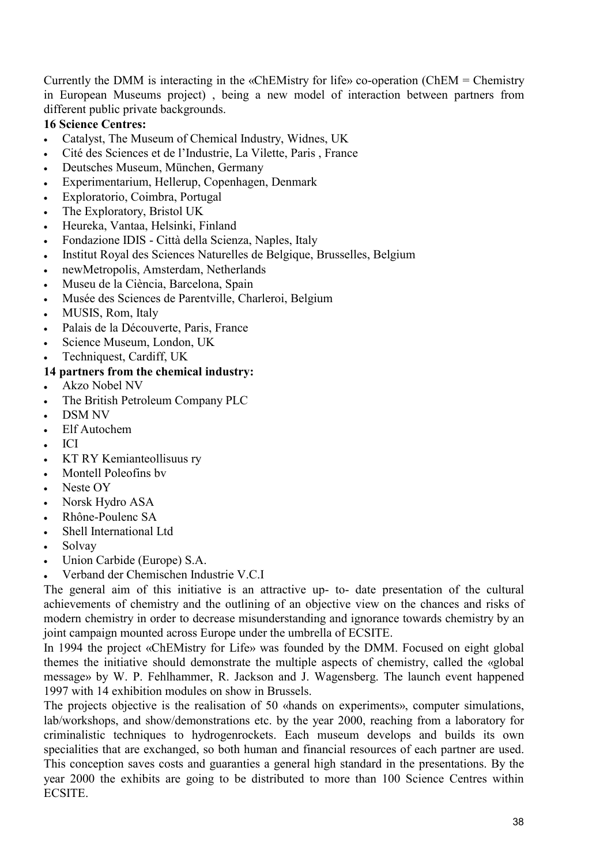Currently the DMM is interacting in the «ChEMistry for life» co-operation (ChEM = Chemistry in European Museums project) , being a new model of interaction between partners from different public private backgrounds.

# **16 Science Centres:**

- Catalyst, The Museum of Chemical Industry, Widnes, UK
- Cité des Sciences et de l'Industrie, La Vilette, Paris , France
- Deutsches Museum, München, Germany
- Experimentarium, Hellerup, Copenhagen, Denmark
- Exploratorio, Coimbra, Portugal
- The Exploratory, Bristol UK
- Heureka, Vantaa, Helsinki, Finland
- Fondazione IDIS Città della Scienza, Naples, Italy
- Institut Royal des Sciences Naturelles de Belgique, Brusselles, Belgium
- newMetropolis, Amsterdam, Netherlands
- Museu de la Ciència, Barcelona, Spain
- Musée des Sciences de Parentville, Charleroi, Belgium
- MUSIS, Rom, Italy
- Palais de la Découverte, Paris, France
- Science Museum, London, UK
- Techniquest, Cardiff, UK

### **14 partners from the chemical industry:**

- Akzo Nobel NV
- The British Petroleum Company PLC
- DSM NV
- Elf Autochem
- ICI
- KT RY Kemianteollisuus ry
- Montell Poleofins bv
- Neste OY
- Norsk Hydro ASA
- Rhône-Poulenc SA
- Shell International Ltd
- Solvay
- Union Carbide (Europe) S.A.
- Verband der Chemischen Industrie V.C.I

The general aim of this initiative is an attractive up- to- date presentation of the cultural achievements of chemistry and the outlining of an objective view on the chances and risks of modern chemistry in order to decrease misunderstanding and ignorance towards chemistry by an joint campaign mounted across Europe under the umbrella of ECSITE.

In 1994 the project «ChEMistry for Life» was founded by the DMM. Focused on eight global themes the initiative should demonstrate the multiple aspects of chemistry, called the «global message» by W. P. Fehlhammer, R. Jackson and J. Wagensberg. The launch event happened 1997 with 14 exhibition modules on show in Brussels.

The projects objective is the realisation of 50 «hands on experiments», computer simulations, lab/workshops, and show/demonstrations etc. by the year 2000, reaching from a laboratory for criminalistic techniques to hydrogenrockets. Each museum develops and builds its own specialities that are exchanged, so both human and financial resources of each partner are used. This conception saves costs and guaranties a general high standard in the presentations. By the year 2000 the exhibits are going to be distributed to more than 100 Science Centres within ECSITE.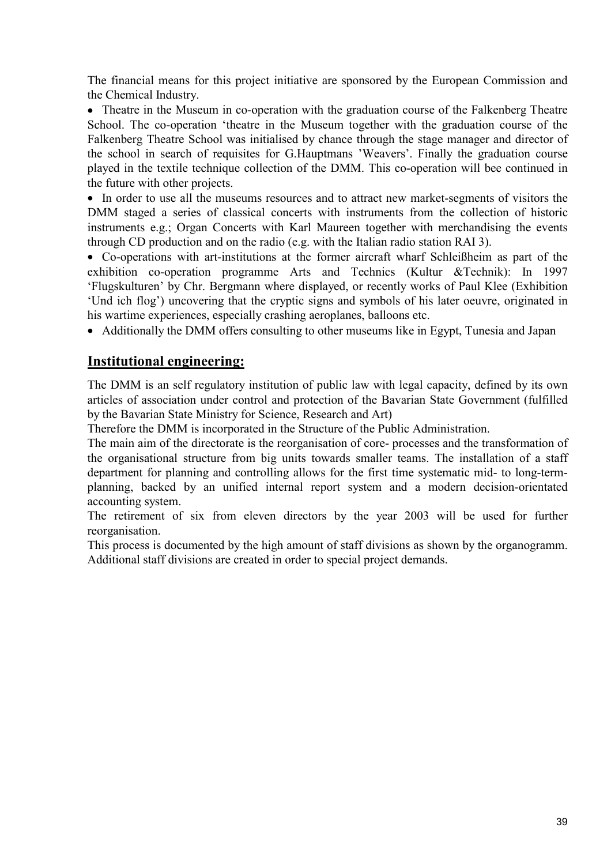The financial means for this project initiative are sponsored by the European Commission and the Chemical Industry.

• Theatre in the Museum in co-operation with the graduation course of the Falkenberg Theatre School. The co-operation 'theatre in the Museum together with the graduation course of the Falkenberg Theatre School was initialised by chance through the stage manager and director of the school in search of requisites for G.Hauptmans 'Weavers'. Finally the graduation course played in the textile technique collection of the DMM. This co-operation will bee continued in the future with other projects.

• In order to use all the museums resources and to attract new market-segments of visitors the DMM staged a series of classical concerts with instruments from the collection of historic instruments e.g.; Organ Concerts with Karl Maureen together with merchandising the events through CD production and on the radio (e.g. with the Italian radio station RAI 3).

• Co-operations with art-institutions at the former aircraft wharf Schleißheim as part of the exhibition co-operation programme Arts and Technics (Kultur &Technik): In 1997 'Flugskulturen' by Chr. Bergmann where displayed, or recently works of Paul Klee (Exhibition 'Und ich flog') uncovering that the cryptic signs and symbols of his later oeuvre, originated in his wartime experiences, especially crashing aeroplanes, balloons etc.

• Additionally the DMM offers consulting to other museums like in Egypt, Tunesia and Japan

## **Institutional engineering:**

The DMM is an self regulatory institution of public law with legal capacity, defined by its own articles of association under control and protection of the Bavarian State Government (fulfilled by the Bavarian State Ministry for Science, Research and Art)

Therefore the DMM is incorporated in the Structure of the Public Administration.

The main aim of the directorate is the reorganisation of core- processes and the transformation of the organisational structure from big units towards smaller teams. The installation of a staff department for planning and controlling allows for the first time systematic mid- to long-termplanning, backed by an unified internal report system and a modern decision-orientated accounting system.

The retirement of six from eleven directors by the year 2003 will be used for further reorganisation.

This process is documented by the high amount of staff divisions as shown by the organogramm. Additional staff divisions are created in order to special project demands.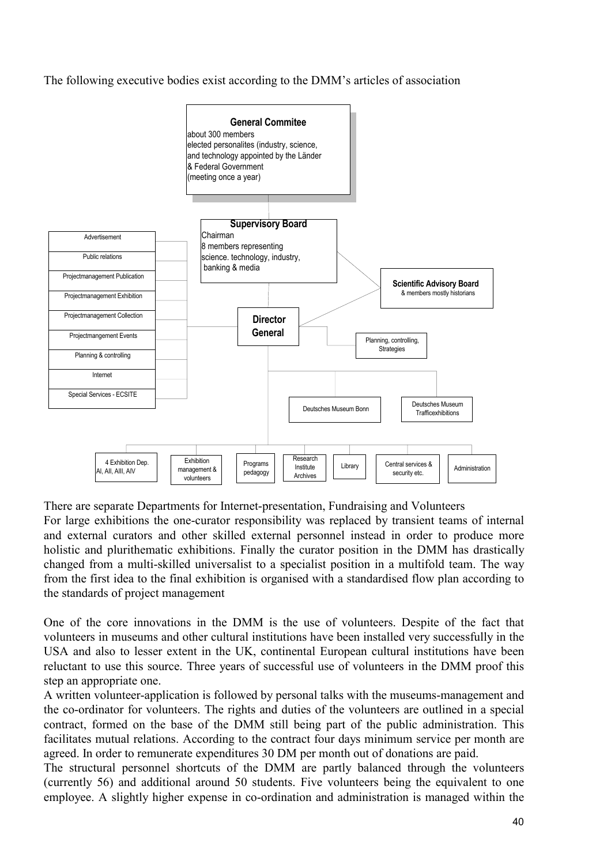The following executive bodies exist according to the DMM's articles of association



There are separate Departments for Internet-presentation, Fundraising and Volunteers

For large exhibitions the one-curator responsibility was replaced by transient teams of internal and external curators and other skilled external personnel instead in order to produce more holistic and plurithematic exhibitions. Finally the curator position in the DMM has drastically changed from a multi-skilled universalist to a specialist position in a multifold team. The way from the first idea to the final exhibition is organised with a standardised flow plan according to the standards of project management

One of the core innovations in the DMM is the use of volunteers. Despite of the fact that volunteers in museums and other cultural institutions have been installed very successfully in the USA and also to lesser extent in the UK, continental European cultural institutions have been reluctant to use this source. Three years of successful use of volunteers in the DMM proof this step an appropriate one.

A written volunteer-application is followed by personal talks with the museums-management and the co-ordinator for volunteers. The rights and duties of the volunteers are outlined in a special contract, formed on the base of the DMM still being part of the public administration. This facilitates mutual relations. According to the contract four days minimum service per month are agreed. In order to remunerate expenditures 30 DM per month out of donations are paid.

The structural personnel shortcuts of the DMM are partly balanced through the volunteers (currently 56) and additional around 50 students. Five volunteers being the equivalent to one employee. A slightly higher expense in co-ordination and administration is managed within the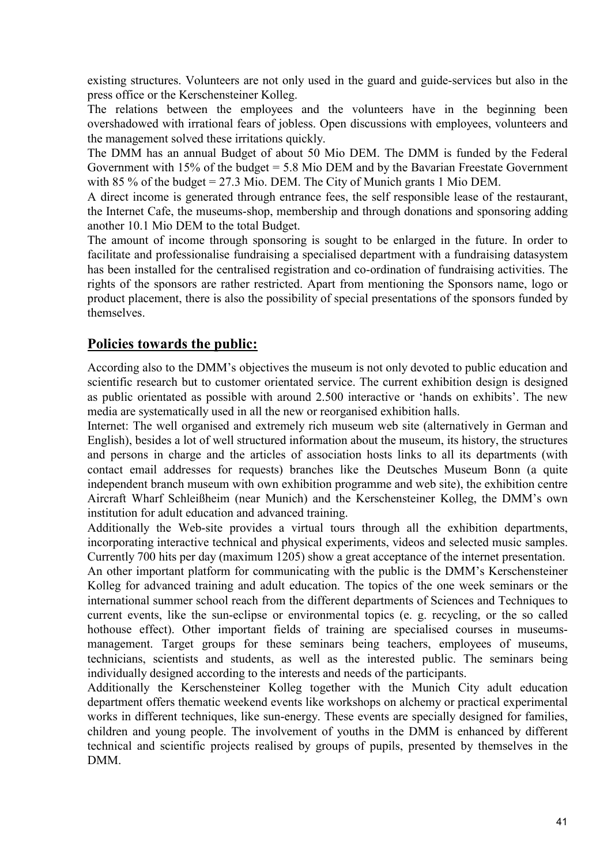existing structures. Volunteers are not only used in the guard and guide-services but also in the press office or the Kerschensteiner Kolleg.

The relations between the employees and the volunteers have in the beginning been overshadowed with irrational fears of jobless. Open discussions with employees, volunteers and the management solved these irritations quickly.

The DMM has an annual Budget of about 50 Mio DEM. The DMM is funded by the Federal Government with 15% of the budget  $= 5.8$  Mio DEM and by the Bavarian Freestate Government with 85 % of the budget = 27.3 Mio. DEM. The City of Munich grants 1 Mio DEM.

A direct income is generated through entrance fees, the self responsible lease of the restaurant, the Internet Cafe, the museums-shop, membership and through donations and sponsoring adding another 10.1 Mio DEM to the total Budget.

The amount of income through sponsoring is sought to be enlarged in the future. In order to facilitate and professionalise fundraising a specialised department with a fundraising datasystem has been installed for the centralised registration and co-ordination of fundraising activities. The rights of the sponsors are rather restricted. Apart from mentioning the Sponsors name, logo or product placement, there is also the possibility of special presentations of the sponsors funded by themselves.

# **Policies towards the public:**

According also to the DMM's objectives the museum is not only devoted to public education and scientific research but to customer orientated service. The current exhibition design is designed as public orientated as possible with around 2.500 interactive or 'hands on exhibits'. The new media are systematically used in all the new or reorganised exhibition halls.

Internet: The well organised and extremely rich museum web site (alternatively in German and English), besides a lot of well structured information about the museum, its history, the structures and persons in charge and the articles of association hosts links to all its departments (with contact email addresses for requests) branches like the Deutsches Museum Bonn (a quite independent branch museum with own exhibition programme and web site), the exhibition centre Aircraft Wharf Schleißheim (near Munich) and the Kerschensteiner Kolleg, the DMM's own institution for adult education and advanced training.

Additionally the Web-site provides a virtual tours through all the exhibition departments, incorporating interactive technical and physical experiments, videos and selected music samples. Currently 700 hits per day (maximum 1205) show a great acceptance of the internet presentation.

An other important platform for communicating with the public is the DMM's Kerschensteiner Kolleg for advanced training and adult education. The topics of the one week seminars or the international summer school reach from the different departments of Sciences and Techniques to current events, like the sun-eclipse or environmental topics (e. g. recycling, or the so called hothouse effect). Other important fields of training are specialised courses in museumsmanagement. Target groups for these seminars being teachers, employees of museums, technicians, scientists and students, as well as the interested public. The seminars being individually designed according to the interests and needs of the participants.

Additionally the Kerschensteiner Kolleg together with the Munich City adult education department offers thematic weekend events like workshops on alchemy or practical experimental works in different techniques, like sun-energy. These events are specially designed for families, children and young people. The involvement of youths in the DMM is enhanced by different technical and scientific projects realised by groups of pupils, presented by themselves in the DMM.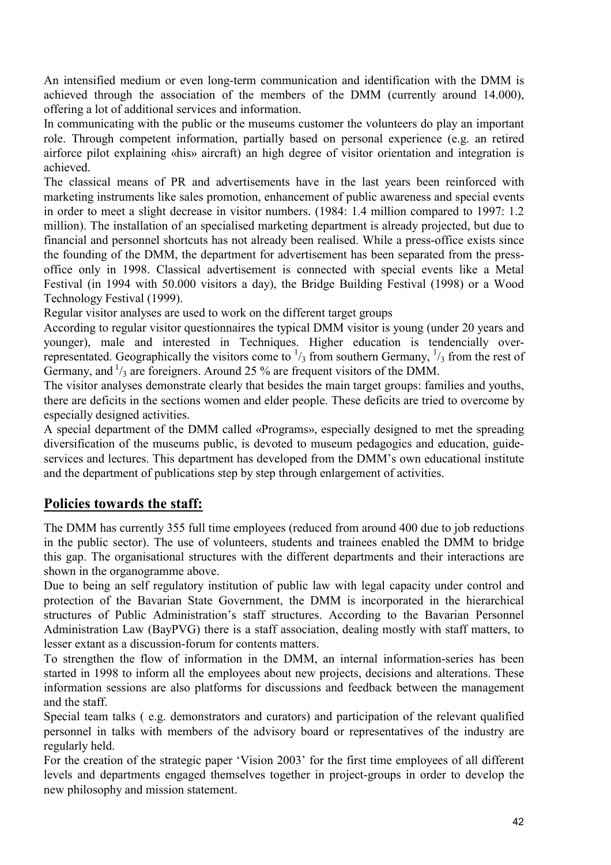An intensified medium or even long-term communication and identification with the DMM is achieved through the association of the members of the DMM (currently around 14.000), offering a lot of additional services and information.

In communicating with the public or the museums customer the volunteers do play an important role. Through competent information, partially based on personal experience (e.g. an retired airforce pilot explaining «his» aircraft) an high degree of visitor orientation and integration is achieved.

The classical means of PR and advertisements have in the last years been reinforced with marketing instruments like sales promotion, enhancement of public awareness and special events in order to meet a slight decrease in visitor numbers. (1984: 1.4 million compared to 1997: 1.2 million). The installation of an specialised marketing department is already projected, but due to financial and personnel shortcuts has not already been realised. While a press-office exists since the founding of the DMM, the department for advertisement has been separated from the pressoffice only in 1998. Classical advertisement is connected with special events like a Metal Festival (in 1994 with 50.000 visitors a day), the Bridge Building Festival (1998) or a Wood Technology Festival (1999).

Regular visitor analyses are used to work on the different target groups

According to regular visitor questionnaires the typical DMM visitor is young (under 20 years and younger), male and interested in Techniques. Higher education is tendencially overrepresentated. Geographically the visitors come to  $\frac{1}{3}$  from southern Germany,  $\frac{1}{3}$  from the rest of Germany, and  $\frac{1}{3}$  are foreigners. Around 25 % are frequent visitors of the DMM.

The visitor analyses demonstrate clearly that besides the main target groups: families and youths, there are deficits in the sections women and elder people. These deficits are tried to overcome by especially designed activities.

A special department of the DMM called «Programs», especially designed to met the spreading diversification of the museums public, is devoted to museum pedagogics and education, guideservices and lectures. This department has developed from the DMM's own educational institute and the department of publications step by step through enlargement of activities.

# **Policies towards the staff:**

The DMM has currently 355 full time employees (reduced from around 400 due to job reductions in the public sector). The use of volunteers, students and trainees enabled the DMM to bridge this gap. The organisational structures with the different departments and their interactions are shown in the organogramme above.

Due to being an self regulatory institution of public law with legal capacity under control and protection of the Bavarian State Government, the DMM is incorporated in the hierarchical structures of Public Administration's staff structures. According to the Bavarian Personnel Administration Law (BayPVG) there is a staff association, dealing mostly with staff matters, to lesser extant as a discussion-forum for contents matters.

To strengthen the flow of information in the DMM, an internal information-series has been started in 1998 to inform all the employees about new projects, decisions and alterations. These information sessions are also platforms for discussions and feedback between the management and the staff.

Special team talks ( e.g. demonstrators and curators) and participation of the relevant qualified personnel in talks with members of the advisory board or representatives of the industry are regularly held.

For the creation of the strategic paper 'Vision 2003' for the first time employees of all different levels and departments engaged themselves together in project-groups in order to develop the new philosophy and mission statement.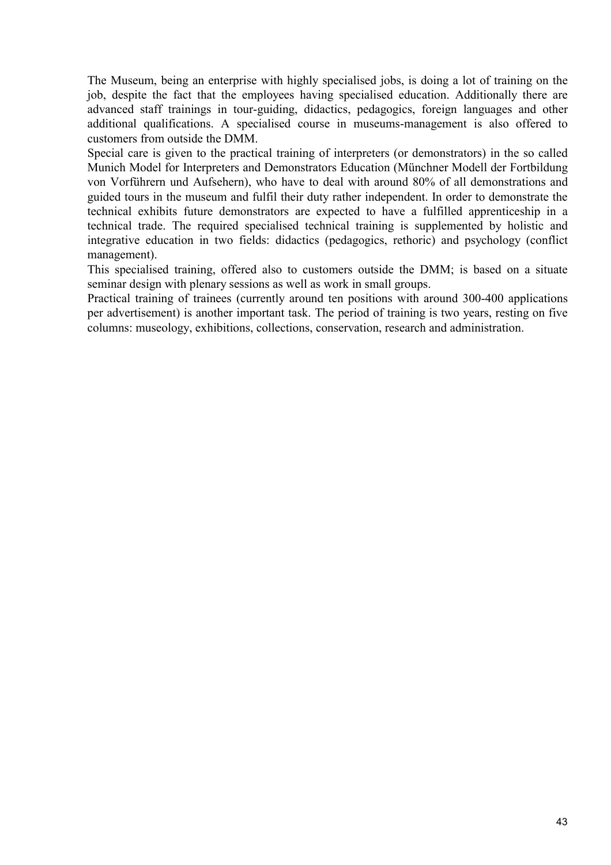The Museum, being an enterprise with highly specialised jobs, is doing a lot of training on the job, despite the fact that the employees having specialised education. Additionally there are advanced staff trainings in tour-guiding, didactics, pedagogics, foreign languages and other additional qualifications. A specialised course in museums-management is also offered to customers from outside the DMM.

Special care is given to the practical training of interpreters (or demonstrators) in the so called Munich Model for Interpreters and Demonstrators Education (Münchner Modell der Fortbildung von Vorführern und Aufsehern), who have to deal with around 80% of all demonstrations and guided tours in the museum and fulfil their duty rather independent. In order to demonstrate the technical exhibits future demonstrators are expected to have a fulfilled apprenticeship in a technical trade. The required specialised technical training is supplemented by holistic and integrative education in two fields: didactics (pedagogics, rethoric) and psychology (conflict management).

This specialised training, offered also to customers outside the DMM; is based on a situate seminar design with plenary sessions as well as work in small groups.

Practical training of trainees (currently around ten positions with around 300-400 applications per advertisement) is another important task. The period of training is two years, resting on five columns: museology, exhibitions, collections, conservation, research and administration.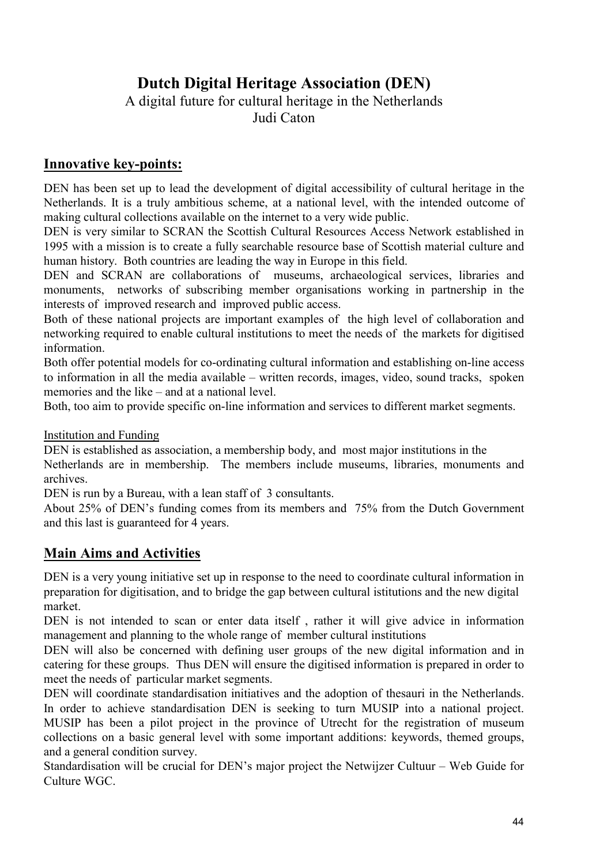# **Dutch Digital Heritage Association (DEN)**

A digital future for cultural heritage in the Netherlands Judi Caton

# **Innovative key-points:**

DEN has been set up to lead the development of digital accessibility of cultural heritage in the Netherlands. It is a truly ambitious scheme, at a national level, with the intended outcome of making cultural collections available on the internet to a very wide public.

DEN is very similar to SCRAN the Scottish Cultural Resources Access Network established in 1995 with a mission is to create a fully searchable resource base of Scottish material culture and human history. Both countries are leading the way in Europe in this field.

DEN and SCRAN are collaborations of museums, archaeological services, libraries and monuments, networks of subscribing member organisations working in partnership in the interests of improved research and improved public access.

Both of these national projects are important examples of the high level of collaboration and networking required to enable cultural institutions to meet the needs of the markets for digitised information.

Both offer potential models for co-ordinating cultural information and establishing on-line access to information in all the media available – written records, images, video, sound tracks, spoken memories and the like – and at a national level.

Both, too aim to provide specific on-line information and services to different market segments.

Institution and Funding

DEN is established as association, a membership body, and most major institutions in the Netherlands are in membership. The members include museums, libraries, monuments and archives.

DEN is run by a Bureau, with a lean staff of 3 consultants.

About 25% of DEN's funding comes from its members and 75% from the Dutch Government and this last is guaranteed for 4 years.

# **Main Aims and Activities**

DEN is a very young initiative set up in response to the need to coordinate cultural information in preparation for digitisation, and to bridge the gap between cultural istitutions and the new digital market.

DEN is not intended to scan or enter data itself , rather it will give advice in information management and planning to the whole range of member cultural institutions

DEN will also be concerned with defining user groups of the new digital information and in catering for these groups. Thus DEN will ensure the digitised information is prepared in order to meet the needs of particular market segments.

DEN will coordinate standardisation initiatives and the adoption of thesauri in the Netherlands. In order to achieve standardisation DEN is seeking to turn MUSIP into a national project. MUSIP has been a pilot project in the province of Utrecht for the registration of museum collections on a basic general level with some important additions: keywords, themed groups, and a general condition survey.

Standardisation will be crucial for DEN's major project the Netwijzer Cultuur – Web Guide for Culture WGC.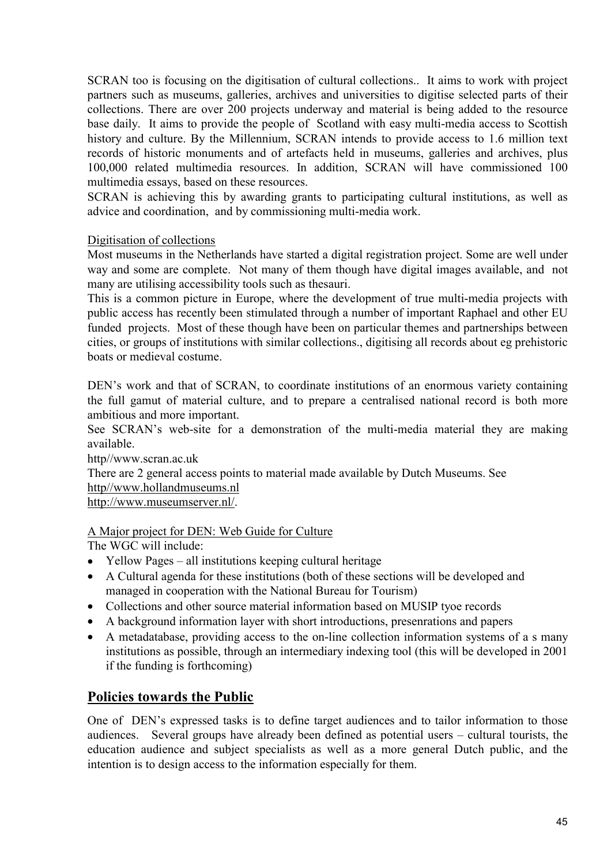SCRAN too is focusing on the digitisation of cultural collections.. It aims to work with project partners such as museums, galleries, archives and universities to digitise selected parts of their collections. There are over 200 projects underway and material is being added to the resource base daily. It aims to provide the people of Scotland with easy multi-media access to Scottish history and culture. By the Millennium, SCRAN intends to provide access to 1.6 million text records of historic monuments and of artefacts held in museums, galleries and archives, plus 100,000 related multimedia resources. In addition, SCRAN will have commissioned 100 multimedia essays, based on these resources.

SCRAN is achieving this by awarding grants to participating cultural institutions, as well as advice and coordination, and by commissioning multi-media work.

#### Digitisation of collections

Most museums in the Netherlands have started a digital registration project. Some are well under way and some are complete. Not many of them though have digital images available, and not many are utilising accessibility tools such as thesauri.

This is a common picture in Europe, where the development of true multi-media projects with public access has recently been stimulated through a number of important Raphael and other EU funded projects. Most of these though have been on particular themes and partnerships between cities, or groups of institutions with similar collections., digitising all records about eg prehistoric boats or medieval costume.

DEN's work and that of SCRAN, to coordinate institutions of an enormous variety containing the full gamut of material culture, and to prepare a centralised national record is both more ambitious and more important.

See SCRAN's web-site for a demonstration of the multi-media material they are making available.

http//www.scran.ac.uk

There are 2 general access points to material made available by Dutch Museums. See

#### http//www.hollandmuseums.nl

http://www.museumserver.nl/.

#### A Major project for DEN: Web Guide for Culture

The WGC will include:

- Yellow Pages all institutions keeping cultural heritage
- A Cultural agenda for these institutions (both of these sections will be developed and managed in cooperation with the National Bureau for Tourism)
- Collections and other source material information based on MUSIP tyoe records
- A background information layer with short introductions, presenrations and papers
- A metadatabase, providing access to the on-line collection information systems of a s many institutions as possible, through an intermediary indexing tool (this will be developed in 2001 if the funding is forthcoming)

# **Policies towards the Public**

One of DEN's expressed tasks is to define target audiences and to tailor information to those audiences. Several groups have already been defined as potential users – cultural tourists, the education audience and subject specialists as well as a more general Dutch public, and the intention is to design access to the information especially for them.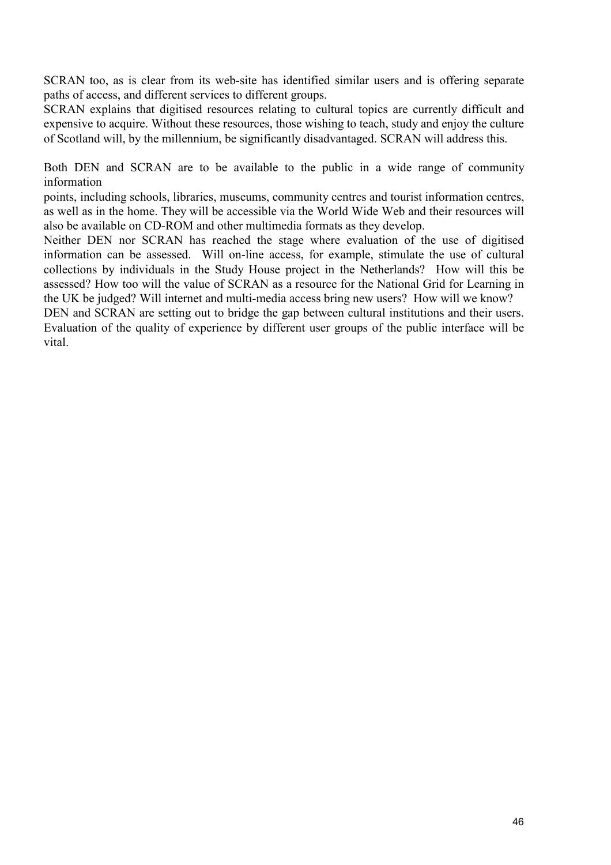SCRAN too, as is clear from its web-site has identified similar users and is offering separate paths of access, and different services to different groups.

SCRAN explains that digitised resources relating to cultural topics are currently difficult and expensive to acquire. Without these resources, those wishing to teach, study and enjoy the culture of Scotland will, by the millennium, be significantly disadvantaged. SCRAN will address this.

Both DEN and SCRAN are to be available to the public in a wide range of community information

points, including schools, libraries, museums, community centres and tourist information centres, as well as in the home. They will be accessible via the World Wide Web and their resources will also be available on CD-ROM and other multimedia formats as they develop.

Neither DEN nor SCRAN has reached the stage where evaluation of the use of digitised information can be assessed. Will on-line access, for example, stimulate the use of cultural collections by individuals in the Study House project in the Netherlands? How will this be assessed? How too will the value of SCRAN as a resource for the National Grid for Learning in the UK be judged? Will internet and multi-media access bring new users? How will we know?

DEN and SCRAN are setting out to bridge the gap between cultural institutions and their users. Evaluation of the quality of experience by different user groups of the public interface will be vital.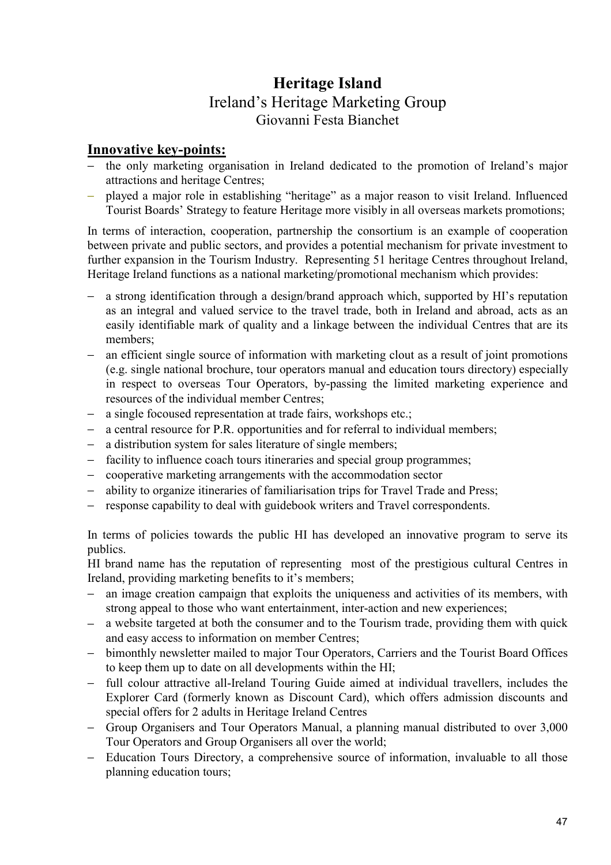# **Heritage Island**  Ireland's Heritage Marketing Group Giovanni Festa Bianchet

# **Innovative key-points:**

- − the only marketing organisation in Ireland dedicated to the promotion of Ireland's major attractions and heritage Centres;
- − played a major role in establishing "heritage" as a major reason to visit Ireland. Influenced Tourist Boards' Strategy to feature Heritage more visibly in all overseas markets promotions;

In terms of interaction, cooperation, partnership the consortium is an example of cooperation between private and public sectors, and provides a potential mechanism for private investment to further expansion in the Tourism Industry. Representing 51 heritage Centres throughout Ireland, Heritage Ireland functions as a national marketing/promotional mechanism which provides:

- − a strong identification through a design/brand approach which, supported by HI's reputation as an integral and valued service to the travel trade, both in Ireland and abroad, acts as an easily identifiable mark of quality and a linkage between the individual Centres that are its members;
- an efficient single source of information with marketing clout as a result of joint promotions (e.g. single national brochure, tour operators manual and education tours directory) especially in respect to overseas Tour Operators, by-passing the limited marketing experience and resources of the individual member Centres;
- a single focoused representation at trade fairs, workshops etc.;
- a central resource for P.R. opportunities and for referral to individual members;
- a distribution system for sales literature of single members;
- − facility to influence coach tours itineraries and special group programmes;
- − cooperative marketing arrangements with the accommodation sector
- − ability to organize itineraries of familiarisation trips for Travel Trade and Press;
- response capability to deal with guidebook writers and Travel correspondents.

In terms of policies towards the public HI has developed an innovative program to serve its publics.

HI brand name has the reputation of representing most of the prestigious cultural Centres in Ireland, providing marketing benefits to it's members;

- − an image creation campaign that exploits the uniqueness and activities of its members, with strong appeal to those who want entertainment, inter-action and new experiences;
- a website targeted at both the consumer and to the Tourism trade, providing them with quick and easy access to information on member Centres;
- − bimonthly newsletter mailed to major Tour Operators, Carriers and the Tourist Board Offices to keep them up to date on all developments within the HI;
- − full colour attractive all-Ireland Touring Guide aimed at individual travellers, includes the Explorer Card (formerly known as Discount Card), which offers admission discounts and special offers for 2 adults in Heritage Ireland Centres
- − Group Organisers and Tour Operators Manual, a planning manual distributed to over 3,000 Tour Operators and Group Organisers all over the world;
- − Education Tours Directory, a comprehensive source of information, invaluable to all those planning education tours;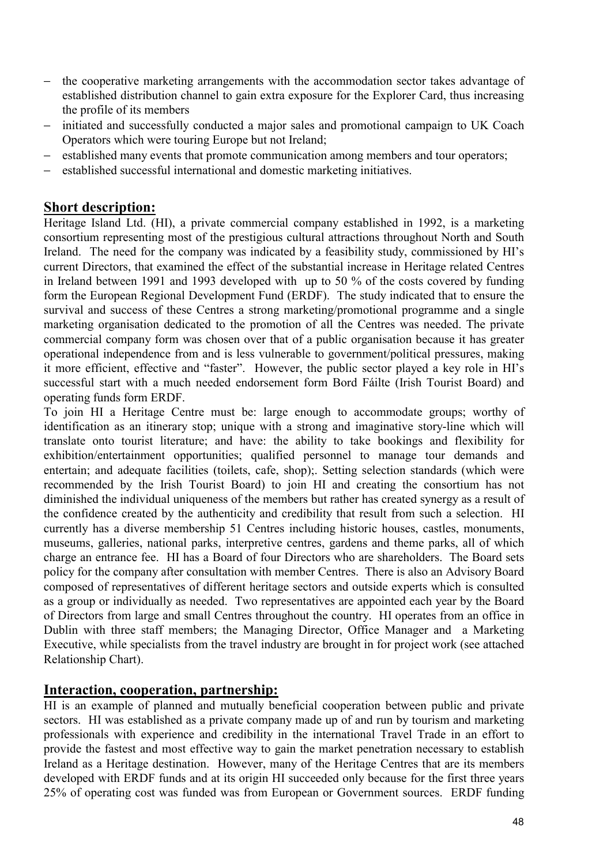- − the cooperative marketing arrangements with the accommodation sector takes advantage of established distribution channel to gain extra exposure for the Explorer Card, thus increasing the profile of its members
- initiated and successfully conducted a major sales and promotional campaign to UK Coach Operators which were touring Europe but not Ireland;
- established many events that promote communication among members and tour operators;
- established successful international and domestic marketing initiatives.

## **Short description:**

Heritage Island Ltd. (HI), a private commercial company established in 1992, is a marketing consortium representing most of the prestigious cultural attractions throughout North and South Ireland. The need for the company was indicated by a feasibility study, commissioned by HI's current Directors, that examined the effect of the substantial increase in Heritage related Centres in Ireland between 1991 and 1993 developed with up to 50 % of the costs covered by funding form the European Regional Development Fund (ERDF). The study indicated that to ensure the survival and success of these Centres a strong marketing/promotional programme and a single marketing organisation dedicated to the promotion of all the Centres was needed. The private commercial company form was chosen over that of a public organisation because it has greater operational independence from and is less vulnerable to government/political pressures, making it more efficient, effective and "faster". However, the public sector played a key role in HI's successful start with a much needed endorsement form Bord Fáilte (Irish Tourist Board) and operating funds form ERDF.

To join HI a Heritage Centre must be: large enough to accommodate groups; worthy of identification as an itinerary stop; unique with a strong and imaginative story-line which will translate onto tourist literature; and have: the ability to take bookings and flexibility for exhibition/entertainment opportunities; qualified personnel to manage tour demands and entertain; and adequate facilities (toilets, cafe, shop);. Setting selection standards (which were recommended by the Irish Tourist Board) to join HI and creating the consortium has not diminished the individual uniqueness of the members but rather has created synergy as a result of the confidence created by the authenticity and credibility that result from such a selection. HI currently has a diverse membership 51 Centres including historic houses, castles, monuments, museums, galleries, national parks, interpretive centres, gardens and theme parks, all of which charge an entrance fee. HI has a Board of four Directors who are shareholders. The Board sets policy for the company after consultation with member Centres. There is also an Advisory Board composed of representatives of different heritage sectors and outside experts which is consulted as a group or individually as needed. Two representatives are appointed each year by the Board of Directors from large and small Centres throughout the country. HI operates from an office in Dublin with three staff members; the Managing Director, Office Manager and a Marketing Executive, while specialists from the travel industry are brought in for project work (see attached Relationship Chart).

## **Interaction, cooperation, partnership:**

HI is an example of planned and mutually beneficial cooperation between public and private sectors. HI was established as a private company made up of and run by tourism and marketing professionals with experience and credibility in the international Travel Trade in an effort to provide the fastest and most effective way to gain the market penetration necessary to establish Ireland as a Heritage destination. However, many of the Heritage Centres that are its members developed with ERDF funds and at its origin HI succeeded only because for the first three years 25% of operating cost was funded was from European or Government sources. ERDF funding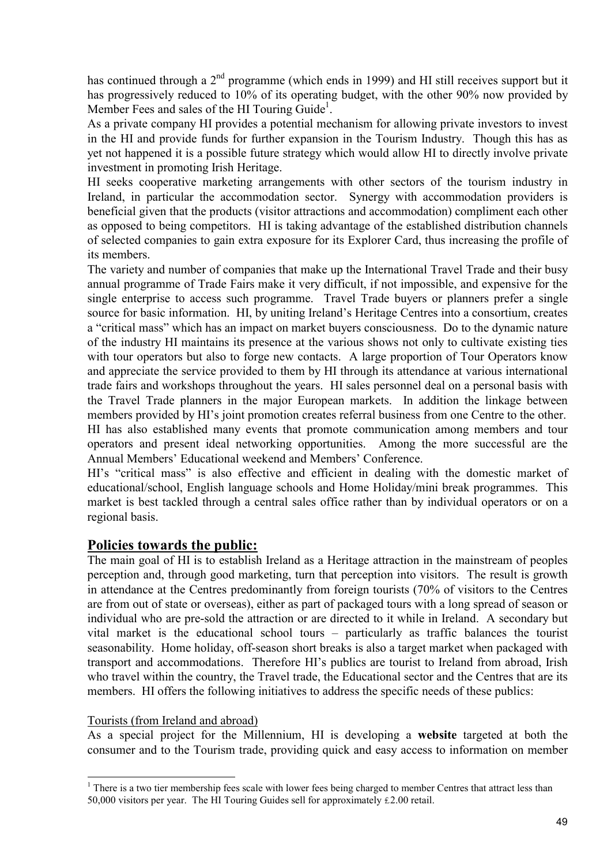has continued through a 2<sup>nd</sup> programme (which ends in 1999) and HI still receives support but it has progressively reduced to 10% of its operating budget, with the other 90% now provided by Member Fees and sales of the HI Touring Guide<sup>1</sup>.

As a private company HI provides a potential mechanism for allowing private investors to invest in the HI and provide funds for further expansion in the Tourism Industry. Though this has as yet not happened it is a possible future strategy which would allow HI to directly involve private investment in promoting Irish Heritage.

HI seeks cooperative marketing arrangements with other sectors of the tourism industry in Ireland, in particular the accommodation sector. Synergy with accommodation providers is beneficial given that the products (visitor attractions and accommodation) compliment each other as opposed to being competitors. HI is taking advantage of the established distribution channels of selected companies to gain extra exposure for its Explorer Card, thus increasing the profile of its members.

The variety and number of companies that make up the International Travel Trade and their busy annual programme of Trade Fairs make it very difficult, if not impossible, and expensive for the single enterprise to access such programme. Travel Trade buyers or planners prefer a single source for basic information. HI, by uniting Ireland's Heritage Centres into a consortium, creates a "critical mass" which has an impact on market buyers consciousness. Do to the dynamic nature of the industry HI maintains its presence at the various shows not only to cultivate existing ties with tour operators but also to forge new contacts. A large proportion of Tour Operators know and appreciate the service provided to them by HI through its attendance at various international trade fairs and workshops throughout the years. HI sales personnel deal on a personal basis with the Travel Trade planners in the major European markets. In addition the linkage between members provided by HI's joint promotion creates referral business from one Centre to the other. HI has also established many events that promote communication among members and tour operators and present ideal networking opportunities. Among the more successful are the Annual Members' Educational weekend and Members' Conference.

HI's "critical mass" is also effective and efficient in dealing with the domestic market of educational/school, English language schools and Home Holiday/mini break programmes. This market is best tackled through a central sales office rather than by individual operators or on a regional basis.

## **Policies towards the public:**

The main goal of HI is to establish Ireland as a Heritage attraction in the mainstream of peoples perception and, through good marketing, turn that perception into visitors. The result is growth in attendance at the Centres predominantly from foreign tourists (70% of visitors to the Centres are from out of state or overseas), either as part of packaged tours with a long spread of season or individual who are pre-sold the attraction or are directed to it while in Ireland. A secondary but vital market is the educational school tours – particularly as traffic balances the tourist seasonability. Home holiday, off-season short breaks is also a target market when packaged with transport and accommodations. Therefore HI's publics are tourist to Ireland from abroad, Irish who travel within the country, the Travel trade, the Educational sector and the Centres that are its members. HI offers the following initiatives to address the specific needs of these publics:

#### Tourists (from Ireland and abroad)

 $\overline{a}$ 

As a special project for the Millennium, HI is developing a **website** targeted at both the consumer and to the Tourism trade, providing quick and easy access to information on member

 $1$  There is a two tier membership fees scale with lower fees being charged to member Centres that attract less than 50,000 visitors per year. The HI Touring Guides sell for approximately ₤2.00 retail.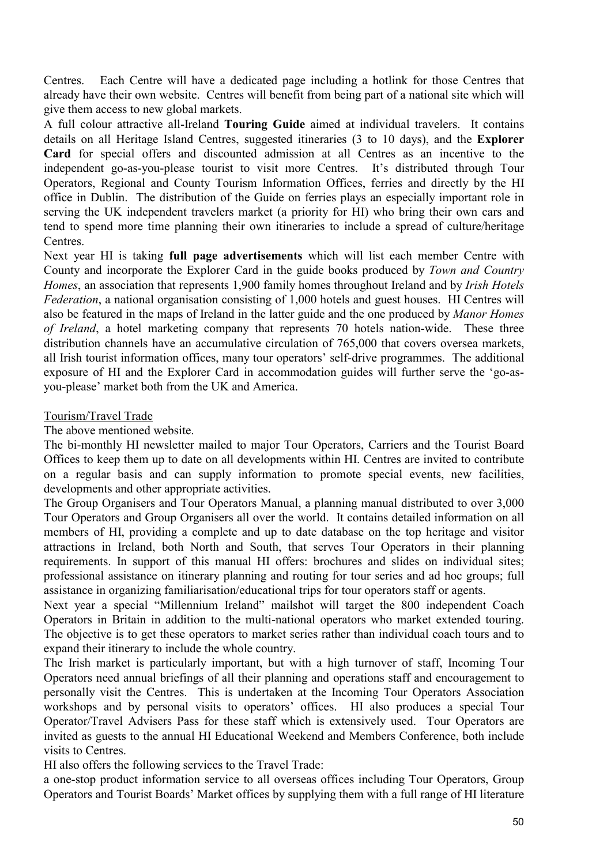Centres. Each Centre will have a dedicated page including a hotlink for those Centres that already have their own website. Centres will benefit from being part of a national site which will give them access to new global markets.

A full colour attractive all-Ireland **Touring Guide** aimed at individual travelers. It contains details on all Heritage Island Centres, suggested itineraries (3 to 10 days), and the **Explorer Card** for special offers and discounted admission at all Centres as an incentive to the independent go-as-you-please tourist to visit more Centres. It's distributed through Tour Operators, Regional and County Tourism Information Offices, ferries and directly by the HI office in Dublin. The distribution of the Guide on ferries plays an especially important role in serving the UK independent travelers market (a priority for HI) who bring their own cars and tend to spend more time planning their own itineraries to include a spread of culture/heritage Centres.

Next year HI is taking **full page advertisements** which will list each member Centre with County and incorporate the Explorer Card in the guide books produced by *Town and Country Homes*, an association that represents 1,900 family homes throughout Ireland and by *Irish Hotels Federation*, a national organisation consisting of 1,000 hotels and guest houses. HI Centres will also be featured in the maps of Ireland in the latter guide and the one produced by *Manor Homes of Ireland*, a hotel marketing company that represents 70 hotels nation-wide. These three distribution channels have an accumulative circulation of 765,000 that covers oversea markets, all Irish tourist information offices, many tour operators' self-drive programmes. The additional exposure of HI and the Explorer Card in accommodation guides will further serve the 'go-asyou-please' market both from the UK and America.

#### Tourism/Travel Trade

The above mentioned website.

The bi-monthly HI newsletter mailed to major Tour Operators, Carriers and the Tourist Board Offices to keep them up to date on all developments within HI. Centres are invited to contribute on a regular basis and can supply information to promote special events, new facilities, developments and other appropriate activities.

The Group Organisers and Tour Operators Manual, a planning manual distributed to over 3,000 Tour Operators and Group Organisers all over the world. It contains detailed information on all members of HI, providing a complete and up to date database on the top heritage and visitor attractions in Ireland, both North and South, that serves Tour Operators in their planning requirements. In support of this manual HI offers: brochures and slides on individual sites; professional assistance on itinerary planning and routing for tour series and ad hoc groups; full assistance in organizing familiarisation/educational trips for tour operators staff or agents.

Next year a special "Millennium Ireland" mailshot will target the 800 independent Coach Operators in Britain in addition to the multi-national operators who market extended touring. The objective is to get these operators to market series rather than individual coach tours and to expand their itinerary to include the whole country.

The Irish market is particularly important, but with a high turnover of staff, Incoming Tour Operators need annual briefings of all their planning and operations staff and encouragement to personally visit the Centres. This is undertaken at the Incoming Tour Operators Association workshops and by personal visits to operators' offices. HI also produces a special Tour Operator/Travel Advisers Pass for these staff which is extensively used. Tour Operators are invited as guests to the annual HI Educational Weekend and Members Conference, both include visits to Centres.

HI also offers the following services to the Travel Trade:

a one-stop product information service to all overseas offices including Tour Operators, Group Operators and Tourist Boards' Market offices by supplying them with a full range of HI literature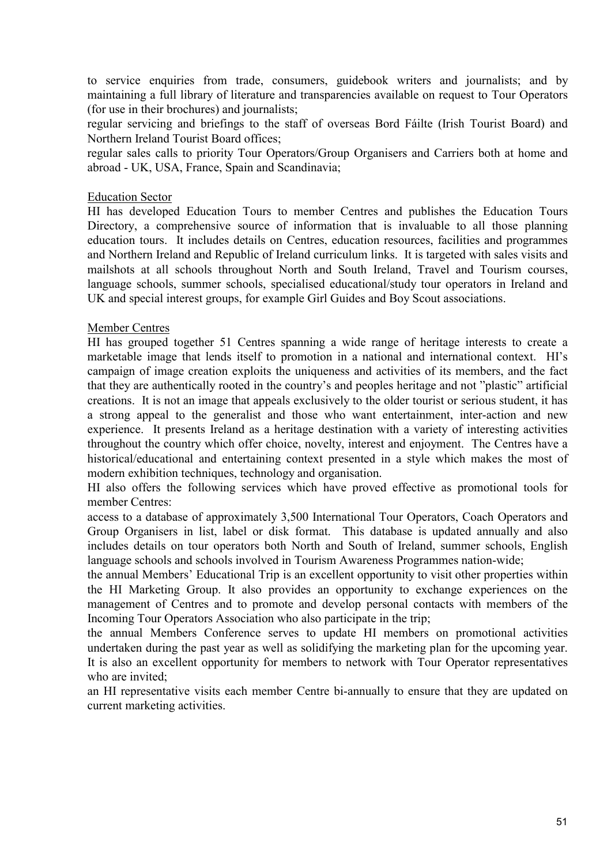to service enquiries from trade, consumers, guidebook writers and journalists; and by maintaining a full library of literature and transparencies available on request to Tour Operators (for use in their brochures) and journalists;

regular servicing and briefings to the staff of overseas Bord Fáilte (Irish Tourist Board) and Northern Ireland Tourist Board offices;

regular sales calls to priority Tour Operators/Group Organisers and Carriers both at home and abroad - UK, USA, France, Spain and Scandinavia;

#### Education Sector

HI has developed Education Tours to member Centres and publishes the Education Tours Directory, a comprehensive source of information that is invaluable to all those planning education tours. It includes details on Centres, education resources, facilities and programmes and Northern Ireland and Republic of Ireland curriculum links. It is targeted with sales visits and mailshots at all schools throughout North and South Ireland, Travel and Tourism courses, language schools, summer schools, specialised educational/study tour operators in Ireland and UK and special interest groups, for example Girl Guides and Boy Scout associations.

#### Member Centres

HI has grouped together 51 Centres spanning a wide range of heritage interests to create a marketable image that lends itself to promotion in a national and international context. HI's campaign of image creation exploits the uniqueness and activities of its members, and the fact that they are authentically rooted in the country's and peoples heritage and not "plastic" artificial creations. It is not an image that appeals exclusively to the older tourist or serious student, it has a strong appeal to the generalist and those who want entertainment, inter-action and new experience. It presents Ireland as a heritage destination with a variety of interesting activities throughout the country which offer choice, novelty, interest and enjoyment. The Centres have a historical/educational and entertaining context presented in a style which makes the most of modern exhibition techniques, technology and organisation.

HI also offers the following services which have proved effective as promotional tools for member Centres:

access to a database of approximately 3,500 International Tour Operators, Coach Operators and Group Organisers in list, label or disk format. This database is updated annually and also includes details on tour operators both North and South of Ireland, summer schools, English language schools and schools involved in Tourism Awareness Programmes nation-wide;

the annual Members' Educational Trip is an excellent opportunity to visit other properties within the HI Marketing Group. It also provides an opportunity to exchange experiences on the management of Centres and to promote and develop personal contacts with members of the Incoming Tour Operators Association who also participate in the trip;

the annual Members Conference serves to update HI members on promotional activities undertaken during the past year as well as solidifying the marketing plan for the upcoming year. It is also an excellent opportunity for members to network with Tour Operator representatives who are invited;

an HI representative visits each member Centre bi-annually to ensure that they are updated on current marketing activities.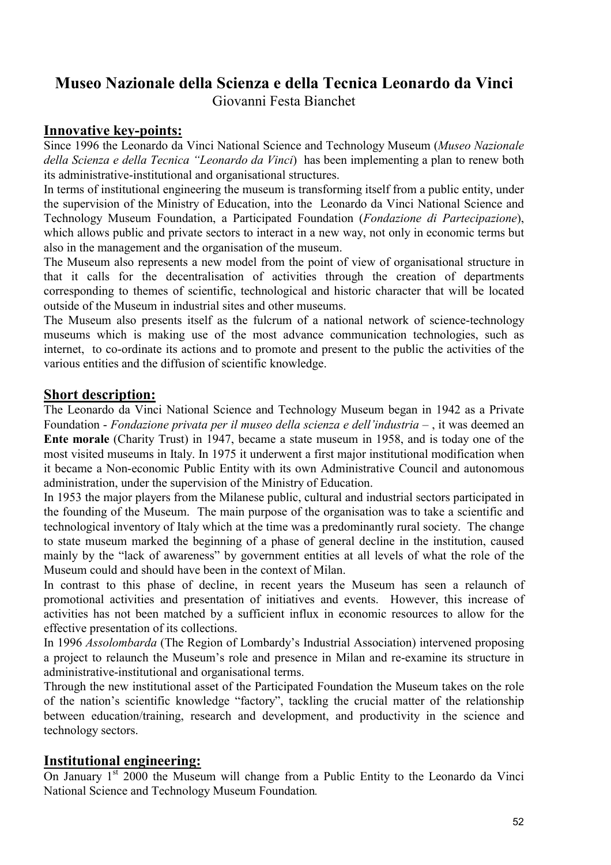# **Museo Nazionale della Scienza e della Tecnica Leonardo da Vinci**

Giovanni Festa Bianchet

## **Innovative key-points:**

Since 1996 the Leonardo da Vinci National Science and Technology Museum (*Museo Nazionale della Scienza e della Tecnica "Leonardo da Vinci*) has been implementing a plan to renew both its administrative-institutional and organisational structures.

In terms of institutional engineering the museum is transforming itself from a public entity, under the supervision of the Ministry of Education, into the Leonardo da Vinci National Science and Technology Museum Foundation, a Participated Foundation (*Fondazione di Partecipazione*), which allows public and private sectors to interact in a new way, not only in economic terms but also in the management and the organisation of the museum.

The Museum also represents a new model from the point of view of organisational structure in that it calls for the decentralisation of activities through the creation of departments corresponding to themes of scientific, technological and historic character that will be located outside of the Museum in industrial sites and other museums.

The Museum also presents itself as the fulcrum of a national network of science-technology museums which is making use of the most advance communication technologies, such as internet, to co-ordinate its actions and to promote and present to the public the activities of the various entities and the diffusion of scientific knowledge.

# **Short description:**

The Leonardo da Vinci National Science and Technology Museum began in 1942 as a Private Foundation - *Fondazione privata per il museo della scienza e dell'industria* – , it was deemed an **Ente morale** (Charity Trust) in 1947, became a state museum in 1958, and is today one of the most visited museums in Italy. In 1975 it underwent a first major institutional modification when it became a Non-economic Public Entity with its own Administrative Council and autonomous administration, under the supervision of the Ministry of Education.

In 1953 the major players from the Milanese public, cultural and industrial sectors participated in the founding of the Museum. The main purpose of the organisation was to take a scientific and technological inventory of Italy which at the time was a predominantly rural society. The change to state museum marked the beginning of a phase of general decline in the institution, caused mainly by the "lack of awareness" by government entities at all levels of what the role of the Museum could and should have been in the context of Milan.

In contrast to this phase of decline, in recent years the Museum has seen a relaunch of promotional activities and presentation of initiatives and events. However, this increase of activities has not been matched by a sufficient influx in economic resources to allow for the effective presentation of its collections.

In 1996 *Assolombarda* (The Region of Lombardy's Industrial Association) intervened proposing a project to relaunch the Museum's role and presence in Milan and re-examine its structure in administrative-institutional and organisational terms.

Through the new institutional asset of the Participated Foundation the Museum takes on the role of the nation's scientific knowledge "factory", tackling the crucial matter of the relationship between education/training, research and development, and productivity in the science and technology sectors.

# **Institutional engineering:**

On January 1<sup>st</sup> 2000 the Museum will change from a Public Entity to the Leonardo da Vinci National Science and Technology Museum Foundation*.*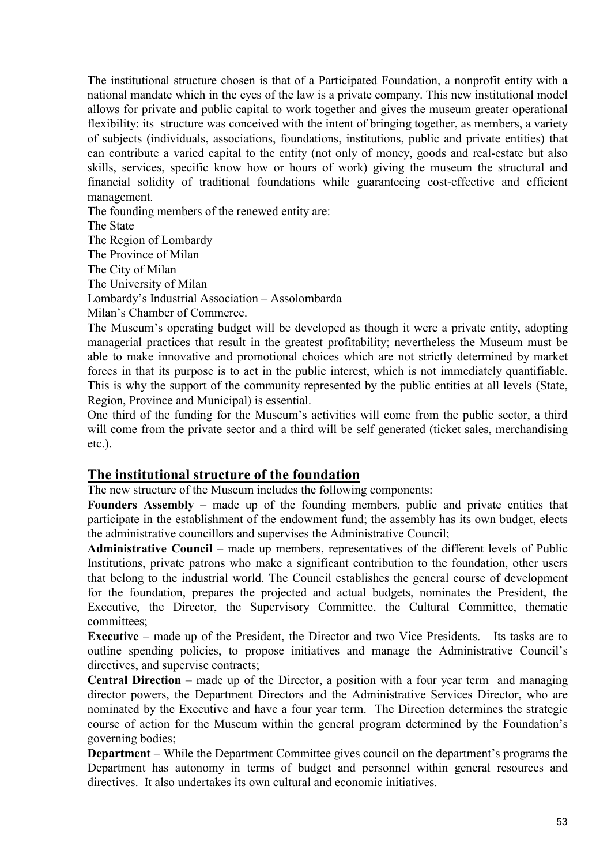The institutional structure chosen is that of a Participated Foundation, a nonprofit entity with a national mandate which in the eyes of the law is a private company. This new institutional model allows for private and public capital to work together and gives the museum greater operational flexibility: its structure was conceived with the intent of bringing together, as members, a variety of subjects (individuals, associations, foundations, institutions, public and private entities) that can contribute a varied capital to the entity (not only of money, goods and real-estate but also skills, services, specific know how or hours of work) giving the museum the structural and financial solidity of traditional foundations while guaranteeing cost-effective and efficient management.

The founding members of the renewed entity are:

The State

The Region of Lombardy

The Province of Milan

The City of Milan

The University of Milan

Lombardy's Industrial Association – Assolombarda

Milan's Chamber of Commerce.

The Museum's operating budget will be developed as though it were a private entity, adopting managerial practices that result in the greatest profitability; nevertheless the Museum must be able to make innovative and promotional choices which are not strictly determined by market forces in that its purpose is to act in the public interest, which is not immediately quantifiable. This is why the support of the community represented by the public entities at all levels (State, Region, Province and Municipal) is essential.

One third of the funding for the Museum's activities will come from the public sector, a third will come from the private sector and a third will be self generated (ticket sales, merchandising etc.).

## **The institutional structure of the foundation**

The new structure of the Museum includes the following components:

**Founders Assembly** – made up of the founding members, public and private entities that participate in the establishment of the endowment fund; the assembly has its own budget, elects the administrative councillors and supervises the Administrative Council;

**Administrative Council** – made up members, representatives of the different levels of Public Institutions, private patrons who make a significant contribution to the foundation, other users that belong to the industrial world. The Council establishes the general course of development for the foundation, prepares the projected and actual budgets, nominates the President, the Executive, the Director, the Supervisory Committee, the Cultural Committee, thematic committees;

**Executive** – made up of the President, the Director and two Vice Presidents. Its tasks are to outline spending policies, to propose initiatives and manage the Administrative Council's directives, and supervise contracts;

**Central Direction** – made up of the Director, a position with a four year term and managing director powers, the Department Directors and the Administrative Services Director, who are nominated by the Executive and have a four year term. The Direction determines the strategic course of action for the Museum within the general program determined by the Foundation's governing bodies;

**Department** – While the Department Committee gives council on the department's programs the Department has autonomy in terms of budget and personnel within general resources and directives. It also undertakes its own cultural and economic initiatives.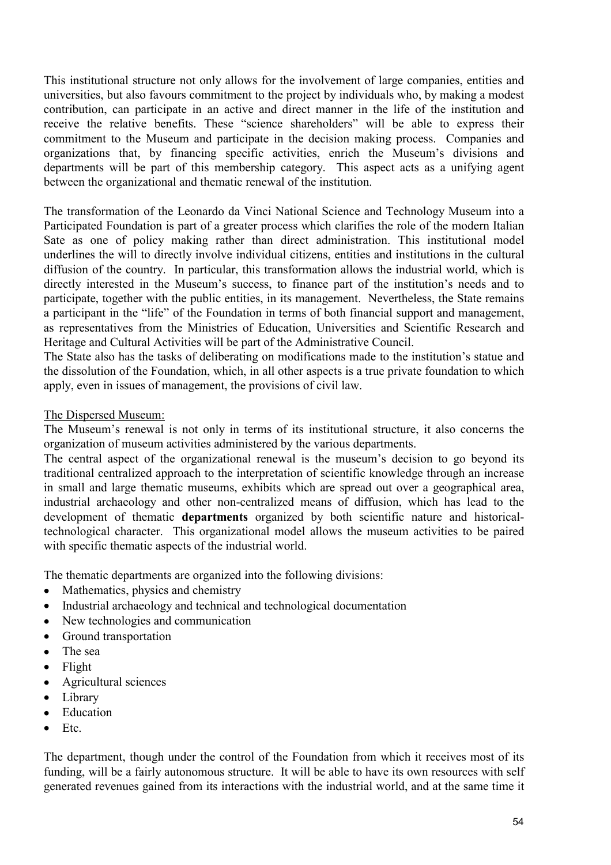This institutional structure not only allows for the involvement of large companies, entities and universities, but also favours commitment to the project by individuals who, by making a modest contribution, can participate in an active and direct manner in the life of the institution and receive the relative benefits. These "science shareholders" will be able to express their commitment to the Museum and participate in the decision making process. Companies and organizations that, by financing specific activities, enrich the Museum's divisions and departments will be part of this membership category. This aspect acts as a unifying agent between the organizational and thematic renewal of the institution.

The transformation of the Leonardo da Vinci National Science and Technology Museum into a Participated Foundation is part of a greater process which clarifies the role of the modern Italian Sate as one of policy making rather than direct administration. This institutional model underlines the will to directly involve individual citizens, entities and institutions in the cultural diffusion of the country. In particular, this transformation allows the industrial world, which is directly interested in the Museum's success, to finance part of the institution's needs and to participate, together with the public entities, in its management. Nevertheless, the State remains a participant in the "life" of the Foundation in terms of both financial support and management, as representatives from the Ministries of Education, Universities and Scientific Research and Heritage and Cultural Activities will be part of the Administrative Council.

The State also has the tasks of deliberating on modifications made to the institution's statue and the dissolution of the Foundation, which, in all other aspects is a true private foundation to which apply, even in issues of management, the provisions of civil law.

#### The Dispersed Museum:

The Museum's renewal is not only in terms of its institutional structure, it also concerns the organization of museum activities administered by the various departments.

The central aspect of the organizational renewal is the museum's decision to go beyond its traditional centralized approach to the interpretation of scientific knowledge through an increase in small and large thematic museums, exhibits which are spread out over a geographical area, industrial archaeology and other non-centralized means of diffusion, which has lead to the development of thematic **departments** organized by both scientific nature and historicaltechnological character. This organizational model allows the museum activities to be paired with specific thematic aspects of the industrial world.

The thematic departments are organized into the following divisions:

- Mathematics, physics and chemistry
- Industrial archaeology and technical and technological documentation
- New technologies and communication
- Ground transportation
- The sea
- Flight
- Agricultural sciences
- Library
- Education
- $\bullet$  Ftc.

The department, though under the control of the Foundation from which it receives most of its funding, will be a fairly autonomous structure. It will be able to have its own resources with self generated revenues gained from its interactions with the industrial world, and at the same time it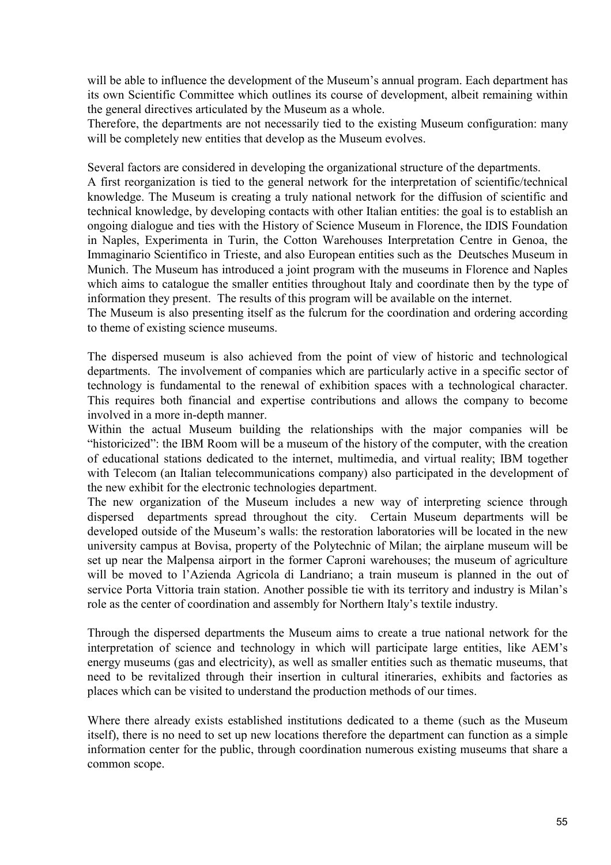will be able to influence the development of the Museum's annual program. Each department has its own Scientific Committee which outlines its course of development, albeit remaining within the general directives articulated by the Museum as a whole.

Therefore, the departments are not necessarily tied to the existing Museum configuration: many will be completely new entities that develop as the Museum evolves.

Several factors are considered in developing the organizational structure of the departments.

A first reorganization is tied to the general network for the interpretation of scientific/technical knowledge. The Museum is creating a truly national network for the diffusion of scientific and technical knowledge, by developing contacts with other Italian entities: the goal is to establish an ongoing dialogue and ties with the History of Science Museum in Florence, the IDIS Foundation in Naples, Experimenta in Turin, the Cotton Warehouses Interpretation Centre in Genoa, the Immaginario Scientifico in Trieste, and also European entities such as the Deutsches Museum in Munich. The Museum has introduced a joint program with the museums in Florence and Naples which aims to catalogue the smaller entities throughout Italy and coordinate then by the type of information they present. The results of this program will be available on the internet.

The Museum is also presenting itself as the fulcrum for the coordination and ordering according to theme of existing science museums.

The dispersed museum is also achieved from the point of view of historic and technological departments. The involvement of companies which are particularly active in a specific sector of technology is fundamental to the renewal of exhibition spaces with a technological character. This requires both financial and expertise contributions and allows the company to become involved in a more in-depth manner.

Within the actual Museum building the relationships with the major companies will be "historicized": the IBM Room will be a museum of the history of the computer, with the creation of educational stations dedicated to the internet, multimedia, and virtual reality; IBM together with Telecom (an Italian telecommunications company) also participated in the development of the new exhibit for the electronic technologies department.

The new organization of the Museum includes a new way of interpreting science through dispersed departments spread throughout the city. Certain Museum departments will be developed outside of the Museum's walls: the restoration laboratories will be located in the new university campus at Bovisa, property of the Polytechnic of Milan; the airplane museum will be set up near the Malpensa airport in the former Caproni warehouses; the museum of agriculture will be moved to l'Azienda Agricola di Landriano; a train museum is planned in the out of service Porta Vittoria train station. Another possible tie with its territory and industry is Milan's role as the center of coordination and assembly for Northern Italy's textile industry.

Through the dispersed departments the Museum aims to create a true national network for the interpretation of science and technology in which will participate large entities, like AEM's energy museums (gas and electricity), as well as smaller entities such as thematic museums, that need to be revitalized through their insertion in cultural itineraries, exhibits and factories as places which can be visited to understand the production methods of our times.

Where there already exists established institutions dedicated to a theme (such as the Museum itself), there is no need to set up new locations therefore the department can function as a simple information center for the public, through coordination numerous existing museums that share a common scope.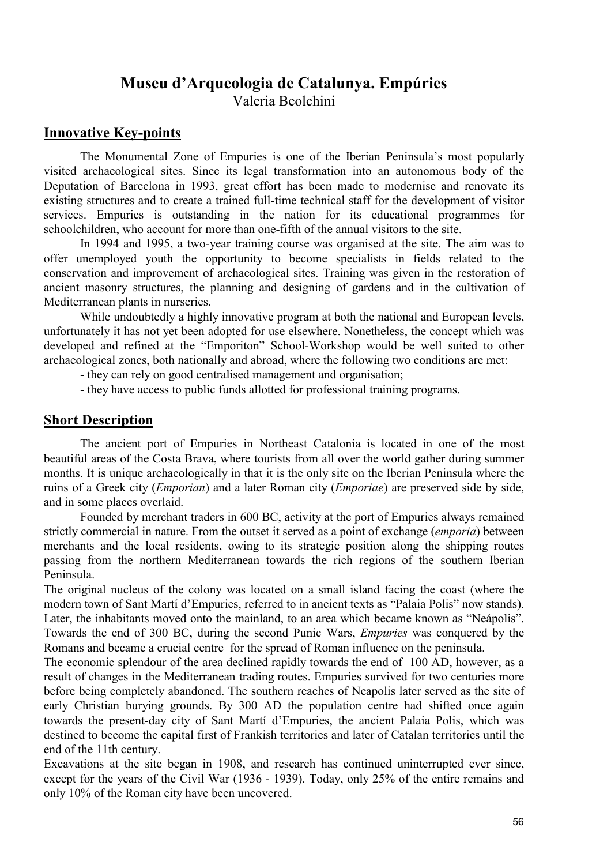# **Museu d'Arqueologia de Catalunya. Empúries**

Valeria Beolchini

### **Innovative Key-points**

 The Monumental Zone of Empuries is one of the Iberian Peninsula's most popularly visited archaeological sites. Since its legal transformation into an autonomous body of the Deputation of Barcelona in 1993, great effort has been made to modernise and renovate its existing structures and to create a trained full-time technical staff for the development of visitor services. Empuries is outstanding in the nation for its educational programmes for schoolchildren, who account for more than one-fifth of the annual visitors to the site.

 In 1994 and 1995, a two-year training course was organised at the site. The aim was to offer unemployed youth the opportunity to become specialists in fields related to the conservation and improvement of archaeological sites. Training was given in the restoration of ancient masonry structures, the planning and designing of gardens and in the cultivation of Mediterranean plants in nurseries.

 While undoubtedly a highly innovative program at both the national and European levels, unfortunately it has not yet been adopted for use elsewhere. Nonetheless, the concept which was developed and refined at the "Emporiton" School-Workshop would be well suited to other archaeological zones, both nationally and abroad, where the following two conditions are met:

- they can rely on good centralised management and organisation;

- they have access to public funds allotted for professional training programs.

#### **Short Description**

 The ancient port of Empuries in Northeast Catalonia is located in one of the most beautiful areas of the Costa Brava, where tourists from all over the world gather during summer months. It is unique archaeologically in that it is the only site on the Iberian Peninsula where the ruins of a Greek city (*Emporian*) and a later Roman city (*Emporiae*) are preserved side by side, and in some places overlaid.

 Founded by merchant traders in 600 BC, activity at the port of Empuries always remained strictly commercial in nature. From the outset it served as a point of exchange (*emporia*) between merchants and the local residents, owing to its strategic position along the shipping routes passing from the northern Mediterranean towards the rich regions of the southern Iberian Peninsula.

The original nucleus of the colony was located on a small island facing the coast (where the modern town of Sant Martí d'Empuries, referred to in ancient texts as "Palaia Polis" now stands). Later, the inhabitants moved onto the mainland, to an area which became known as "Neápolis". Towards the end of 300 BC, during the second Punic Wars, *Empuries* was conquered by the Romans and became a crucial centre for the spread of Roman influence on the peninsula.

The economic splendour of the area declined rapidly towards the end of 100 AD, however, as a result of changes in the Mediterranean trading routes. Empuries survived for two centuries more before being completely abandoned. The southern reaches of Neapolis later served as the site of early Christian burying grounds. By 300 AD the population centre had shifted once again towards the present-day city of Sant Martí d'Empuries, the ancient Palaia Polis, which was destined to become the capital first of Frankish territories and later of Catalan territories until the end of the 11th century.

Excavations at the site began in 1908, and research has continued uninterrupted ever since, except for the years of the Civil War (1936 - 1939). Today, only 25% of the entire remains and only 10% of the Roman city have been uncovered.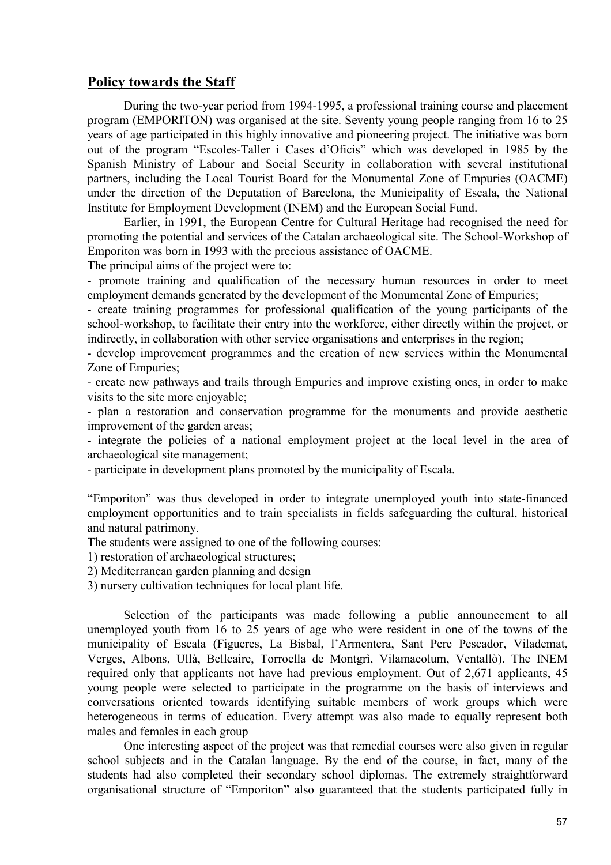#### **Policy towards the Staff**

 During the two-year period from 1994-1995, a professional training course and placement program (EMPORITON) was organised at the site. Seventy young people ranging from 16 to 25 years of age participated in this highly innovative and pioneering project. The initiative was born out of the program "Escoles-Taller i Cases d'Oficis" which was developed in 1985 by the Spanish Ministry of Labour and Social Security in collaboration with several institutional partners, including the Local Tourist Board for the Monumental Zone of Empuries (OACME) under the direction of the Deputation of Barcelona, the Municipality of Escala, the National Institute for Employment Development (INEM) and the European Social Fund.

 Earlier, in 1991, the European Centre for Cultural Heritage had recognised the need for promoting the potential and services of the Catalan archaeological site. The School-Workshop of Emporiton was born in 1993 with the precious assistance of OACME.

The principal aims of the project were to:

- promote training and qualification of the necessary human resources in order to meet employment demands generated by the development of the Monumental Zone of Empuries;

- create training programmes for professional qualification of the young participants of the school-workshop, to facilitate their entry into the workforce, either directly within the project, or indirectly, in collaboration with other service organisations and enterprises in the region;

- develop improvement programmes and the creation of new services within the Monumental Zone of Empuries;

- create new pathways and trails through Empuries and improve existing ones, in order to make visits to the site more enjoyable;

- plan a restoration and conservation programme for the monuments and provide aesthetic improvement of the garden areas;

- integrate the policies of a national employment project at the local level in the area of archaeological site management;

- participate in development plans promoted by the municipality of Escala.

"Emporiton" was thus developed in order to integrate unemployed youth into state-financed employment opportunities and to train specialists in fields safeguarding the cultural, historical and natural patrimony.

The students were assigned to one of the following courses:

1) restoration of archaeological structures;

2) Mediterranean garden planning and design

3) nursery cultivation techniques for local plant life.

 Selection of the participants was made following a public announcement to all unemployed youth from 16 to 25 years of age who were resident in one of the towns of the municipality of Escala (Figueres, La Bisbal, l'Armentera, Sant Pere Pescador, Vilademat, Verges, Albons, Ullà, Bellcaire, Torroella de Montgrì, Vilamacolum, Ventallò). The INEM required only that applicants not have had previous employment. Out of 2,671 applicants, 45 young people were selected to participate in the programme on the basis of interviews and conversations oriented towards identifying suitable members of work groups which were heterogeneous in terms of education. Every attempt was also made to equally represent both males and females in each group

 One interesting aspect of the project was that remedial courses were also given in regular school subjects and in the Catalan language. By the end of the course, in fact, many of the students had also completed their secondary school diplomas. The extremely straightforward organisational structure of "Emporiton" also guaranteed that the students participated fully in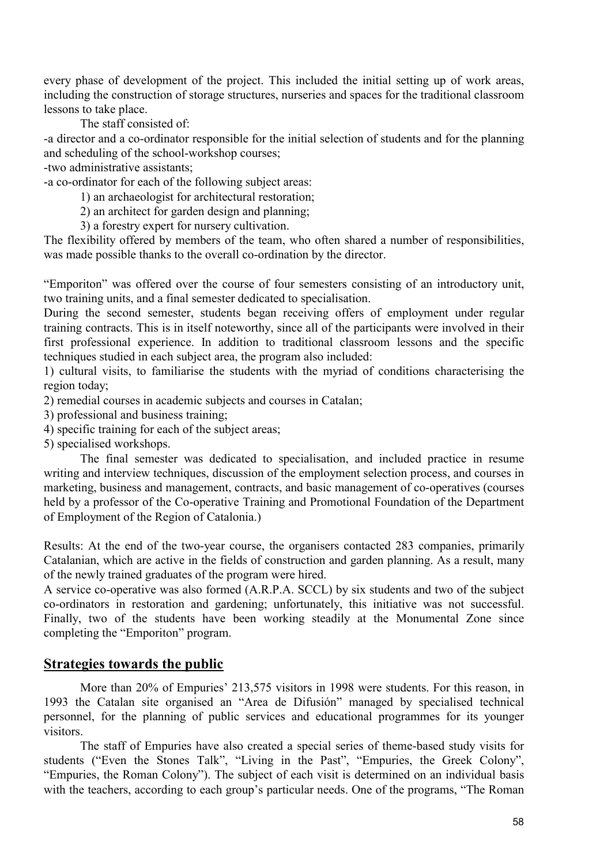every phase of development of the project. This included the initial setting up of work areas, including the construction of storage structures, nurseries and spaces for the traditional classroom lessons to take place.

The staff consisted of:

-a director and a co-ordinator responsible for the initial selection of students and for the planning and scheduling of the school-workshop courses;

-two administrative assistants;

-a co-ordinator for each of the following subject areas:

1) an archaeologist for architectural restoration;

2) an architect for garden design and planning;

3) a forestry expert for nursery cultivation.

The flexibility offered by members of the team, who often shared a number of responsibilities, was made possible thanks to the overall co-ordination by the director.

"Emporiton" was offered over the course of four semesters consisting of an introductory unit, two training units, and a final semester dedicated to specialisation.

During the second semester, students began receiving offers of employment under regular training contracts. This is in itself noteworthy, since all of the participants were involved in their first professional experience. In addition to traditional classroom lessons and the specific techniques studied in each subject area, the program also included:

1) cultural visits, to familiarise the students with the myriad of conditions characterising the region today;

2) remedial courses in academic subjects and courses in Catalan;

3) professional and business training;

4) specific training for each of the subject areas;

5) specialised workshops.

 The final semester was dedicated to specialisation, and included practice in resume writing and interview techniques, discussion of the employment selection process, and courses in marketing, business and management, contracts, and basic management of co-operatives (courses held by a professor of the Co-operative Training and Promotional Foundation of the Department of Employment of the Region of Catalonia.)

Results: At the end of the two-year course, the organisers contacted 283 companies, primarily Catalanian, which are active in the fields of construction and garden planning. As a result, many of the newly trained graduates of the program were hired.

A service co-operative was also formed (A.R.P.A. SCCL) by six students and two of the subject co-ordinators in restoration and gardening; unfortunately, this initiative was not successful. Finally, two of the students have been working steadily at the Monumental Zone since completing the "Emporiton" program.

#### **Strategies towards the public**

 More than 20% of Empuries' 213,575 visitors in 1998 were students. For this reason, in 1993 the Catalan site organised an "Area de Difusión" managed by specialised technical personnel, for the planning of public services and educational programmes for its younger visitors.

 The staff of Empuries have also created a special series of theme-based study visits for students ("Even the Stones Talk", "Living in the Past", "Empuries, the Greek Colony", "Empuries, the Roman Colony"). The subject of each visit is determined on an individual basis with the teachers, according to each group's particular needs. One of the programs, "The Roman"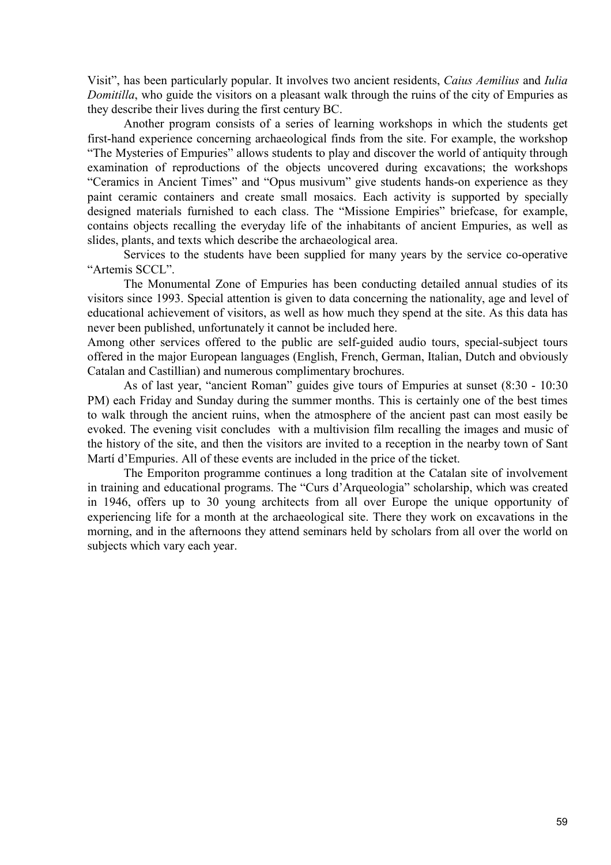Visit", has been particularly popular. It involves two ancient residents, *Caius Aemilius* and *Iulia Domitilla*, who guide the visitors on a pleasant walk through the ruins of the city of Empuries as they describe their lives during the first century BC.

 Another program consists of a series of learning workshops in which the students get first-hand experience concerning archaeological finds from the site. For example, the workshop "The Mysteries of Empuries" allows students to play and discover the world of antiquity through examination of reproductions of the objects uncovered during excavations; the workshops "Ceramics in Ancient Times" and "Opus musivum" give students hands-on experience as they paint ceramic containers and create small mosaics. Each activity is supported by specially designed materials furnished to each class. The "Missione Empiries" briefcase, for example, contains objects recalling the everyday life of the inhabitants of ancient Empuries, as well as slides, plants, and texts which describe the archaeological area.

 Services to the students have been supplied for many years by the service co-operative "Artemis SCCL".

 The Monumental Zone of Empuries has been conducting detailed annual studies of its visitors since 1993. Special attention is given to data concerning the nationality, age and level of educational achievement of visitors, as well as how much they spend at the site. As this data has never been published, unfortunately it cannot be included here.

Among other services offered to the public are self-guided audio tours, special-subject tours offered in the major European languages (English, French, German, Italian, Dutch and obviously Catalan and Castillian) and numerous complimentary brochures.

 As of last year, "ancient Roman" guides give tours of Empuries at sunset (8:30 - 10:30 PM) each Friday and Sunday during the summer months. This is certainly one of the best times to walk through the ancient ruins, when the atmosphere of the ancient past can most easily be evoked. The evening visit concludes with a multivision film recalling the images and music of the history of the site, and then the visitors are invited to a reception in the nearby town of Sant Martí d'Empuries. All of these events are included in the price of the ticket.

 The Emporiton programme continues a long tradition at the Catalan site of involvement in training and educational programs. The "Curs d'Arqueologia" scholarship, which was created in 1946, offers up to 30 young architects from all over Europe the unique opportunity of experiencing life for a month at the archaeological site. There they work on excavations in the morning, and in the afternoons they attend seminars held by scholars from all over the world on subjects which vary each year.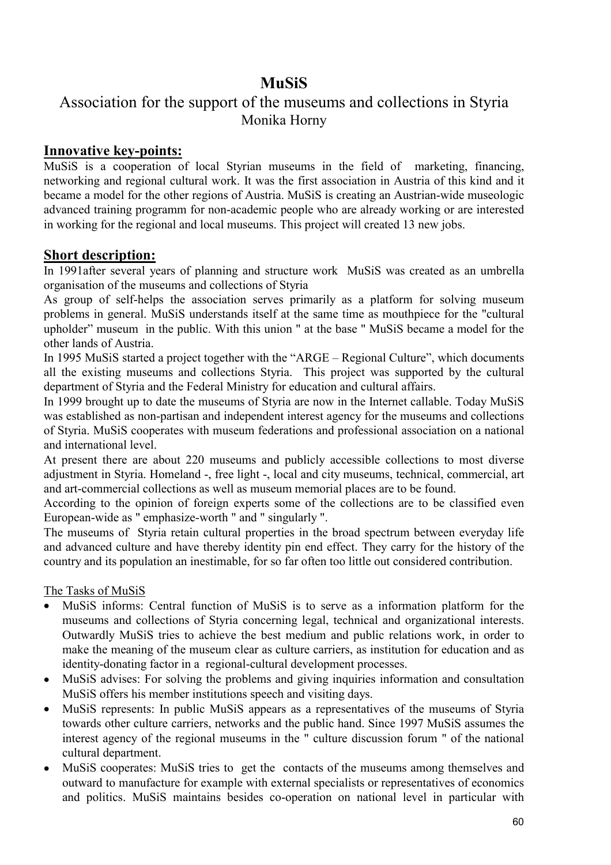# **MuSiS**

# Association for the support of the museums and collections in Styria Monika Horny

# **Innovative key-points:**

MuSiS is a cooperation of local Styrian museums in the field of marketing, financing, networking and regional cultural work. It was the first association in Austria of this kind and it became a model for the other regions of Austria. MuSiS is creating an Austrian-wide museologic advanced training programm for non-academic people who are already working or are interested in working for the regional and local museums. This project will created 13 new jobs.

# **Short description:**

In 1991after several years of planning and structure work MuSiS was created as an umbrella organisation of the museums and collections of Styria

As group of self-helps the association serves primarily as a platform for solving museum problems in general. MuSiS understands itself at the same time as mouthpiece for the "cultural upholder" museum in the public. With this union " at the base " MuSiS became a model for the other lands of Austria.

In 1995 MuSiS started a project together with the "ARGE – Regional Culture", which documents all the existing museums and collections Styria. This project was supported by the cultural department of Styria and the Federal Ministry for education and cultural affairs.

In 1999 brought up to date the museums of Styria are now in the Internet callable. Today MuSiS was established as non-partisan and independent interest agency for the museums and collections of Styria. MuSiS cooperates with museum federations and professional association on a national and international level.

At present there are about 220 museums and publicly accessible collections to most diverse adjustment in Styria. Homeland -, free light -, local and city museums, technical, commercial, art and art-commercial collections as well as museum memorial places are to be found.

According to the opinion of foreign experts some of the collections are to be classified even European-wide as " emphasize-worth " and " singularly ".

The museums of Styria retain cultural properties in the broad spectrum between everyday life and advanced culture and have thereby identity pin end effect. They carry for the history of the country and its population an inestimable, for so far often too little out considered contribution.

## The Tasks of MuSiS

- MuSiS informs: Central function of MuSiS is to serve as a information platform for the museums and collections of Styria concerning legal, technical and organizational interests. Outwardly MuSiS tries to achieve the best medium and public relations work, in order to make the meaning of the museum clear as culture carriers, as institution for education and as identity-donating factor in a regional-cultural development processes.
- MuSiS advises: For solving the problems and giving inquiries information and consultation MuSiS offers his member institutions speech and visiting days.
- MuSiS represents: In public MuSiS appears as a representatives of the museums of Styria towards other culture carriers, networks and the public hand. Since 1997 MuSiS assumes the interest agency of the regional museums in the " culture discussion forum " of the national cultural department.
- MuSiS cooperates: MuSiS tries to get the contacts of the museums among themselves and outward to manufacture for example with external specialists or representatives of economics and politics. MuSiS maintains besides co-operation on national level in particular with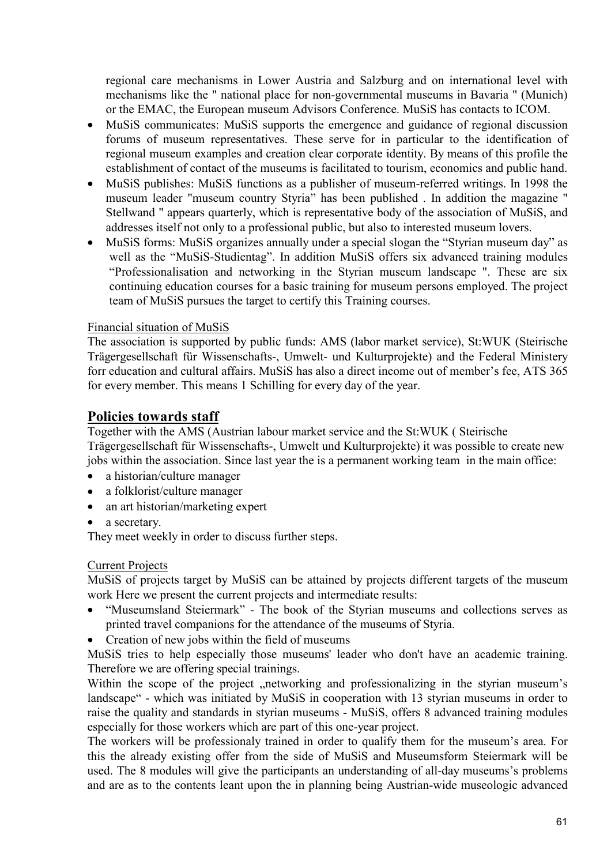regional care mechanisms in Lower Austria and Salzburg and on international level with mechanisms like the " national place for non-governmental museums in Bavaria " (Munich) or the EMAC, the European museum Advisors Conference. MuSiS has contacts to ICOM.

- MuSiS communicates: MuSiS supports the emergence and guidance of regional discussion forums of museum representatives. These serve for in particular to the identification of regional museum examples and creation clear corporate identity. By means of this profile the establishment of contact of the museums is facilitated to tourism, economics and public hand.
- MuSiS publishes: MuSiS functions as a publisher of museum-referred writings. In 1998 the museum leader "museum country Styria" has been published . In addition the magazine " Stellwand " appears quarterly, which is representative body of the association of MuSiS, and addresses itself not only to a professional public, but also to interested museum lovers.
- MuSiS forms: MuSiS organizes annually under a special slogan the "Styrian museum day" as well as the "MuSiS-Studientag". In addition MuSiS offers six advanced training modules "Professionalisation and networking in the Styrian museum landscape ". These are six continuing education courses for a basic training for museum persons employed. The project team of MuSiS pursues the target to certify this Training courses.

#### Financial situation of MuSiS

The association is supported by public funds: AMS (labor market service), St:WUK (Steirische Trägergesellschaft für Wissenschafts-, Umwelt- und Kulturprojekte) and the Federal Ministery forr education and cultural affairs. MuSiS has also a direct income out of member's fee, ATS 365 for every member. This means 1 Schilling for every day of the year.

# **Policies towards staff**

Together with the AMS (Austrian labour market service and the St:WUK ( Steirische Trägergesellschaft für Wissenschafts-, Umwelt und Kulturprojekte) it was possible to create new jobs within the association. Since last year the is a permanent working team in the main office:

- a historian/culture manager
- a folklorist/culture manager
- an art historian/marketing expert
- a secretary.

They meet weekly in order to discuss further steps.

#### Current Projects

MuSiS of projects target by MuSiS can be attained by projects different targets of the museum work Here we present the current projects and intermediate results:

- "Museumsland Steiermark" The book of the Styrian museums and collections serves as printed travel companions for the attendance of the museums of Styria.
- Creation of new jobs within the field of museums

MuSiS tries to help especially those museums' leader who don't have an academic training. Therefore we are offering special trainings.

Within the scope of the project , networking and professionalizing in the styrian museum's landscape" - which was initiated by MuSiS in cooperation with 13 styrian museums in order to raise the quality and standards in styrian museums - MuSiS, offers 8 advanced training modules especially for those workers which are part of this one-year project.

The workers will be professionaly trained in order to qualify them for the museum's area. For this the already existing offer from the side of MuSiS and Museumsform Steiermark will be used. The 8 modules will give the participants an understanding of all-day museums's problems and are as to the contents leant upon the in planning being Austrian-wide museologic advanced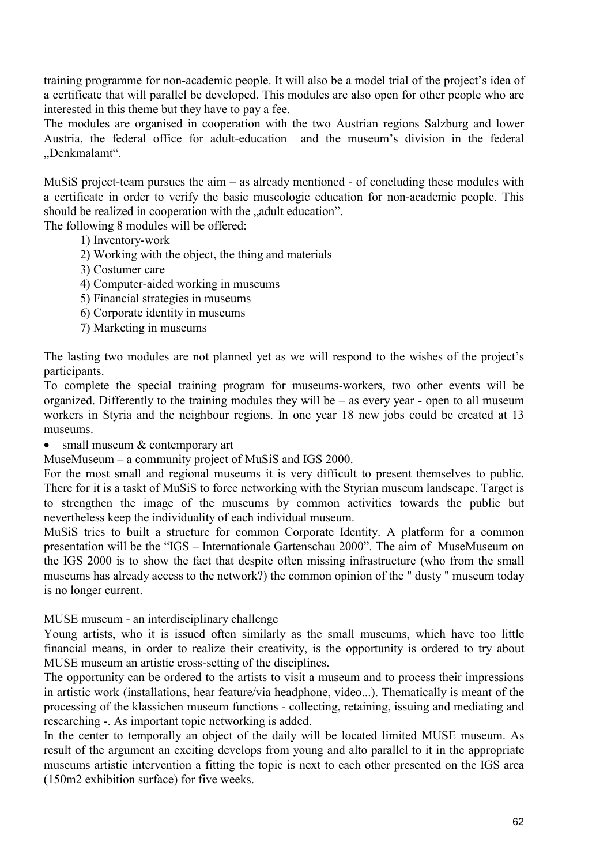training programme for non-academic people. It will also be a model trial of the project's idea of a certificate that will parallel be developed. This modules are also open for other people who are interested in this theme but they have to pay a fee.

The modules are organised in cooperation with the two Austrian regions Salzburg and lower Austria, the federal office for adult-education and the museum's division in the federal .Denkmalamt".

MuSiS project-team pursues the aim – as already mentioned - of concluding these modules with a certificate in order to verify the basic museologic education for non-academic people. This should be realized in cooperation with the "adult education".

The following 8 modules will be offered:

- 1) Inventory-work
- 2) Working with the object, the thing and materials
- 3) Costumer care
- 4) Computer-aided working in museums
- 5) Financial strategies in museums
- 6) Corporate identity in museums
- 7) Marketing in museums

The lasting two modules are not planned yet as we will respond to the wishes of the project's participants.

To complete the special training program for museums-workers, two other events will be organized. Differently to the training modules they will be – as every year - open to all museum workers in Styria and the neighbour regions. In one year 18 new jobs could be created at 13 museums.

• small museum & contemporary art

MuseMuseum – a community project of MuSiS and IGS 2000.

For the most small and regional museums it is very difficult to present themselves to public. There for it is a taskt of MuSiS to force networking with the Styrian museum landscape. Target is to strengthen the image of the museums by common activities towards the public but nevertheless keep the individuality of each individual museum.

MuSiS tries to built a structure for common Corporate Identity. A platform for a common presentation will be the "IGS – Internationale Gartenschau 2000". The aim of MuseMuseum on the IGS 2000 is to show the fact that despite often missing infrastructure (who from the small museums has already access to the network?) the common opinion of the " dusty " museum today is no longer current.

#### MUSE museum - an interdisciplinary challenge

Young artists, who it is issued often similarly as the small museums, which have too little financial means, in order to realize their creativity, is the opportunity is ordered to try about MUSE museum an artistic cross-setting of the disciplines.

The opportunity can be ordered to the artists to visit a museum and to process their impressions in artistic work (installations, hear feature/via headphone, video...). Thematically is meant of the processing of the klassichen museum functions - collecting, retaining, issuing and mediating and researching -. As important topic networking is added.

In the center to temporally an object of the daily will be located limited MUSE museum. As result of the argument an exciting develops from young and alto parallel to it in the appropriate museums artistic intervention a fitting the topic is next to each other presented on the IGS area (150m2 exhibition surface) for five weeks.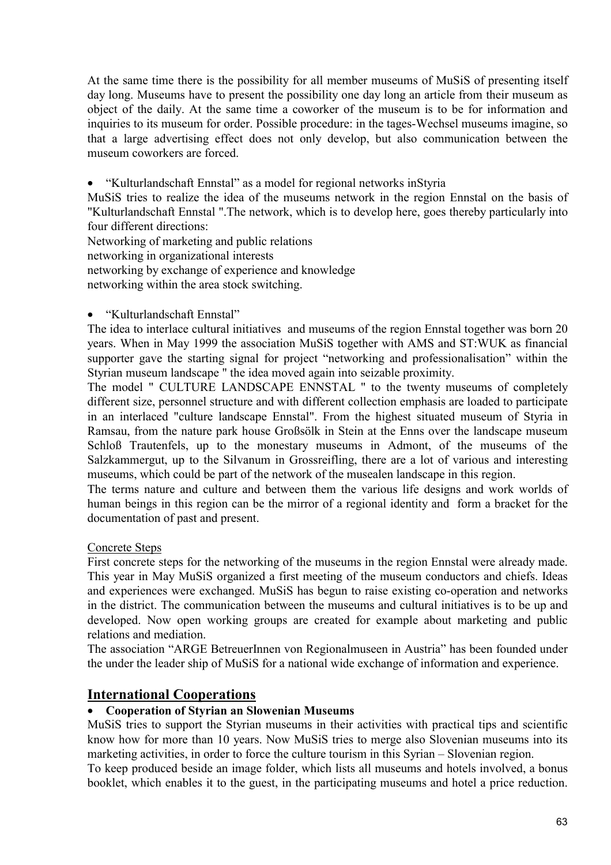At the same time there is the possibility for all member museums of MuSiS of presenting itself day long. Museums have to present the possibility one day long an article from their museum as object of the daily. At the same time a coworker of the museum is to be for information and inquiries to its museum for order. Possible procedure: in the tages-Wechsel museums imagine, so that a large advertising effect does not only develop, but also communication between the museum coworkers are forced.

• "Kulturlandschaft Ennstal" as a model for regional networks inStyria

MuSiS tries to realize the idea of the museums network in the region Ennstal on the basis of "Kulturlandschaft Ennstal ".The network, which is to develop here, goes thereby particularly into four different directions:

Networking of marketing and public relations networking in organizational interests networking by exchange of experience and knowledge networking within the area stock switching.

#### • "Kulturlandschaft Ennstal"

The idea to interlace cultural initiatives and museums of the region Ennstal together was born 20 years. When in May 1999 the association MuSiS together with AMS and ST:WUK as financial supporter gave the starting signal for project "networking and professionalisation" within the Styrian museum landscape " the idea moved again into seizable proximity.

The model " CULTURE LANDSCAPE ENNSTAL " to the twenty museums of completely different size, personnel structure and with different collection emphasis are loaded to participate in an interlaced "culture landscape Ennstal". From the highest situated museum of Styria in Ramsau, from the nature park house Großsölk in Stein at the Enns over the landscape museum Schloß Trautenfels, up to the monestary museums in Admont, of the museums of the Salzkammergut, up to the Silvanum in Grossreifling, there are a lot of various and interesting museums, which could be part of the network of the musealen landscape in this region.

The terms nature and culture and between them the various life designs and work worlds of human beings in this region can be the mirror of a regional identity and form a bracket for the documentation of past and present.

#### Concrete Steps

First concrete steps for the networking of the museums in the region Ennstal were already made. This year in May MuSiS organized a first meeting of the museum conductors and chiefs. Ideas and experiences were exchanged. MuSiS has begun to raise existing co-operation and networks in the district. The communication between the museums and cultural initiatives is to be up and developed. Now open working groups are created for example about marketing and public relations and mediation.

The association "ARGE BetreuerInnen von Regionalmuseen in Austria" has been founded under the under the leader ship of MuSiS for a national wide exchange of information and experience.

## **International Cooperations**

#### • **Cooperation of Styrian an Slowenian Museums**

MuSiS tries to support the Styrian museums in their activities with practical tips and scientific know how for more than 10 years. Now MuSiS tries to merge also Slovenian museums into its marketing activities, in order to force the culture tourism in this Syrian – Slovenian region.

To keep produced beside an image folder, which lists all museums and hotels involved, a bonus booklet, which enables it to the guest, in the participating museums and hotel a price reduction.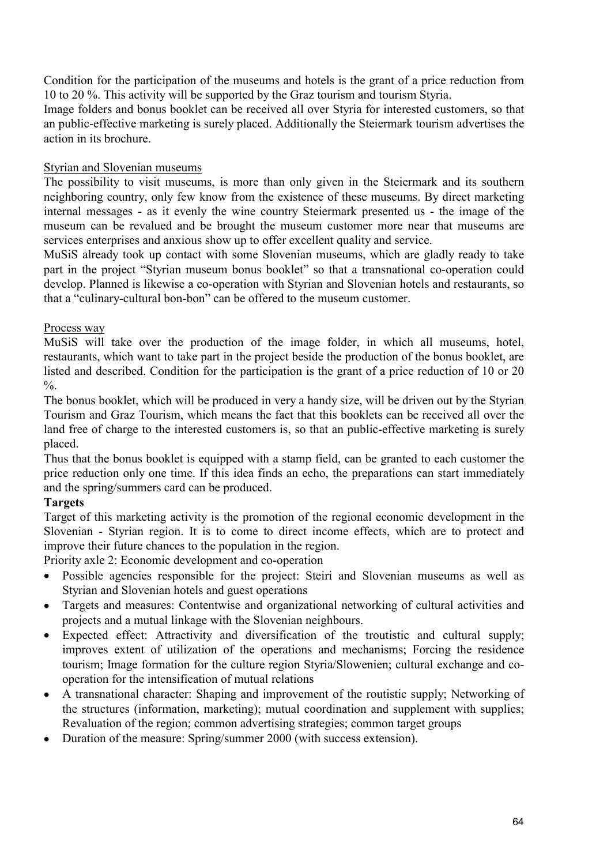Condition for the participation of the museums and hotels is the grant of a price reduction from 10 to 20 %. This activity will be supported by the Graz tourism and tourism Styria.

Image folders and bonus booklet can be received all over Styria for interested customers, so that an public-effective marketing is surely placed. Additionally the Steiermark tourism advertises the action in its brochure.

#### Styrian and Slovenian museums

The possibility to visit museums, is more than only given in the Steiermark and its southern neighboring country, only few know from the existence of these museums. By direct marketing internal messages - as it evenly the wine country Steiermark presented us - the image of the museum can be revalued and be brought the museum customer more near that museums are services enterprises and anxious show up to offer excellent quality and service.

MuSiS already took up contact with some Slovenian museums, which are gladly ready to take part in the project "Styrian museum bonus booklet" so that a transnational co-operation could develop. Planned is likewise a co-operation with Styrian and Slovenian hotels and restaurants, so that a "culinary-cultural bon-bon" can be offered to the museum customer.

## Process way

MuSiS will take over the production of the image folder, in which all museums, hotel, restaurants, which want to take part in the project beside the production of the bonus booklet, are listed and described. Condition for the participation is the grant of a price reduction of 10 or 20  $\frac{0}{0}$ .

The bonus booklet, which will be produced in very a handy size, will be driven out by the Styrian Tourism and Graz Tourism, which means the fact that this booklets can be received all over the land free of charge to the interested customers is, so that an public-effective marketing is surely placed.

Thus that the bonus booklet is equipped with a stamp field, can be granted to each customer the price reduction only one time. If this idea finds an echo, the preparations can start immediately and the spring/summers card can be produced.

## **Targets**

Target of this marketing activity is the promotion of the regional economic development in the Slovenian - Styrian region. It is to come to direct income effects, which are to protect and improve their future chances to the population in the region.

Priority axle 2: Economic development and co-operation

- Possible agencies responsible for the project: Steiri and Slovenian museums as well as Styrian and Slovenian hotels and guest operations
- Targets and measures: Contentwise and organizational networking of cultural activities and projects and a mutual linkage with the Slovenian neighbours.
- Expected effect: Attractivity and diversification of the troutistic and cultural supply; improves extent of utilization of the operations and mechanisms; Forcing the residence tourism; Image formation for the culture region Styria/Slowenien; cultural exchange and cooperation for the intensification of mutual relations
- A transnational character: Shaping and improvement of the routistic supply; Networking of the structures (information, marketing); mutual coordination and supplement with supplies; Revaluation of the region; common advertising strategies; common target groups
- Duration of the measure: Spring/summer 2000 (with success extension).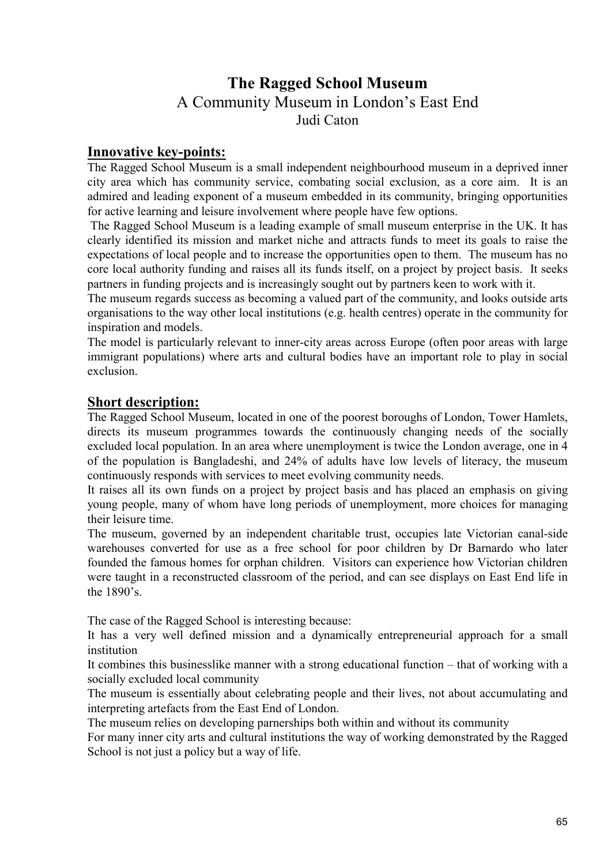# **The Ragged School Museum**  A Community Museum in London's East End

Judi Caton

# **Innovative key-points:**

The Ragged School Museum is a small independent neighbourhood museum in a deprived inner city area which has community service, combating social exclusion, as a core aim. It is an admired and leading exponent of a museum embedded in its community, bringing opportunities for active learning and leisure involvement where people have few options.

 The Ragged School Museum is a leading example of small museum enterprise in the UK. It has clearly identified its mission and market niche and attracts funds to meet its goals to raise the expectations of local people and to increase the opportunities open to them. The museum has no core local authority funding and raises all its funds itself, on a project by project basis. It seeks partners in funding projects and is increasingly sought out by partners keen to work with it.

The museum regards success as becoming a valued part of the community, and looks outside arts organisations to the way other local institutions (e.g. health centres) operate in the community for inspiration and models.

The model is particularly relevant to inner-city areas across Europe (often poor areas with large immigrant populations) where arts and cultural bodies have an important role to play in social exclusion.

# **Short description:**

The Ragged School Museum, located in one of the poorest boroughs of London, Tower Hamlets, directs its museum programmes towards the continuously changing needs of the socially excluded local population. In an area where unemployment is twice the London average, one in 4 of the population is Bangladeshi, and 24% of adults have low levels of literacy, the museum continuously responds with services to meet evolving community needs.

It raises all its own funds on a project by project basis and has placed an emphasis on giving young people, many of whom have long periods of unemployment, more choices for managing their leisure time.

The museum, governed by an independent charitable trust, occupies late Victorian canal-side warehouses converted for use as a free school for poor children by Dr Barnardo who later founded the famous homes for orphan children. Visitors can experience how Victorian children were taught in a reconstructed classroom of the period, and can see displays on East End life in the 1890's.

The case of the Ragged School is interesting because:

It has a very well defined mission and a dynamically entrepreneurial approach for a small institution

It combines this businesslike manner with a strong educational function – that of working with a socially excluded local community

The museum is essentially about celebrating people and their lives, not about accumulating and interpreting artefacts from the East End of London.

The museum relies on developing parnerships both within and without its community

For many inner city arts and cultural institutions the way of working demonstrated by the Ragged School is not just a policy but a way of life.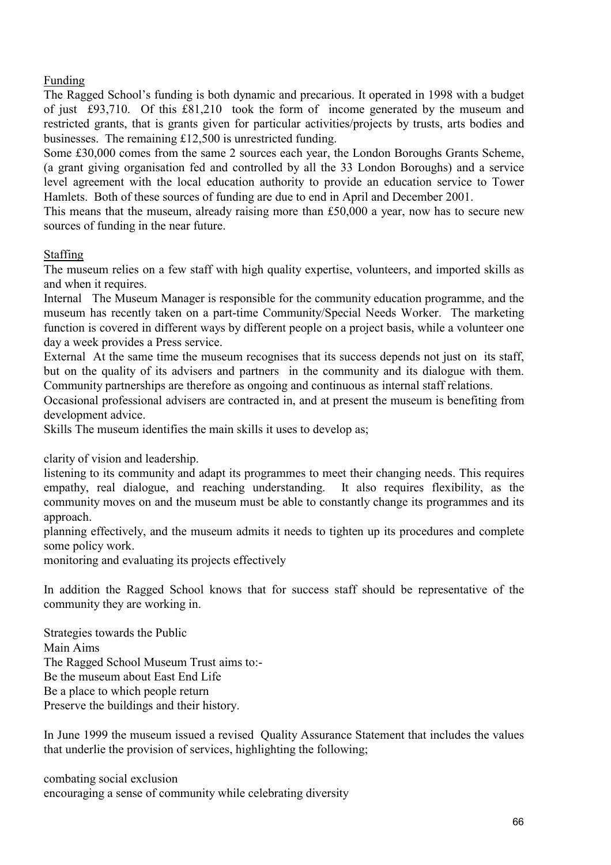### Funding

The Ragged School's funding is both dynamic and precarious. It operated in 1998 with a budget of just £93,710. Of this £81,210 took the form of income generated by the museum and restricted grants, that is grants given for particular activities/projects by trusts, arts bodies and businesses. The remaining £12,500 is unrestricted funding.

Some £30,000 comes from the same 2 sources each year, the London Boroughs Grants Scheme, (a grant giving organisation fed and controlled by all the 33 London Boroughs) and a service level agreement with the local education authority to provide an education service to Tower Hamlets. Both of these sources of funding are due to end in April and December 2001.

This means that the museum, already raising more than £50,000 a year, now has to secure new sources of funding in the near future.

### Staffing

The museum relies on a few staff with high quality expertise, volunteers, and imported skills as and when it requires.

Internal The Museum Manager is responsible for the community education programme, and the museum has recently taken on a part-time Community/Special Needs Worker. The marketing function is covered in different ways by different people on a project basis, while a volunteer one day a week provides a Press service.

External At the same time the museum recognises that its success depends not just on its staff, but on the quality of its advisers and partners in the community and its dialogue with them. Community partnerships are therefore as ongoing and continuous as internal staff relations.

Occasional professional advisers are contracted in, and at present the museum is benefiting from development advice.

Skills The museum identifies the main skills it uses to develop as;

clarity of vision and leadership.

listening to its community and adapt its programmes to meet their changing needs. This requires empathy, real dialogue, and reaching understanding. It also requires flexibility, as the community moves on and the museum must be able to constantly change its programmes and its approach.

planning effectively, and the museum admits it needs to tighten up its procedures and complete some policy work.

monitoring and evaluating its projects effectively

In addition the Ragged School knows that for success staff should be representative of the community they are working in.

Strategies towards the Public Main Aims The Ragged School Museum Trust aims to:- Be the museum about East End Life Be a place to which people return Preserve the buildings and their history.

In June 1999 the museum issued a revised Quality Assurance Statement that includes the values that underlie the provision of services, highlighting the following;

combating social exclusion encouraging a sense of community while celebrating diversity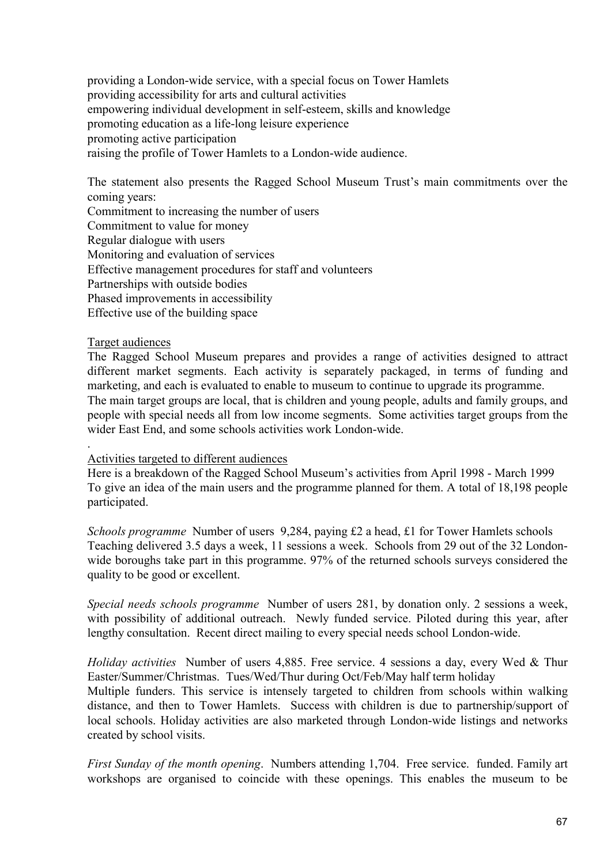providing a London-wide service, with a special focus on Tower Hamlets providing accessibility for arts and cultural activities empowering individual development in self-esteem, skills and knowledge promoting education as a life-long leisure experience promoting active participation raising the profile of Tower Hamlets to a London-wide audience.

The statement also presents the Ragged School Museum Trust's main commitments over the coming years:

Commitment to increasing the number of users Commitment to value for money Regular dialogue with users Monitoring and evaluation of services Effective management procedures for staff and volunteers Partnerships with outside bodies Phased improvements in accessibility Effective use of the building space

#### Target audiences

.

The Ragged School Museum prepares and provides a range of activities designed to attract different market segments. Each activity is separately packaged, in terms of funding and marketing, and each is evaluated to enable to museum to continue to upgrade its programme. The main target groups are local, that is children and young people, adults and family groups, and people with special needs all from low income segments. Some activities target groups from the wider East End, and some schools activities work London-wide.

#### Activities targeted to different audiences

Here is a breakdown of the Ragged School Museum's activities from April 1998 - March 1999 To give an idea of the main users and the programme planned for them. A total of 18,198 people participated.

*Schools programme* Number of users 9,284, paying £2 a head, £1 for Tower Hamlets schools Teaching delivered 3.5 days a week, 11 sessions a week. Schools from 29 out of the 32 Londonwide boroughs take part in this programme. 97% of the returned schools surveys considered the quality to be good or excellent.

*Special needs schools programme* Number of users 281, by donation only. 2 sessions a week, with possibility of additional outreach. Newly funded service. Piloted during this year, after lengthy consultation. Recent direct mailing to every special needs school London-wide.

*Holiday activities* Number of users 4,885. Free service. 4 sessions a day, every Wed & Thur Easter/Summer/Christmas. Tues/Wed/Thur during Oct/Feb/May half term holiday Multiple funders. This service is intensely targeted to children from schools within walking distance, and then to Tower Hamlets. Success with children is due to partnership/support of local schools. Holiday activities are also marketed through London-wide listings and networks created by school visits.

*First Sunday of the month opening*. Numbers attending 1,704. Free service. funded. Family art workshops are organised to coincide with these openings. This enables the museum to be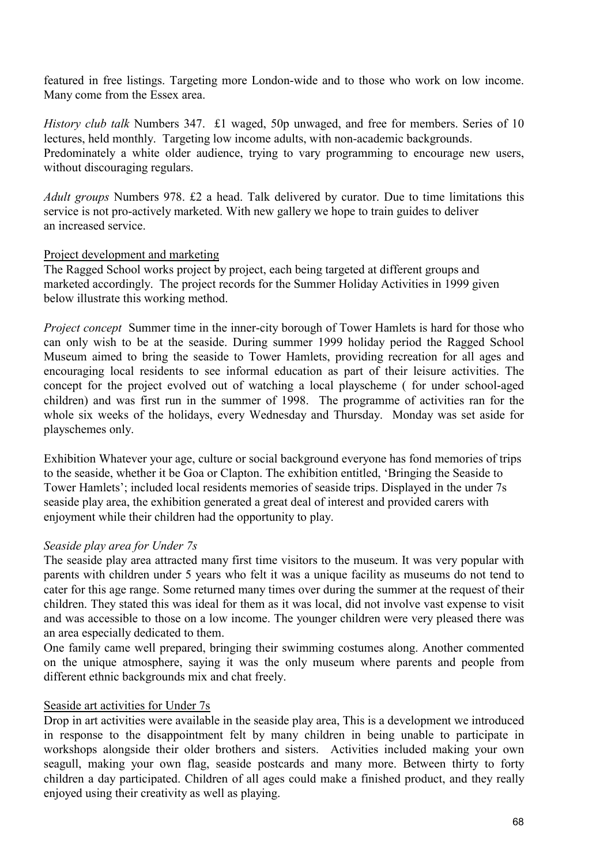featured in free listings. Targeting more London-wide and to those who work on low income. Many come from the Essex area.

*History club talk* Numbers 347. £1 waged, 50p unwaged, and free for members. Series of 10 lectures, held monthly. Targeting low income adults, with non-academic backgrounds. Predominately a white older audience, trying to vary programming to encourage new users, without discouraging regulars.

*Adult groups* Numbers 978. £2 a head. Talk delivered by curator. Due to time limitations this service is not pro-actively marketed. With new gallery we hope to train guides to deliver an increased service.

#### Project development and marketing

The Ragged School works project by project, each being targeted at different groups and marketed accordingly. The project records for the Summer Holiday Activities in 1999 given below illustrate this working method.

*Project concept* Summer time in the inner-city borough of Tower Hamlets is hard for those who can only wish to be at the seaside. During summer 1999 holiday period the Ragged School Museum aimed to bring the seaside to Tower Hamlets, providing recreation for all ages and encouraging local residents to see informal education as part of their leisure activities. The concept for the project evolved out of watching a local playscheme ( for under school-aged children) and was first run in the summer of 1998. The programme of activities ran for the whole six weeks of the holidays, every Wednesday and Thursday. Monday was set aside for playschemes only.

Exhibition Whatever your age, culture or social background everyone has fond memories of trips to the seaside, whether it be Goa or Clapton. The exhibition entitled, 'Bringing the Seaside to Tower Hamlets'; included local residents memories of seaside trips. Displayed in the under 7s seaside play area, the exhibition generated a great deal of interest and provided carers with enjoyment while their children had the opportunity to play.

#### *Seaside play area for Under 7s*

The seaside play area attracted many first time visitors to the museum. It was very popular with parents with children under 5 years who felt it was a unique facility as museums do not tend to cater for this age range. Some returned many times over during the summer at the request of their children. They stated this was ideal for them as it was local, did not involve vast expense to visit and was accessible to those on a low income. The younger children were very pleased there was an area especially dedicated to them.

One family came well prepared, bringing their swimming costumes along. Another commented on the unique atmosphere, saying it was the only museum where parents and people from different ethnic backgrounds mix and chat freely.

#### Seaside art activities for Under 7s

Drop in art activities were available in the seaside play area, This is a development we introduced in response to the disappointment felt by many children in being unable to participate in workshops alongside their older brothers and sisters. Activities included making your own seagull, making your own flag, seaside postcards and many more. Between thirty to forty children a day participated. Children of all ages could make a finished product, and they really enjoyed using their creativity as well as playing.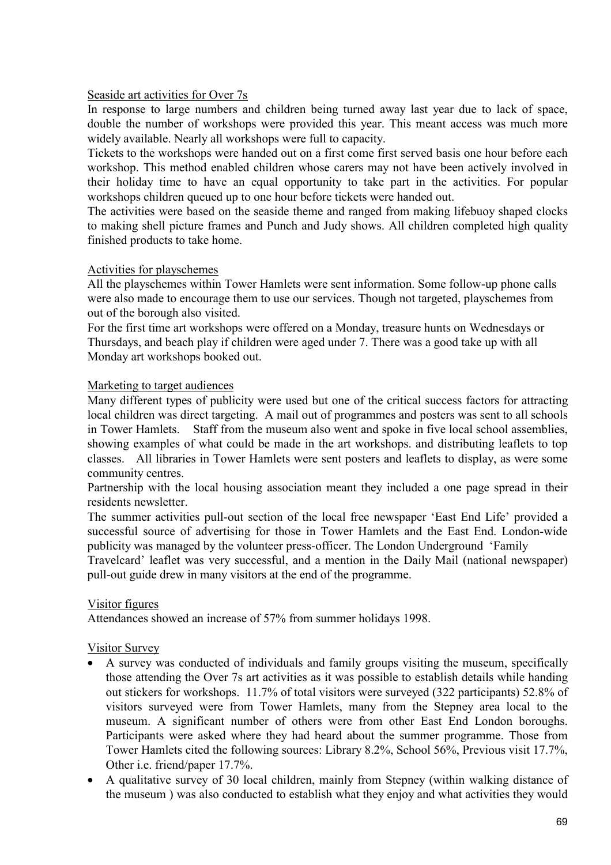#### Seaside art activities for Over 7s

In response to large numbers and children being turned away last year due to lack of space, double the number of workshops were provided this year. This meant access was much more widely available. Nearly all workshops were full to capacity.

Tickets to the workshops were handed out on a first come first served basis one hour before each workshop. This method enabled children whose carers may not have been actively involved in their holiday time to have an equal opportunity to take part in the activities. For popular workshops children queued up to one hour before tickets were handed out.

The activities were based on the seaside theme and ranged from making lifebuoy shaped clocks to making shell picture frames and Punch and Judy shows. All children completed high quality finished products to take home.

#### Activities for playschemes

All the playschemes within Tower Hamlets were sent information. Some follow-up phone calls were also made to encourage them to use our services. Though not targeted, playschemes from out of the borough also visited.

For the first time art workshops were offered on a Monday, treasure hunts on Wednesdays or Thursdays, and beach play if children were aged under 7. There was a good take up with all Monday art workshops booked out.

#### Marketing to target audiences

Many different types of publicity were used but one of the critical success factors for attracting local children was direct targeting. A mail out of programmes and posters was sent to all schools in Tower Hamlets. Staff from the museum also went and spoke in five local school assemblies, showing examples of what could be made in the art workshops. and distributing leaflets to top classes. All libraries in Tower Hamlets were sent posters and leaflets to display, as were some community centres.

Partnership with the local housing association meant they included a one page spread in their residents newsletter.

The summer activities pull-out section of the local free newspaper 'East End Life' provided a successful source of advertising for those in Tower Hamlets and the East End. London-wide publicity was managed by the volunteer press-officer. The London Underground 'Family

Travelcard' leaflet was very successful, and a mention in the Daily Mail (national newspaper) pull-out guide drew in many visitors at the end of the programme.

#### Visitor figures

Attendances showed an increase of 57% from summer holidays 1998.

#### Visitor Survey

- A survey was conducted of individuals and family groups visiting the museum, specifically those attending the Over 7s art activities as it was possible to establish details while handing out stickers for workshops. 11.7% of total visitors were surveyed (322 participants) 52.8% of visitors surveyed were from Tower Hamlets, many from the Stepney area local to the museum. A significant number of others were from other East End London boroughs. Participants were asked where they had heard about the summer programme. Those from Tower Hamlets cited the following sources: Library 8.2%, School 56%, Previous visit 17.7%, Other i.e. friend/paper 17.7%.
- A qualitative survey of 30 local children, mainly from Stepney (within walking distance of the museum ) was also conducted to establish what they enjoy and what activities they would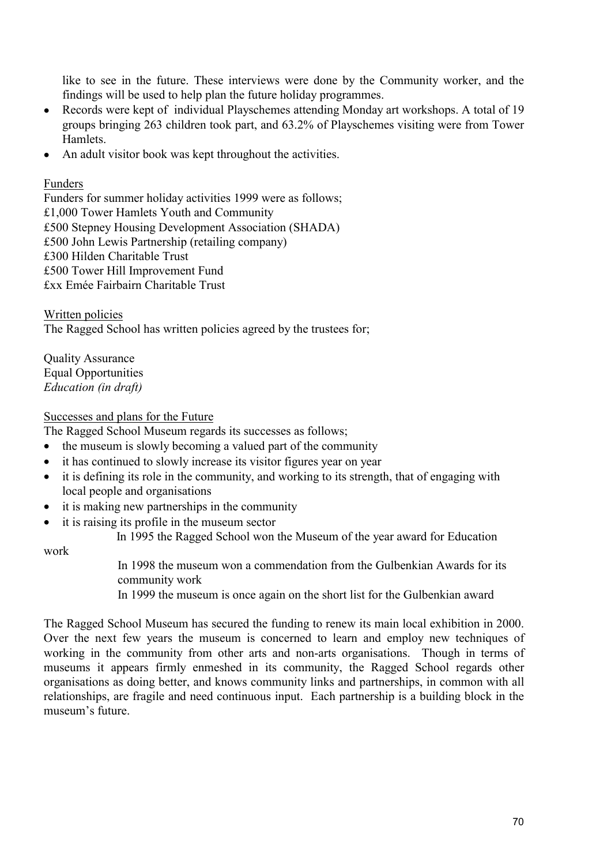like to see in the future. These interviews were done by the Community worker, and the findings will be used to help plan the future holiday programmes.

- Records were kept of individual Playschemes attending Monday art workshops. A total of 19 groups bringing 263 children took part, and 63.2% of Playschemes visiting were from Tower Hamlets.
- An adult visitor book was kept throughout the activities.

#### Funders

Funders for summer holiday activities 1999 were as follows; £1,000 Tower Hamlets Youth and Community £500 Stepney Housing Development Association (SHADA) £500 John Lewis Partnership (retailing company) £300 Hilden Charitable Trust £500 Tower Hill Improvement Fund £xx Emée Fairbairn Charitable Trust

Written policies The Ragged School has written policies agreed by the trustees for;

Quality Assurance Equal Opportunities *Education (in draft)* 

#### Successes and plans for the Future

The Ragged School Museum regards its successes as follows;

- the museum is slowly becoming a valued part of the community
- it has continued to slowly increase its visitor figures year on year
- it is defining its role in the community, and working to its strength, that of engaging with local people and organisations
- it is making new partnerships in the community
- it is raising its profile in the museum sector

In 1995 the Ragged School won the Museum of the year award for Education

work

In 1998 the museum won a commendation from the Gulbenkian Awards for its community work

In 1999 the museum is once again on the short list for the Gulbenkian award

The Ragged School Museum has secured the funding to renew its main local exhibition in 2000. Over the next few years the museum is concerned to learn and employ new techniques of working in the community from other arts and non-arts organisations. Though in terms of museums it appears firmly enmeshed in its community, the Ragged School regards other organisations as doing better, and knows community links and partnerships, in common with all relationships, are fragile and need continuous input. Each partnership is a building block in the museum's future.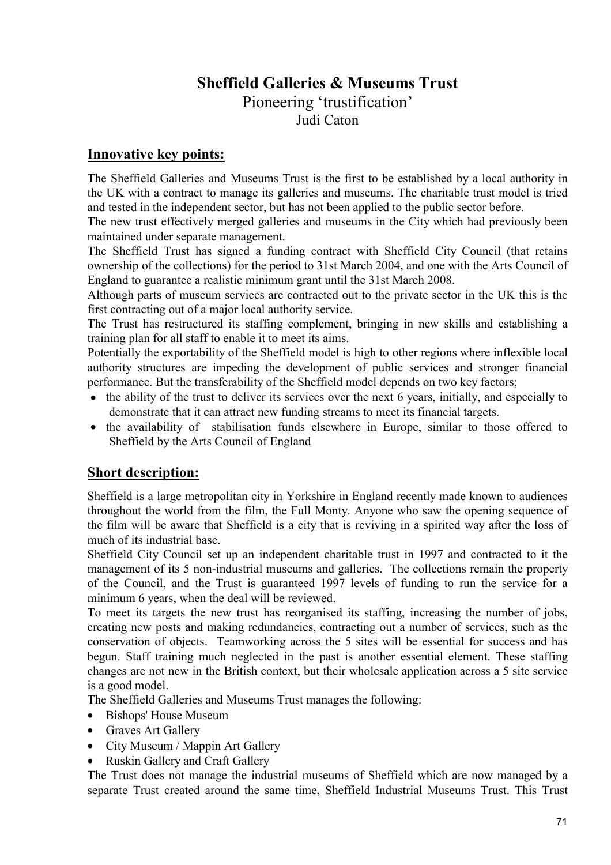# **Sheffield Galleries & Museums Trust**

Pioneering 'trustification'

Judi Caton

# **Innovative key points:**

The Sheffield Galleries and Museums Trust is the first to be established by a local authority in the UK with a contract to manage its galleries and museums. The charitable trust model is tried and tested in the independent sector, but has not been applied to the public sector before.

The new trust effectively merged galleries and museums in the City which had previously been maintained under separate management.

The Sheffield Trust has signed a funding contract with Sheffield City Council (that retains ownership of the collections) for the period to 31st March 2004, and one with the Arts Council of England to guarantee a realistic minimum grant until the 31st March 2008.

Although parts of museum services are contracted out to the private sector in the UK this is the first contracting out of a major local authority service.

The Trust has restructured its staffing complement, bringing in new skills and establishing a training plan for all staff to enable it to meet its aims.

Potentially the exportability of the Sheffield model is high to other regions where inflexible local authority structures are impeding the development of public services and stronger financial performance. But the transferability of the Sheffield model depends on two key factors;

- the ability of the trust to deliver its services over the next 6 years, initially, and especially to demonstrate that it can attract new funding streams to meet its financial targets.
- the availability of stabilisation funds elsewhere in Europe, similar to those offered to Sheffield by the Arts Council of England

# **Short description:**

Sheffield is a large metropolitan city in Yorkshire in England recently made known to audiences throughout the world from the film, the Full Monty. Anyone who saw the opening sequence of the film will be aware that Sheffield is a city that is reviving in a spirited way after the loss of much of its industrial base.

Sheffield City Council set up an independent charitable trust in 1997 and contracted to it the management of its 5 non-industrial museums and galleries. The collections remain the property of the Council, and the Trust is guaranteed 1997 levels of funding to run the service for a minimum 6 years, when the deal will be reviewed.

To meet its targets the new trust has reorganised its staffing, increasing the number of jobs, creating new posts and making redundancies, contracting out a number of services, such as the conservation of objects. Teamworking across the 5 sites will be essential for success and has begun. Staff training much neglected in the past is another essential element. These staffing changes are not new in the British context, but their wholesale application across a 5 site service is a good model.

The Sheffield Galleries and Museums Trust manages the following:

- Bishops' House Museum
- Graves Art Gallery
- City Museum / Mappin Art Gallery
- Ruskin Gallery and Craft Gallery

The Trust does not manage the industrial museums of Sheffield which are now managed by a separate Trust created around the same time, Sheffield Industrial Museums Trust. This Trust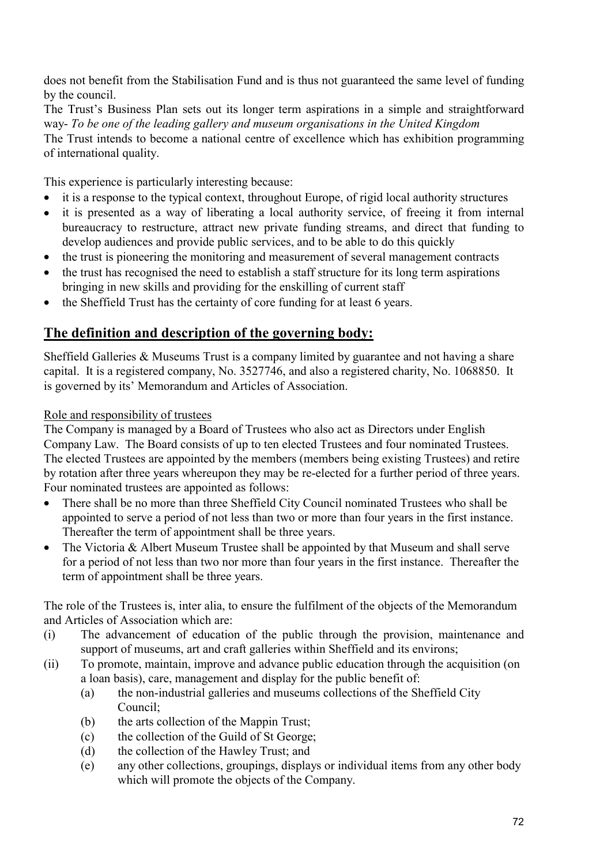does not benefit from the Stabilisation Fund and is thus not guaranteed the same level of funding by the council.

The Trust's Business Plan sets out its longer term aspirations in a simple and straightforward way- *To be one of the leading gallery and museum organisations in the United Kingdom*  The Trust intends to become a national centre of excellence which has exhibition programming of international quality.

This experience is particularly interesting because:

- it is a response to the typical context, throughout Europe, of rigid local authority structures
- it is presented as a way of liberating a local authority service, of freeing it from internal bureaucracy to restructure, attract new private funding streams, and direct that funding to develop audiences and provide public services, and to be able to do this quickly
- the trust is pioneering the monitoring and measurement of several management contracts
- the trust has recognised the need to establish a staff structure for its long term aspirations bringing in new skills and providing for the enskilling of current staff
- the Sheffield Trust has the certainty of core funding for at least 6 years.

# **The definition and description of the governing body:**

Sheffield Galleries & Museums Trust is a company limited by guarantee and not having a share capital. It is a registered company, No. 3527746, and also a registered charity, No. 1068850. It is governed by its' Memorandum and Articles of Association.

Role and responsibility of trustees

The Company is managed by a Board of Trustees who also act as Directors under English Company Law. The Board consists of up to ten elected Trustees and four nominated Trustees. The elected Trustees are appointed by the members (members being existing Trustees) and retire by rotation after three years whereupon they may be re-elected for a further period of three years. Four nominated trustees are appointed as follows:

- There shall be no more than three Sheffield City Council nominated Trustees who shall be appointed to serve a period of not less than two or more than four years in the first instance. Thereafter the term of appointment shall be three years.
- The Victoria & Albert Museum Trustee shall be appointed by that Museum and shall serve for a period of not less than two nor more than four years in the first instance. Thereafter the term of appointment shall be three years.

The role of the Trustees is, inter alia, to ensure the fulfilment of the objects of the Memorandum and Articles of Association which are:

- (i) The advancement of education of the public through the provision, maintenance and support of museums, art and craft galleries within Sheffield and its environs;
- (ii) To promote, maintain, improve and advance public education through the acquisition (on a loan basis), care, management and display for the public benefit of:
	- (a) the non-industrial galleries and museums collections of the Sheffield City Council;
	- (b) the arts collection of the Mappin Trust;
	- (c) the collection of the Guild of St George;
	- (d) the collection of the Hawley Trust; and
	- (e) any other collections, groupings, displays or individual items from any other body which will promote the objects of the Company.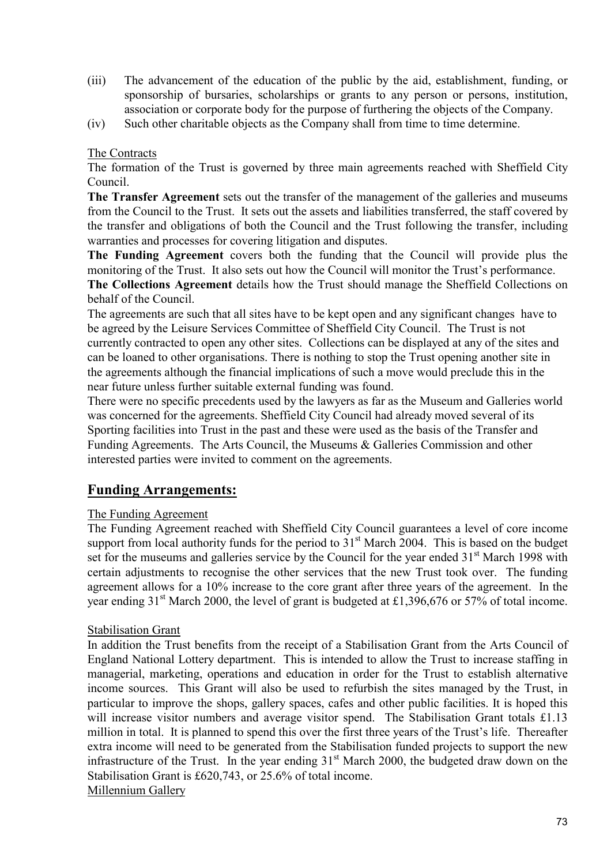- (iii) The advancement of the education of the public by the aid, establishment, funding, or sponsorship of bursaries, scholarships or grants to any person or persons, institution, association or corporate body for the purpose of furthering the objects of the Company.
- (iv) Such other charitable objects as the Company shall from time to time determine.

### The Contracts

The formation of the Trust is governed by three main agreements reached with Sheffield City Council.

**The Transfer Agreement** sets out the transfer of the management of the galleries and museums from the Council to the Trust. It sets out the assets and liabilities transferred, the staff covered by the transfer and obligations of both the Council and the Trust following the transfer, including warranties and processes for covering litigation and disputes.

**The Funding Agreement** covers both the funding that the Council will provide plus the monitoring of the Trust. It also sets out how the Council will monitor the Trust's performance.

**The Collections Agreement** details how the Trust should manage the Sheffield Collections on behalf of the Council.

The agreements are such that all sites have to be kept open and any significant changes have to be agreed by the Leisure Services Committee of Sheffield City Council. The Trust is not currently contracted to open any other sites. Collections can be displayed at any of the sites and can be loaned to other organisations. There is nothing to stop the Trust opening another site in the agreements although the financial implications of such a move would preclude this in the near future unless further suitable external funding was found.

There were no specific precedents used by the lawyers as far as the Museum and Galleries world was concerned for the agreements. Sheffield City Council had already moved several of its Sporting facilities into Trust in the past and these were used as the basis of the Transfer and Funding Agreements. The Arts Council, the Museums & Galleries Commission and other interested parties were invited to comment on the agreements.

## **Funding Arrangements:**

### The Funding Agreement

The Funding Agreement reached with Sheffield City Council guarantees a level of core income support from local authority funds for the period to  $31<sup>st</sup>$  March 2004. This is based on the budget set for the museums and galleries service by the Council for the year ended 31<sup>st</sup> March 1998 with certain adjustments to recognise the other services that the new Trust took over. The funding agreement allows for a 10% increase to the core grant after three years of the agreement. In the year ending  $31<sup>st</sup>$  March 2000, the level of grant is budgeted at £1,396,676 or 57% of total income.

### Stabilisation Grant

In addition the Trust benefits from the receipt of a Stabilisation Grant from the Arts Council of England National Lottery department. This is intended to allow the Trust to increase staffing in managerial, marketing, operations and education in order for the Trust to establish alternative income sources. This Grant will also be used to refurbish the sites managed by the Trust, in particular to improve the shops, gallery spaces, cafes and other public facilities. It is hoped this will increase visitor numbers and average visitor spend. The Stabilisation Grant totals £1.13 million in total. It is planned to spend this over the first three years of the Trust's life. Thereafter extra income will need to be generated from the Stabilisation funded projects to support the new infrastructure of the Trust. In the year ending  $31<sup>st</sup>$  March 2000, the budgeted draw down on the Stabilisation Grant is £620,743, or 25.6% of total income. Millennium Gallery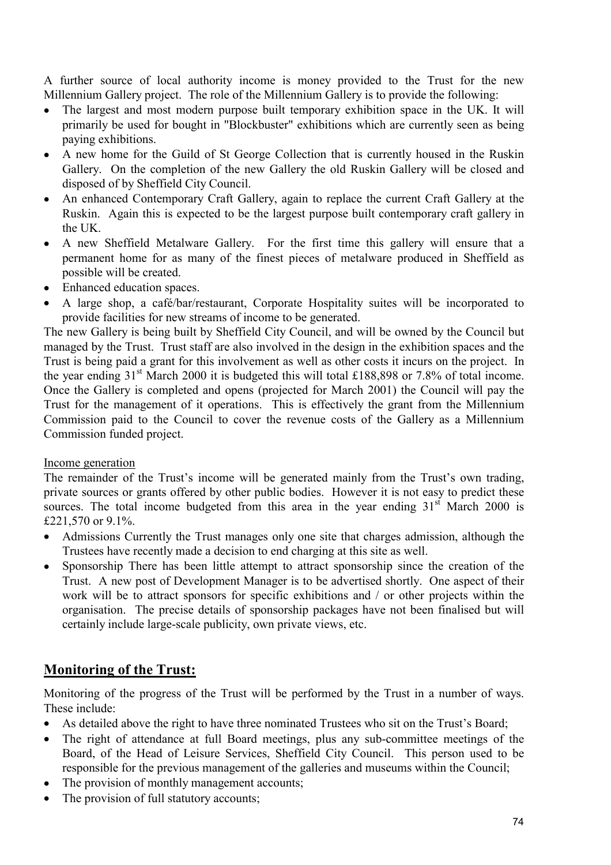A further source of local authority income is money provided to the Trust for the new Millennium Gallery project. The role of the Millennium Gallery is to provide the following:

- The largest and most modern purpose built temporary exhibition space in the UK. It will primarily be used for bought in "Blockbuster" exhibitions which are currently seen as being paying exhibitions.
- A new home for the Guild of St George Collection that is currently housed in the Ruskin Gallery. On the completion of the new Gallery the old Ruskin Gallery will be closed and disposed of by Sheffield City Council.
- An enhanced Contemporary Craft Gallery, again to replace the current Craft Gallery at the Ruskin. Again this is expected to be the largest purpose built contemporary craft gallery in the UK.
- A new Sheffield Metalware Gallery. For the first time this gallery will ensure that a permanent home for as many of the finest pieces of metalware produced in Sheffield as possible will be created.
- Enhanced education spaces.
- A large shop, a café/bar/restaurant, Corporate Hospitality suites will be incorporated to provide facilities for new streams of income to be generated.

The new Gallery is being built by Sheffield City Council, and will be owned by the Council but managed by the Trust. Trust staff are also involved in the design in the exhibition spaces and the Trust is being paid a grant for this involvement as well as other costs it incurs on the project. In the year ending  $31<sup>st</sup>$  March 2000 it is budgeted this will total £188,898 or 7.8% of total income. Once the Gallery is completed and opens (projected for March 2001) the Council will pay the Trust for the management of it operations. This is effectively the grant from the Millennium Commission paid to the Council to cover the revenue costs of the Gallery as a Millennium Commission funded project.

### Income generation

The remainder of the Trust's income will be generated mainly from the Trust's own trading, private sources or grants offered by other public bodies. However it is not easy to predict these sources. The total income budgeted from this area in the year ending  $31<sup>st</sup>$  March 2000 is £221,570 or 9.1%.

- Admissions Currently the Trust manages only one site that charges admission, although the Trustees have recently made a decision to end charging at this site as well.
- Sponsorship There has been little attempt to attract sponsorship since the creation of the Trust. A new post of Development Manager is to be advertised shortly. One aspect of their work will be to attract sponsors for specific exhibitions and / or other projects within the organisation. The precise details of sponsorship packages have not been finalised but will certainly include large-scale publicity, own private views, etc.

# **Monitoring of the Trust:**

Monitoring of the progress of the Trust will be performed by the Trust in a number of ways. These include:

- As detailed above the right to have three nominated Trustees who sit on the Trust's Board;
- The right of attendance at full Board meetings, plus any sub-committee meetings of the Board, of the Head of Leisure Services, Sheffield City Council. This person used to be responsible for the previous management of the galleries and museums within the Council;
- The provision of monthly management accounts;
- The provision of full statutory accounts;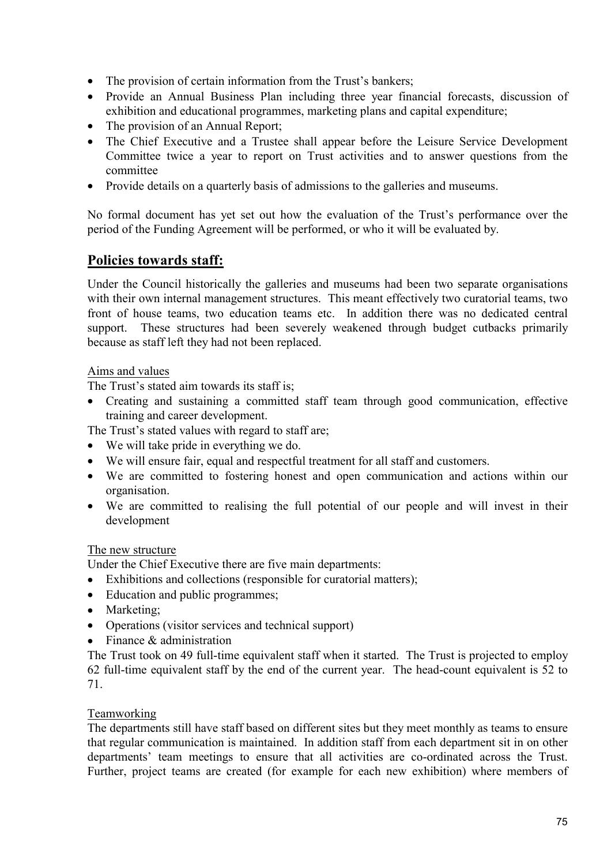- The provision of certain information from the Trust's bankers;
- Provide an Annual Business Plan including three year financial forecasts, discussion of exhibition and educational programmes, marketing plans and capital expenditure;
- The provision of an Annual Report;
- The Chief Executive and a Trustee shall appear before the Leisure Service Development Committee twice a year to report on Trust activities and to answer questions from the committee
- Provide details on a quarterly basis of admissions to the galleries and museums.

No formal document has yet set out how the evaluation of the Trust's performance over the period of the Funding Agreement will be performed, or who it will be evaluated by.

## **Policies towards staff:**

Under the Council historically the galleries and museums had been two separate organisations with their own internal management structures. This meant effectively two curatorial teams, two front of house teams, two education teams etc. In addition there was no dedicated central support. These structures had been severely weakened through budget cutbacks primarily because as staff left they had not been replaced.

### Aims and values

The Trust's stated aim towards its staff is;

- Creating and sustaining a committed staff team through good communication, effective training and career development.
- The Trust's stated values with regard to staff are;
- We will take pride in everything we do.
- We will ensure fair, equal and respectful treatment for all staff and customers.
- We are committed to fostering honest and open communication and actions within our organisation.
- We are committed to realising the full potential of our people and will invest in their development

### The new structure

Under the Chief Executive there are five main departments:

- Exhibitions and collections (responsible for curatorial matters);
- Education and public programmes;
- Marketing;
- Operations (visitor services and technical support)
- Finance & administration

The Trust took on 49 full-time equivalent staff when it started. The Trust is projected to employ 62 full-time equivalent staff by the end of the current year. The head-count equivalent is 52 to 71.

### **Teamworking**

The departments still have staff based on different sites but they meet monthly as teams to ensure that regular communication is maintained. In addition staff from each department sit in on other departments' team meetings to ensure that all activities are co-ordinated across the Trust. Further, project teams are created (for example for each new exhibition) where members of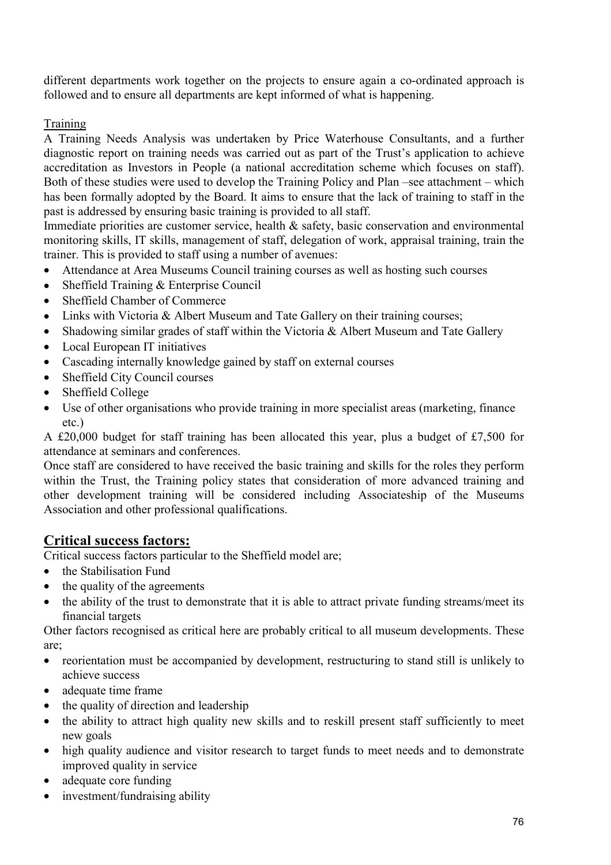different departments work together on the projects to ensure again a co-ordinated approach is followed and to ensure all departments are kept informed of what is happening.

**Training** 

A Training Needs Analysis was undertaken by Price Waterhouse Consultants, and a further diagnostic report on training needs was carried out as part of the Trust's application to achieve accreditation as Investors in People (a national accreditation scheme which focuses on staff). Both of these studies were used to develop the Training Policy and Plan –see attachment – which has been formally adopted by the Board. It aims to ensure that the lack of training to staff in the past is addressed by ensuring basic training is provided to all staff.

Immediate priorities are customer service, health & safety, basic conservation and environmental monitoring skills, IT skills, management of staff, delegation of work, appraisal training, train the trainer. This is provided to staff using a number of avenues:

- Attendance at Area Museums Council training courses as well as hosting such courses
- Sheffield Training & Enterprise Council
- Sheffield Chamber of Commerce
- Links with Victoria & Albert Museum and Tate Gallery on their training courses;
- Shadowing similar grades of staff within the Victoria & Albert Museum and Tate Gallery
- Local European IT initiatives
- Cascading internally knowledge gained by staff on external courses
- Sheffield City Council courses
- Sheffield College
- Use of other organisations who provide training in more specialist areas (marketing, finance etc.)

A £20,000 budget for staff training has been allocated this year, plus a budget of £7,500 for attendance at seminars and conferences.

Once staff are considered to have received the basic training and skills for the roles they perform within the Trust, the Training policy states that consideration of more advanced training and other development training will be considered including Associateship of the Museums Association and other professional qualifications.

# **Critical success factors:**

Critical success factors particular to the Sheffield model are;

- the Stabilisation Fund
- the quality of the agreements
- the ability of the trust to demonstrate that it is able to attract private funding streams/meet its financial targets

Other factors recognised as critical here are probably critical to all museum developments. These are;

- reorientation must be accompanied by development, restructuring to stand still is unlikely to achieve success
- adequate time frame
- the quality of direction and leadership
- the ability to attract high quality new skills and to reskill present staff sufficiently to meet new goals
- high quality audience and visitor research to target funds to meet needs and to demonstrate improved quality in service
- adequate core funding
- investment/fundraising ability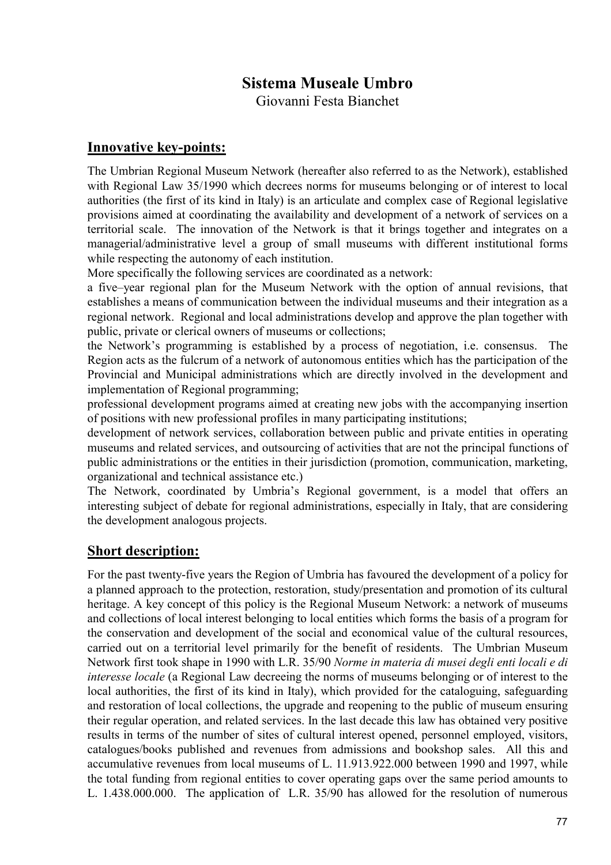# **Sistema Museale Umbro**

Giovanni Festa Bianchet

### **Innovative key-points:**

The Umbrian Regional Museum Network (hereafter also referred to as the Network), established with Regional Law 35/1990 which decrees norms for museums belonging or of interest to local authorities (the first of its kind in Italy) is an articulate and complex case of Regional legislative provisions aimed at coordinating the availability and development of a network of services on a territorial scale. The innovation of the Network is that it brings together and integrates on a managerial/administrative level a group of small museums with different institutional forms while respecting the autonomy of each institution.

More specifically the following services are coordinated as a network:

a five–year regional plan for the Museum Network with the option of annual revisions, that establishes a means of communication between the individual museums and their integration as a regional network. Regional and local administrations develop and approve the plan together with public, private or clerical owners of museums or collections;

the Network's programming is established by a process of negotiation, i.e. consensus. The Region acts as the fulcrum of a network of autonomous entities which has the participation of the Provincial and Municipal administrations which are directly involved in the development and implementation of Regional programming;

professional development programs aimed at creating new jobs with the accompanying insertion of positions with new professional profiles in many participating institutions;

development of network services, collaboration between public and private entities in operating museums and related services, and outsourcing of activities that are not the principal functions of public administrations or the entities in their jurisdiction (promotion, communication, marketing, organizational and technical assistance etc.)

The Network, coordinated by Umbria's Regional government, is a model that offers an interesting subject of debate for regional administrations, especially in Italy, that are considering the development analogous projects.

## **Short description:**

For the past twenty-five years the Region of Umbria has favoured the development of a policy for a planned approach to the protection, restoration, study/presentation and promotion of its cultural heritage. A key concept of this policy is the Regional Museum Network: a network of museums and collections of local interest belonging to local entities which forms the basis of a program for the conservation and development of the social and economical value of the cultural resources, carried out on a territorial level primarily for the benefit of residents. The Umbrian Museum Network first took shape in 1990 with L.R. 35/90 *Norme in materia di musei degli enti locali e di interesse locale* (a Regional Law decreeing the norms of museums belonging or of interest to the local authorities, the first of its kind in Italy), which provided for the cataloguing, safeguarding and restoration of local collections, the upgrade and reopening to the public of museum ensuring their regular operation, and related services. In the last decade this law has obtained very positive results in terms of the number of sites of cultural interest opened, personnel employed, visitors, catalogues/books published and revenues from admissions and bookshop sales. All this and accumulative revenues from local museums of L. 11.913.922.000 between 1990 and 1997, while the total funding from regional entities to cover operating gaps over the same period amounts to L. 1.438.000.000. The application of L.R. 35/90 has allowed for the resolution of numerous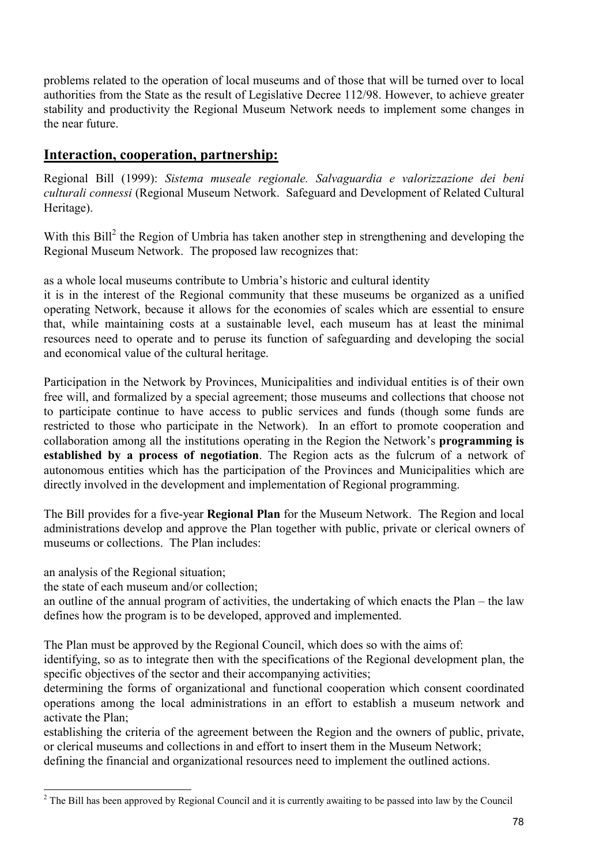problems related to the operation of local museums and of those that will be turned over to local authorities from the State as the result of Legislative Decree 112/98. However, to achieve greater stability and productivity the Regional Museum Network needs to implement some changes in the near future.

## **Interaction, cooperation, partnership:**

Regional Bill (1999): *Sistema museale regionale. Salvaguardia e valorizzazione dei beni culturali connessi* (Regional Museum Network. Safeguard and Development of Related Cultural Heritage).

With this Bill<sup>2</sup> the Region of Umbria has taken another step in strengthening and developing the Regional Museum Network. The proposed law recognizes that:

as a whole local museums contribute to Umbria's historic and cultural identity

it is in the interest of the Regional community that these museums be organized as a unified operating Network, because it allows for the economies of scales which are essential to ensure that, while maintaining costs at a sustainable level, each museum has at least the minimal resources need to operate and to peruse its function of safeguarding and developing the social and economical value of the cultural heritage.

Participation in the Network by Provinces, Municipalities and individual entities is of their own free will, and formalized by a special agreement; those museums and collections that choose not to participate continue to have access to public services and funds (though some funds are restricted to those who participate in the Network). In an effort to promote cooperation and collaboration among all the institutions operating in the Region the Network's **programming is established by a process of negotiation**. The Region acts as the fulcrum of a network of autonomous entities which has the participation of the Provinces and Municipalities which are directly involved in the development and implementation of Regional programming.

The Bill provides for a five-year **Regional Plan** for the Museum Network. The Region and local administrations develop and approve the Plan together with public, private or clerical owners of museums or collections. The Plan includes:

an analysis of the Regional situation;

l

the state of each museum and/or collection;

an outline of the annual program of activities, the undertaking of which enacts the Plan – the law defines how the program is to be developed, approved and implemented.

The Plan must be approved by the Regional Council, which does so with the aims of:

identifying, so as to integrate then with the specifications of the Regional development plan, the specific objectives of the sector and their accompanying activities;

determining the forms of organizational and functional cooperation which consent coordinated operations among the local administrations in an effort to establish a museum network and activate the Plan;

establishing the criteria of the agreement between the Region and the owners of public, private, or clerical museums and collections in and effort to insert them in the Museum Network; defining the financial and organizational resources need to implement the outlined actions.

 $2$  The Bill has been approved by Regional Council and it is currently awaiting to be passed into law by the Council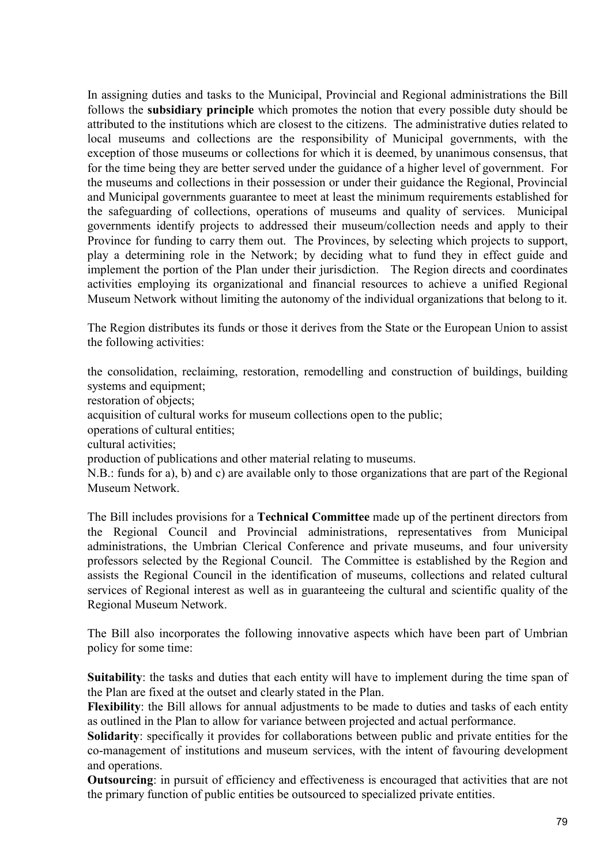In assigning duties and tasks to the Municipal, Provincial and Regional administrations the Bill follows the **subsidiary principle** which promotes the notion that every possible duty should be attributed to the institutions which are closest to the citizens. The administrative duties related to local museums and collections are the responsibility of Municipal governments, with the exception of those museums or collections for which it is deemed, by unanimous consensus, that for the time being they are better served under the guidance of a higher level of government. For the museums and collections in their possession or under their guidance the Regional, Provincial and Municipal governments guarantee to meet at least the minimum requirements established for the safeguarding of collections, operations of museums and quality of services. Municipal governments identify projects to addressed their museum/collection needs and apply to their Province for funding to carry them out. The Provinces, by selecting which projects to support, play a determining role in the Network; by deciding what to fund they in effect guide and implement the portion of the Plan under their jurisdiction. The Region directs and coordinates activities employing its organizational and financial resources to achieve a unified Regional Museum Network without limiting the autonomy of the individual organizations that belong to it.

The Region distributes its funds or those it derives from the State or the European Union to assist the following activities:

the consolidation, reclaiming, restoration, remodelling and construction of buildings, building systems and equipment;

restoration of objects;

acquisition of cultural works for museum collections open to the public;

operations of cultural entities;

cultural activities;

production of publications and other material relating to museums.

N.B.: funds for a), b) and c) are available only to those organizations that are part of the Regional Museum Network.

The Bill includes provisions for a **Technical Committee** made up of the pertinent directors from the Regional Council and Provincial administrations, representatives from Municipal administrations, the Umbrian Clerical Conference and private museums, and four university professors selected by the Regional Council. The Committee is established by the Region and assists the Regional Council in the identification of museums, collections and related cultural services of Regional interest as well as in guaranteeing the cultural and scientific quality of the Regional Museum Network.

The Bill also incorporates the following innovative aspects which have been part of Umbrian policy for some time:

**Suitability**: the tasks and duties that each entity will have to implement during the time span of the Plan are fixed at the outset and clearly stated in the Plan.

**Flexibility**: the Bill allows for annual adjustments to be made to duties and tasks of each entity as outlined in the Plan to allow for variance between projected and actual performance.

**Solidarity**: specifically it provides for collaborations between public and private entities for the co-management of institutions and museum services, with the intent of favouring development and operations.

**Outsourcing**: in pursuit of efficiency and effectiveness is encouraged that activities that are not the primary function of public entities be outsourced to specialized private entities.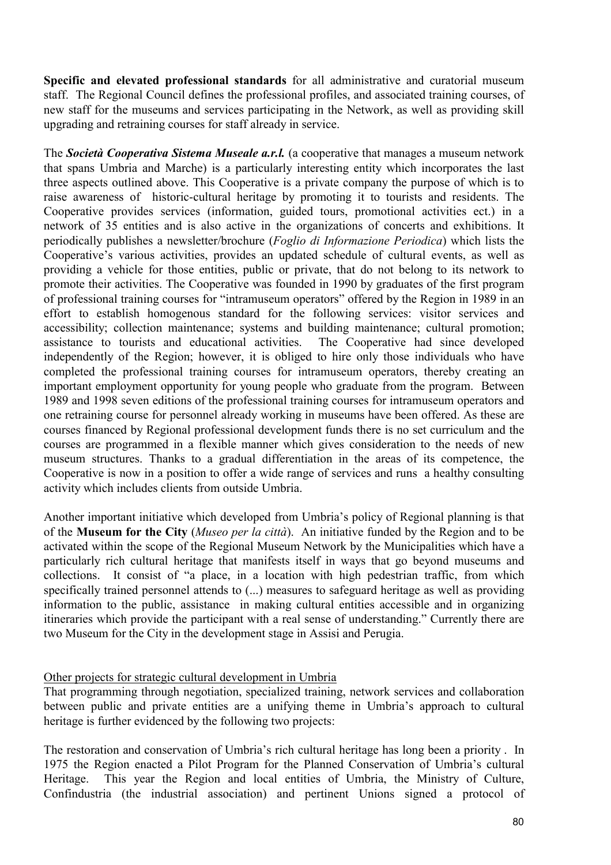**Specific and elevated professional standards** for all administrative and curatorial museum staff. The Regional Council defines the professional profiles, and associated training courses, of new staff for the museums and services participating in the Network, as well as providing skill upgrading and retraining courses for staff already in service.

The *Società Cooperativa Sistema Museale a.r.l.* (a cooperative that manages a museum network that spans Umbria and Marche) is a particularly interesting entity which incorporates the last three aspects outlined above. This Cooperative is a private company the purpose of which is to raise awareness of historic-cultural heritage by promoting it to tourists and residents. The Cooperative provides services (information, guided tours, promotional activities ect.) in a network of 35 entities and is also active in the organizations of concerts and exhibitions. It periodically publishes a newsletter/brochure (*Foglio di Informazione Periodica*) which lists the Cooperative's various activities, provides an updated schedule of cultural events, as well as providing a vehicle for those entities, public or private, that do not belong to its network to promote their activities. The Cooperative was founded in 1990 by graduates of the first program of professional training courses for "intramuseum operators" offered by the Region in 1989 in an effort to establish homogenous standard for the following services: visitor services and accessibility; collection maintenance; systems and building maintenance; cultural promotion; assistance to tourists and educational activities. The Cooperative had since developed independently of the Region; however, it is obliged to hire only those individuals who have completed the professional training courses for intramuseum operators, thereby creating an important employment opportunity for young people who graduate from the program. Between 1989 and 1998 seven editions of the professional training courses for intramuseum operators and one retraining course for personnel already working in museums have been offered. As these are courses financed by Regional professional development funds there is no set curriculum and the courses are programmed in a flexible manner which gives consideration to the needs of new museum structures. Thanks to a gradual differentiation in the areas of its competence, the Cooperative is now in a position to offer a wide range of services and runs a healthy consulting activity which includes clients from outside Umbria.

Another important initiative which developed from Umbria's policy of Regional planning is that of the **Museum for the City** (*Museo per la città*). An initiative funded by the Region and to be activated within the scope of the Regional Museum Network by the Municipalities which have a particularly rich cultural heritage that manifests itself in ways that go beyond museums and collections. It consist of "a place, in a location with high pedestrian traffic, from which specifically trained personnel attends to (...) measures to safeguard heritage as well as providing information to the public, assistance in making cultural entities accessible and in organizing itineraries which provide the participant with a real sense of understanding." Currently there are two Museum for the City in the development stage in Assisi and Perugia.

### Other projects for strategic cultural development in Umbria

That programming through negotiation, specialized training, network services and collaboration between public and private entities are a unifying theme in Umbria's approach to cultural heritage is further evidenced by the following two projects:

The restoration and conservation of Umbria's rich cultural heritage has long been a priority . In 1975 the Region enacted a Pilot Program for the Planned Conservation of Umbria's cultural Heritage. This year the Region and local entities of Umbria, the Ministry of Culture, Confindustria (the industrial association) and pertinent Unions signed a protocol of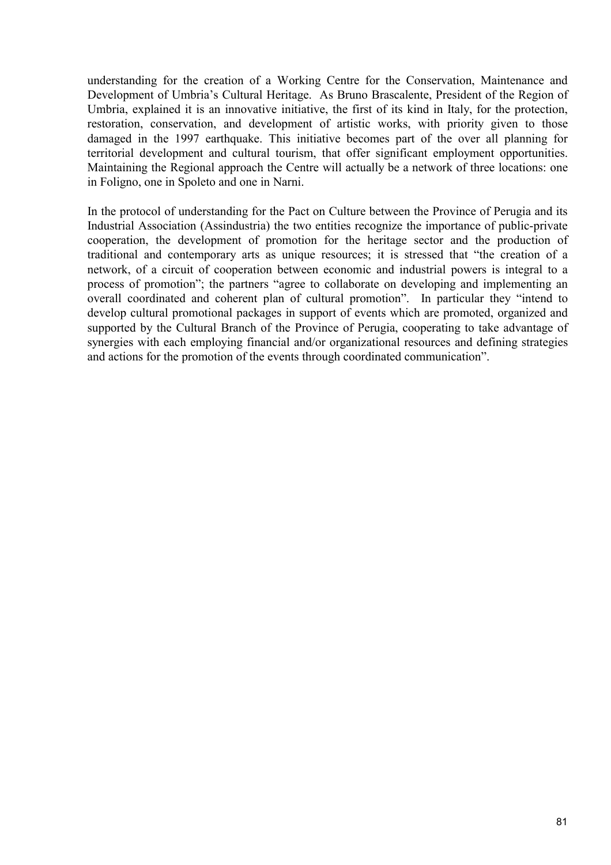understanding for the creation of a Working Centre for the Conservation, Maintenance and Development of Umbria's Cultural Heritage. As Bruno Brascalente, President of the Region of Umbria, explained it is an innovative initiative, the first of its kind in Italy, for the protection, restoration, conservation, and development of artistic works, with priority given to those damaged in the 1997 earthquake. This initiative becomes part of the over all planning for territorial development and cultural tourism, that offer significant employment opportunities. Maintaining the Regional approach the Centre will actually be a network of three locations: one in Foligno, one in Spoleto and one in Narni.

In the protocol of understanding for the Pact on Culture between the Province of Perugia and its Industrial Association (Assindustria) the two entities recognize the importance of public-private cooperation, the development of promotion for the heritage sector and the production of traditional and contemporary arts as unique resources; it is stressed that "the creation of a network, of a circuit of cooperation between economic and industrial powers is integral to a process of promotion"; the partners "agree to collaborate on developing and implementing an overall coordinated and coherent plan of cultural promotion". In particular they "intend to develop cultural promotional packages in support of events which are promoted, organized and supported by the Cultural Branch of the Province of Perugia, cooperating to take advantage of synergies with each employing financial and/or organizational resources and defining strategies and actions for the promotion of the events through coordinated communication".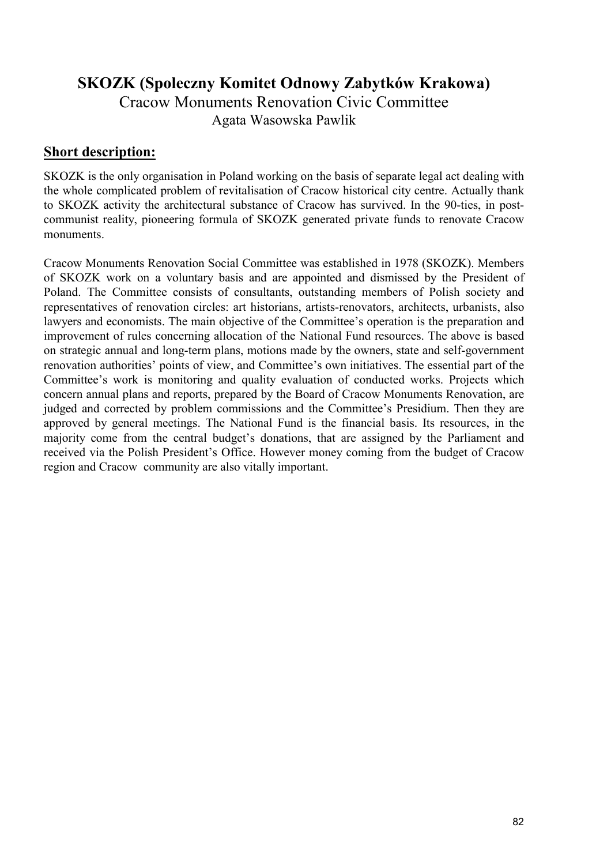# **SKOZK (Spoleczny Komitet Odnowy Zabytków Krakowa)**

Cracow Monuments Renovation Civic Committee Agata Wasowska Pawlik

### **Short description:**

SKOZK is the only organisation in Poland working on the basis of separate legal act dealing with the whole complicated problem of revitalisation of Cracow historical city centre. Actually thank to SKOZK activity the architectural substance of Cracow has survived. In the 90-ties, in postcommunist reality, pioneering formula of SKOZK generated private funds to renovate Cracow monuments.

Cracow Monuments Renovation Social Committee was established in 1978 (SKOZK). Members of SKOZK work on a voluntary basis and are appointed and dismissed by the President of Poland. The Committee consists of consultants, outstanding members of Polish society and representatives of renovation circles: art historians, artists-renovators, architects, urbanists, also lawyers and economists. The main objective of the Committee's operation is the preparation and improvement of rules concerning allocation of the National Fund resources. The above is based on strategic annual and long-term plans, motions made by the owners, state and self-government renovation authorities' points of view, and Committee's own initiatives. The essential part of the Committee's work is monitoring and quality evaluation of conducted works. Projects which concern annual plans and reports, prepared by the Board of Cracow Monuments Renovation, are judged and corrected by problem commissions and the Committee's Presidium. Then they are approved by general meetings. The National Fund is the financial basis. Its resources, in the majority come from the central budget's donations, that are assigned by the Parliament and received via the Polish President's Office. However money coming from the budget of Cracow region and Cracow community are also vitally important.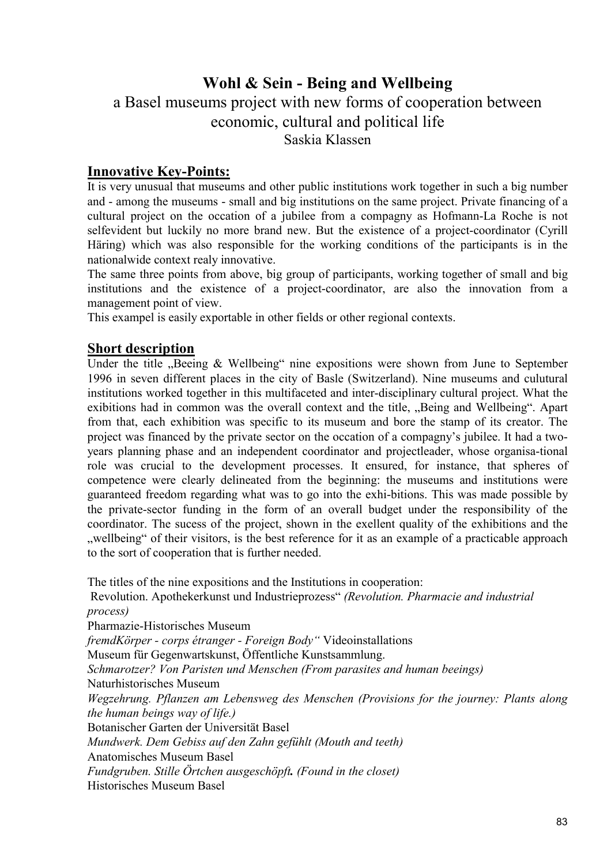# **Wohl & Sein - Being and Wellbeing**

a Basel museums project with new forms of cooperation between economic, cultural and political life Saskia Klassen

### **Innovative Key-Points:**

It is very unusual that museums and other public institutions work together in such a big number and - among the museums - small and big institutions on the same project. Private financing of a cultural project on the occation of a jubilee from a compagny as Hofmann-La Roche is not selfevident but luckily no more brand new. But the existence of a project-coordinator (Cyrill Häring) which was also responsible for the working conditions of the participants is in the nationalwide context realy innovative.

The same three points from above, big group of participants, working together of small and big institutions and the existence of a project-coordinator, are also the innovation from a management point of view.

This exampel is easily exportable in other fields or other regional contexts.

### **Short description**

Under the title  $n$ Beeing & Wellbeing" nine expositions were shown from June to September 1996 in seven different places in the city of Basle (Switzerland). Nine museums and culutural institutions worked together in this multifaceted and inter-disciplinary cultural project. What the exibitions had in common was the overall context and the title, "Being and Wellbeing". Apart from that, each exhibition was specific to its museum and bore the stamp of its creator. The project was financed by the private sector on the occation of a compagny's jubilee. It had a twoyears planning phase and an independent coordinator and projectleader, whose organisa-tional role was crucial to the development processes. It ensured, for instance, that spheres of competence were clearly delineated from the beginning: the museums and institutions were guaranteed freedom regarding what was to go into the exhi-bitions. This was made possible by the private-sector funding in the form of an overall budget under the responsibility of the coordinator. The sucess of the project, shown in the exellent quality of the exhibitions and the ", wellbeing" of their visitors, is the best reference for it as an example of a practicable approach to the sort of cooperation that is further needed.

The titles of the nine expositions and the Institutions in cooperation: Revolution. Apothekerkunst und Industrieprozess" *(Revolution. Pharmacie and industrial process)*  Pharmazie-Historisches Museum *fremdKörper - corps étranger - Foreign Body"* Videoinstallations Museum für Gegenwartskunst, Öffentliche Kunstsammlung. *Schmarotzer? Von Paristen und Menschen (From parasites and human beeings)* Naturhistorisches Museum *Wegzehrung. Pflanzen am Lebensweg des Menschen (Provisions for the journey: Plants along the human beings way of life.)* Botanischer Garten der Universität Basel *Mundwerk. Dem Gebiss auf den Zahn gefühlt (Mouth and teeth)* Anatomisches Museum Basel *Fundgruben. Stille Örtchen ausgeschöpft. (Found in the closet)* Historisches Museum Basel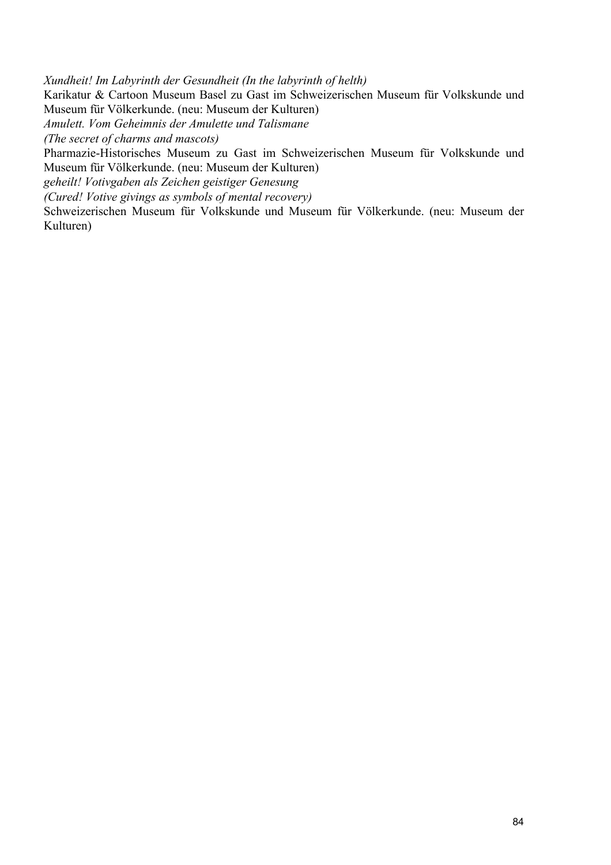*Xundheit! Im Labyrinth der Gesundheit (In the labyrinth of helth)* Karikatur & Cartoon Museum Basel zu Gast im Schweizerischen Museum für Volkskunde und Museum für Völkerkunde. (neu: Museum der Kulturen) *Amulett. Vom Geheimnis der Amulette und Talismane (The secret of charms and mascots)* Pharmazie-Historisches Museum zu Gast im Schweizerischen Museum für Volkskunde und Museum für Völkerkunde. (neu: Museum der Kulturen) *geheilt! Votivgaben als Zeichen geistiger Genesung (Cured! Votive givings as symbols of mental recovery)*

Schweizerischen Museum für Volkskunde und Museum für Völkerkunde. (neu: Museum der Kulturen)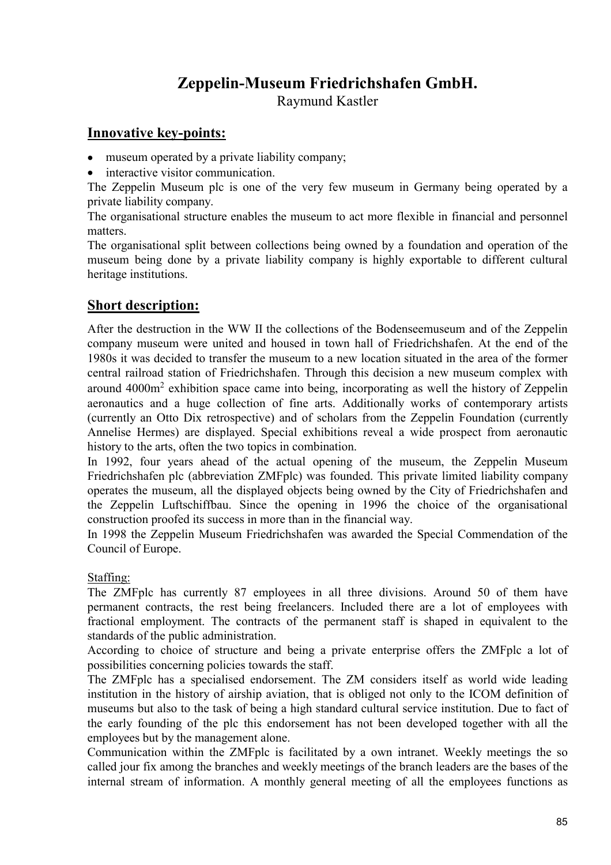# **Zeppelin-Museum Friedrichshafen GmbH.**

Raymund Kastler

### **Innovative key-points:**

- museum operated by a private liability company;
- interactive visitor communication.

The Zeppelin Museum plc is one of the very few museum in Germany being operated by a private liability company.

The organisational structure enables the museum to act more flexible in financial and personnel matters.

The organisational split between collections being owned by a foundation and operation of the museum being done by a private liability company is highly exportable to different cultural heritage institutions.

## **Short description:**

After the destruction in the WW II the collections of the Bodenseemuseum and of the Zeppelin company museum were united and housed in town hall of Friedrichshafen. At the end of the 1980s it was decided to transfer the museum to a new location situated in the area of the former central railroad station of Friedrichshafen. Through this decision a new museum complex with around  $4000m<sup>2</sup>$  exhibition space came into being, incorporating as well the history of Zeppelin aeronautics and a huge collection of fine arts. Additionally works of contemporary artists (currently an Otto Dix retrospective) and of scholars from the Zeppelin Foundation (currently Annelise Hermes) are displayed. Special exhibitions reveal a wide prospect from aeronautic history to the arts, often the two topics in combination.

In 1992, four years ahead of the actual opening of the museum, the Zeppelin Museum Friedrichshafen plc (abbreviation ZMFplc) was founded. This private limited liability company operates the museum, all the displayed objects being owned by the City of Friedrichshafen and the Zeppelin Luftschiffbau. Since the opening in 1996 the choice of the organisational construction proofed its success in more than in the financial way.

In 1998 the Zeppelin Museum Friedrichshafen was awarded the Special Commendation of the Council of Europe.

### Staffing:

The ZMFplc has currently 87 employees in all three divisions. Around 50 of them have permanent contracts, the rest being freelancers. Included there are a lot of employees with fractional employment. The contracts of the permanent staff is shaped in equivalent to the standards of the public administration.

According to choice of structure and being a private enterprise offers the ZMFplc a lot of possibilities concerning policies towards the staff.

The ZMFplc has a specialised endorsement. The ZM considers itself as world wide leading institution in the history of airship aviation, that is obliged not only to the ICOM definition of museums but also to the task of being a high standard cultural service institution. Due to fact of the early founding of the plc this endorsement has not been developed together with all the employees but by the management alone.

Communication within the ZMFplc is facilitated by a own intranet. Weekly meetings the so called jour fix among the branches and weekly meetings of the branch leaders are the bases of the internal stream of information. A monthly general meeting of all the employees functions as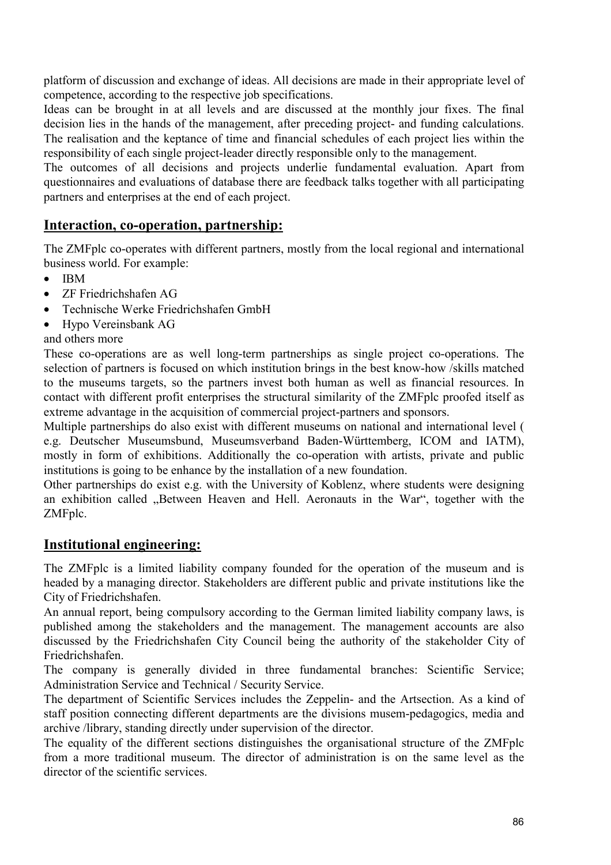platform of discussion and exchange of ideas. All decisions are made in their appropriate level of competence, according to the respective job specifications.

Ideas can be brought in at all levels and are discussed at the monthly jour fixes. The final decision lies in the hands of the management, after preceding project- and funding calculations. The realisation and the keptance of time and financial schedules of each project lies within the responsibility of each single project-leader directly responsible only to the management.

The outcomes of all decisions and projects underlie fundamental evaluation. Apart from questionnaires and evaluations of database there are feedback talks together with all participating partners and enterprises at the end of each project.

# **Interaction, co-operation, partnership:**

The ZMFplc co-operates with different partners, mostly from the local regional and international business world. For example:

- IBM
- ZF Friedrichshafen AG
- Technische Werke Friedrichshafen GmbH
- Hypo Vereinsbank AG
- and others more

These co-operations are as well long-term partnerships as single project co-operations. The selection of partners is focused on which institution brings in the best know-how /skills matched to the museums targets, so the partners invest both human as well as financial resources. In contact with different profit enterprises the structural similarity of the ZMFplc proofed itself as extreme advantage in the acquisition of commercial project-partners and sponsors.

Multiple partnerships do also exist with different museums on national and international level ( e.g. Deutscher Museumsbund, Museumsverband Baden-Württemberg, ICOM and IATM), mostly in form of exhibitions. Additionally the co-operation with artists, private and public institutions is going to be enhance by the installation of a new foundation.

Other partnerships do exist e.g. with the University of Koblenz, where students were designing an exhibition called "Between Heaven and Hell. Aeronauts in the War", together with the ZMFplc.

## **Institutional engineering:**

The ZMFplc is a limited liability company founded for the operation of the museum and is headed by a managing director. Stakeholders are different public and private institutions like the City of Friedrichshafen.

An annual report, being compulsory according to the German limited liability company laws, is published among the stakeholders and the management. The management accounts are also discussed by the Friedrichshafen City Council being the authority of the stakeholder City of Friedrichshafen.

The company is generally divided in three fundamental branches: Scientific Service; Administration Service and Technical / Security Service.

The department of Scientific Services includes the Zeppelin- and the Artsection. As a kind of staff position connecting different departments are the divisions musem-pedagogics, media and archive /library, standing directly under supervision of the director.

The equality of the different sections distinguishes the organisational structure of the ZMFplc from a more traditional museum. The director of administration is on the same level as the director of the scientific services.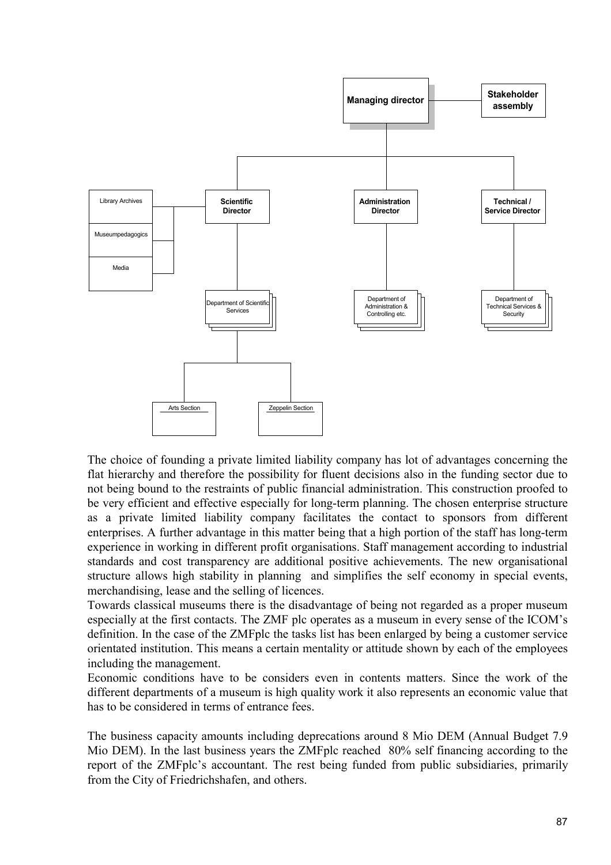

The choice of founding a private limited liability company has lot of advantages concerning the flat hierarchy and therefore the possibility for fluent decisions also in the funding sector due to not being bound to the restraints of public financial administration. This construction proofed to be very efficient and effective especially for long-term planning. The chosen enterprise structure as a private limited liability company facilitates the contact to sponsors from different enterprises. A further advantage in this matter being that a high portion of the staff has long-term experience in working in different profit organisations. Staff management according to industrial standards and cost transparency are additional positive achievements. The new organisational structure allows high stability in planning and simplifies the self economy in special events, merchandising, lease and the selling of licences.

Towards classical museums there is the disadvantage of being not regarded as a proper museum especially at the first contacts. The ZMF plc operates as a museum in every sense of the ICOM's definition. In the case of the ZMFplc the tasks list has been enlarged by being a customer service orientated institution. This means a certain mentality or attitude shown by each of the employees including the management.

Economic conditions have to be considers even in contents matters. Since the work of the different departments of a museum is high quality work it also represents an economic value that has to be considered in terms of entrance fees.

The business capacity amounts including deprecations around 8 Mio DEM (Annual Budget 7.9 Mio DEM). In the last business years the ZMFplc reached 80% self financing according to the report of the ZMFplc's accountant. The rest being funded from public subsidiaries, primarily from the City of Friedrichshafen, and others.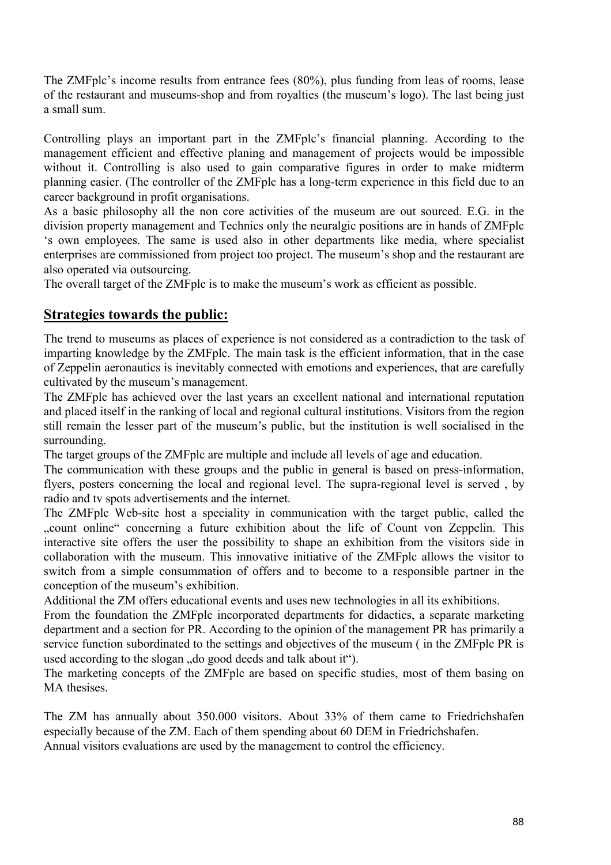The ZMFplc's income results from entrance fees (80%), plus funding from leas of rooms, lease of the restaurant and museums-shop and from royalties (the museum's logo). The last being just a small sum.

Controlling plays an important part in the ZMFplc's financial planning. According to the management efficient and effective planing and management of projects would be impossible without it. Controlling is also used to gain comparative figures in order to make midterm planning easier. (The controller of the ZMFplc has a long-term experience in this field due to an career background in profit organisations.

As a basic philosophy all the non core activities of the museum are out sourced. E.G. in the division property management and Technics only the neuralgic positions are in hands of ZMFplc 's own employees. The same is used also in other departments like media, where specialist enterprises are commissioned from project too project. The museum's shop and the restaurant are also operated via outsourcing.

The overall target of the ZMFplc is to make the museum's work as efficient as possible.

## **Strategies towards the public:**

The trend to museums as places of experience is not considered as a contradiction to the task of imparting knowledge by the ZMFplc. The main task is the efficient information, that in the case of Zeppelin aeronautics is inevitably connected with emotions and experiences, that are carefully cultivated by the museum's management.

The ZMFplc has achieved over the last years an excellent national and international reputation and placed itself in the ranking of local and regional cultural institutions. Visitors from the region still remain the lesser part of the museum's public, but the institution is well socialised in the surrounding.

The target groups of the ZMFplc are multiple and include all levels of age and education.

The communication with these groups and the public in general is based on press-information, flyers, posters concerning the local and regional level. The supra-regional level is served , by radio and tv spots advertisements and the internet.

The ZMFplc Web-site host a speciality in communication with the target public, called the ...count online" concerning a future exhibition about the life of Count von Zeppelin. This interactive site offers the user the possibility to shape an exhibition from the visitors side in collaboration with the museum. This innovative initiative of the ZMFplc allows the visitor to switch from a simple consummation of offers and to become to a responsible partner in the conception of the museum's exhibition.

Additional the ZM offers educational events and uses new technologies in all its exhibitions.

From the foundation the ZMFplc incorporated departments for didactics, a separate marketing department and a section for PR. According to the opinion of the management PR has primarily a service function subordinated to the settings and objectives of the museum ( in the ZMFplc PR is used according to the slogan "do good deeds and talk about it").

The marketing concepts of the ZMFplc are based on specific studies, most of them basing on MA thesises.

The ZM has annually about 350.000 visitors. About 33% of them came to Friedrichshafen especially because of the ZM. Each of them spending about 60 DEM in Friedrichshafen. Annual visitors evaluations are used by the management to control the efficiency.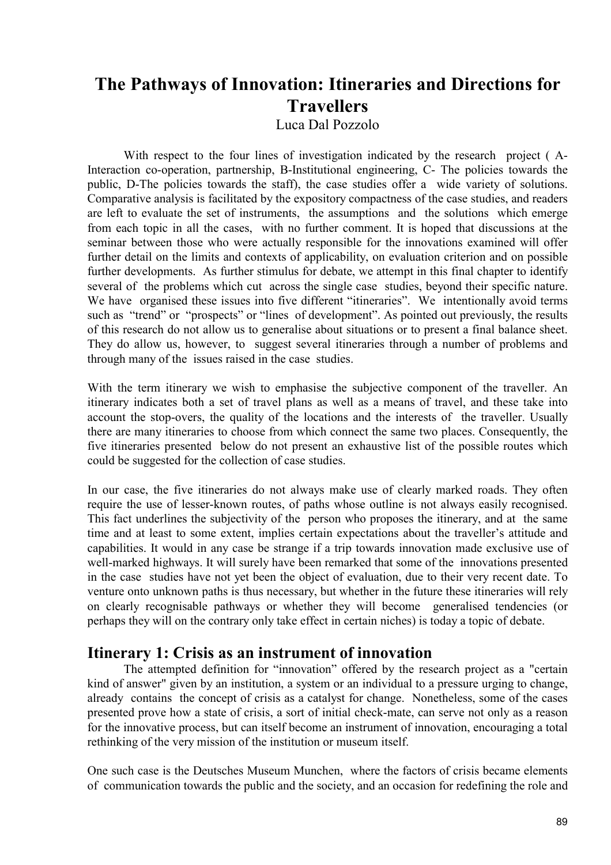# **The Pathways of Innovation: Itineraries and Directions for Travellers**

Luca Dal Pozzolo

With respect to the four lines of investigation indicated by the research project ( A-Interaction co-operation, partnership, B-Institutional engineering, C- The policies towards the public, D-The policies towards the staff), the case studies offer a wide variety of solutions. Comparative analysis is facilitated by the expository compactness of the case studies, and readers are left to evaluate the set of instruments, the assumptions and the solutions which emerge from each topic in all the cases, with no further comment. It is hoped that discussions at the seminar between those who were actually responsible for the innovations examined will offer further detail on the limits and contexts of applicability, on evaluation criterion and on possible further developments. As further stimulus for debate, we attempt in this final chapter to identify several of the problems which cut across the single case studies, beyond their specific nature. We have organised these issues into five different "itineraries". We intentionally avoid terms such as "trend" or "prospects" or "lines of development". As pointed out previously, the results of this research do not allow us to generalise about situations or to present a final balance sheet. They do allow us, however, to suggest several itineraries through a number of problems and through many of the issues raised in the case studies.

With the term itinerary we wish to emphasise the subjective component of the traveller. An itinerary indicates both a set of travel plans as well as a means of travel, and these take into account the stop-overs, the quality of the locations and the interests of the traveller. Usually there are many itineraries to choose from which connect the same two places. Consequently, the five itineraries presented below do not present an exhaustive list of the possible routes which could be suggested for the collection of case studies.

In our case, the five itineraries do not always make use of clearly marked roads. They often require the use of lesser-known routes, of paths whose outline is not always easily recognised. This fact underlines the subjectivity of the person who proposes the itinerary, and at the same time and at least to some extent, implies certain expectations about the traveller's attitude and capabilities. It would in any case be strange if a trip towards innovation made exclusive use of well-marked highways. It will surely have been remarked that some of the innovations presented in the case studies have not yet been the object of evaluation, due to their very recent date. To venture onto unknown paths is thus necessary, but whether in the future these itineraries will rely on clearly recognisable pathways or whether they will become generalised tendencies (or perhaps they will on the contrary only take effect in certain niches) is today a topic of debate.

## **Itinerary 1: Crisis as an instrument of innovation**

The attempted definition for "innovation" offered by the research project as a "certain kind of answer" given by an institution, a system or an individual to a pressure urging to change, already contains the concept of crisis as a catalyst for change. Nonetheless, some of the cases presented prove how a state of crisis, a sort of initial check-mate, can serve not only as a reason for the innovative process, but can itself become an instrument of innovation, encouraging a total rethinking of the very mission of the institution or museum itself.

One such case is the Deutsches Museum Munchen, where the factors of crisis became elements of communication towards the public and the society, and an occasion for redefining the role and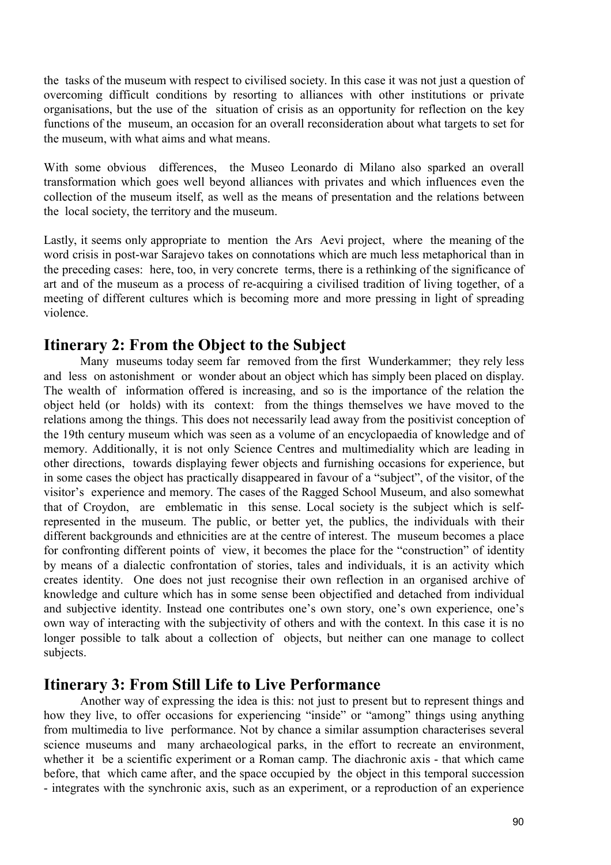the tasks of the museum with respect to civilised society. In this case it was not just a question of overcoming difficult conditions by resorting to alliances with other institutions or private organisations, but the use of the situation of crisis as an opportunity for reflection on the key functions of the museum, an occasion for an overall reconsideration about what targets to set for the museum, with what aims and what means.

With some obvious differences, the Museo Leonardo di Milano also sparked an overall transformation which goes well beyond alliances with privates and which influences even the collection of the museum itself, as well as the means of presentation and the relations between the local society, the territory and the museum.

Lastly, it seems only appropriate to mention the Ars Aevi project, where the meaning of the word crisis in post-war Sarajevo takes on connotations which are much less metaphorical than in the preceding cases: here, too, in very concrete terms, there is a rethinking of the significance of art and of the museum as a process of re-acquiring a civilised tradition of living together, of a meeting of different cultures which is becoming more and more pressing in light of spreading violence.

# **Itinerary 2: From the Object to the Subject**

Many museums today seem far removed from the first Wunderkammer; they rely less and less on astonishment or wonder about an object which has simply been placed on display. The wealth of information offered is increasing, and so is the importance of the relation the object held (or holds) with its context: from the things themselves we have moved to the relations among the things. This does not necessarily lead away from the positivist conception of the 19th century museum which was seen as a volume of an encyclopaedia of knowledge and of memory. Additionally, it is not only Science Centres and multimediality which are leading in other directions, towards displaying fewer objects and furnishing occasions for experience, but in some cases the object has practically disappeared in favour of a "subject", of the visitor, of the visitor's experience and memory. The cases of the Ragged School Museum, and also somewhat that of Croydon, are emblematic in this sense. Local society is the subject which is selfrepresented in the museum. The public, or better yet, the publics, the individuals with their different backgrounds and ethnicities are at the centre of interest. The museum becomes a place for confronting different points of view, it becomes the place for the "construction" of identity by means of a dialectic confrontation of stories, tales and individuals, it is an activity which creates identity. One does not just recognise their own reflection in an organised archive of knowledge and culture which has in some sense been objectified and detached from individual and subjective identity. Instead one contributes one's own story, one's own experience, one's own way of interacting with the subjectivity of others and with the context. In this case it is no longer possible to talk about a collection of objects, but neither can one manage to collect subjects.

# **Itinerary 3: From Still Life to Live Performance**

Another way of expressing the idea is this: not just to present but to represent things and how they live, to offer occasions for experiencing "inside" or "among" things using anything from multimedia to live performance. Not by chance a similar assumption characterises several science museums and many archaeological parks, in the effort to recreate an environment, whether it be a scientific experiment or a Roman camp. The diachronic axis - that which came before, that which came after, and the space occupied by the object in this temporal succession - integrates with the synchronic axis, such as an experiment, or a reproduction of an experience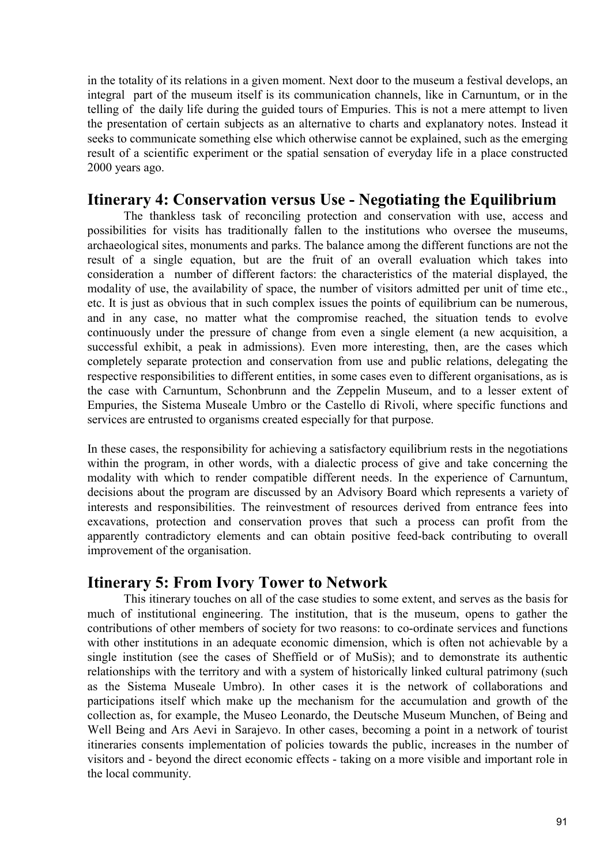in the totality of its relations in a given moment. Next door to the museum a festival develops, an integral part of the museum itself is its communication channels, like in Carnuntum, or in the telling of the daily life during the guided tours of Empuries. This is not a mere attempt to liven the presentation of certain subjects as an alternative to charts and explanatory notes. Instead it seeks to communicate something else which otherwise cannot be explained, such as the emerging result of a scientific experiment or the spatial sensation of everyday life in a place constructed 2000 years ago.

# **Itinerary 4: Conservation versus Use - Negotiating the Equilibrium**

The thankless task of reconciling protection and conservation with use, access and possibilities for visits has traditionally fallen to the institutions who oversee the museums, archaeological sites, monuments and parks. The balance among the different functions are not the result of a single equation, but are the fruit of an overall evaluation which takes into consideration a number of different factors: the characteristics of the material displayed, the modality of use, the availability of space, the number of visitors admitted per unit of time etc., etc. It is just as obvious that in such complex issues the points of equilibrium can be numerous, and in any case, no matter what the compromise reached, the situation tends to evolve continuously under the pressure of change from even a single element (a new acquisition, a successful exhibit, a peak in admissions). Even more interesting, then, are the cases which completely separate protection and conservation from use and public relations, delegating the respective responsibilities to different entities, in some cases even to different organisations, as is the case with Carnuntum, Schonbrunn and the Zeppelin Museum, and to a lesser extent of Empuries, the Sistema Museale Umbro or the Castello di Rivoli, where specific functions and services are entrusted to organisms created especially for that purpose.

In these cases, the responsibility for achieving a satisfactory equilibrium rests in the negotiations within the program, in other words, with a dialectic process of give and take concerning the modality with which to render compatible different needs. In the experience of Carnuntum, decisions about the program are discussed by an Advisory Board which represents a variety of interests and responsibilities. The reinvestment of resources derived from entrance fees into excavations, protection and conservation proves that such a process can profit from the apparently contradictory elements and can obtain positive feed-back contributing to overall improvement of the organisation.

# **Itinerary 5: From Ivory Tower to Network**

This itinerary touches on all of the case studies to some extent, and serves as the basis for much of institutional engineering. The institution, that is the museum, opens to gather the contributions of other members of society for two reasons: to co-ordinate services and functions with other institutions in an adequate economic dimension, which is often not achievable by a single institution (see the cases of Sheffield or of MuSis); and to demonstrate its authentic relationships with the territory and with a system of historically linked cultural patrimony (such as the Sistema Museale Umbro). In other cases it is the network of collaborations and participations itself which make up the mechanism for the accumulation and growth of the collection as, for example, the Museo Leonardo, the Deutsche Museum Munchen, of Being and Well Being and Ars Aevi in Sarajevo. In other cases, becoming a point in a network of tourist itineraries consents implementation of policies towards the public, increases in the number of visitors and - beyond the direct economic effects - taking on a more visible and important role in the local community.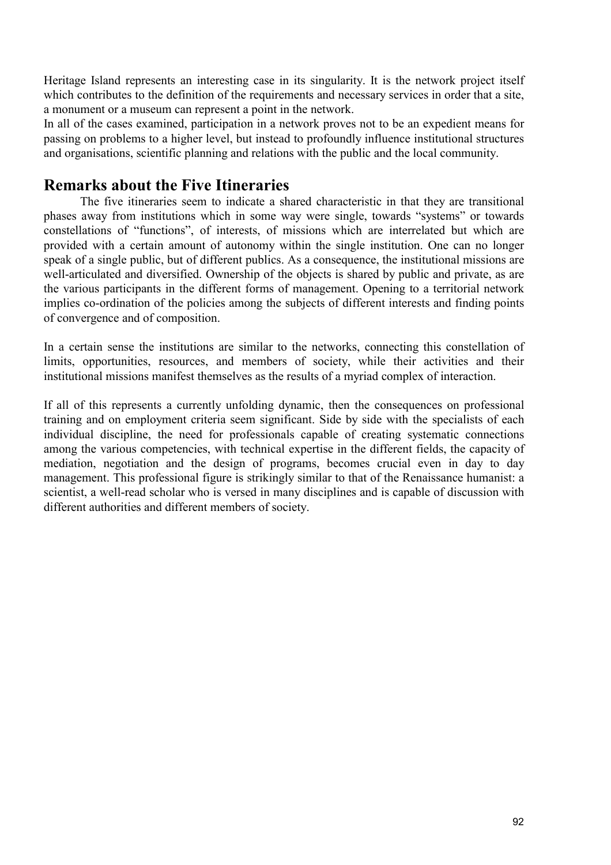Heritage Island represents an interesting case in its singularity. It is the network project itself which contributes to the definition of the requirements and necessary services in order that a site, a monument or a museum can represent a point in the network.

In all of the cases examined, participation in a network proves not to be an expedient means for passing on problems to a higher level, but instead to profoundly influence institutional structures and organisations, scientific planning and relations with the public and the local community.

# **Remarks about the Five Itineraries**

The five itineraries seem to indicate a shared characteristic in that they are transitional phases away from institutions which in some way were single, towards "systems" or towards constellations of "functions", of interests, of missions which are interrelated but which are provided with a certain amount of autonomy within the single institution. One can no longer speak of a single public, but of different publics. As a consequence, the institutional missions are well-articulated and diversified. Ownership of the objects is shared by public and private, as are the various participants in the different forms of management. Opening to a territorial network implies co-ordination of the policies among the subjects of different interests and finding points of convergence and of composition.

In a certain sense the institutions are similar to the networks, connecting this constellation of limits, opportunities, resources, and members of society, while their activities and their institutional missions manifest themselves as the results of a myriad complex of interaction.

If all of this represents a currently unfolding dynamic, then the consequences on professional training and on employment criteria seem significant. Side by side with the specialists of each individual discipline, the need for professionals capable of creating systematic connections among the various competencies, with technical expertise in the different fields, the capacity of mediation, negotiation and the design of programs, becomes crucial even in day to day management. This professional figure is strikingly similar to that of the Renaissance humanist: a scientist, a well-read scholar who is versed in many disciplines and is capable of discussion with different authorities and different members of society.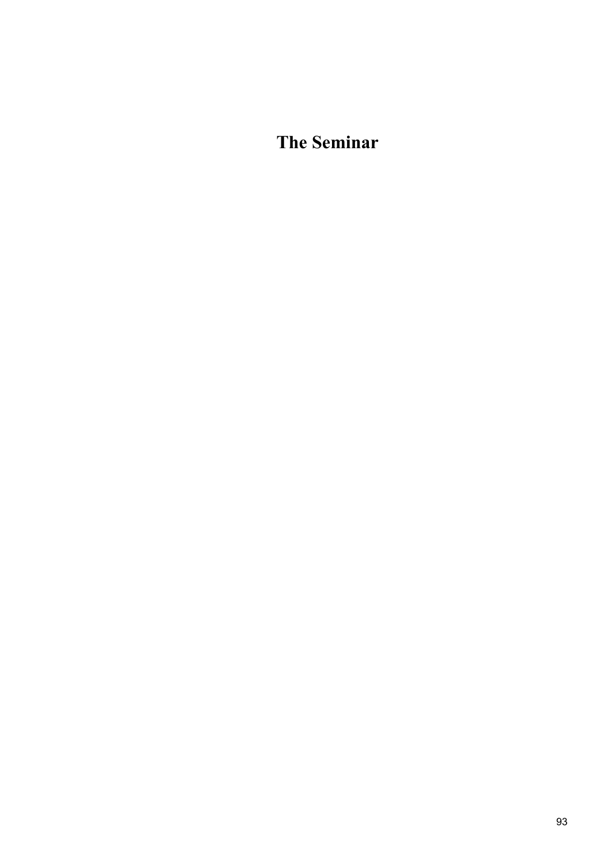**The Seminar**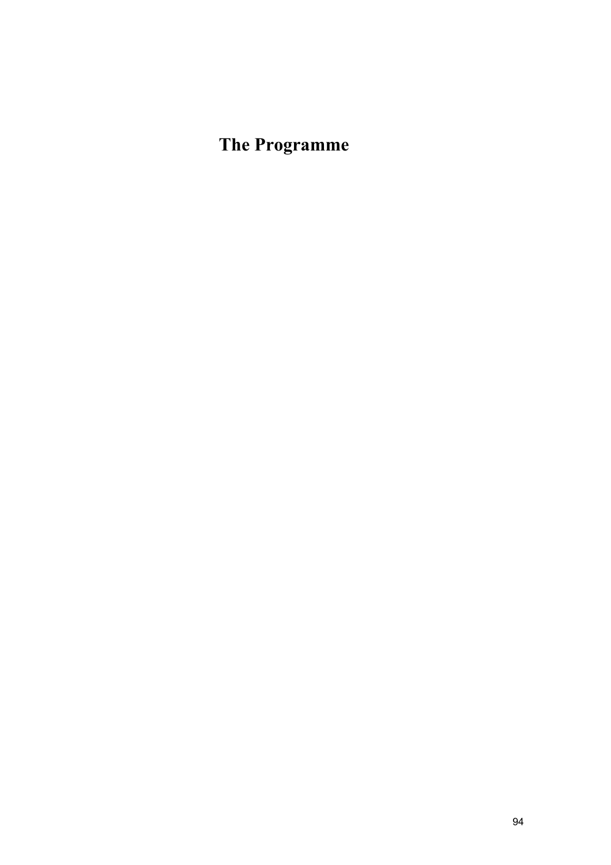# **The Programme**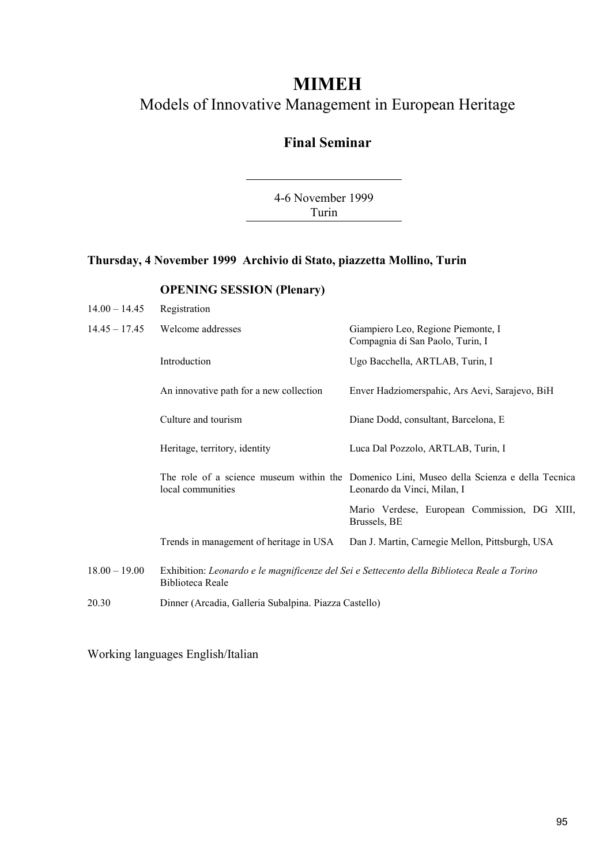# **MIMEH**

# Models of Innovative Management in European Heritage

# **Final Seminar**

4-6 November 1999 Turin

### **Thursday, 4 November 1999 Archivio di Stato, piazzetta Mollino, Turin**

### **OPENING SESSION (Plenary)**

| $14.00 - 14.45$ | Registration                                                                                                    |                                                                                                                           |
|-----------------|-----------------------------------------------------------------------------------------------------------------|---------------------------------------------------------------------------------------------------------------------------|
| $14.45 - 17.45$ | Welcome addresses                                                                                               | Giampiero Leo, Regione Piemonte, I<br>Compagnia di San Paolo, Turin, I                                                    |
|                 | Introduction                                                                                                    | Ugo Bacchella, ARTLAB, Turin, I                                                                                           |
|                 | An innovative path for a new collection                                                                         | Enver Hadziomerspahic, Ars Aevi, Sarajevo, BiH                                                                            |
|                 | Culture and tourism                                                                                             | Diane Dodd, consultant, Barcelona, E                                                                                      |
|                 | Heritage, territory, identity                                                                                   | Luca Dal Pozzolo, ARTLAB, Turin, I                                                                                        |
|                 | local communities                                                                                               | The role of a science museum within the Domenico Lini, Museo della Scienza e della Tecnica<br>Leonardo da Vinci, Milan, I |
|                 |                                                                                                                 | Mario Verdese, European Commission, DG XIII,<br>Brussels, BE                                                              |
|                 | Trends in management of heritage in USA                                                                         | Dan J. Martin, Carnegie Mellon, Pittsburgh, USA                                                                           |
| $18.00 - 19.00$ | Exhibition: Leonardo e le magnificenze del Sei e Settecento della Biblioteca Reale a Torino<br>Biblioteca Reale |                                                                                                                           |
| 20.30           | Dinner (Arcadia, Galleria Subalpina. Piazza Castello)                                                           |                                                                                                                           |

Working languages English/Italian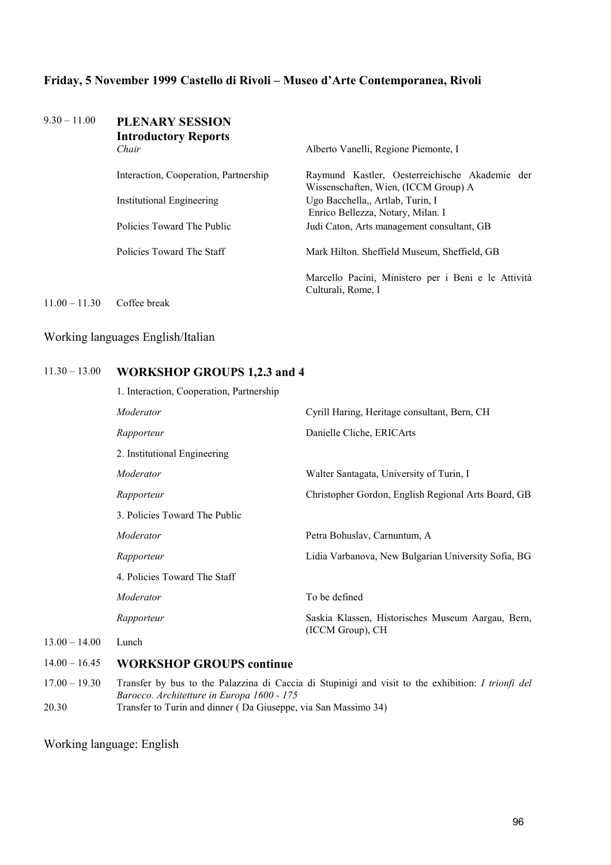#### **Friday, 5 November 1999 Castello di Rivoli – Museo d'Arte Contemporanea, Rivoli**

## 9.30 – 11.00 **PLENARY SESSION Introductory Reports**  *Chair* Alberto Vanelli, Regione Piemonte, I Interaction, Cooperation, Partnership Raymund Kastler, Oesterreichische Akademie der Wissenschaften, Wien, (ICCM Group) A Institutional Engineering Ugo Bacchella,, Artlab, Turin, I Enrico Bellezza, Notary, Milan. I Policies Toward The Public Judi Caton, Arts management consultant, GB Policies Toward The Staff Mark Hilton. Sheffield Museum, Sheffield, GB Marcello Pacini, Ministero per i Beni e le Attività Culturali, Rome, I 11.00 – 11.30 Coffee break

#### Working languages English/Italian

#### 11.30 – 13.00 **WORKSHOP GROUPS 1,2.3 and 4**

|                 | 1. Interaction, Cooperation, Partnership |                                                     |
|-----------------|------------------------------------------|-----------------------------------------------------|
|                 | Moderator                                | Cyrill Haring, Heritage consultant, Bern, CH        |
|                 | Rapporteur                               | Danielle Cliche, ERICArts                           |
|                 | 2. Institutional Engineering             |                                                     |
|                 | Moderator                                | Walter Santagata, University of Turin, I            |
|                 | Rapporteur                               | Christopher Gordon, English Regional Arts Board, GB |
|                 | 3. Policies Toward The Public            |                                                     |
|                 | Moderator                                | Petra Bohuslav, Carnuntum, A                        |
|                 | Rapporteur                               | Lidia Varbanova, New Bulgarian University Sofia, BG |
|                 | 4. Policies Toward The Staff             |                                                     |
|                 | Moderator                                | To be defined                                       |
|                 | Rapporteur                               | Saskia Klassen, Historisches Museum Aargau, Bern,   |
| $13.00 - 14.00$ | Lunch                                    | (ICCM Group), CH                                    |
|                 |                                          |                                                     |

#### 14.00 – 16.45 **WORKSHOP GROUPS continue**

17.00 – 19.30 Transfer by bus to the Palazzina di Caccia di Stupinigi and visit to the exhibition: *I trionfi del Barocco. Architetture in Europa 1600 - 175* 20.30 Transfer to Turin and dinner ( Da Giuseppe, via San Massimo 34)

Working language: English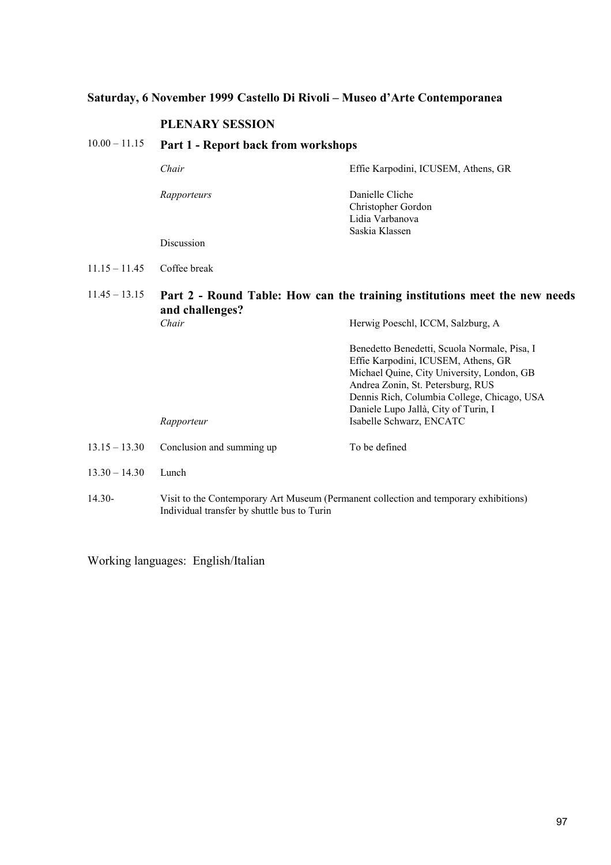### **Saturday, 6 November 1999 Castello Di Rivoli – Museo d'Arte Contemporanea**

#### **PLENARY SESSION**

### 10.00 – 11.15 **Part 1 - Report back from workshops**

| Chair       | Effie Karpodini, ICUSEM, Athens, GR                                        |
|-------------|----------------------------------------------------------------------------|
| Rapporteurs | Danielle Cliche<br>Christopher Gordon<br>Lidia Varbanova<br>Saskia Klassen |
| Discussion  |                                                                            |

#### 11.15 – 11.45 Coffee break

11.45 – 13.15 **Part 2 - Round Table: How can the training institutions meet the new needs and challenges?** *Chair* **Herwig Poeschl, ICCM, Salzburg, A** 

|                 | Rapporteur                | Benedetto Benedetti, Scuola Normale, Pisa, I<br>Effie Karpodini, ICUSEM, Athens, GR<br>Michael Quine, City University, London, GB<br>Andrea Zonin, St. Petersburg, RUS<br>Dennis Rich, Columbia College, Chicago, USA<br>Daniele Lupo Jallà, City of Turin, I<br>Isabelle Schwarz, ENCATC |
|-----------------|---------------------------|-------------------------------------------------------------------------------------------------------------------------------------------------------------------------------------------------------------------------------------------------------------------------------------------|
| $13.15 - 13.30$ | Conclusion and summing up | To be defined                                                                                                                                                                                                                                                                             |
| $13.30 - 14.30$ | Lunch                     |                                                                                                                                                                                                                                                                                           |

14.30- Visit to the Contemporary Art Museum (Permanent collection and temporary exhibitions) Individual transfer by shuttle bus to Turin

Working languages: English/Italian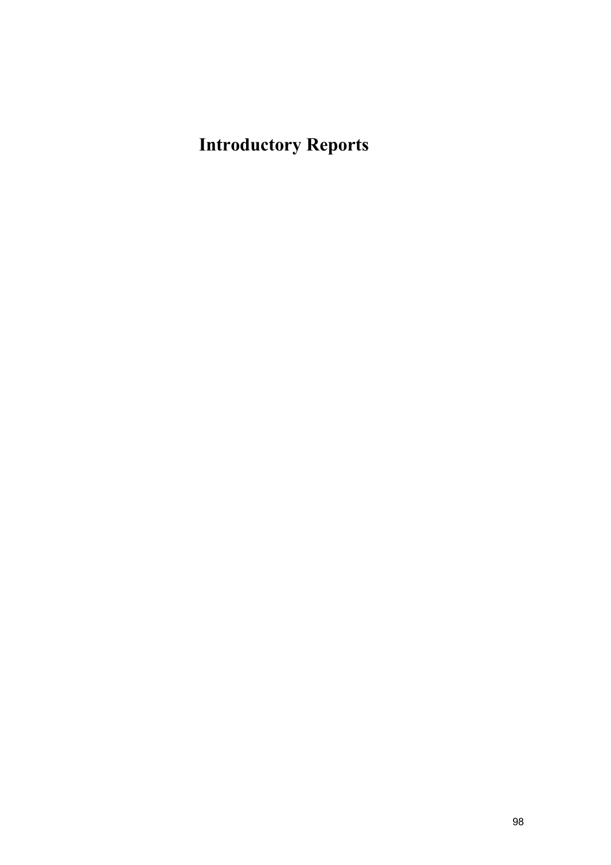# **Introductory Reports**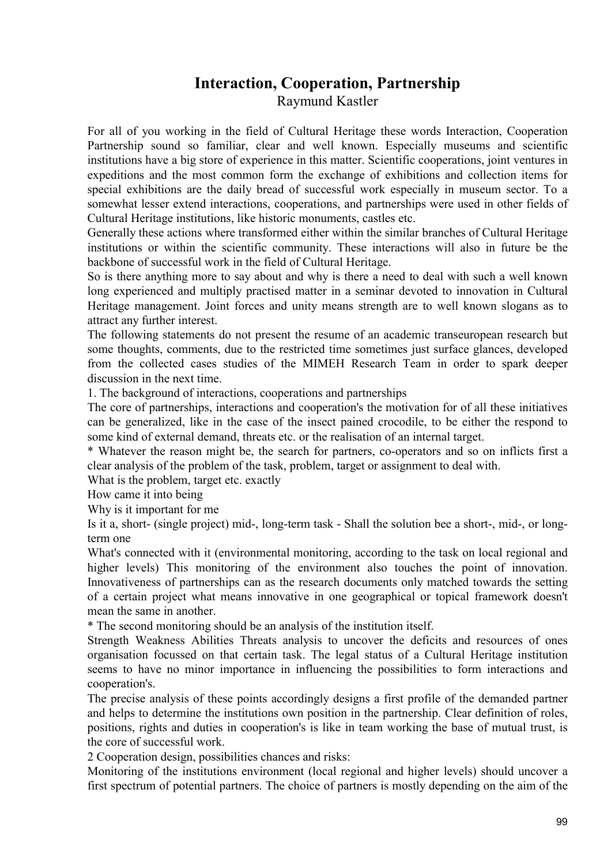## **Interaction, Cooperation, Partnership**  Raymund Kastler

For all of you working in the field of Cultural Heritage these words Interaction, Cooperation Partnership sound so familiar, clear and well known. Especially museums and scientific institutions have a big store of experience in this matter. Scientific cooperations, joint ventures in expeditions and the most common form the exchange of exhibitions and collection items for special exhibitions are the daily bread of successful work especially in museum sector. To a somewhat lesser extend interactions, cooperations, and partnerships were used in other fields of Cultural Heritage institutions, like historic monuments, castles etc.

Generally these actions where transformed either within the similar branches of Cultural Heritage institutions or within the scientific community. These interactions will also in future be the backbone of successful work in the field of Cultural Heritage.

So is there anything more to say about and why is there a need to deal with such a well known long experienced and multiply practised matter in a seminar devoted to innovation in Cultural Heritage management. Joint forces and unity means strength are to well known slogans as to attract any further interest.

The following statements do not present the resume of an academic transeuropean research but some thoughts, comments, due to the restricted time sometimes just surface glances, developed from the collected cases studies of the MIMEH Research Team in order to spark deeper discussion in the next time.

1. The background of interactions, cooperations and partnerships

The core of partnerships, interactions and cooperation's the motivation for of all these initiatives can be generalized, like in the case of the insect pained crocodile, to be either the respond to some kind of external demand, threats etc. or the realisation of an internal target.

\* Whatever the reason might be, the search for partners, co-operators and so on inflicts first a clear analysis of the problem of the task, problem, target or assignment to deal with.

What is the problem, target etc. exactly

How came it into being

Why is it important for me

Is it a, short- (single project) mid-, long-term task - Shall the solution bee a short-, mid-, or longterm one

What's connected with it (environmental monitoring, according to the task on local regional and higher levels) This monitoring of the environment also touches the point of innovation. Innovativeness of partnerships can as the research documents only matched towards the setting of a certain project what means innovative in one geographical or topical framework doesn't mean the same in another.

\* The second monitoring should be an analysis of the institution itself.

Strength Weakness Abilities Threats analysis to uncover the deficits and resources of ones organisation focussed on that certain task. The legal status of a Cultural Heritage institution seems to have no minor importance in influencing the possibilities to form interactions and cooperation's.

The precise analysis of these points accordingly designs a first profile of the demanded partner and helps to determine the institutions own position in the partnership. Clear definition of roles, positions, rights and duties in cooperation's is like in team working the base of mutual trust, is the core of successful work.

2 Cooperation design, possibilities chances and risks:

Monitoring of the institutions environment (local regional and higher levels) should uncover a first spectrum of potential partners. The choice of partners is mostly depending on the aim of the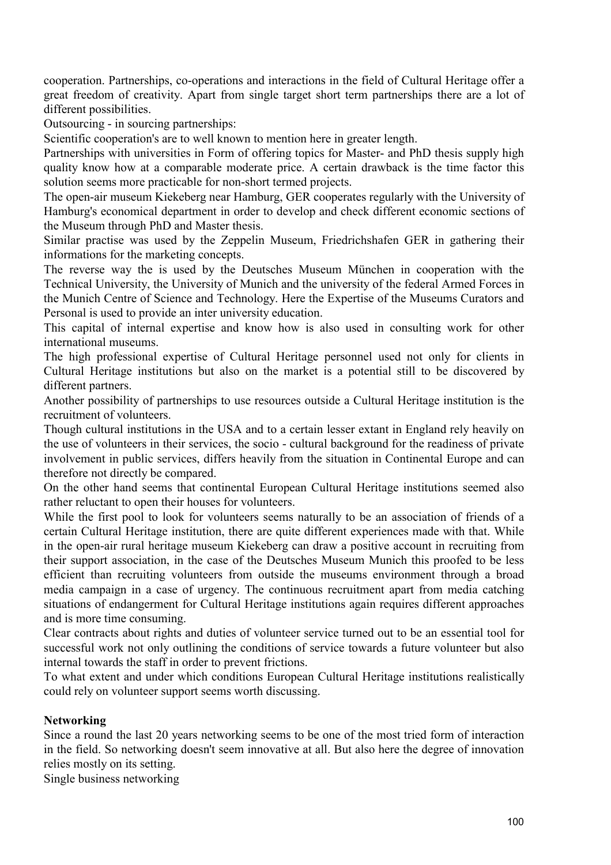cooperation. Partnerships, co-operations and interactions in the field of Cultural Heritage offer a great freedom of creativity. Apart from single target short term partnerships there are a lot of different possibilities.

Outsourcing - in sourcing partnerships:

Scientific cooperation's are to well known to mention here in greater length.

Partnerships with universities in Form of offering topics for Master- and PhD thesis supply high quality know how at a comparable moderate price. A certain drawback is the time factor this solution seems more practicable for non-short termed projects.

The open-air museum Kiekeberg near Hamburg, GER cooperates regularly with the University of Hamburg's economical department in order to develop and check different economic sections of the Museum through PhD and Master thesis.

Similar practise was used by the Zeppelin Museum, Friedrichshafen GER in gathering their informations for the marketing concepts.

The reverse way the is used by the Deutsches Museum München in cooperation with the Technical University, the University of Munich and the university of the federal Armed Forces in the Munich Centre of Science and Technology. Here the Expertise of the Museums Curators and Personal is used to provide an inter university education.

This capital of internal expertise and know how is also used in consulting work for other international museums.

The high professional expertise of Cultural Heritage personnel used not only for clients in Cultural Heritage institutions but also on the market is a potential still to be discovered by different partners.

Another possibility of partnerships to use resources outside a Cultural Heritage institution is the recruitment of volunteers.

Though cultural institutions in the USA and to a certain lesser extant in England rely heavily on the use of volunteers in their services, the socio - cultural background for the readiness of private involvement in public services, differs heavily from the situation in Continental Europe and can therefore not directly be compared.

On the other hand seems that continental European Cultural Heritage institutions seemed also rather reluctant to open their houses for volunteers.

While the first pool to look for volunteers seems naturally to be an association of friends of a certain Cultural Heritage institution, there are quite different experiences made with that. While in the open-air rural heritage museum Kiekeberg can draw a positive account in recruiting from their support association, in the case of the Deutsches Museum Munich this proofed to be less efficient than recruiting volunteers from outside the museums environment through a broad media campaign in a case of urgency. The continuous recruitment apart from media catching situations of endangerment for Cultural Heritage institutions again requires different approaches and is more time consuming.

Clear contracts about rights and duties of volunteer service turned out to be an essential tool for successful work not only outlining the conditions of service towards a future volunteer but also internal towards the staff in order to prevent frictions.

To what extent and under which conditions European Cultural Heritage institutions realistically could rely on volunteer support seems worth discussing.

### **Networking**

Since a round the last 20 years networking seems to be one of the most tried form of interaction in the field. So networking doesn't seem innovative at all. But also here the degree of innovation relies mostly on its setting.

Single business networking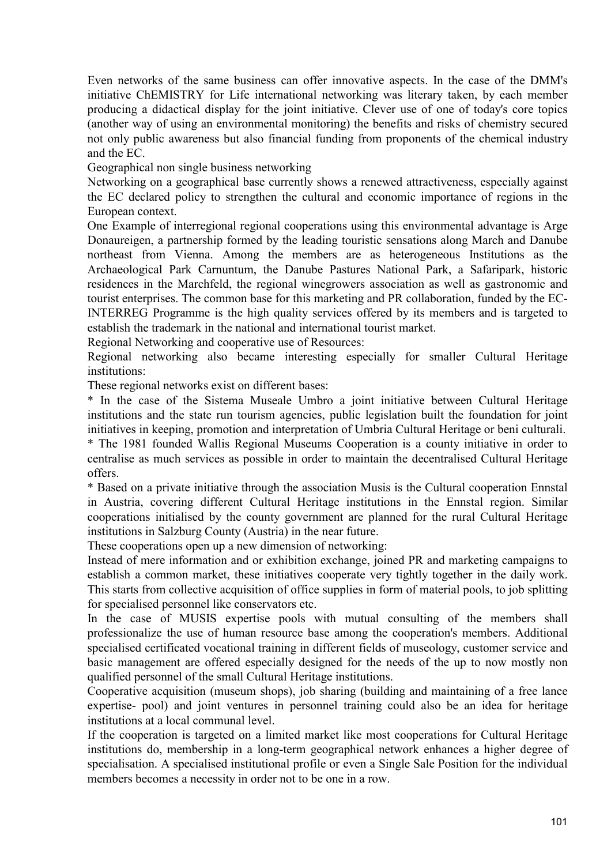Even networks of the same business can offer innovative aspects. In the case of the DMM's initiative ChEMISTRY for Life international networking was literary taken, by each member producing a didactical display for the joint initiative. Clever use of one of today's core topics (another way of using an environmental monitoring) the benefits and risks of chemistry secured not only public awareness but also financial funding from proponents of the chemical industry and the EC.

Geographical non single business networking

Networking on a geographical base currently shows a renewed attractiveness, especially against the EC declared policy to strengthen the cultural and economic importance of regions in the European context.

One Example of interregional regional cooperations using this environmental advantage is Arge Donaureigen, a partnership formed by the leading touristic sensations along March and Danube northeast from Vienna. Among the members are as heterogeneous Institutions as the Archaeological Park Carnuntum, the Danube Pastures National Park, a Safaripark, historic residences in the Marchfeld, the regional winegrowers association as well as gastronomic and tourist enterprises. The common base for this marketing and PR collaboration, funded by the EC-INTERREG Programme is the high quality services offered by its members and is targeted to establish the trademark in the national and international tourist market.

Regional Networking and cooperative use of Resources:

Regional networking also became interesting especially for smaller Cultural Heritage institutions:

These regional networks exist on different bases:

\* In the case of the Sistema Museale Umbro a joint initiative between Cultural Heritage institutions and the state run tourism agencies, public legislation built the foundation for joint initiatives in keeping, promotion and interpretation of Umbria Cultural Heritage or beni culturali. \* The 1981 founded Wallis Regional Museums Cooperation is a county initiative in order to centralise as much services as possible in order to maintain the decentralised Cultural Heritage offers.

\* Based on a private initiative through the association Musis is the Cultural cooperation Ennstal in Austria, covering different Cultural Heritage institutions in the Ennstal region. Similar cooperations initialised by the county government are planned for the rural Cultural Heritage institutions in Salzburg County (Austria) in the near future.

These cooperations open up a new dimension of networking:

Instead of mere information and or exhibition exchange, joined PR and marketing campaigns to establish a common market, these initiatives cooperate very tightly together in the daily work. This starts from collective acquisition of office supplies in form of material pools, to job splitting for specialised personnel like conservators etc.

In the case of MUSIS expertise pools with mutual consulting of the members shall professionalize the use of human resource base among the cooperation's members. Additional specialised certificated vocational training in different fields of museology, customer service and basic management are offered especially designed for the needs of the up to now mostly non qualified personnel of the small Cultural Heritage institutions.

Cooperative acquisition (museum shops), job sharing (building and maintaining of a free lance expertise- pool) and joint ventures in personnel training could also be an idea for heritage institutions at a local communal level.

If the cooperation is targeted on a limited market like most cooperations for Cultural Heritage institutions do, membership in a long-term geographical network enhances a higher degree of specialisation. A specialised institutional profile or even a Single Sale Position for the individual members becomes a necessity in order not to be one in a row.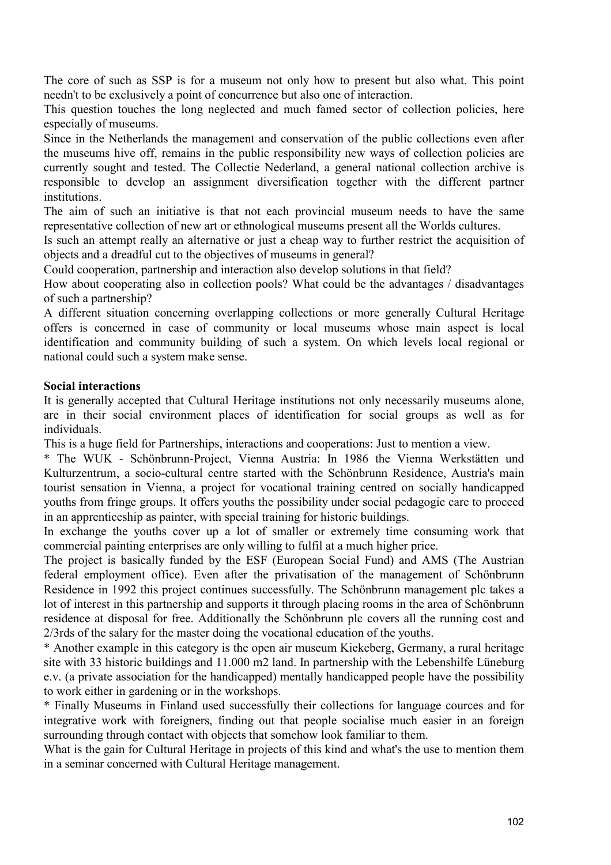The core of such as SSP is for a museum not only how to present but also what. This point needn't to be exclusively a point of concurrence but also one of interaction.

This question touches the long neglected and much famed sector of collection policies, here especially of museums.

Since in the Netherlands the management and conservation of the public collections even after the museums hive off, remains in the public responsibility new ways of collection policies are currently sought and tested. The Collectie Nederland, a general national collection archive is responsible to develop an assignment diversification together with the different partner institutions.

The aim of such an initiative is that not each provincial museum needs to have the same representative collection of new art or ethnological museums present all the Worlds cultures.

Is such an attempt really an alternative or just a cheap way to further restrict the acquisition of objects and a dreadful cut to the objectives of museums in general?

Could cooperation, partnership and interaction also develop solutions in that field?

How about cooperating also in collection pools? What could be the advantages / disadvantages of such a partnership?

A different situation concerning overlapping collections or more generally Cultural Heritage offers is concerned in case of community or local museums whose main aspect is local identification and community building of such a system. On which levels local regional or national could such a system make sense.

#### **Social interactions**

It is generally accepted that Cultural Heritage institutions not only necessarily museums alone, are in their social environment places of identification for social groups as well as for individuals.

This is a huge field for Partnerships, interactions and cooperations: Just to mention a view.

\* The WUK - Schönbrunn-Project, Vienna Austria: In 1986 the Vienna Werkstätten und Kulturzentrum, a socio-cultural centre started with the Schönbrunn Residence, Austria's main tourist sensation in Vienna, a project for vocational training centred on socially handicapped youths from fringe groups. It offers youths the possibility under social pedagogic care to proceed in an apprenticeship as painter, with special training for historic buildings.

In exchange the youths cover up a lot of smaller or extremely time consuming work that commercial painting enterprises are only willing to fulfil at a much higher price.

The project is basically funded by the ESF (European Social Fund) and AMS (The Austrian federal employment office). Even after the privatisation of the management of Schönbrunn Residence in 1992 this project continues successfully. The Schönbrunn management plc takes a lot of interest in this partnership and supports it through placing rooms in the area of Schönbrunn residence at disposal for free. Additionally the Schönbrunn plc covers all the running cost and 2/3rds of the salary for the master doing the vocational education of the youths.

\* Another example in this category is the open air museum Kiekeberg, Germany, a rural heritage site with 33 historic buildings and 11.000 m2 land. In partnership with the Lebenshilfe Lüneburg e.v. (a private association for the handicapped) mentally handicapped people have the possibility to work either in gardening or in the workshops.

\* Finally Museums in Finland used successfully their collections for language cources and for integrative work with foreigners, finding out that people socialise much easier in an foreign surrounding through contact with objects that somehow look familiar to them.

What is the gain for Cultural Heritage in projects of this kind and what's the use to mention them in a seminar concerned with Cultural Heritage management.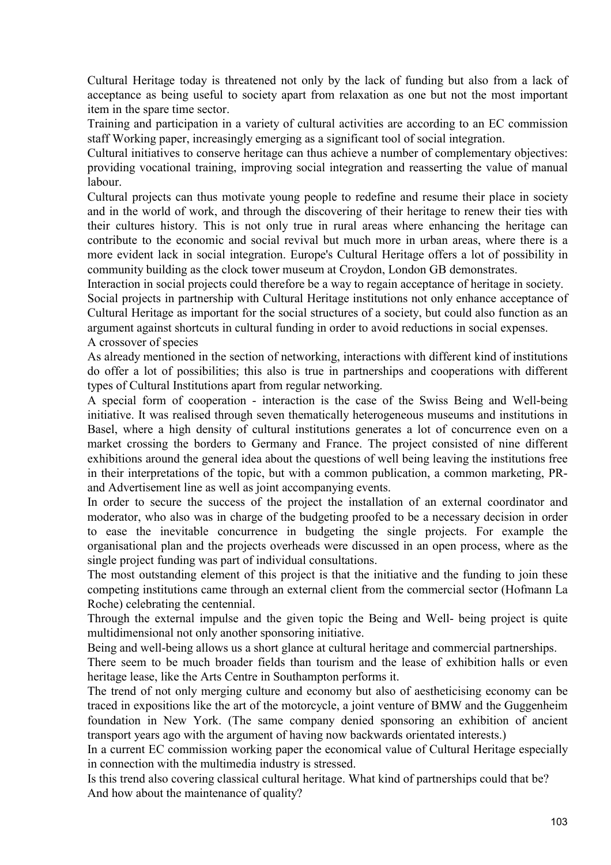Cultural Heritage today is threatened not only by the lack of funding but also from a lack of acceptance as being useful to society apart from relaxation as one but not the most important item in the spare time sector.

Training and participation in a variety of cultural activities are according to an EC commission staff Working paper, increasingly emerging as a significant tool of social integration.

Cultural initiatives to conserve heritage can thus achieve a number of complementary objectives: providing vocational training, improving social integration and reasserting the value of manual labour.

Cultural projects can thus motivate young people to redefine and resume their place in society and in the world of work, and through the discovering of their heritage to renew their ties with their cultures history. This is not only true in rural areas where enhancing the heritage can contribute to the economic and social revival but much more in urban areas, where there is a more evident lack in social integration. Europe's Cultural Heritage offers a lot of possibility in community building as the clock tower museum at Croydon, London GB demonstrates.

Interaction in social projects could therefore be a way to regain acceptance of heritage in society. Social projects in partnership with Cultural Heritage institutions not only enhance acceptance of Cultural Heritage as important for the social structures of a society, but could also function as an argument against shortcuts in cultural funding in order to avoid reductions in social expenses. A crossover of species

As already mentioned in the section of networking, interactions with different kind of institutions do offer a lot of possibilities; this also is true in partnerships and cooperations with different types of Cultural Institutions apart from regular networking.

A special form of cooperation - interaction is the case of the Swiss Being and Well-being initiative. It was realised through seven thematically heterogeneous museums and institutions in Basel, where a high density of cultural institutions generates a lot of concurrence even on a market crossing the borders to Germany and France. The project consisted of nine different exhibitions around the general idea about the questions of well being leaving the institutions free in their interpretations of the topic, but with a common publication, a common marketing, PRand Advertisement line as well as joint accompanying events.

In order to secure the success of the project the installation of an external coordinator and moderator, who also was in charge of the budgeting proofed to be a necessary decision in order to ease the inevitable concurrence in budgeting the single projects. For example the organisational plan and the projects overheads were discussed in an open process, where as the single project funding was part of individual consultations.

The most outstanding element of this project is that the initiative and the funding to join these competing institutions came through an external client from the commercial sector (Hofmann La Roche) celebrating the centennial.

Through the external impulse and the given topic the Being and Well- being project is quite multidimensional not only another sponsoring initiative.

Being and well-being allows us a short glance at cultural heritage and commercial partnerships.

There seem to be much broader fields than tourism and the lease of exhibition halls or even heritage lease, like the Arts Centre in Southampton performs it.

The trend of not only merging culture and economy but also of aestheticising economy can be traced in expositions like the art of the motorcycle, a joint venture of BMW and the Guggenheim foundation in New York. (The same company denied sponsoring an exhibition of ancient transport years ago with the argument of having now backwards orientated interests.)

In a current EC commission working paper the economical value of Cultural Heritage especially in connection with the multimedia industry is stressed.

Is this trend also covering classical cultural heritage. What kind of partnerships could that be? And how about the maintenance of quality?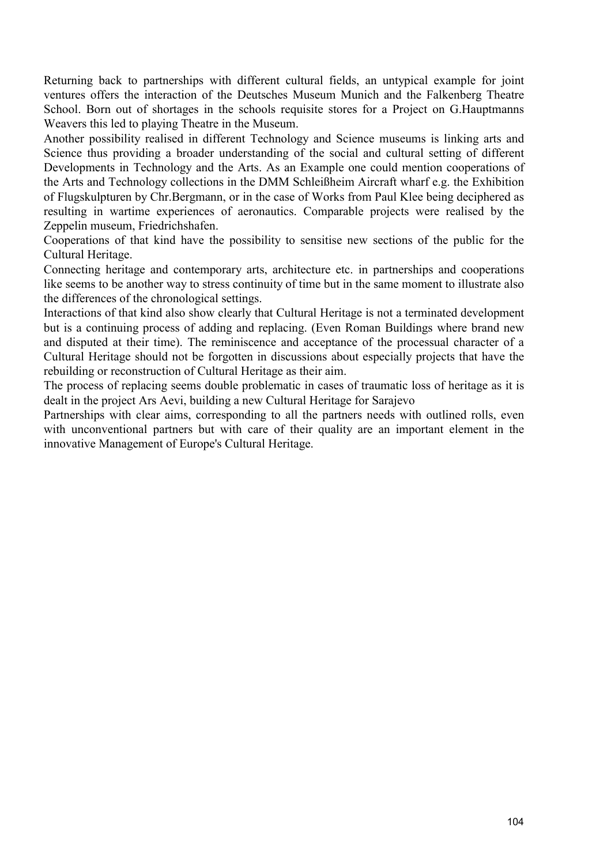Returning back to partnerships with different cultural fields, an untypical example for joint ventures offers the interaction of the Deutsches Museum Munich and the Falkenberg Theatre School. Born out of shortages in the schools requisite stores for a Project on G.Hauptmanns Weavers this led to playing Theatre in the Museum.

Another possibility realised in different Technology and Science museums is linking arts and Science thus providing a broader understanding of the social and cultural setting of different Developments in Technology and the Arts. As an Example one could mention cooperations of the Arts and Technology collections in the DMM Schleißheim Aircraft wharf e.g. the Exhibition of Flugskulpturen by Chr.Bergmann, or in the case of Works from Paul Klee being deciphered as resulting in wartime experiences of aeronautics. Comparable projects were realised by the Zeppelin museum, Friedrichshafen.

Cooperations of that kind have the possibility to sensitise new sections of the public for the Cultural Heritage.

Connecting heritage and contemporary arts, architecture etc. in partnerships and cooperations like seems to be another way to stress continuity of time but in the same moment to illustrate also the differences of the chronological settings.

Interactions of that kind also show clearly that Cultural Heritage is not a terminated development but is a continuing process of adding and replacing. (Even Roman Buildings where brand new and disputed at their time). The reminiscence and acceptance of the processual character of a Cultural Heritage should not be forgotten in discussions about especially projects that have the rebuilding or reconstruction of Cultural Heritage as their aim.

The process of replacing seems double problematic in cases of traumatic loss of heritage as it is dealt in the project Ars Aevi, building a new Cultural Heritage for Sarajevo

Partnerships with clear aims, corresponding to all the partners needs with outlined rolls, even with unconventional partners but with care of their quality are an important element in the innovative Management of Europe's Cultural Heritage.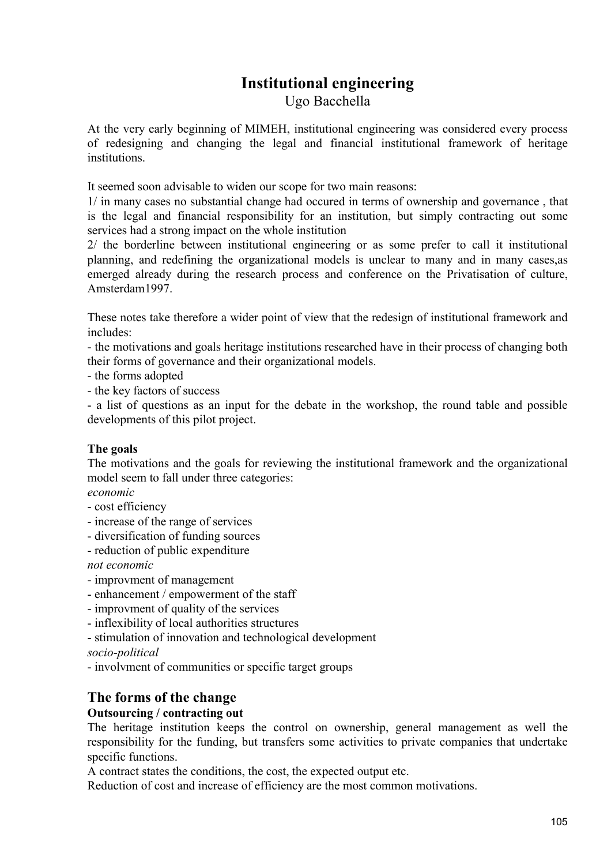# **Institutional engineering**

Ugo Bacchella

At the very early beginning of MIMEH, institutional engineering was considered every process of redesigning and changing the legal and financial institutional framework of heritage institutions.

It seemed soon advisable to widen our scope for two main reasons:

1/ in many cases no substantial change had occured in terms of ownership and governance , that is the legal and financial responsibility for an institution, but simply contracting out some services had a strong impact on the whole institution

2/ the borderline between institutional engineering or as some prefer to call it institutional planning, and redefining the organizational models is unclear to many and in many cases,as emerged already during the research process and conference on the Privatisation of culture, Amsterdam1997.

These notes take therefore a wider point of view that the redesign of institutional framework and includes:

- the motivations and goals heritage institutions researched have in their process of changing both their forms of governance and their organizational models.

- the forms adopted

- the key factors of success

- a list of questions as an input for the debate in the workshop, the round table and possible developments of this pilot project.

### **The goals**

The motivations and the goals for reviewing the institutional framework and the organizational model seem to fall under three categories:

*economic* 

- cost efficiency
- increase of the range of services
- diversification of funding sources
- reduction of public expenditure

*not economic* 

- improvment of management
- enhancement / empowerment of the staff
- improvment of quality of the services
- inflexibility of local authorities structures
- stimulation of innovation and technological development

*socio-political* 

- involvment of communities or specific target groups

## **The forms of the change**

### **Outsourcing / contracting out**

The heritage institution keeps the control on ownership, general management as well the responsibility for the funding, but transfers some activities to private companies that undertake specific functions.

A contract states the conditions, the cost, the expected output etc.

Reduction of cost and increase of efficiency are the most common motivations.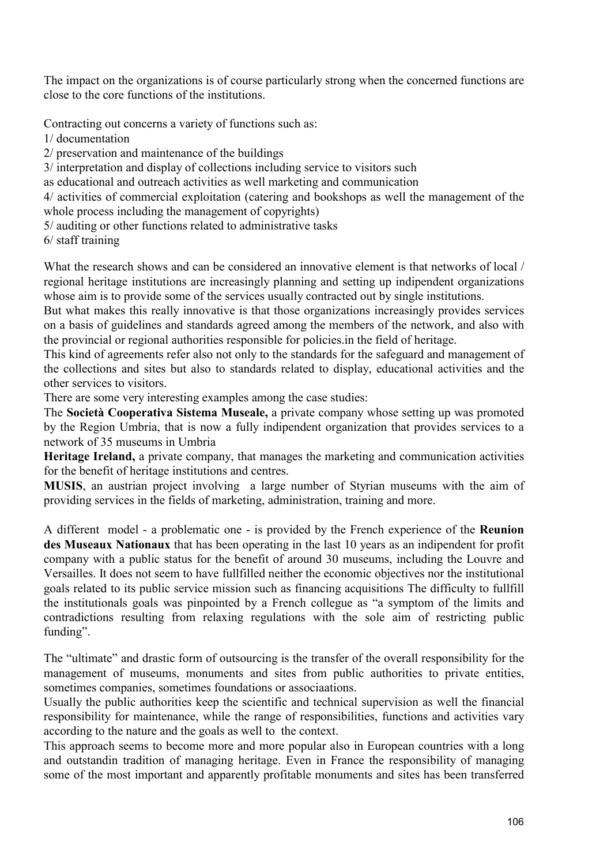The impact on the organizations is of course particularly strong when the concerned functions are close to the core functions of the institutions.

Contracting out concerns a variety of functions such as:

1/ documentation

2/ preservation and maintenance of the buildings

3/ interpretation and display of collections including service to visitors such

as educational and outreach activities as well marketing and communication

4/ activities of commercial exploitation (catering and bookshops as well the management of the whole process including the management of copyrights)

5/ auditing or other functions related to administrative tasks

6/ staff training

What the research shows and can be considered an innovative element is that networks of local / regional heritage institutions are increasingly planning and setting up indipendent organizations whose aim is to provide some of the services usually contracted out by single institutions.

But what makes this really innovative is that those organizations increasingly provides services on a basis of guidelines and standards agreed among the members of the network, and also with the provincial or regional authorities responsible for policies.in the field of heritage.

This kind of agreements refer also not only to the standards for the safeguard and management of the collections and sites but also to standards related to display, educational activities and the other services to visitors.

There are some very interesting examples among the case studies:

The **Società Cooperativa Sistema Museale,** a private company whose setting up was promoted by the Region Umbria, that is now a fully indipendent organization that provides services to a network of 35 museums in Umbria

**Heritage Ireland,** a private company, that manages the marketing and communication activities for the benefit of heritage institutions and centres.

**MUSIS**, an austrian project involving a large number of Styrian museums with the aim of providing services in the fields of marketing, administration, training and more.

A different model - a problematic one - is provided by the French experience of the **Reunion des Museaux Nationaux** that has been operating in the last 10 years as an indipendent for profit company with a public status for the benefit of around 30 museums, including the Louvre and Versailles. It does not seem to have fullfilled neither the economic objectives nor the institutional goals related to its public service mission such as financing acquisitions The difficulty to fullfill the institutionals goals was pinpointed by a French collegue as "a symptom of the limits and contradictions resulting from relaxing regulations with the sole aim of restricting public funding".

The "ultimate" and drastic form of outsourcing is the transfer of the overall responsibility for the management of museums, monuments and sites from public authorities to private entities, sometimes companies, sometimes foundations or associaations.

Usually the public authorities keep the scientific and technical supervision as well the financial responsibility for maintenance, while the range of responsibilities, functions and activities vary according to the nature and the goals as well to the context.

This approach seems to become more and more popular also in European countries with a long and outstandin tradition of managing heritage. Even in France the responsibility of managing some of the most important and apparently profitable monuments and sites has been transferred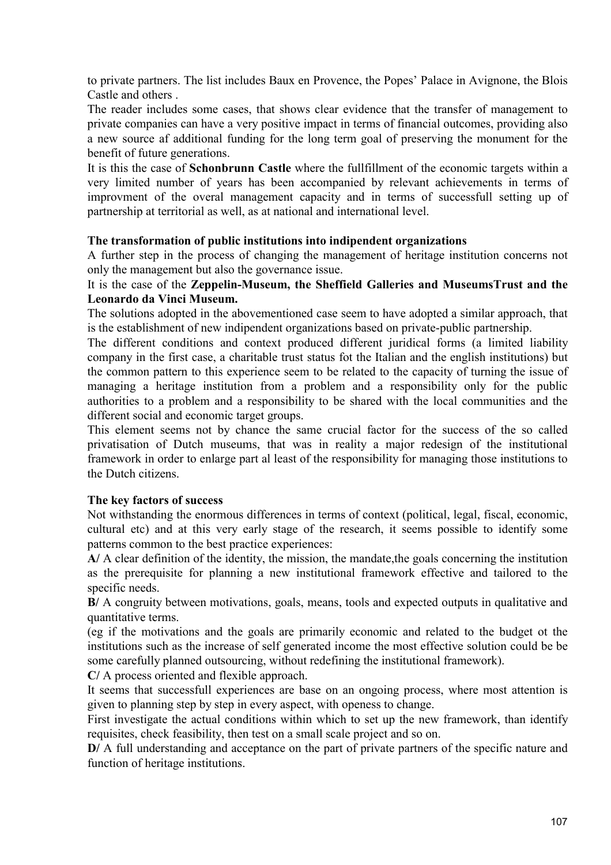to private partners. The list includes Baux en Provence, the Popes' Palace in Avignone, the Blois Castle and others .

The reader includes some cases, that shows clear evidence that the transfer of management to private companies can have a very positive impact in terms of financial outcomes, providing also a new source af additional funding for the long term goal of preserving the monument for the benefit of future generations.

It is this the case of **Schonbrunn Castle** where the fullfillment of the economic targets within a very limited number of years has been accompanied by relevant achievements in terms of improvment of the overal management capacity and in terms of successfull setting up of partnership at territorial as well, as at national and international level.

### **The transformation of public institutions into indipendent organizations**

A further step in the process of changing the management of heritage institution concerns not only the management but also the governance issue.

### It is the case of the **Zeppelin-Museum, the Sheffield Galleries and MuseumsTrust and the Leonardo da Vinci Museum.**

The solutions adopted in the abovementioned case seem to have adopted a similar approach, that is the establishment of new indipendent organizations based on private-public partnership.

The different conditions and context produced different juridical forms (a limited liability company in the first case, a charitable trust status fot the Italian and the english institutions) but the common pattern to this experience seem to be related to the capacity of turning the issue of managing a heritage institution from a problem and a responsibility only for the public authorities to a problem and a responsibility to be shared with the local communities and the different social and economic target groups.

This element seems not by chance the same crucial factor for the success of the so called privatisation of Dutch museums, that was in reality a major redesign of the institutional framework in order to enlarge part al least of the responsibility for managing those institutions to the Dutch citizens.

### **The key factors of success**

Not withstanding the enormous differences in terms of context (political, legal, fiscal, economic, cultural etc) and at this very early stage of the research, it seems possible to identify some patterns common to the best practice experiences:

**A/** A clear definition of the identity, the mission, the mandate,the goals concerning the institution as the prerequisite for planning a new institutional framework effective and tailored to the specific needs.

**B/** A congruity between motivations, goals, means, tools and expected outputs in qualitative and quantitative terms.

(eg if the motivations and the goals are primarily economic and related to the budget ot the institutions such as the increase of self generated income the most effective solution could be be some carefully planned outsourcing, without redefining the institutional framework).

**C/** A process oriented and flexible approach.

It seems that successfull experiences are base on an ongoing process, where most attention is given to planning step by step in every aspect, with openess to change.

First investigate the actual conditions within which to set up the new framework, than identify requisites, check feasibility, then test on a small scale project and so on.

**D/** A full understanding and acceptance on the part of private partners of the specific nature and function of heritage institutions.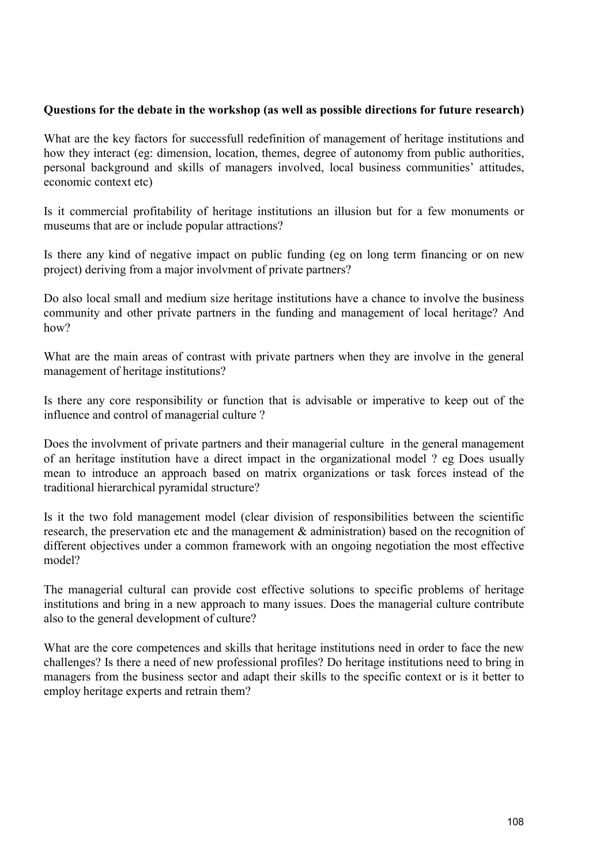#### **Questions for the debate in the workshop (as well as possible directions for future research)**

What are the key factors for successfull redefinition of management of heritage institutions and how they interact (eg: dimension, location, themes, degree of autonomy from public authorities, personal background and skills of managers involved, local business communities' attitudes, economic context etc)

Is it commercial profitability of heritage institutions an illusion but for a few monuments or museums that are or include popular attractions?

Is there any kind of negative impact on public funding (eg on long term financing or on new project) deriving from a major involvment of private partners?

Do also local small and medium size heritage institutions have a chance to involve the business community and other private partners in the funding and management of local heritage? And how?

What are the main areas of contrast with private partners when they are involve in the general management of heritage institutions?

Is there any core responsibility or function that is advisable or imperative to keep out of the influence and control of managerial culture ?

Does the involvment of private partners and their managerial culture in the general management of an heritage institution have a direct impact in the organizational model ? eg Does usually mean to introduce an approach based on matrix organizations or task forces instead of the traditional hierarchical pyramidal structure?

Is it the two fold management model (clear division of responsibilities between the scientific research, the preservation etc and the management & administration) based on the recognition of different objectives under a common framework with an ongoing negotiation the most effective model?

The managerial cultural can provide cost effective solutions to specific problems of heritage institutions and bring in a new approach to many issues. Does the managerial culture contribute also to the general development of culture?

What are the core competences and skills that heritage institutions need in order to face the new challenges? Is there a need of new professional profiles? Do heritage institutions need to bring in managers from the business sector and adapt their skills to the specific context or is it better to employ heritage experts and retrain them?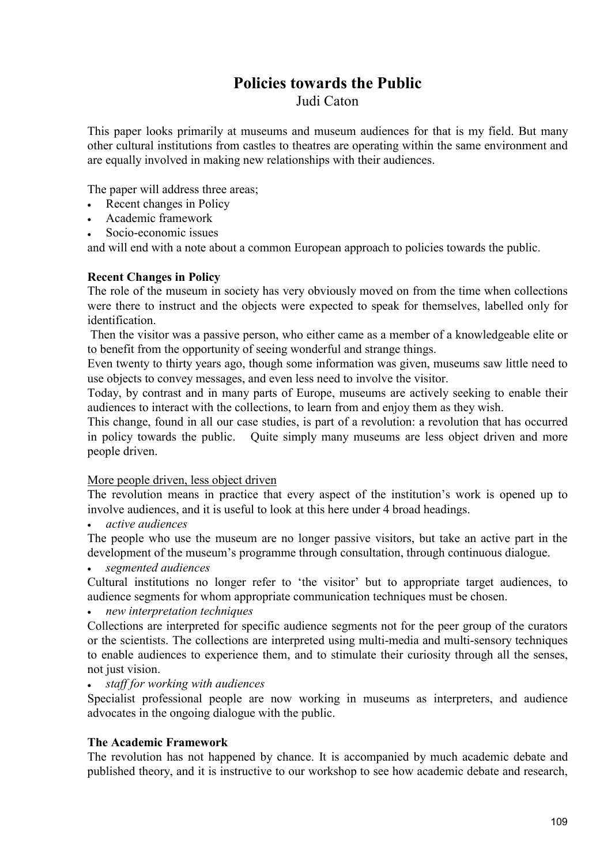# **Policies towards the Public**

Judi Caton

This paper looks primarily at museums and museum audiences for that is my field. But many other cultural institutions from castles to theatres are operating within the same environment and are equally involved in making new relationships with their audiences.

The paper will address three areas;

- Recent changes in Policy
- Academic framework
- Socio-economic issues

and will end with a note about a common European approach to policies towards the public.

### **Recent Changes in Policy**

The role of the museum in society has very obviously moved on from the time when collections were there to instruct and the objects were expected to speak for themselves, labelled only for identification.

 Then the visitor was a passive person, who either came as a member of a knowledgeable elite or to benefit from the opportunity of seeing wonderful and strange things.

Even twenty to thirty years ago, though some information was given, museums saw little need to use objects to convey messages, and even less need to involve the visitor.

Today, by contrast and in many parts of Europe, museums are actively seeking to enable their audiences to interact with the collections, to learn from and enjoy them as they wish.

This change, found in all our case studies, is part of a revolution: a revolution that has occurred in policy towards the public. Quite simply many museums are less object driven and more people driven.

### More people driven, less object driven

The revolution means in practice that every aspect of the institution's work is opened up to involve audiences, and it is useful to look at this here under 4 broad headings.

• *active audiences* 

The people who use the museum are no longer passive visitors, but take an active part in the development of the museum's programme through consultation, through continuous dialogue.

• *segmented audiences* 

Cultural institutions no longer refer to 'the visitor' but to appropriate target audiences, to audience segments for whom appropriate communication techniques must be chosen.

• *new interpretation techniques* 

Collections are interpreted for specific audience segments not for the peer group of the curators or the scientists. The collections are interpreted using multi-media and multi-sensory techniques to enable audiences to experience them, and to stimulate their curiosity through all the senses, not just vision.

• *staff for working with audiences* 

Specialist professional people are now working in museums as interpreters, and audience advocates in the ongoing dialogue with the public.

### **The Academic Framework**

The revolution has not happened by chance. It is accompanied by much academic debate and published theory, and it is instructive to our workshop to see how academic debate and research,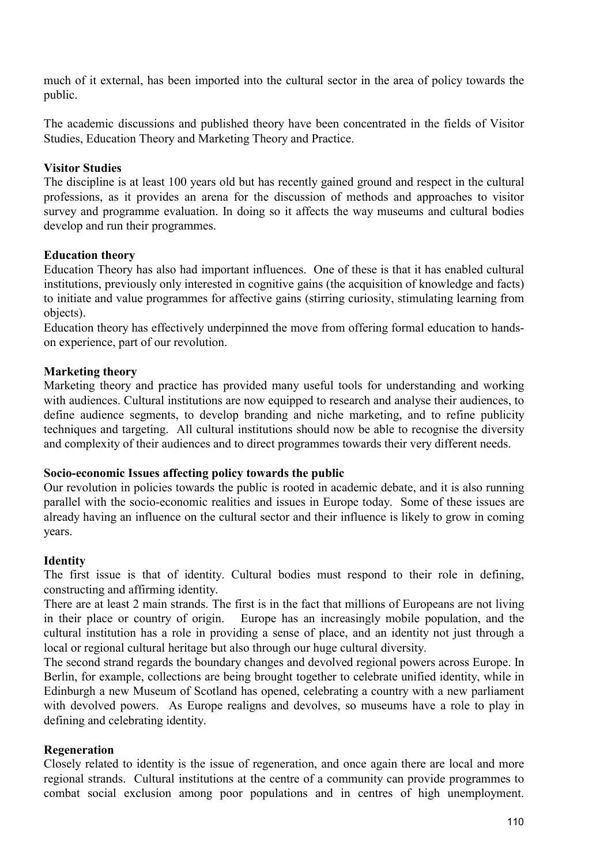much of it external, has been imported into the cultural sector in the area of policy towards the public.

The academic discussions and published theory have been concentrated in the fields of Visitor Studies, Education Theory and Marketing Theory and Practice.

## **Visitor Studies**

The discipline is at least 100 years old but has recently gained ground and respect in the cultural professions, as it provides an arena for the discussion of methods and approaches to visitor survey and programme evaluation. In doing so it affects the way museums and cultural bodies develop and run their programmes.

### **Education theory**

Education Theory has also had important influences. One of these is that it has enabled cultural institutions, previously only interested in cognitive gains (the acquisition of knowledge and facts) to initiate and value programmes for affective gains (stirring curiosity, stimulating learning from objects).

Education theory has effectively underpinned the move from offering formal education to handson experience, part of our revolution.

## **Marketing theory**

Marketing theory and practice has provided many useful tools for understanding and working with audiences. Cultural institutions are now equipped to research and analyse their audiences, to define audience segments, to develop branding and niche marketing, and to refine publicity techniques and targeting. All cultural institutions should now be able to recognise the diversity and complexity of their audiences and to direct programmes towards their very different needs.

### **Socio-economic Issues affecting policy towards the public**

Our revolution in policies towards the public is rooted in academic debate, and it is also running parallel with the socio-economic realities and issues in Europe today. Some of these issues are already having an influence on the cultural sector and their influence is likely to grow in coming years.

### **Identity**

The first issue is that of identity. Cultural bodies must respond to their role in defining, constructing and affirming identity.

There are at least 2 main strands. The first is in the fact that millions of Europeans are not living in their place or country of origin. Europe has an increasingly mobile population, and the cultural institution has a role in providing a sense of place, and an identity not just through a local or regional cultural heritage but also through our huge cultural diversity.

The second strand regards the boundary changes and devolved regional powers across Europe. In Berlin, for example, collections are being brought together to celebrate unified identity, while in Edinburgh a new Museum of Scotland has opened, celebrating a country with a new parliament with devolved powers. As Europe realigns and devolves, so museums have a role to play in defining and celebrating identity.

### **Regeneration**

Closely related to identity is the issue of regeneration, and once again there are local and more regional strands. Cultural institutions at the centre of a community can provide programmes to combat social exclusion among poor populations and in centres of high unemployment.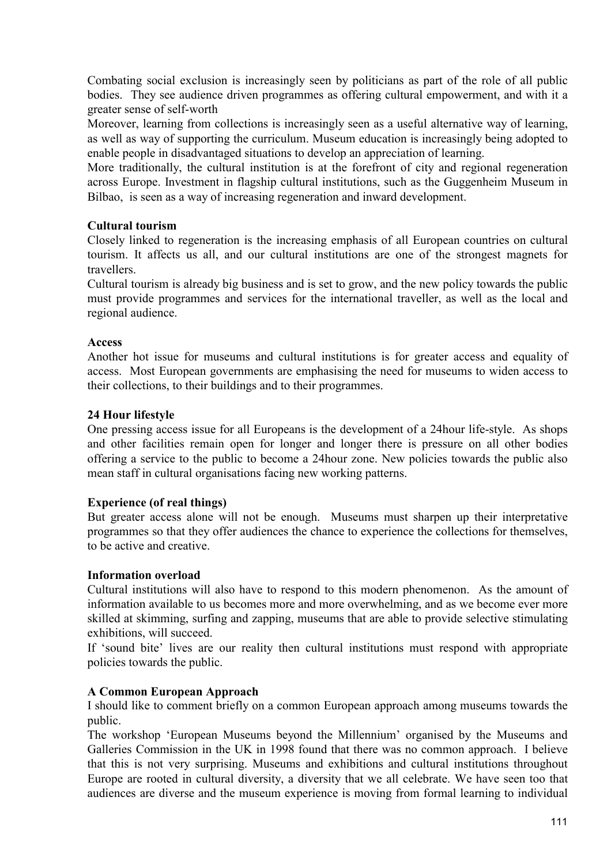Combating social exclusion is increasingly seen by politicians as part of the role of all public bodies. They see audience driven programmes as offering cultural empowerment, and with it a greater sense of self-worth

Moreover, learning from collections is increasingly seen as a useful alternative way of learning, as well as way of supporting the curriculum. Museum education is increasingly being adopted to enable people in disadvantaged situations to develop an appreciation of learning.

More traditionally, the cultural institution is at the forefront of city and regional regeneration across Europe. Investment in flagship cultural institutions, such as the Guggenheim Museum in Bilbao, is seen as a way of increasing regeneration and inward development.

## **Cultural tourism**

Closely linked to regeneration is the increasing emphasis of all European countries on cultural tourism. It affects us all, and our cultural institutions are one of the strongest magnets for travellers.

Cultural tourism is already big business and is set to grow, and the new policy towards the public must provide programmes and services for the international traveller, as well as the local and regional audience.

## **Access**

Another hot issue for museums and cultural institutions is for greater access and equality of access. Most European governments are emphasising the need for museums to widen access to their collections, to their buildings and to their programmes.

## **24 Hour lifestyle**

One pressing access issue for all Europeans is the development of a 24hour life-style. As shops and other facilities remain open for longer and longer there is pressure on all other bodies offering a service to the public to become a 24hour zone. New policies towards the public also mean staff in cultural organisations facing new working patterns.

## **Experience (of real things)**

But greater access alone will not be enough. Museums must sharpen up their interpretative programmes so that they offer audiences the chance to experience the collections for themselves, to be active and creative.

## **Information overload**

Cultural institutions will also have to respond to this modern phenomenon. As the amount of information available to us becomes more and more overwhelming, and as we become ever more skilled at skimming, surfing and zapping, museums that are able to provide selective stimulating exhibitions, will succeed.

If 'sound bite' lives are our reality then cultural institutions must respond with appropriate policies towards the public.

## **A Common European Approach**

I should like to comment briefly on a common European approach among museums towards the public.

The workshop 'European Museums beyond the Millennium' organised by the Museums and Galleries Commission in the UK in 1998 found that there was no common approach. I believe that this is not very surprising. Museums and exhibitions and cultural institutions throughout Europe are rooted in cultural diversity, a diversity that we all celebrate. We have seen too that audiences are diverse and the museum experience is moving from formal learning to individual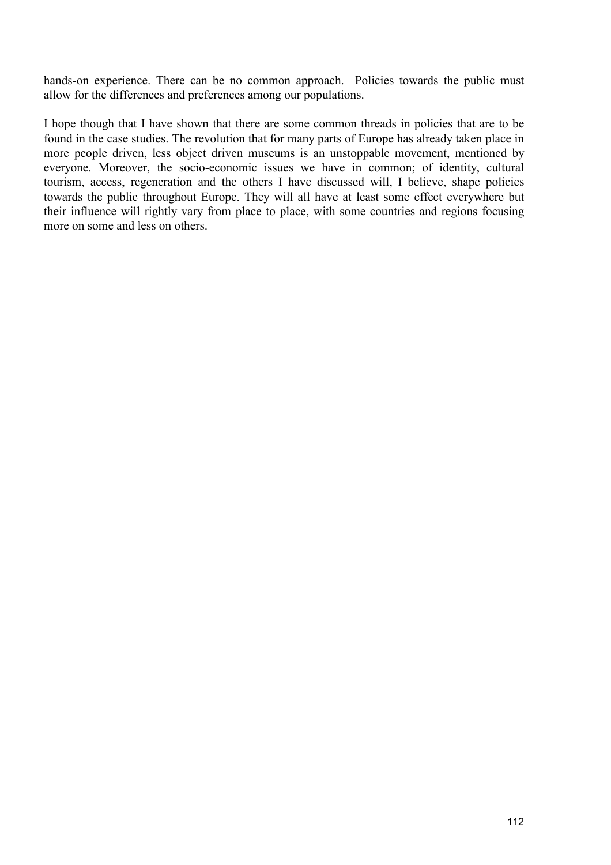hands-on experience. There can be no common approach. Policies towards the public must allow for the differences and preferences among our populations.

I hope though that I have shown that there are some common threads in policies that are to be found in the case studies. The revolution that for many parts of Europe has already taken place in more people driven, less object driven museums is an unstoppable movement, mentioned by everyone. Moreover, the socio-economic issues we have in common; of identity, cultural tourism, access, regeneration and the others I have discussed will, I believe, shape policies towards the public throughout Europe. They will all have at least some effect everywhere but their influence will rightly vary from place to place, with some countries and regions focusing more on some and less on others.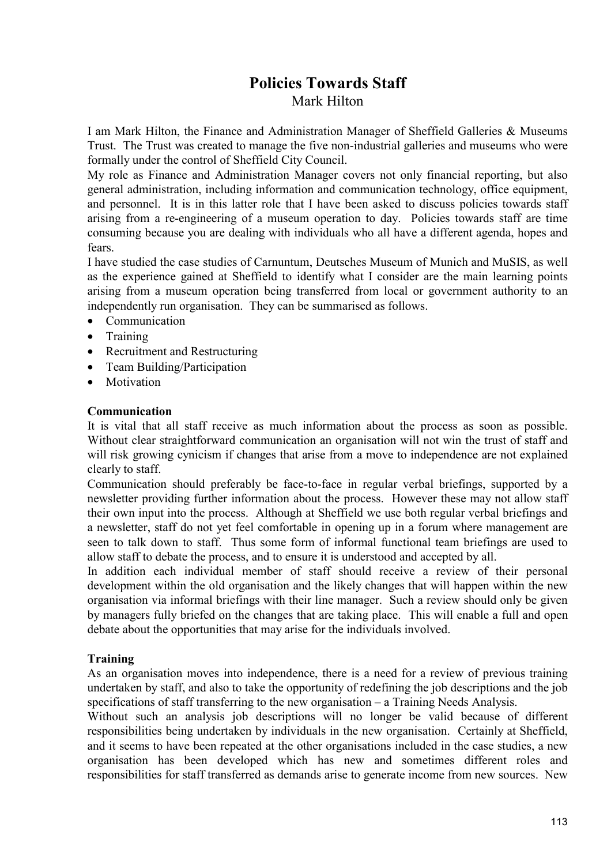## **Policies Towards Staff**  Mark Hilton

I am Mark Hilton, the Finance and Administration Manager of Sheffield Galleries & Museums Trust. The Trust was created to manage the five non-industrial galleries and museums who were formally under the control of Sheffield City Council.

My role as Finance and Administration Manager covers not only financial reporting, but also general administration, including information and communication technology, office equipment, and personnel. It is in this latter role that I have been asked to discuss policies towards staff arising from a re-engineering of a museum operation to day. Policies towards staff are time consuming because you are dealing with individuals who all have a different agenda, hopes and fears.

I have studied the case studies of Carnuntum, Deutsches Museum of Munich and MuSIS, as well as the experience gained at Sheffield to identify what I consider are the main learning points arising from a museum operation being transferred from local or government authority to an independently run organisation. They can be summarised as follows.

- Communication
- Training
- Recruitment and Restructuring
- Team Building/Participation
- **Motivation**

### **Communication**

It is vital that all staff receive as much information about the process as soon as possible. Without clear straightforward communication an organisation will not win the trust of staff and will risk growing cynicism if changes that arise from a move to independence are not explained clearly to staff.

Communication should preferably be face-to-face in regular verbal briefings, supported by a newsletter providing further information about the process. However these may not allow staff their own input into the process. Although at Sheffield we use both regular verbal briefings and a newsletter, staff do not yet feel comfortable in opening up in a forum where management are seen to talk down to staff. Thus some form of informal functional team briefings are used to allow staff to debate the process, and to ensure it is understood and accepted by all.

In addition each individual member of staff should receive a review of their personal development within the old organisation and the likely changes that will happen within the new organisation via informal briefings with their line manager. Such a review should only be given by managers fully briefed on the changes that are taking place. This will enable a full and open debate about the opportunities that may arise for the individuals involved.

## **Training**

As an organisation moves into independence, there is a need for a review of previous training undertaken by staff, and also to take the opportunity of redefining the job descriptions and the job specifications of staff transferring to the new organisation – a Training Needs Analysis.

Without such an analysis job descriptions will no longer be valid because of different responsibilities being undertaken by individuals in the new organisation. Certainly at Sheffield, and it seems to have been repeated at the other organisations included in the case studies, a new organisation has been developed which has new and sometimes different roles and responsibilities for staff transferred as demands arise to generate income from new sources. New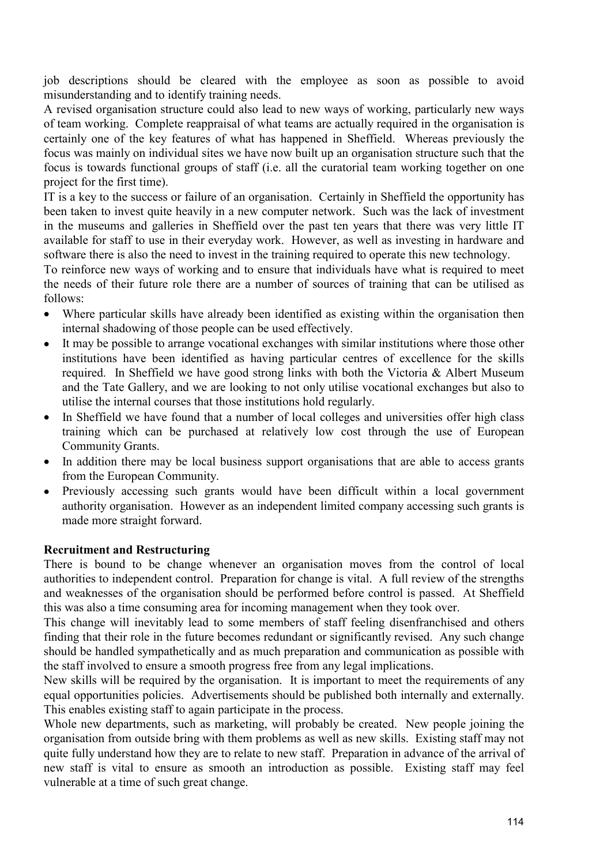job descriptions should be cleared with the employee as soon as possible to avoid misunderstanding and to identify training needs.

A revised organisation structure could also lead to new ways of working, particularly new ways of team working. Complete reappraisal of what teams are actually required in the organisation is certainly one of the key features of what has happened in Sheffield. Whereas previously the focus was mainly on individual sites we have now built up an organisation structure such that the focus is towards functional groups of staff (i.e. all the curatorial team working together on one project for the first time).

IT is a key to the success or failure of an organisation. Certainly in Sheffield the opportunity has been taken to invest quite heavily in a new computer network. Such was the lack of investment in the museums and galleries in Sheffield over the past ten years that there was very little IT available for staff to use in their everyday work. However, as well as investing in hardware and software there is also the need to invest in the training required to operate this new technology.

To reinforce new ways of working and to ensure that individuals have what is required to meet the needs of their future role there are a number of sources of training that can be utilised as follows:

- Where particular skills have already been identified as existing within the organisation then internal shadowing of those people can be used effectively.
- It may be possible to arrange vocational exchanges with similar institutions where those other institutions have been identified as having particular centres of excellence for the skills required. In Sheffield we have good strong links with both the Victoria & Albert Museum and the Tate Gallery, and we are looking to not only utilise vocational exchanges but also to utilise the internal courses that those institutions hold regularly.
- In Sheffield we have found that a number of local colleges and universities offer high class training which can be purchased at relatively low cost through the use of European Community Grants.
- In addition there may be local business support organisations that are able to access grants from the European Community.
- Previously accessing such grants would have been difficult within a local government authority organisation. However as an independent limited company accessing such grants is made more straight forward.

## **Recruitment and Restructuring**

There is bound to be change whenever an organisation moves from the control of local authorities to independent control. Preparation for change is vital. A full review of the strengths and weaknesses of the organisation should be performed before control is passed. At Sheffield this was also a time consuming area for incoming management when they took over.

This change will inevitably lead to some members of staff feeling disenfranchised and others finding that their role in the future becomes redundant or significantly revised. Any such change should be handled sympathetically and as much preparation and communication as possible with the staff involved to ensure a smooth progress free from any legal implications.

New skills will be required by the organisation. It is important to meet the requirements of any equal opportunities policies. Advertisements should be published both internally and externally. This enables existing staff to again participate in the process.

Whole new departments, such as marketing, will probably be created. New people joining the organisation from outside bring with them problems as well as new skills. Existing staff may not quite fully understand how they are to relate to new staff. Preparation in advance of the arrival of new staff is vital to ensure as smooth an introduction as possible. Existing staff may feel vulnerable at a time of such great change.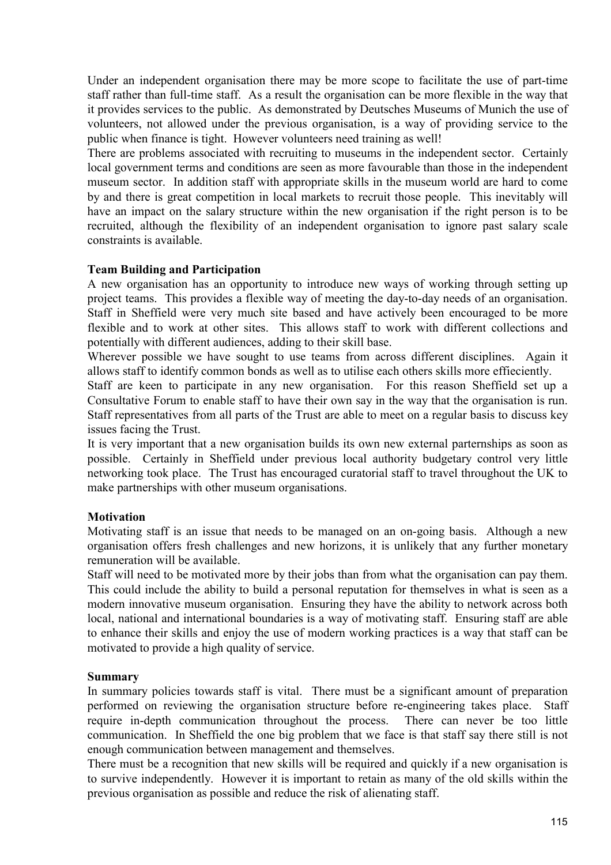Under an independent organisation there may be more scope to facilitate the use of part-time staff rather than full-time staff. As a result the organisation can be more flexible in the way that it provides services to the public. As demonstrated by Deutsches Museums of Munich the use of volunteers, not allowed under the previous organisation, is a way of providing service to the public when finance is tight. However volunteers need training as well!

There are problems associated with recruiting to museums in the independent sector. Certainly local government terms and conditions are seen as more favourable than those in the independent museum sector. In addition staff with appropriate skills in the museum world are hard to come by and there is great competition in local markets to recruit those people. This inevitably will have an impact on the salary structure within the new organisation if the right person is to be recruited, although the flexibility of an independent organisation to ignore past salary scale constraints is available.

## **Team Building and Participation**

A new organisation has an opportunity to introduce new ways of working through setting up project teams. This provides a flexible way of meeting the day-to-day needs of an organisation. Staff in Sheffield were very much site based and have actively been encouraged to be more flexible and to work at other sites. This allows staff to work with different collections and potentially with different audiences, adding to their skill base.

Wherever possible we have sought to use teams from across different disciplines. Again it allows staff to identify common bonds as well as to utilise each others skills more effieciently.

Staff are keen to participate in any new organisation. For this reason Sheffield set up a Consultative Forum to enable staff to have their own say in the way that the organisation is run. Staff representatives from all parts of the Trust are able to meet on a regular basis to discuss key issues facing the Trust.

It is very important that a new organisation builds its own new external parternships as soon as possible. Certainly in Sheffield under previous local authority budgetary control very little networking took place. The Trust has encouraged curatorial staff to travel throughout the UK to make partnerships with other museum organisations.

## **Motivation**

Motivating staff is an issue that needs to be managed on an on-going basis. Although a new organisation offers fresh challenges and new horizons, it is unlikely that any further monetary remuneration will be available.

Staff will need to be motivated more by their jobs than from what the organisation can pay them. This could include the ability to build a personal reputation for themselves in what is seen as a modern innovative museum organisation. Ensuring they have the ability to network across both local, national and international boundaries is a way of motivating staff. Ensuring staff are able to enhance their skills and enjoy the use of modern working practices is a way that staff can be motivated to provide a high quality of service.

## **Summary**

In summary policies towards staff is vital. There must be a significant amount of preparation performed on reviewing the organisation structure before re-engineering takes place. Staff require in-depth communication throughout the process. There can never be too little communication. In Sheffield the one big problem that we face is that staff say there still is not enough communication between management and themselves.

There must be a recognition that new skills will be required and quickly if a new organisation is to survive independently. However it is important to retain as many of the old skills within the previous organisation as possible and reduce the risk of alienating staff.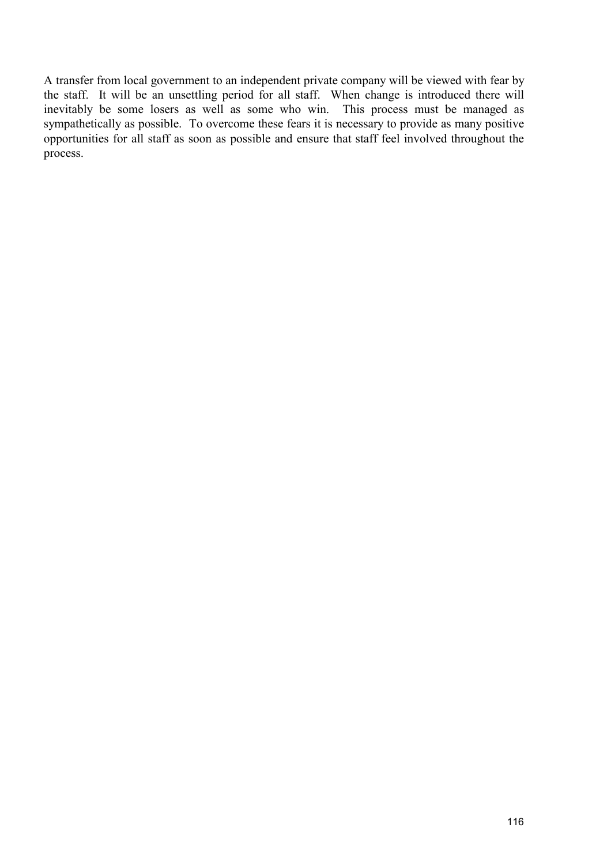A transfer from local government to an independent private company will be viewed with fear by the staff. It will be an unsettling period for all staff. When change is introduced there will inevitably be some losers as well as some who win. This process must be managed as sympathetically as possible. To overcome these fears it is necessary to provide as many positive opportunities for all staff as soon as possible and ensure that staff feel involved throughout the process.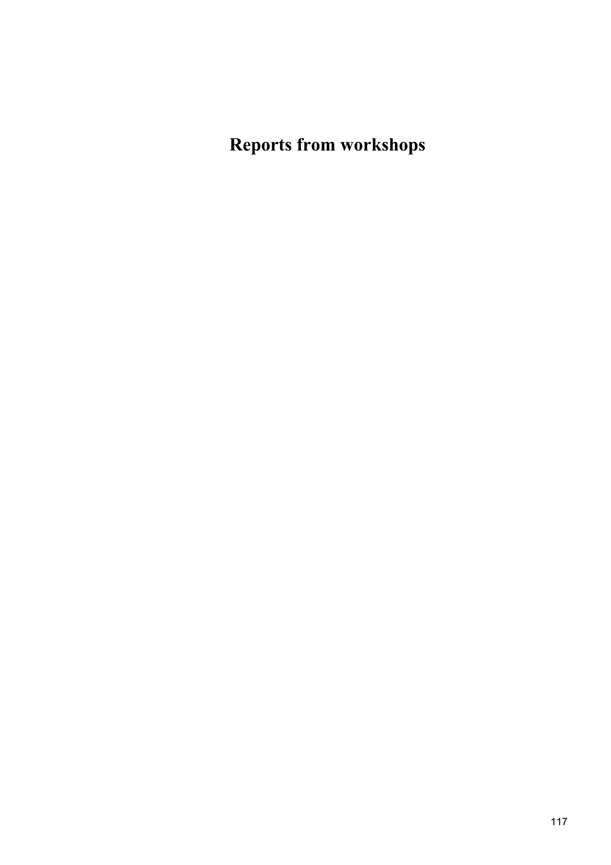**Reports from workshops**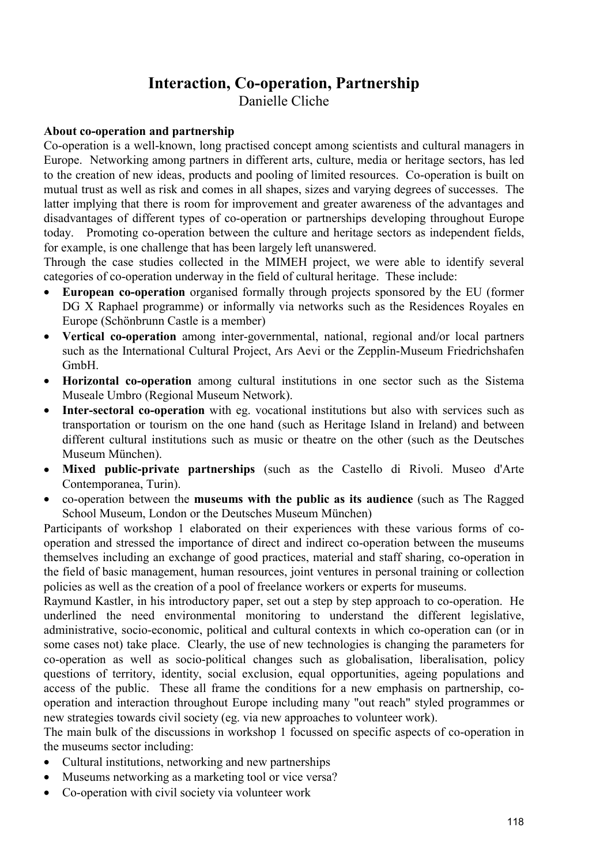# **Interaction, Co-operation, Partnership**

Danielle Cliche

### **About co-operation and partnership**

Co-operation is a well-known, long practised concept among scientists and cultural managers in Europe. Networking among partners in different arts, culture, media or heritage sectors, has led to the creation of new ideas, products and pooling of limited resources. Co-operation is built on mutual trust as well as risk and comes in all shapes, sizes and varying degrees of successes. The latter implying that there is room for improvement and greater awareness of the advantages and disadvantages of different types of co-operation or partnerships developing throughout Europe today. Promoting co-operation between the culture and heritage sectors as independent fields, for example, is one challenge that has been largely left unanswered.

Through the case studies collected in the MIMEH project, we were able to identify several categories of co-operation underway in the field of cultural heritage. These include:

- **European co-operation** organised formally through projects sponsored by the EU (former DG X Raphael programme) or informally via networks such as the Residences Royales en Europe (Schönbrunn Castle is a member)
- **Vertical co-operation** among inter-governmental, national, regional and/or local partners such as the International Cultural Project, Ars Aevi or the Zepplin-Museum Friedrichshafen GmbH.
- **Horizontal co-operation** among cultural institutions in one sector such as the Sistema Museale Umbro (Regional Museum Network).
- **Inter-sectoral co-operation** with eg. vocational institutions but also with services such as transportation or tourism on the one hand (such as Heritage Island in Ireland) and between different cultural institutions such as music or theatre on the other (such as the Deutsches Museum München).
- **Mixed public-private partnerships** (such as the Castello di Rivoli. Museo d'Arte Contemporanea, Turin).
- co-operation between the **museums with the public as its audience** (such as The Ragged School Museum, London or the Deutsches Museum München)

Participants of workshop 1 elaborated on their experiences with these various forms of cooperation and stressed the importance of direct and indirect co-operation between the museums themselves including an exchange of good practices, material and staff sharing, co-operation in the field of basic management, human resources, joint ventures in personal training or collection policies as well as the creation of a pool of freelance workers or experts for museums.

Raymund Kastler, in his introductory paper, set out a step by step approach to co-operation. He underlined the need environmental monitoring to understand the different legislative, administrative, socio-economic, political and cultural contexts in which co-operation can (or in some cases not) take place. Clearly, the use of new technologies is changing the parameters for co-operation as well as socio-political changes such as globalisation, liberalisation, policy questions of territory, identity, social exclusion, equal opportunities, ageing populations and access of the public. These all frame the conditions for a new emphasis on partnership, cooperation and interaction throughout Europe including many "out reach" styled programmes or new strategies towards civil society (eg. via new approaches to volunteer work).

The main bulk of the discussions in workshop 1 focussed on specific aspects of co-operation in the museums sector including:

- Cultural institutions, networking and new partnerships
- Museums networking as a marketing tool or vice versa?
- Co-operation with civil society via volunteer work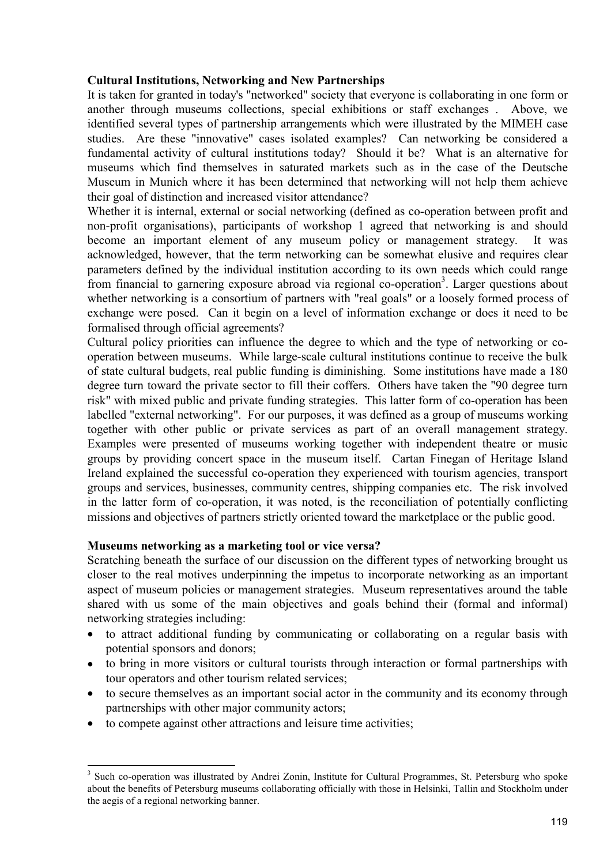### **Cultural Institutions, Networking and New Partnerships**

It is taken for granted in today's "networked" society that everyone is collaborating in one form or another through museums collections, special exhibitions or staff exchanges . Above, we identified several types of partnership arrangements which were illustrated by the MIMEH case studies. Are these "innovative" cases isolated examples? Can networking be considered a fundamental activity of cultural institutions today? Should it be? What is an alternative for museums which find themselves in saturated markets such as in the case of the Deutsche Museum in Munich where it has been determined that networking will not help them achieve their goal of distinction and increased visitor attendance?

Whether it is internal, external or social networking (defined as co-operation between profit and non-profit organisations), participants of workshop 1 agreed that networking is and should become an important element of any museum policy or management strategy. It was acknowledged, however, that the term networking can be somewhat elusive and requires clear parameters defined by the individual institution according to its own needs which could range from financial to garnering exposure abroad via regional co-operation<sup>3</sup>. Larger questions about whether networking is a consortium of partners with "real goals" or a loosely formed process of exchange were posed. Can it begin on a level of information exchange or does it need to be formalised through official agreements?

Cultural policy priorities can influence the degree to which and the type of networking or cooperation between museums. While large-scale cultural institutions continue to receive the bulk of state cultural budgets, real public funding is diminishing. Some institutions have made a 180 degree turn toward the private sector to fill their coffers. Others have taken the "90 degree turn risk" with mixed public and private funding strategies. This latter form of co-operation has been labelled "external networking". For our purposes, it was defined as a group of museums working together with other public or private services as part of an overall management strategy. Examples were presented of museums working together with independent theatre or music groups by providing concert space in the museum itself. Cartan Finegan of Heritage Island Ireland explained the successful co-operation they experienced with tourism agencies, transport groups and services, businesses, community centres, shipping companies etc. The risk involved in the latter form of co-operation, it was noted, is the reconciliation of potentially conflicting missions and objectives of partners strictly oriented toward the marketplace or the public good.

## **Museums networking as a marketing tool or vice versa?**

Scratching beneath the surface of our discussion on the different types of networking brought us closer to the real motives underpinning the impetus to incorporate networking as an important aspect of museum policies or management strategies. Museum representatives around the table shared with us some of the main objectives and goals behind their (formal and informal) networking strategies including:

- to attract additional funding by communicating or collaborating on a regular basis with potential sponsors and donors;
- to bring in more visitors or cultural tourists through interaction or formal partnerships with tour operators and other tourism related services;
- to secure themselves as an important social actor in the community and its economy through partnerships with other major community actors;
- to compete against other attractions and leisure time activities;

 $\overline{a}$ 

<sup>&</sup>lt;sup>3</sup> Such co-operation was illustrated by Andrei Zonin, Institute for Cultural Programmes, St. Petersburg who spoke about the benefits of Petersburg museums collaborating officially with those in Helsinki, Tallin and Stockholm under the aegis of a regional networking banner.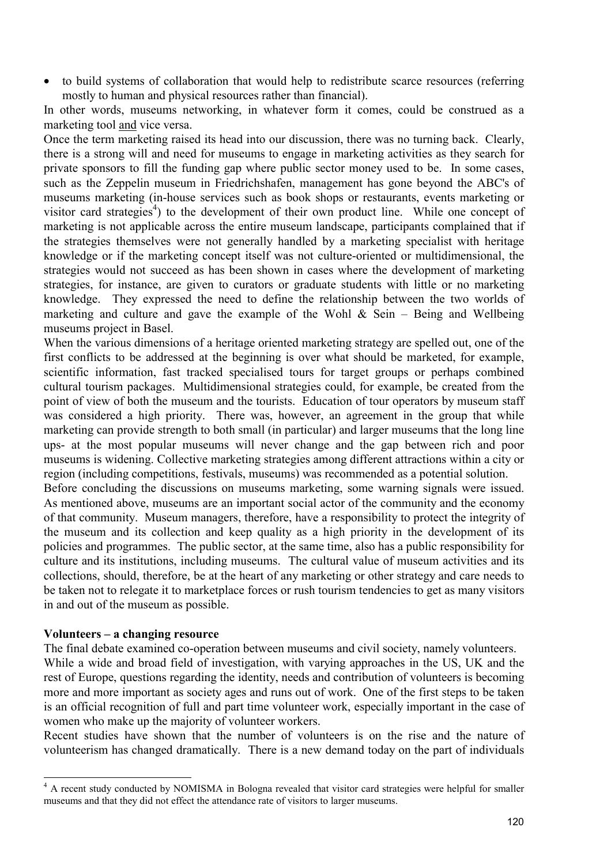• to build systems of collaboration that would help to redistribute scarce resources (referring mostly to human and physical resources rather than financial).

In other words, museums networking, in whatever form it comes, could be construed as a marketing tool and vice versa.

Once the term marketing raised its head into our discussion, there was no turning back. Clearly, there is a strong will and need for museums to engage in marketing activities as they search for private sponsors to fill the funding gap where public sector money used to be. In some cases, such as the Zeppelin museum in Friedrichshafen, management has gone beyond the ABC's of museums marketing (in-house services such as book shops or restaurants, events marketing or visitor card strategies<sup>4</sup>) to the development of their own product line. While one concept of marketing is not applicable across the entire museum landscape, participants complained that if the strategies themselves were not generally handled by a marketing specialist with heritage knowledge or if the marketing concept itself was not culture-oriented or multidimensional, the strategies would not succeed as has been shown in cases where the development of marketing strategies, for instance, are given to curators or graduate students with little or no marketing knowledge. They expressed the need to define the relationship between the two worlds of marketing and culture and gave the example of the Wohl  $\&$  Sein – Being and Wellbeing museums project in Basel.

When the various dimensions of a heritage oriented marketing strategy are spelled out, one of the first conflicts to be addressed at the beginning is over what should be marketed, for example, scientific information, fast tracked specialised tours for target groups or perhaps combined cultural tourism packages. Multidimensional strategies could, for example, be created from the point of view of both the museum and the tourists. Education of tour operators by museum staff was considered a high priority. There was, however, an agreement in the group that while marketing can provide strength to both small (in particular) and larger museums that the long line ups- at the most popular museums will never change and the gap between rich and poor museums is widening. Collective marketing strategies among different attractions within a city or region (including competitions, festivals, museums) was recommended as a potential solution.

Before concluding the discussions on museums marketing, some warning signals were issued. As mentioned above, museums are an important social actor of the community and the economy of that community. Museum managers, therefore, have a responsibility to protect the integrity of the museum and its collection and keep quality as a high priority in the development of its policies and programmes. The public sector, at the same time, also has a public responsibility for culture and its institutions, including museums. The cultural value of museum activities and its collections, should, therefore, be at the heart of any marketing or other strategy and care needs to be taken not to relegate it to marketplace forces or rush tourism tendencies to get as many visitors in and out of the museum as possible.

### **Volunteers – a changing resource**

l

The final debate examined co-operation between museums and civil society, namely volunteers. While a wide and broad field of investigation, with varying approaches in the US, UK and the rest of Europe, questions regarding the identity, needs and contribution of volunteers is becoming more and more important as society ages and runs out of work. One of the first steps to be taken is an official recognition of full and part time volunteer work, especially important in the case of women who make up the majority of volunteer workers.

Recent studies have shown that the number of volunteers is on the rise and the nature of volunteerism has changed dramatically. There is a new demand today on the part of individuals

<sup>&</sup>lt;sup>4</sup> A recent study conducted by NOMISMA in Bologna revealed that visitor card strategies were helpful for smaller museums and that they did not effect the attendance rate of visitors to larger museums.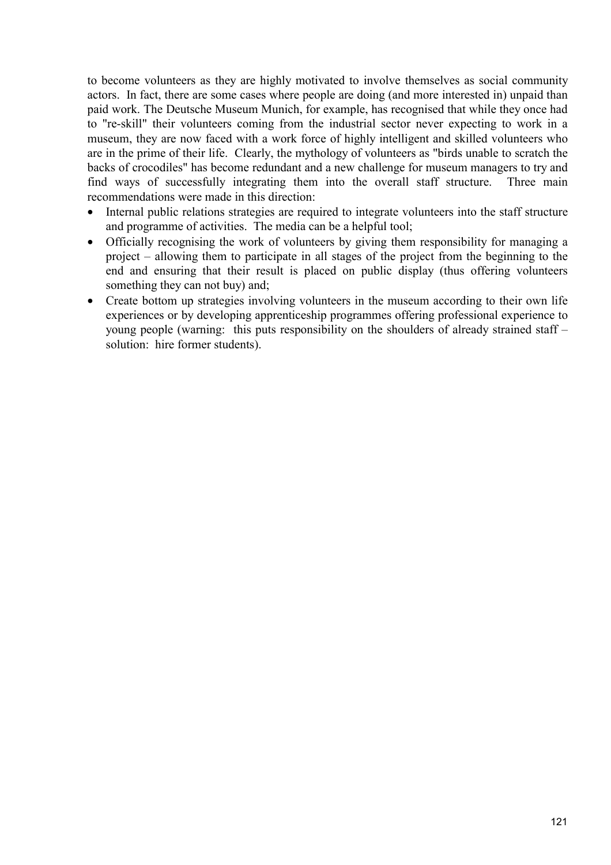to become volunteers as they are highly motivated to involve themselves as social community actors. In fact, there are some cases where people are doing (and more interested in) unpaid than paid work. The Deutsche Museum Munich, for example, has recognised that while they once had to "re-skill" their volunteers coming from the industrial sector never expecting to work in a museum, they are now faced with a work force of highly intelligent and skilled volunteers who are in the prime of their life. Clearly, the mythology of volunteers as "birds unable to scratch the backs of crocodiles" has become redundant and a new challenge for museum managers to try and find ways of successfully integrating them into the overall staff structure. Three main recommendations were made in this direction:

- Internal public relations strategies are required to integrate volunteers into the staff structure and programme of activities. The media can be a helpful tool;
- Officially recognising the work of volunteers by giving them responsibility for managing a project – allowing them to participate in all stages of the project from the beginning to the end and ensuring that their result is placed on public display (thus offering volunteers something they can not buy) and;
- Create bottom up strategies involving volunteers in the museum according to their own life experiences or by developing apprenticeship programmes offering professional experience to young people (warning: this puts responsibility on the shoulders of already strained staff – solution: hire former students).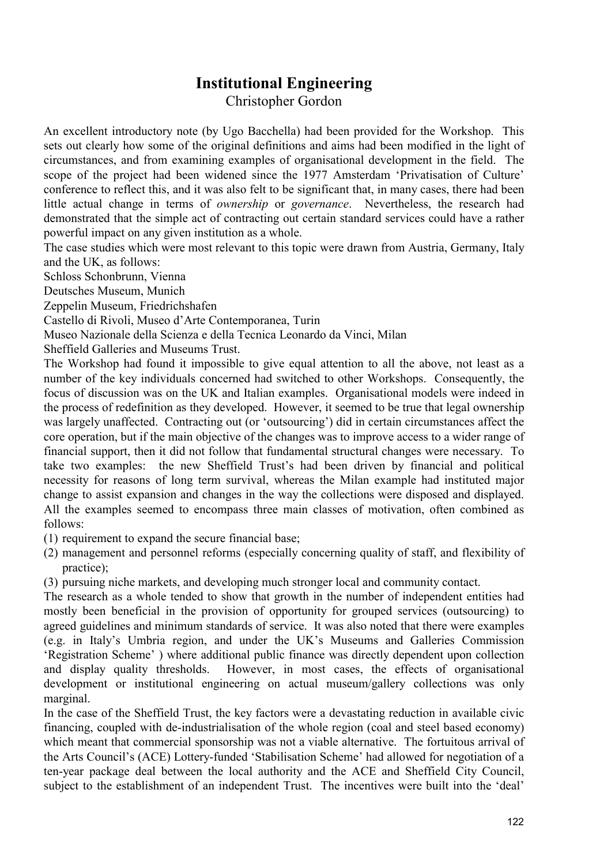# **Institutional Engineering**

Christopher Gordon

An excellent introductory note (by Ugo Bacchella) had been provided for the Workshop. This sets out clearly how some of the original definitions and aims had been modified in the light of circumstances, and from examining examples of organisational development in the field. The scope of the project had been widened since the 1977 Amsterdam 'Privatisation of Culture' conference to reflect this, and it was also felt to be significant that, in many cases, there had been little actual change in terms of *ownership* or *governance*. Nevertheless, the research had demonstrated that the simple act of contracting out certain standard services could have a rather powerful impact on any given institution as a whole.

The case studies which were most relevant to this topic were drawn from Austria, Germany, Italy and the UK, as follows:

Schloss Schonbrunn, Vienna

Deutsches Museum, Munich

Zeppelin Museum, Friedrichshafen

Castello di Rivoli, Museo d'Arte Contemporanea, Turin

Museo Nazionale della Scienza e della Tecnica Leonardo da Vinci, Milan

Sheffield Galleries and Museums Trust.

The Workshop had found it impossible to give equal attention to all the above, not least as a number of the key individuals concerned had switched to other Workshops. Consequently, the focus of discussion was on the UK and Italian examples. Organisational models were indeed in the process of redefinition as they developed. However, it seemed to be true that legal ownership was largely unaffected. Contracting out (or 'outsourcing') did in certain circumstances affect the core operation, but if the main objective of the changes was to improve access to a wider range of financial support, then it did not follow that fundamental structural changes were necessary. To take two examples: the new Sheffield Trust's had been driven by financial and political necessity for reasons of long term survival, whereas the Milan example had instituted major change to assist expansion and changes in the way the collections were disposed and displayed. All the examples seemed to encompass three main classes of motivation, often combined as follows:

(1) requirement to expand the secure financial base;

(2) management and personnel reforms (especially concerning quality of staff, and flexibility of practice);

(3) pursuing niche markets, and developing much stronger local and community contact.

The research as a whole tended to show that growth in the number of independent entities had mostly been beneficial in the provision of opportunity for grouped services (outsourcing) to agreed guidelines and minimum standards of service. It was also noted that there were examples (e.g. in Italy's Umbria region, and under the UK's Museums and Galleries Commission 'Registration Scheme' ) where additional public finance was directly dependent upon collection and display quality thresholds. However, in most cases, the effects of organisational development or institutional engineering on actual museum/gallery collections was only marginal.

In the case of the Sheffield Trust, the key factors were a devastating reduction in available civic financing, coupled with de-industrialisation of the whole region (coal and steel based economy) which meant that commercial sponsorship was not a viable alternative. The fortuitous arrival of the Arts Council's (ACE) Lottery-funded 'Stabilisation Scheme' had allowed for negotiation of a ten-year package deal between the local authority and the ACE and Sheffield City Council, subject to the establishment of an independent Trust. The incentives were built into the 'deal'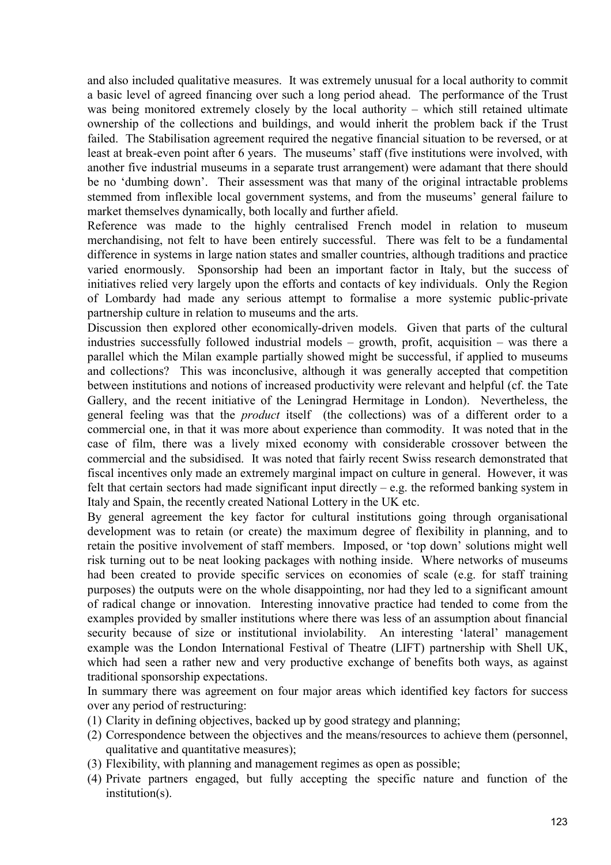and also included qualitative measures. It was extremely unusual for a local authority to commit a basic level of agreed financing over such a long period ahead. The performance of the Trust was being monitored extremely closely by the local authority – which still retained ultimate ownership of the collections and buildings, and would inherit the problem back if the Trust failed. The Stabilisation agreement required the negative financial situation to be reversed, or at least at break-even point after 6 years. The museums' staff (five institutions were involved, with another five industrial museums in a separate trust arrangement) were adamant that there should be no 'dumbing down'. Their assessment was that many of the original intractable problems stemmed from inflexible local government systems, and from the museums' general failure to market themselves dynamically, both locally and further afield.

Reference was made to the highly centralised French model in relation to museum merchandising, not felt to have been entirely successful. There was felt to be a fundamental difference in systems in large nation states and smaller countries, although traditions and practice varied enormously. Sponsorship had been an important factor in Italy, but the success of initiatives relied very largely upon the efforts and contacts of key individuals. Only the Region of Lombardy had made any serious attempt to formalise a more systemic public-private partnership culture in relation to museums and the arts.

Discussion then explored other economically-driven models. Given that parts of the cultural industries successfully followed industrial models – growth, profit, acquisition – was there a parallel which the Milan example partially showed might be successful, if applied to museums and collections? This was inconclusive, although it was generally accepted that competition between institutions and notions of increased productivity were relevant and helpful (cf. the Tate Gallery, and the recent initiative of the Leningrad Hermitage in London). Nevertheless, the general feeling was that the *product* itself (the collections) was of a different order to a commercial one, in that it was more about experience than commodity. It was noted that in the case of film, there was a lively mixed economy with considerable crossover between the commercial and the subsidised. It was noted that fairly recent Swiss research demonstrated that fiscal incentives only made an extremely marginal impact on culture in general. However, it was felt that certain sectors had made significant input directly  $-$  e.g. the reformed banking system in Italy and Spain, the recently created National Lottery in the UK etc.

By general agreement the key factor for cultural institutions going through organisational development was to retain (or create) the maximum degree of flexibility in planning, and to retain the positive involvement of staff members. Imposed, or 'top down' solutions might well risk turning out to be neat looking packages with nothing inside. Where networks of museums had been created to provide specific services on economies of scale (e.g. for staff training purposes) the outputs were on the whole disappointing, nor had they led to a significant amount of radical change or innovation. Interesting innovative practice had tended to come from the examples provided by smaller institutions where there was less of an assumption about financial security because of size or institutional inviolability. An interesting 'lateral' management example was the London International Festival of Theatre (LIFT) partnership with Shell UK, which had seen a rather new and very productive exchange of benefits both ways, as against traditional sponsorship expectations.

In summary there was agreement on four major areas which identified key factors for success over any period of restructuring:

- (1) Clarity in defining objectives, backed up by good strategy and planning;
- (2) Correspondence between the objectives and the means/resources to achieve them (personnel, qualitative and quantitative measures);
- (3) Flexibility, with planning and management regimes as open as possible;
- (4) Private partners engaged, but fully accepting the specific nature and function of the institution(s).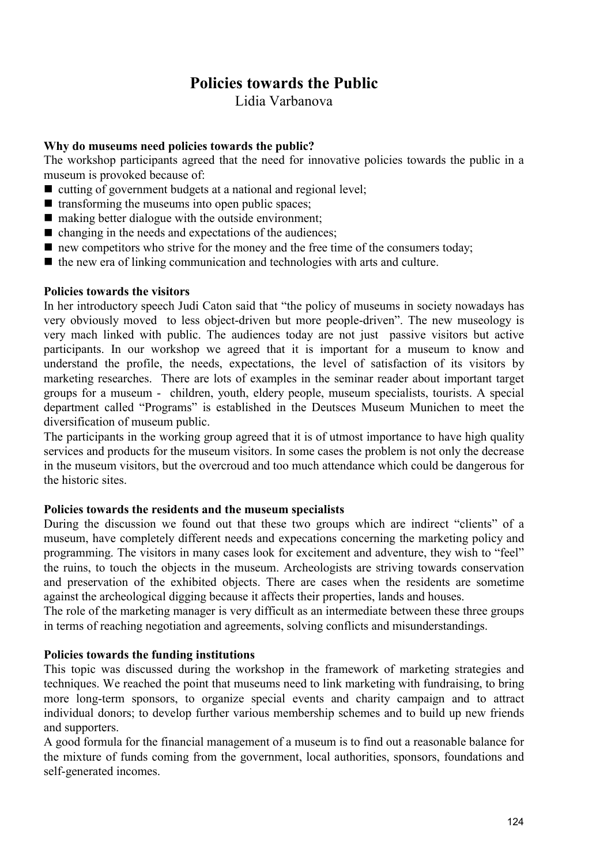# **Policies towards the Public**

Lidia Varbanova

## **Why do museums need policies towards the public?**

The workshop participants agreed that the need for innovative policies towards the public in a museum is provoked because of:

- $\blacksquare$  cutting of government budgets at a national and regional level;
- $\blacksquare$  transforming the museums into open public spaces;
- $\blacksquare$  making better dialogue with the outside environment;
- $\blacksquare$  changing in the needs and expectations of the audiences;
- new competitors who strive for the money and the free time of the consumers today;
- $\blacksquare$  the new era of linking communication and technologies with arts and culture.

### **Policies towards the visitors**

In her introductory speech Judi Caton said that "the policy of museums in society nowadays has very obviously moved to less object-driven but more people-driven". The new museology is very mach linked with public. The audiences today are not just passive visitors but active participants. In our workshop we agreed that it is important for a museum to know and understand the profile, the needs, expectations, the level of satisfaction of its visitors by marketing researches. There are lots of examples in the seminar reader about important target groups for a museum - children, youth, eldery people, museum specialists, tourists. A special department called "Programs" is established in the Deutsces Museum Munichen to meet the diversification of museum public.

The participants in the working group agreed that it is of utmost importance to have high quality services and products for the museum visitors. In some cases the problem is not only the decrease in the museum visitors, but the overcroud and too much attendance which could be dangerous for the historic sites.

## **Policies towards the residents and the museum specialists**

During the discussion we found out that these two groups which are indirect "clients" of a museum, have completely different needs and expecations concerning the marketing policy and programming. The visitors in many cases look for excitement and adventure, they wish to "feel" the ruins, to touch the objects in the museum. Archeologists are striving towards conservation and preservation of the exhibited objects. There are cases when the residents are sometime against the archeological digging because it affects their properties, lands and houses.

The role of the marketing manager is very difficult as an intermediate between these three groups in terms of reaching negotiation and agreements, solving conflicts and misunderstandings.

## **Policies towards the funding institutions**

This topic was discussed during the workshop in the framework of marketing strategies and techniques. We reached the point that museums need to link marketing with fundraising, to bring more long-term sponsors, to organize special events and charity campaign and to attract individual donors; to develop further various membership schemes and to build up new friends and supporters.

A good formula for the financial management of a museum is to find out a reasonable balance for the mixture of funds coming from the government, local authorities, sponsors, foundations and self-generated incomes.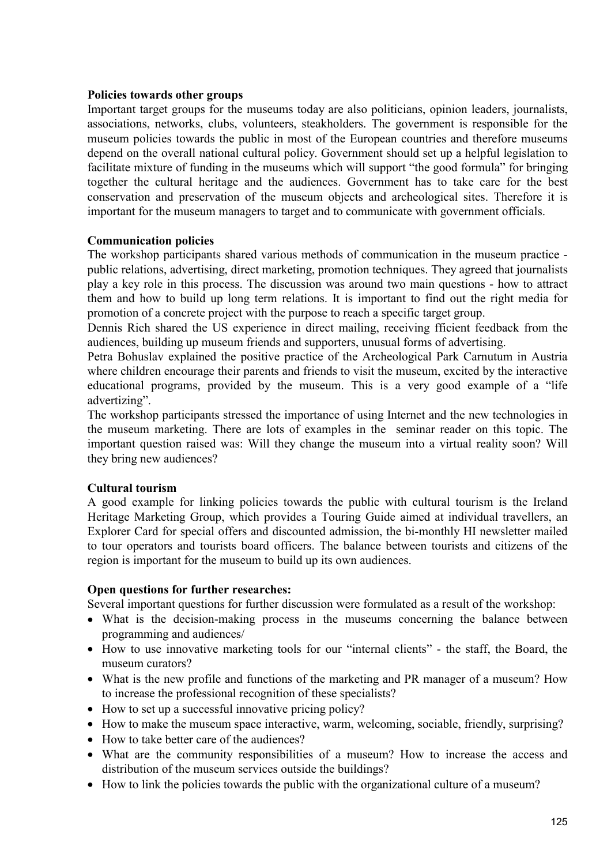### **Policies towards other groups**

Important target groups for the museums today are also politicians, opinion leaders, journalists, associations, networks, clubs, volunteers, steakholders. The government is responsible for the museum policies towards the public in most of the European countries and therefore museums depend on the overall national cultural policy. Government should set up a helpful legislation to facilitate mixture of funding in the museums which will support "the good formula" for bringing together the cultural heritage and the audiences. Government has to take care for the best conservation and preservation of the museum objects and archeological sites. Therefore it is important for the museum managers to target and to communicate with government officials.

### **Communication policies**

The workshop participants shared various methods of communication in the museum practice public relations, advertising, direct marketing, promotion techniques. They agreed that journalists play a key role in this process. The discussion was around two main questions - how to attract them and how to build up long term relations. It is important to find out the right media for promotion of a concrete project with the purpose to reach a specific target group.

Dennis Rich shared the US experience in direct mailing, receiving fficient feedback from the audiences, building up museum friends and supporters, unusual forms of advertising.

Petra Bohuslav explained the positive practice of the Archeological Park Carnutum in Austria where children encourage their parents and friends to visit the museum, excited by the interactive educational programs, provided by the museum. This is a very good example of a "life advertizing".

The workshop participants stressed the importance of using Internet and the new technologies in the museum marketing. There are lots of examples in the seminar reader on this topic. The important question raised was: Will they change the museum into a virtual reality soon? Will they bring new audiences?

## **Cultural tourism**

A good example for linking policies towards the public with cultural tourism is the Ireland Heritage Marketing Group, which provides a Touring Guide aimed at individual travellers, an Explorer Card for special offers and discounted admission, the bi-monthly HI newsletter mailed to tour operators and tourists board officers. The balance between tourists and citizens of the region is important for the museum to build up its own audiences.

### **Open questions for further researches:**

Several important questions for further discussion were formulated as a result of the workshop:

- What is the decision-making process in the museums concerning the balance between programming and audiences/
- How to use innovative marketing tools for our "internal clients" the staff, the Board, the museum curators?
- What is the new profile and functions of the marketing and PR manager of a museum? How to increase the professional recognition of these specialists?
- How to set up a successful innovative pricing policy?
- How to make the museum space interactive, warm, welcoming, sociable, friendly, surprising?
- How to take better care of the audiences?
- What are the community responsibilities of a museum? How to increase the access and distribution of the museum services outside the buildings?
- How to link the policies towards the public with the organizational culture of a museum?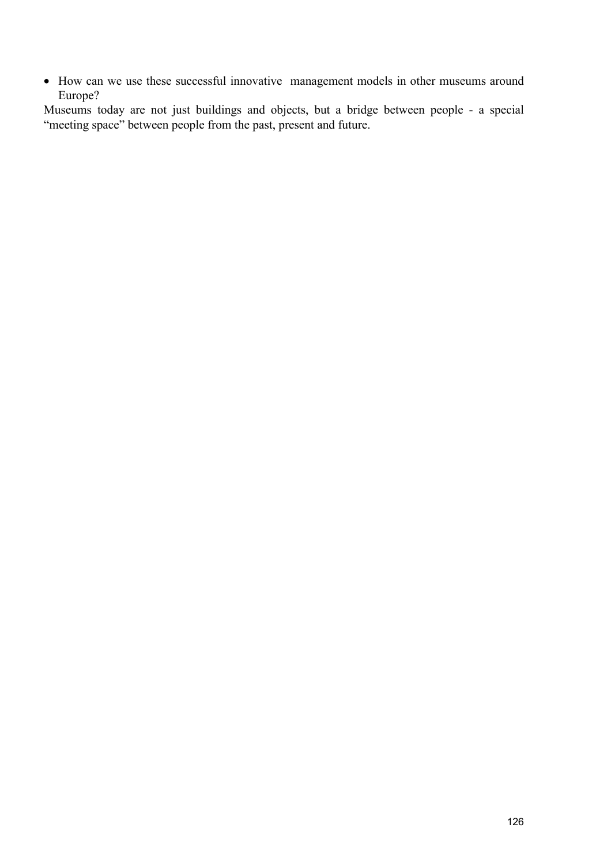• How can we use these successful innovative management models in other museums around Europe?

Museums today are not just buildings and objects, but a bridge between people - a special "meeting space" between people from the past, present and future.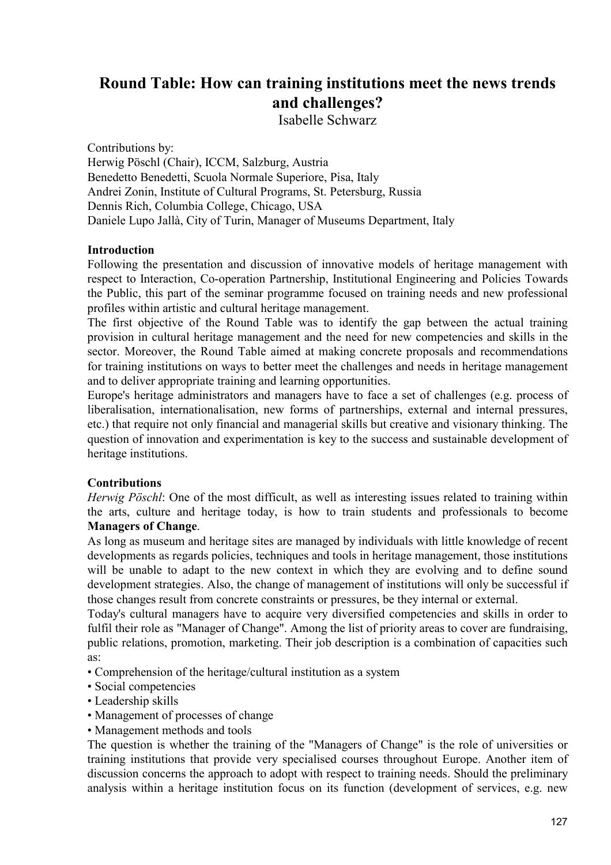# **Round Table: How can training institutions meet the news trends and challenges?**

Isabelle Schwarz

Contributions by:

Herwig Pöschl (Chair), ICCM, Salzburg, Austria Benedetto Benedetti, Scuola Normale Superiore, Pisa, Italy Andrei Zonin, Institute of Cultural Programs, St. Petersburg, Russia Dennis Rich, Columbia College, Chicago, USA Daniele Lupo Jallà, City of Turin, Manager of Museums Department, Italy

## **Introduction**

Following the presentation and discussion of innovative models of heritage management with respect to Interaction, Co-operation Partnership, Institutional Engineering and Policies Towards the Public, this part of the seminar programme focused on training needs and new professional profiles within artistic and cultural heritage management.

The first objective of the Round Table was to identify the gap between the actual training provision in cultural heritage management and the need for new competencies and skills in the sector. Moreover, the Round Table aimed at making concrete proposals and recommendations for training institutions on ways to better meet the challenges and needs in heritage management and to deliver appropriate training and learning opportunities.

Europe's heritage administrators and managers have to face a set of challenges (e.g. process of liberalisation, internationalisation, new forms of partnerships, external and internal pressures, etc.) that require not only financial and managerial skills but creative and visionary thinking. The question of innovation and experimentation is key to the success and sustainable development of heritage institutions.

### **Contributions**

*Herwig Pöschl*: One of the most difficult, as well as interesting issues related to training within the arts, culture and heritage today, is how to train students and professionals to become **Managers of Change**.

As long as museum and heritage sites are managed by individuals with little knowledge of recent developments as regards policies, techniques and tools in heritage management, those institutions will be unable to adapt to the new context in which they are evolving and to define sound development strategies. Also, the change of management of institutions will only be successful if those changes result from concrete constraints or pressures, be they internal or external.

Today's cultural managers have to acquire very diversified competencies and skills in order to fulfil their role as "Manager of Change". Among the list of priority areas to cover are fundraising, public relations, promotion, marketing. Their job description is a combination of capacities such as:

- Comprehension of the heritage/cultural institution as a system
- Social competencies
- Leadership skills
- Management of processes of change
- Management methods and tools

The question is whether the training of the "Managers of Change" is the role of universities or training institutions that provide very specialised courses throughout Europe. Another item of discussion concerns the approach to adopt with respect to training needs. Should the preliminary analysis within a heritage institution focus on its function (development of services, e.g. new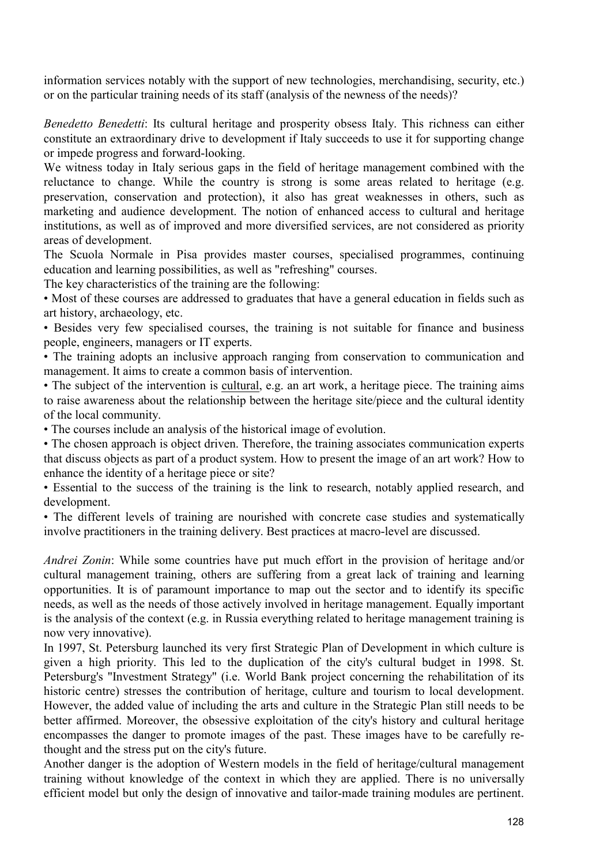information services notably with the support of new technologies, merchandising, security, etc.) or on the particular training needs of its staff (analysis of the newness of the needs)?

*Benedetto Benedetti*: Its cultural heritage and prosperity obsess Italy. This richness can either constitute an extraordinary drive to development if Italy succeeds to use it for supporting change or impede progress and forward-looking.

We witness today in Italy serious gaps in the field of heritage management combined with the reluctance to change. While the country is strong is some areas related to heritage (e.g. preservation, conservation and protection), it also has great weaknesses in others, such as marketing and audience development. The notion of enhanced access to cultural and heritage institutions, as well as of improved and more diversified services, are not considered as priority areas of development.

The Scuola Normale in Pisa provides master courses, specialised programmes, continuing education and learning possibilities, as well as "refreshing" courses.

The key characteristics of the training are the following:

• Most of these courses are addressed to graduates that have a general education in fields such as art history, archaeology, etc.

• Besides very few specialised courses, the training is not suitable for finance and business people, engineers, managers or IT experts.

• The training adopts an inclusive approach ranging from conservation to communication and management. It aims to create a common basis of intervention.

• The subject of the intervention is cultural, e.g. an art work, a heritage piece. The training aims to raise awareness about the relationship between the heritage site/piece and the cultural identity of the local community.

• The courses include an analysis of the historical image of evolution.

• The chosen approach is object driven. Therefore, the training associates communication experts that discuss objects as part of a product system. How to present the image of an art work? How to enhance the identity of a heritage piece or site?

• Essential to the success of the training is the link to research, notably applied research, and development.

• The different levels of training are nourished with concrete case studies and systematically involve practitioners in the training delivery. Best practices at macro-level are discussed.

*Andrei Zonin*: While some countries have put much effort in the provision of heritage and/or cultural management training, others are suffering from a great lack of training and learning opportunities. It is of paramount importance to map out the sector and to identify its specific needs, as well as the needs of those actively involved in heritage management. Equally important is the analysis of the context (e.g. in Russia everything related to heritage management training is now very innovative).

In 1997, St. Petersburg launched its very first Strategic Plan of Development in which culture is given a high priority. This led to the duplication of the city's cultural budget in 1998. St. Petersburg's "Investment Strategy" (i.e. World Bank project concerning the rehabilitation of its historic centre) stresses the contribution of heritage, culture and tourism to local development. However, the added value of including the arts and culture in the Strategic Plan still needs to be better affirmed. Moreover, the obsessive exploitation of the city's history and cultural heritage encompasses the danger to promote images of the past. These images have to be carefully rethought and the stress put on the city's future.

Another danger is the adoption of Western models in the field of heritage/cultural management training without knowledge of the context in which they are applied. There is no universally efficient model but only the design of innovative and tailor-made training modules are pertinent.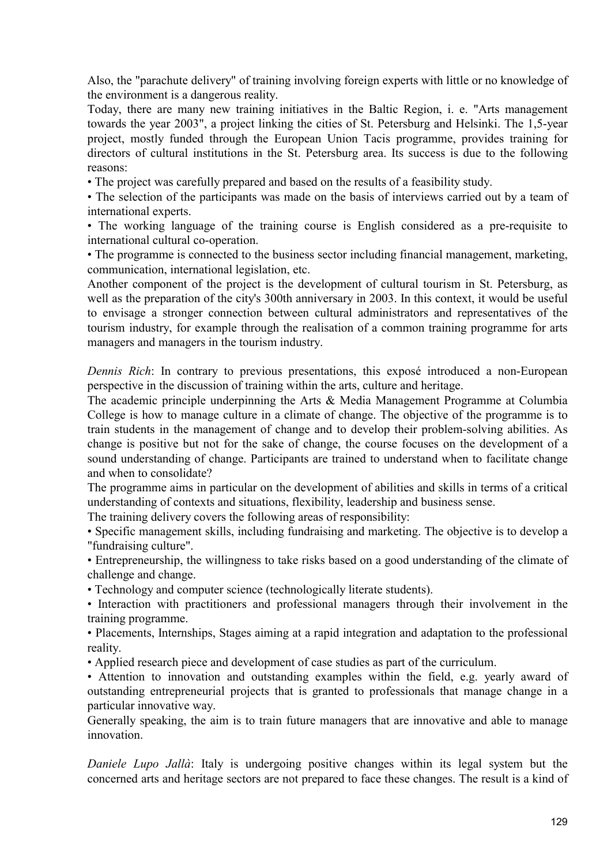Also, the "parachute delivery" of training involving foreign experts with little or no knowledge of the environment is a dangerous reality.

Today, there are many new training initiatives in the Baltic Region, i. e. "Arts management towards the year 2003", a project linking the cities of St. Petersburg and Helsinki. The 1,5-year project, mostly funded through the European Union Tacis programme, provides training for directors of cultural institutions in the St. Petersburg area. Its success is due to the following reasons:

• The project was carefully prepared and based on the results of a feasibility study.

• The selection of the participants was made on the basis of interviews carried out by a team of international experts.

• The working language of the training course is English considered as a pre-requisite to international cultural co-operation.

• The programme is connected to the business sector including financial management, marketing, communication, international legislation, etc.

Another component of the project is the development of cultural tourism in St. Petersburg, as well as the preparation of the city's 300th anniversary in 2003. In this context, it would be useful to envisage a stronger connection between cultural administrators and representatives of the tourism industry, for example through the realisation of a common training programme for arts managers and managers in the tourism industry.

*Dennis Rich*: In contrary to previous presentations, this exposé introduced a non-European perspective in the discussion of training within the arts, culture and heritage.

The academic principle underpinning the Arts & Media Management Programme at Columbia College is how to manage culture in a climate of change. The objective of the programme is to train students in the management of change and to develop their problem-solving abilities. As change is positive but not for the sake of change, the course focuses on the development of a sound understanding of change. Participants are trained to understand when to facilitate change and when to consolidate?

The programme aims in particular on the development of abilities and skills in terms of a critical understanding of contexts and situations, flexibility, leadership and business sense.

The training delivery covers the following areas of responsibility:

• Specific management skills, including fundraising and marketing. The objective is to develop a "fundraising culture".

• Entrepreneurship, the willingness to take risks based on a good understanding of the climate of challenge and change.

• Technology and computer science (technologically literate students).

• Interaction with practitioners and professional managers through their involvement in the training programme.

• Placements, Internships, Stages aiming at a rapid integration and adaptation to the professional reality.

• Applied research piece and development of case studies as part of the curriculum.

• Attention to innovation and outstanding examples within the field, e.g. yearly award of outstanding entrepreneurial projects that is granted to professionals that manage change in a particular innovative way.

Generally speaking, the aim is to train future managers that are innovative and able to manage innovation.

*Daniele Lupo Jallà*: Italy is undergoing positive changes within its legal system but the concerned arts and heritage sectors are not prepared to face these changes. The result is a kind of